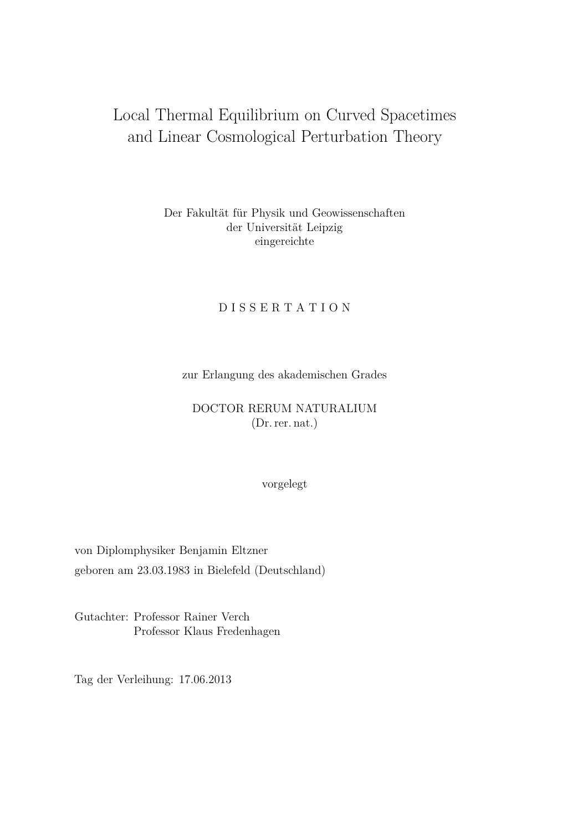# Local Thermal Equilibrium on Curved Spacetimes and Linear Cosmological Perturbation Theory

# Der Fakultät für Physik und Geowissenschaften der Universität Leipzig eingereichte

# D I S S E R T A T I O N

zur Erlangung des akademischen Grades

# DOCTOR RERUM NATURALIUM (Dr. rer. nat.)

vorgelegt

von Diplomphysiker Benjamin Eltzner geboren am 23.03.1983 in Bielefeld (Deutschland)

Gutachter: Professor Rainer Verch Professor Klaus Fredenhagen

Tag der Verleihung: 17.06.2013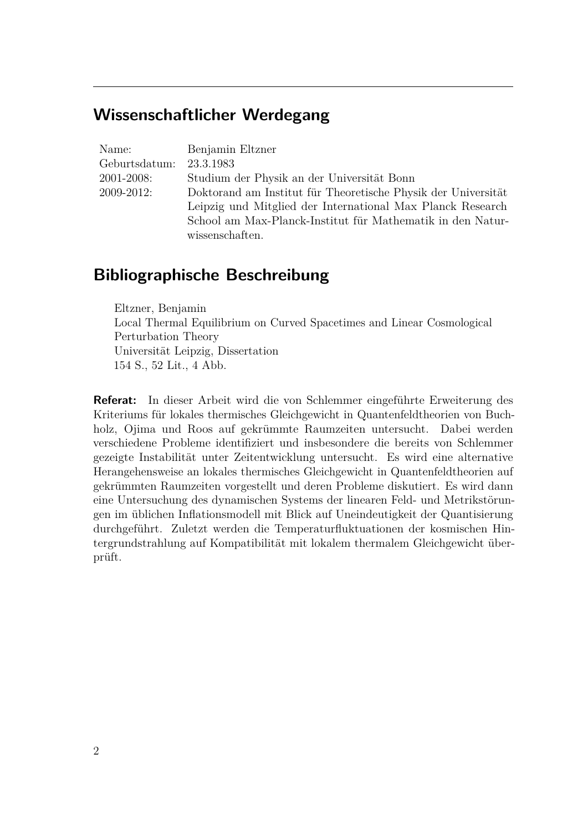# **Wissenschaftlicher Werdegang**

Name: Benjamin Eltzner Geburtsdatum: 23.3.1983 2001-2008: Studium der Physik an der Universität Bonn 2009-2012: Doktorand am Institut für Theoretische Physik der Universität Leipzig und Mitglied der International Max Planck Research School am Max-Planck-Institut für Mathematik in den Naturwissenschaften.

# **Bibliographische Beschreibung**

Eltzner, Benjamin Local Thermal Equilibrium on Curved Spacetimes and Linear Cosmological Perturbation Theory Universität Leipzig, Dissertation 154 S., 52 Lit., 4 Abb.

**Referat:** In dieser Arbeit wird die von Schlemmer eingeführte Erweiterung des Kriteriums für lokales thermisches Gleichgewicht in Quantenfeldtheorien von Buchholz, Ojima und Roos auf gekrümmte Raumzeiten untersucht. Dabei werden verschiedene Probleme identifiziert und insbesondere die bereits von Schlemmer gezeigte Instabilität unter Zeitentwicklung untersucht. Es wird eine alternative Herangehensweise an lokales thermisches Gleichgewicht in Quantenfeldtheorien auf gekrümmten Raumzeiten vorgestellt und deren Probleme diskutiert. Es wird dann eine Untersuchung des dynamischen Systems der linearen Feld- und Metrikstörungen im üblichen Inflationsmodell mit Blick auf Uneindeutigkeit der Quantisierung durchgeführt. Zuletzt werden die Temperaturfluktuationen der kosmischen Hintergrundstrahlung auf Kompatibilität mit lokalem thermalem Gleichgewicht überprüft.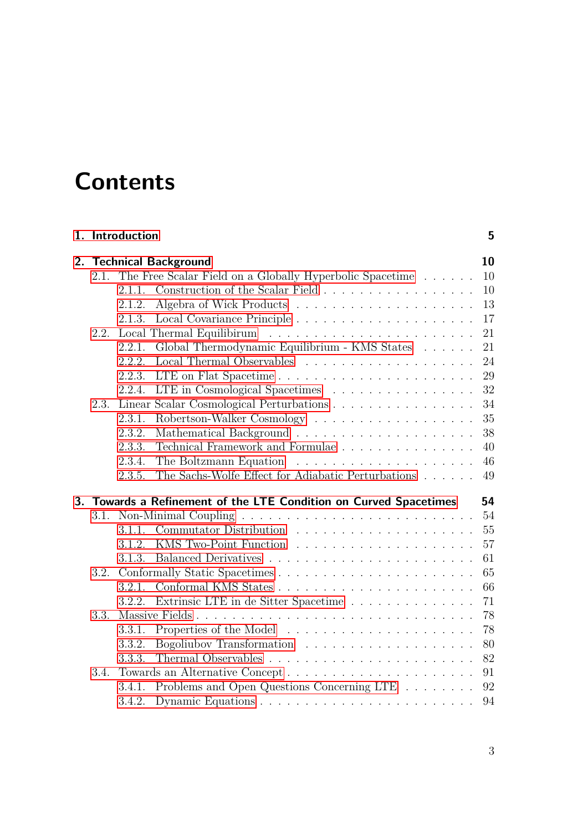# **Contents**

|      | 1. Introduction |                                                                                     | 5  |
|------|-----------------|-------------------------------------------------------------------------------------|----|
|      |                 | 2. Technical Background                                                             | 10 |
| 2.1. |                 | The Free Scalar Field on a Globally Hyperbolic Spacetime                            | 10 |
|      | 2.1.1.          | Construction of the Scalar Field                                                    | 10 |
|      | 2.1.2.          |                                                                                     | 13 |
|      | 2.1.3.          |                                                                                     | 17 |
| 2.2. |                 |                                                                                     | 21 |
|      | 2.2.1.          | Global Thermodynamic Equilibrium - KMS States                                       | 21 |
|      | 2.2.2.          |                                                                                     | 24 |
|      | 2.2.3.          |                                                                                     | 29 |
|      | 2.2.4.          | LTE in Cosmological Spacetimes                                                      | 32 |
| 2.3. |                 | Linear Scalar Cosmological Perturbations                                            | 34 |
|      | 2.3.1.          |                                                                                     | 35 |
|      | 2.3.2.          |                                                                                     | 38 |
|      | 2.3.3.          | Technical Framework and Formulae                                                    | 40 |
|      | 2.3.4.          |                                                                                     | 46 |
|      | 2.3.5.          | The Sachs-Wolfe Effect for Adiabatic Perturbations $\ldots \ldots$                  | 49 |
|      |                 | 3. Towards a Refinement of the LTE Condition on Curved Spacetimes                   | 54 |
|      |                 | 3.1. Non-Minimal Coupling $\ldots \ldots \ldots \ldots \ldots \ldots \ldots \ldots$ | 54 |
|      | 3.1.1.          |                                                                                     | 55 |
|      | 3.1.2.          |                                                                                     | 57 |
|      | 3.1.3.          |                                                                                     | 61 |
| 3.2. |                 |                                                                                     | 65 |
|      | 3.2.1.          |                                                                                     | 66 |
|      | 3.2.2.          | Extrinsic LTE in de Sitter Spacetime                                                | 71 |
| 3.3. |                 | Massive Fields                                                                      | 78 |
|      | 3.3.1.          |                                                                                     | 78 |
|      | 3.3.2.          |                                                                                     | 80 |
|      | 3.3.3.          |                                                                                     | 82 |
| 3.4. |                 |                                                                                     | 91 |
|      | 3.4.1.          | Problems and Open Questions Concerning LTE                                          | 92 |
|      | 3.4.2.          |                                                                                     | 94 |
|      |                 |                                                                                     |    |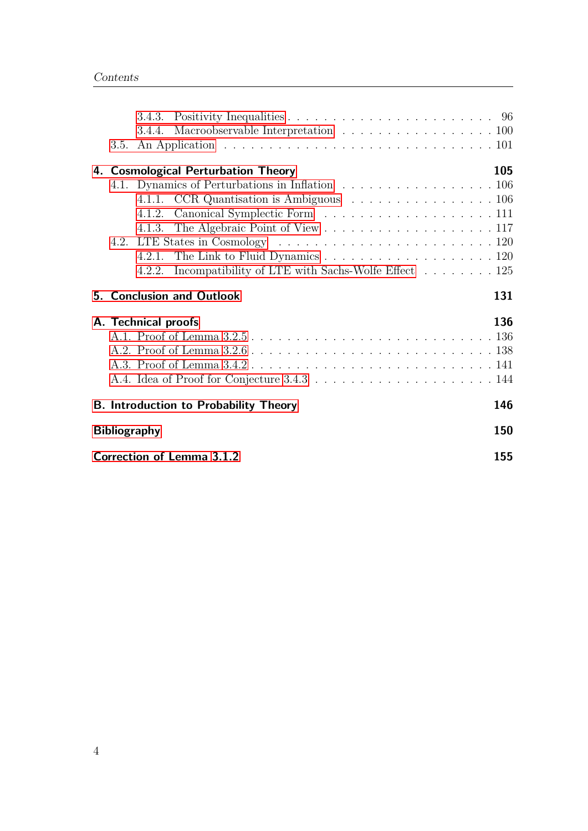|    |      |                     | 3.4.4. Macroobservable Interpretation 100                 |  |  |            |
|----|------|---------------------|-----------------------------------------------------------|--|--|------------|
|    | 3.5. |                     |                                                           |  |  |            |
| 4. |      |                     | <b>Cosmological Perturbation Theory</b>                   |  |  | 105        |
|    |      |                     | 4.1. Dynamics of Perturbations in Inflation 106           |  |  |            |
|    |      |                     | 4.1.1. CCR Quantisation is Ambiguous 106                  |  |  |            |
|    |      |                     |                                                           |  |  |            |
|    |      |                     |                                                           |  |  |            |
|    |      |                     |                                                           |  |  |            |
|    |      |                     |                                                           |  |  |            |
|    |      |                     | 4.2.2. Incompatibility of LTE with Sachs-Wolfe Effect 125 |  |  |            |
|    |      |                     |                                                           |  |  |            |
| 5. |      |                     | <b>Conclusion and Outlook</b>                             |  |  | 131        |
|    |      |                     |                                                           |  |  | 136        |
|    |      | A. Technical proofs |                                                           |  |  |            |
|    |      |                     |                                                           |  |  |            |
|    |      |                     |                                                           |  |  |            |
|    |      |                     |                                                           |  |  |            |
|    |      |                     | <b>B. Introduction to Probability Theory</b>              |  |  | 146        |
|    |      | <b>Bibliography</b> |                                                           |  |  | <b>150</b> |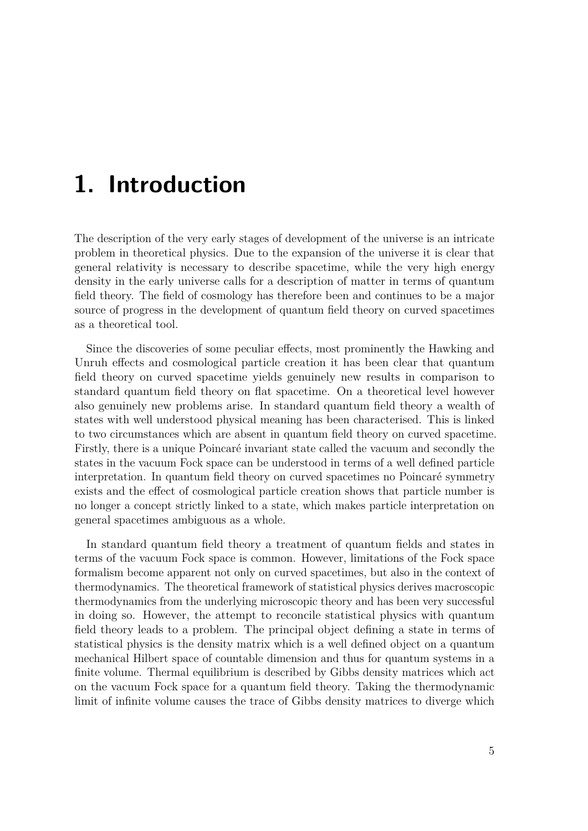# <span id="page-4-0"></span>**1. Introduction**

The description of the very early stages of development of the universe is an intricate problem in theoretical physics. Due to the expansion of the universe it is clear that general relativity is necessary to describe spacetime, while the very high energy density in the early universe calls for a description of matter in terms of quantum field theory. The field of cosmology has therefore been and continues to be a major source of progress in the development of quantum field theory on curved spacetimes as a theoretical tool.

Since the discoveries of some peculiar effects, most prominently the Hawking and Unruh effects and cosmological particle creation it has been clear that quantum field theory on curved spacetime yields genuinely new results in comparison to standard quantum field theory on flat spacetime. On a theoretical level however also genuinely new problems arise. In standard quantum field theory a wealth of states with well understood physical meaning has been characterised. This is linked to two circumstances which are absent in quantum field theory on curved spacetime. Firstly, there is a unique Poincaré invariant state called the vacuum and secondly the states in the vacuum Fock space can be understood in terms of a well defined particle interpretation. In quantum field theory on curved spacetimes no Poincaré symmetry exists and the effect of cosmological particle creation shows that particle number is no longer a concept strictly linked to a state, which makes particle interpretation on general spacetimes ambiguous as a whole.

In standard quantum field theory a treatment of quantum fields and states in terms of the vacuum Fock space is common. However, limitations of the Fock space formalism become apparent not only on curved spacetimes, but also in the context of thermodynamics. The theoretical framework of statistical physics derives macroscopic thermodynamics from the underlying microscopic theory and has been very successful in doing so. However, the attempt to reconcile statistical physics with quantum field theory leads to a problem. The principal object defining a state in terms of statistical physics is the density matrix which is a well defined object on a quantum mechanical Hilbert space of countable dimension and thus for quantum systems in a finite volume. Thermal equilibrium is described by Gibbs density matrices which act on the vacuum Fock space for a quantum field theory. Taking the thermodynamic limit of infinite volume causes the trace of Gibbs density matrices to diverge which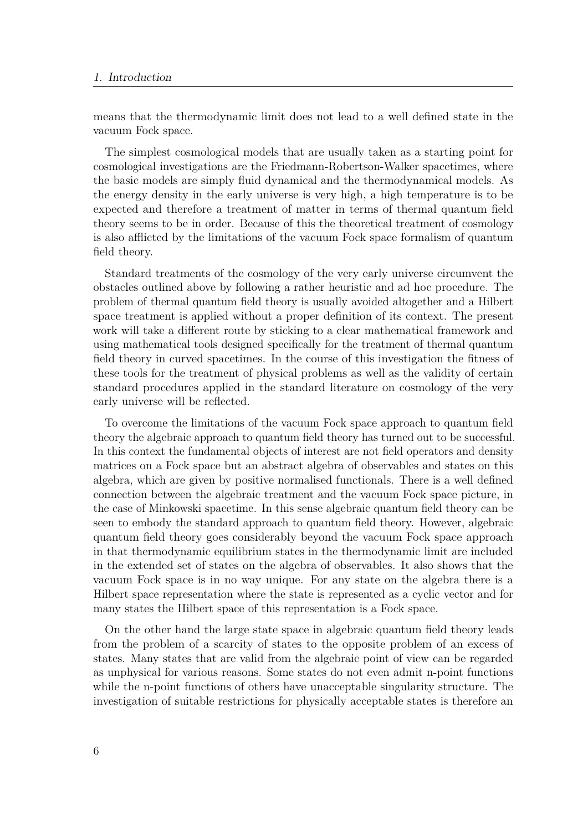means that the thermodynamic limit does not lead to a well defined state in the vacuum Fock space.

The simplest cosmological models that are usually taken as a starting point for cosmological investigations are the Friedmann-Robertson-Walker spacetimes, where the basic models are simply fluid dynamical and the thermodynamical models. As the energy density in the early universe is very high, a high temperature is to be expected and therefore a treatment of matter in terms of thermal quantum field theory seems to be in order. Because of this the theoretical treatment of cosmology is also afflicted by the limitations of the vacuum Fock space formalism of quantum field theory.

Standard treatments of the cosmology of the very early universe circumvent the obstacles outlined above by following a rather heuristic and ad hoc procedure. The problem of thermal quantum field theory is usually avoided altogether and a Hilbert space treatment is applied without a proper definition of its context. The present work will take a different route by sticking to a clear mathematical framework and using mathematical tools designed specifically for the treatment of thermal quantum field theory in curved spacetimes. In the course of this investigation the fitness of these tools for the treatment of physical problems as well as the validity of certain standard procedures applied in the standard literature on cosmology of the very early universe will be reflected.

To overcome the limitations of the vacuum Fock space approach to quantum field theory the algebraic approach to quantum field theory has turned out to be successful. In this context the fundamental objects of interest are not field operators and density matrices on a Fock space but an abstract algebra of observables and states on this algebra, which are given by positive normalised functionals. There is a well defined connection between the algebraic treatment and the vacuum Fock space picture, in the case of Minkowski spacetime. In this sense algebraic quantum field theory can be seen to embody the standard approach to quantum field theory. However, algebraic quantum field theory goes considerably beyond the vacuum Fock space approach in that thermodynamic equilibrium states in the thermodynamic limit are included in the extended set of states on the algebra of observables. It also shows that the vacuum Fock space is in no way unique. For any state on the algebra there is a Hilbert space representation where the state is represented as a cyclic vector and for many states the Hilbert space of this representation is a Fock space.

On the other hand the large state space in algebraic quantum field theory leads from the problem of a scarcity of states to the opposite problem of an excess of states. Many states that are valid from the algebraic point of view can be regarded as unphysical for various reasons. Some states do not even admit n-point functions while the n-point functions of others have unacceptable singularity structure. The investigation of suitable restrictions for physically acceptable states is therefore an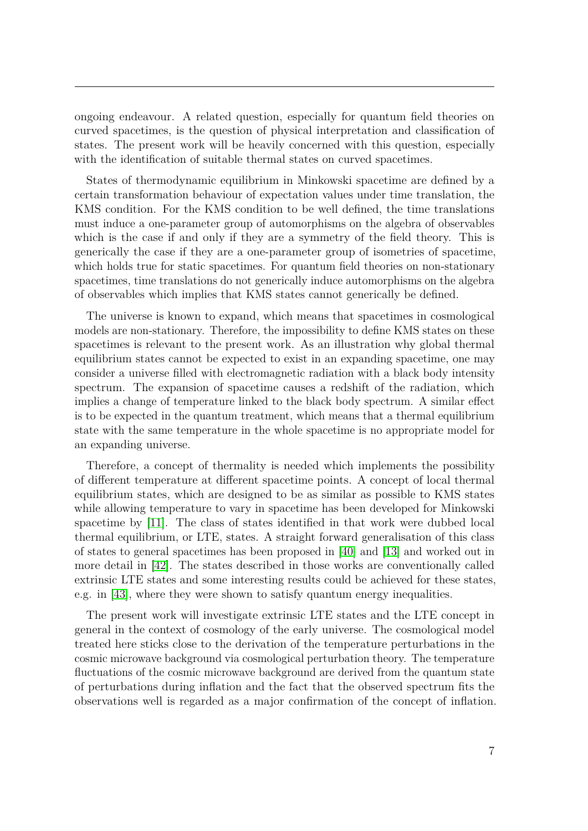ongoing endeavour. A related question, especially for quantum field theories on curved spacetimes, is the question of physical interpretation and classification of states. The present work will be heavily concerned with this question, especially with the identification of suitable thermal states on curved spacetimes.

States of thermodynamic equilibrium in Minkowski spacetime are defined by a certain transformation behaviour of expectation values under time translation, the KMS condition. For the KMS condition to be well defined, the time translations must induce a one-parameter group of automorphisms on the algebra of observables which is the case if and only if they are a symmetry of the field theory. This is generically the case if they are a one-parameter group of isometries of spacetime, which holds true for static spacetimes. For quantum field theories on non-stationary spacetimes, time translations do not generically induce automorphisms on the algebra of observables which implies that KMS states cannot generically be defined.

The universe is known to expand, which means that spacetimes in cosmological models are non-stationary. Therefore, the impossibility to define KMS states on these spacetimes is relevant to the present work. As an illustration why global thermal equilibrium states cannot be expected to exist in an expanding spacetime, one may consider a universe filled with electromagnetic radiation with a black body intensity spectrum. The expansion of spacetime causes a redshift of the radiation, which implies a change of temperature linked to the black body spectrum. A similar effect is to be expected in the quantum treatment, which means that a thermal equilibrium state with the same temperature in the whole spacetime is no appropriate model for an expanding universe.

Therefore, a concept of thermality is needed which implements the possibility of different temperature at different spacetime points. A concept of local thermal equilibrium states, which are designed to be as similar as possible to KMS states while allowing temperature to vary in spacetime has been developed for Minkowski spacetime by [\[11\]](#page-149-0). The class of states identified in that work were dubbed local thermal equilibrium, or LTE, states. A straight forward generalisation of this class of states to general spacetimes has been proposed in [\[40\]](#page-151-0) and [\[13\]](#page-150-0) and worked out in more detail in [\[42\]](#page-151-1). The states described in those works are conventionally called extrinsic LTE states and some interesting results could be achieved for these states, e.g. in [\[43\]](#page-151-2), where they were shown to satisfy quantum energy inequalities.

The present work will investigate extrinsic LTE states and the LTE concept in general in the context of cosmology of the early universe. The cosmological model treated here sticks close to the derivation of the temperature perturbations in the cosmic microwave background via cosmological perturbation theory. The temperature fluctuations of the cosmic microwave background are derived from the quantum state of perturbations during inflation and the fact that the observed spectrum fits the observations well is regarded as a major confirmation of the concept of inflation.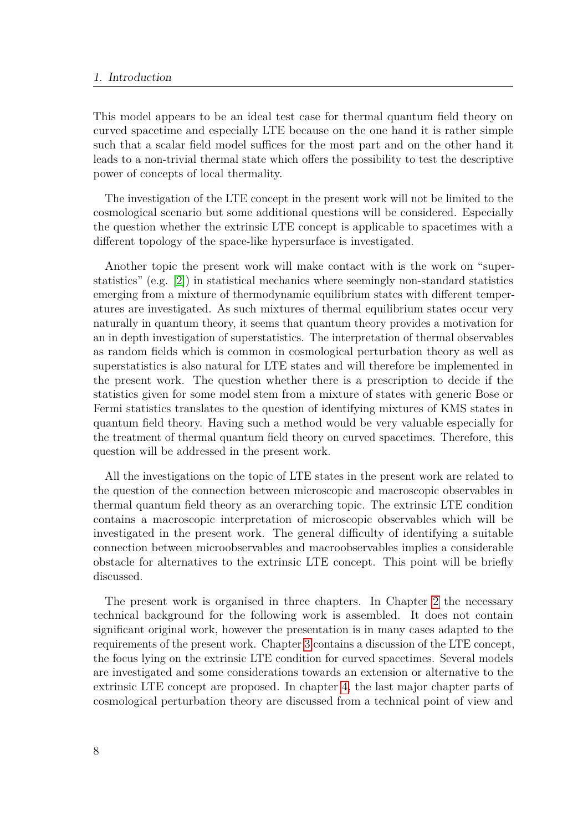#### 1. Introduction

This model appears to be an ideal test case for thermal quantum field theory on curved spacetime and especially LTE because on the one hand it is rather simple such that a scalar field model suffices for the most part and on the other hand it leads to a non-trivial thermal state which offers the possibility to test the descriptive power of concepts of local thermality.

The investigation of the LTE concept in the present work will not be limited to the cosmological scenario but some additional questions will be considered. Especially the question whether the extrinsic LTE concept is applicable to spacetimes with a different topology of the space-like hypersurface is investigated.

Another topic the present work will make contact with is the work on "superstatistics" (e.g. [\[2\]](#page-149-1)) in statistical mechanics where seemingly non-standard statistics emerging from a mixture of thermodynamic equilibrium states with different temperatures are investigated. As such mixtures of thermal equilibrium states occur very naturally in quantum theory, it seems that quantum theory provides a motivation for an in depth investigation of superstatistics. The interpretation of thermal observables as random fields which is common in cosmological perturbation theory as well as superstatistics is also natural for LTE states and will therefore be implemented in the present work. The question whether there is a prescription to decide if the statistics given for some model stem from a mixture of states with generic Bose or Fermi statistics translates to the question of identifying mixtures of KMS states in quantum field theory. Having such a method would be very valuable especially for the treatment of thermal quantum field theory on curved spacetimes. Therefore, this question will be addressed in the present work.

All the investigations on the topic of LTE states in the present work are related to the question of the connection between microscopic and macroscopic observables in thermal quantum field theory as an overarching topic. The extrinsic LTE condition contains a macroscopic interpretation of microscopic observables which will be investigated in the present work. The general difficulty of identifying a suitable connection between microobservables and macroobservables implies a considerable obstacle for alternatives to the extrinsic LTE concept. This point will be briefly discussed.

The present work is organised in three chapters. In Chapter [2](#page-9-0) the necessary technical background for the following work is assembled. It does not contain significant original work, however the presentation is in many cases adapted to the requirements of the present work. Chapter [3](#page-53-0) contains a discussion of the LTE concept, the focus lying on the extrinsic LTE condition for curved spacetimes. Several models are investigated and some considerations towards an extension or alternative to the extrinsic LTE concept are proposed. In chapter [4,](#page-104-0) the last major chapter parts of cosmological perturbation theory are discussed from a technical point of view and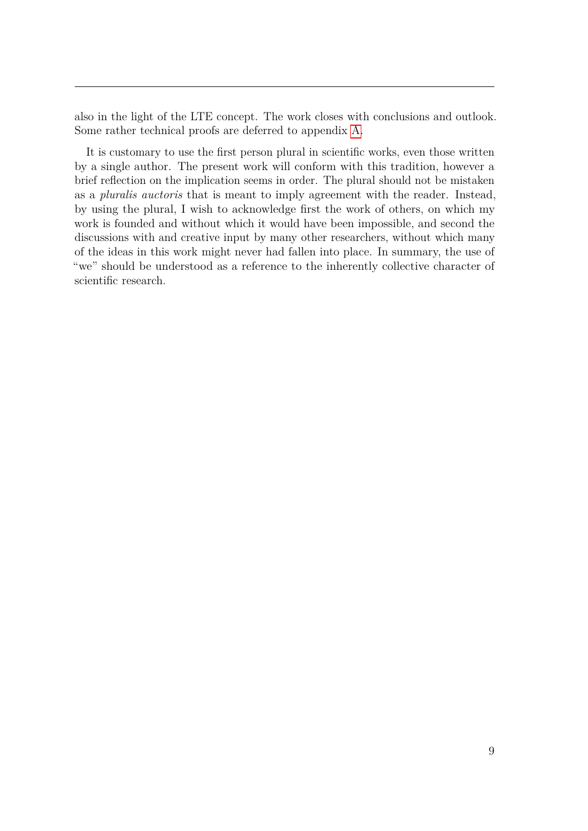also in the light of the LTE concept. The work closes with conclusions and outlook. Some rather technical proofs are deferred to appendix [A.](#page-135-0)

It is customary to use the first person plural in scientific works, even those written by a single author. The present work will conform with this tradition, however a brief reflection on the implication seems in order. The plural should not be mistaken as a *pluralis auctoris* that is meant to imply agreement with the reader. Instead, by using the plural, I wish to acknowledge first the work of others, on which my work is founded and without which it would have been impossible, and second the discussions with and creative input by many other researchers, without which many of the ideas in this work might never had fallen into place. In summary, the use of "we" should be understood as a reference to the inherently collective character of scientific research.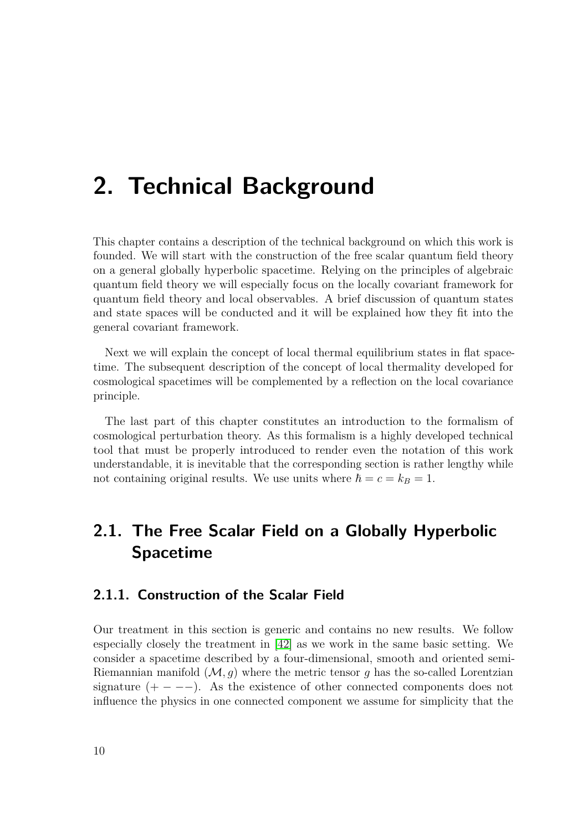# <span id="page-9-0"></span>**2. Technical Background**

This chapter contains a description of the technical background on which this work is founded. We will start with the construction of the free scalar quantum field theory on a general globally hyperbolic spacetime. Relying on the principles of algebraic quantum field theory we will especially focus on the locally covariant framework for quantum field theory and local observables. A brief discussion of quantum states and state spaces will be conducted and it will be explained how they fit into the general covariant framework.

Next we will explain the concept of local thermal equilibrium states in flat spacetime. The subsequent description of the concept of local thermality developed for cosmological spacetimes will be complemented by a reflection on the local covariance principle.

The last part of this chapter constitutes an introduction to the formalism of cosmological perturbation theory. As this formalism is a highly developed technical tool that must be properly introduced to render even the notation of this work understandable, it is inevitable that the corresponding section is rather lengthy while not containing original results. We use units where  $\hbar = c = k_B = 1$ .

# <span id="page-9-1"></span>**2.1. The Free Scalar Field on a Globally Hyperbolic Spacetime**

# <span id="page-9-2"></span>**2.1.1. Construction of the Scalar Field**

Our treatment in this section is generic and contains no new results. We follow especially closely the treatment in [\[42\]](#page-151-1) as we work in the same basic setting. We consider a spacetime described by a four-dimensional, smooth and oriented semi-Riemannian manifold  $(M, q)$  where the metric tensor q has the so-called Lorentzian signature  $(+ - -)$ . As the existence of other connected components does not influence the physics in one connected component we assume for simplicity that the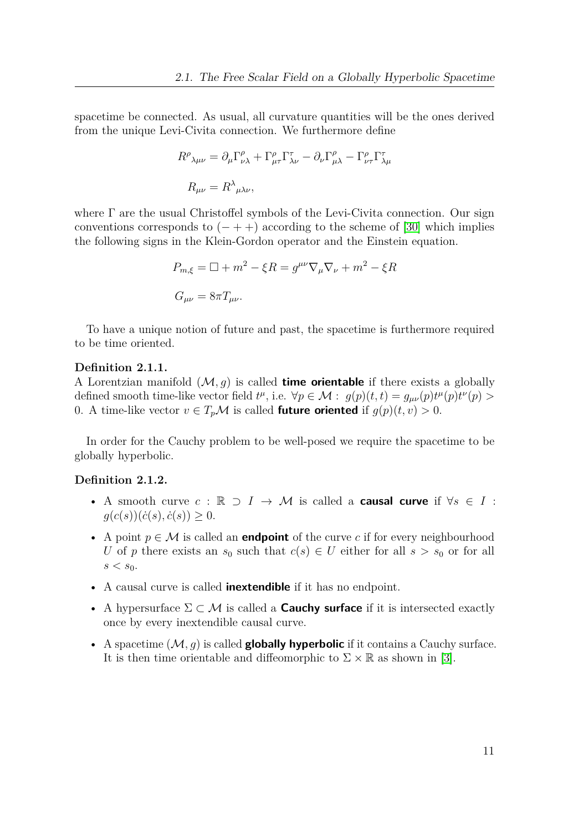spacetime be connected. As usual, all curvature quantities will be the ones derived from the unique Levi-Civita connection. We furthermore define

$$
R^{\rho}{}_{\lambda\mu\nu} = \partial_{\mu}\Gamma^{\rho}_{\nu\lambda} + \Gamma^{\rho}_{\mu\tau}\Gamma^{\tau}_{\lambda\nu} - \partial_{\nu}\Gamma^{\rho}_{\mu\lambda} - \Gamma^{\rho}_{\nu\tau}\Gamma^{\tau}_{\lambda\mu}
$$

$$
R_{\mu\nu} = R^{\lambda}{}_{\mu\lambda\nu},
$$

where Γ are the usual Christoffel symbols of the Levi-Civita connection. Our sign conventions corresponds to  $(- + +)$  according to the scheme of [\[30\]](#page-151-3) which implies the following signs in the Klein-Gordon operator and the Einstein equation.

$$
P_{m,\xi} = \Box + m^2 - \xi R = g^{\mu\nu} \nabla_{\mu} \nabla_{\nu} + m^2 - \xi R
$$
  

$$
G_{\mu\nu} = 8\pi T_{\mu\nu}.
$$

To have a unique notion of future and past, the spacetime is furthermore required to be time oriented.

#### **Definition 2.1.1.**

A Lorentzian manifold  $(M, g)$  is called **time orientable** if there exists a globally defined smooth time-like vector field  $t^{\mu}$ , i.e.  $\forall p \in \mathcal{M} : g(p)(t, t) = g_{\mu\nu}(p)t^{\mu}(p)t^{\nu}(p) >$ 0. A time-like vector  $v \in T_p \mathcal{M}$  is called **future oriented** if  $g(p)(t, v) > 0$ .

In order for the Cauchy problem to be well-posed we require the spacetime to be globally hyperbolic.

# **Definition 2.1.2.**

- A smooth curve *c* : R ⊃ *I* → M is called a **causal curve** if ∀*s* ∈ *I* :  $g(c(s))(\dot{c}(s), \dot{c}(s)) \geq 0.$
- A point  $p \in \mathcal{M}$  is called an **endpoint** of the curve c if for every neighbourhood *U* of *p* there exists an  $s_0$  such that  $c(s) \in U$  either for all  $s > s_0$  or for all  $s < s_0$ .
- A causal curve is called **inextendible** if it has no endpoint.
- A hypersurface Σ ⊂ M is called a **Cauchy surface** if it is intersected exactly once by every inextendible causal curve.
- A spacetime  $(M, q)$  is called **globally hyperbolic** if it contains a Cauchy surface. It is then time orientable and diffeomorphic to  $\Sigma \times \mathbb{R}$  as shown in [\[3\]](#page-149-2).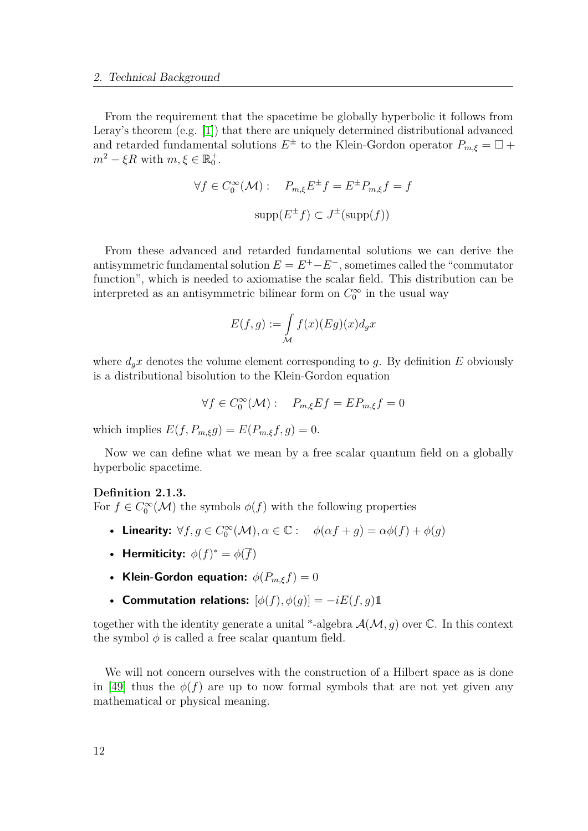From the requirement that the spacetime be globally hyperbolic it follows from Leray's theorem (e.g. [\[1\]](#page-149-3)) that there are uniquely determined distributional advanced and retarded fundamental solutions  $E^{\pm}$  to the Klein-Gordon operator  $P_{m,\xi} = \Box +$  $m^2 - \xi R$  with  $m, \xi \in \mathbb{R}_0^+$ .

$$
\forall f \in C_0^{\infty}(\mathcal{M}): \quad P_{m,\xi} E^{\pm} f = E^{\pm} P_{m,\xi} f = f
$$

$$
\text{supp}(E^{\pm} f) \subset J^{\pm}(\text{supp}(f))
$$

From these advanced and retarded fundamental solutions we can derive the antisymmetric fundamental solution  $E = E^+ - E^-$ , sometimes called the "commutator" function", which is needed to axiomatise the scalar field. This distribution can be interpreted as an antisymmetric bilinear form on  $C_0^{\infty}$  in the usual way

$$
E(f,g) := \int_{\mathcal{M}} f(x)(Eg)(x) d_g x
$$

where  $d_gx$  denotes the volume element corresponding to g. By definition  $E$  obviously is a distributional bisolution to the Klein-Gordon equation

$$
\forall f \in C_0^{\infty}(\mathcal{M}): \quad P_{m,\xi}Ef = EP_{m,\xi}f = 0
$$

which implies  $E(f, P_{m,\xi}g) = E(P_{m,\xi}f, g) = 0.$ 

Now we can define what we mean by a free scalar quantum field on a globally hyperbolic spacetime.

#### **Definition 2.1.3.**

For  $f \in C_0^{\infty}(\mathcal{M})$  the symbols  $\phi(f)$  with the following properties

- Linearity:  $\forall f, g \in C_0^{\infty}(\mathcal{M}), \alpha \in \mathbb{C}$ :  $\phi(\alpha f + g) = \alpha \phi(f) + \phi(g)$
- **Hermiticity:**  $\phi(f)^* = \phi(\overline{f})$
- **Klein-Gordon equation:**  $\phi(P_{m,\varepsilon}f) = 0$
- **Commutation relations:**  $[\phi(f), \phi(g)] = -iE(f, g)1$

together with the identity generate a unital \*-algebra  $\mathcal{A}(\mathcal{M}, q)$  over  $\mathbb{C}$ . In this context the symbol  $\phi$  is called a free scalar quantum field.

We will not concern ourselves with the construction of a Hilbert space as is done in [\[49\]](#page-152-0) thus the  $\phi(f)$  are up to now formal symbols that are not yet given any mathematical or physical meaning.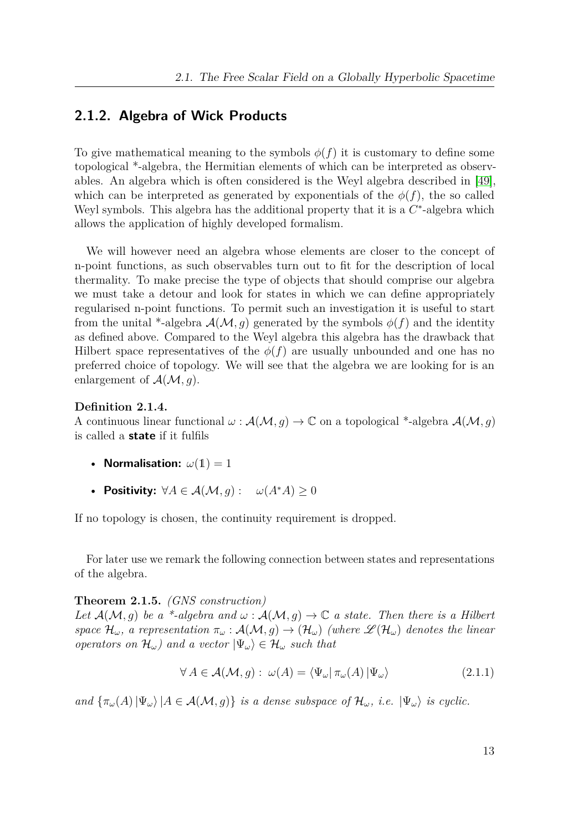# <span id="page-12-0"></span>**2.1.2. Algebra of Wick Products**

To give mathematical meaning to the symbols  $\phi(f)$  it is customary to define some topological \*-algebra, the Hermitian elements of which can be interpreted as observables. An algebra which is often considered is the Weyl algebra described in [\[49\]](#page-152-0), which can be interpreted as generated by exponentials of the  $\phi(f)$ , the so called Weyl symbols. This algebra has the additional property that it is a  $C^*$ -algebra which allows the application of highly developed formalism.

We will however need an algebra whose elements are closer to the concept of n-point functions, as such observables turn out to fit for the description of local thermality. To make precise the type of objects that should comprise our algebra we must take a detour and look for states in which we can define appropriately regularised n-point functions. To permit such an investigation it is useful to start from the unital \*-algebra  $\mathcal{A}(\mathcal{M}, q)$  generated by the symbols  $\phi(f)$  and the identity as defined above. Compared to the Weyl algebra this algebra has the drawback that Hilbert space representatives of the  $\phi(f)$  are usually unbounded and one has no preferred choice of topology. We will see that the algebra we are looking for is an enlargement of  $\mathcal{A}(\mathcal{M}, g)$ .

## **Definition 2.1.4.**

A continuous linear functional  $\omega : \mathcal{A}(\mathcal{M}, g) \to \mathbb{C}$  on a topological \*-algebra  $\mathcal{A}(\mathcal{M}, g)$ is called a **state** if it fulfils

- **Normalisation:**  $\omega(1) = 1$
- **Positivity:**  $\forall A \in \mathcal{A}(\mathcal{M}, q) : \omega(A^*A) > 0$

If no topology is chosen, the continuity requirement is dropped.

For later use we remark the following connection between states and representations of the algebra.

## **Theorem 2.1.5.** *(GNS construction)*

*Let*  $\mathcal{A}(\mathcal{M}, g)$  *be a* \*-algebra and  $\omega : \mathcal{A}(\mathcal{M}, g) \to \mathbb{C}$  a state. Then there is a Hilbert *space*  $\mathcal{H}_\omega$ *, a representation*  $\pi_\omega : \mathcal{A}(\mathcal{M}, g) \to (\mathcal{H}_\omega)$  *(where*  $\mathcal{L}(\mathcal{H}_\omega)$  *denotes the linear operators on*  $\mathcal{H}_{\omega}$ *)* and a vector  $|\Psi_{\omega}\rangle \in \mathcal{H}_{\omega}$  such that

<span id="page-12-1"></span>
$$
\forall A \in \mathcal{A}(\mathcal{M}, g) : \omega(A) = \langle \Psi_{\omega} | \pi_{\omega}(A) | \Psi_{\omega} \rangle \tag{2.1.1}
$$

*and*  $\{\pi_{\omega}(A) | \Psi_{\omega}\}\$   $|A \in \mathcal{A}(\mathcal{M}, g)\}$  *is a dense subspace of*  $\mathcal{H}_{\omega}$ *, i.e.*  $|\Psi_{\omega}\rangle$  *is cyclic.*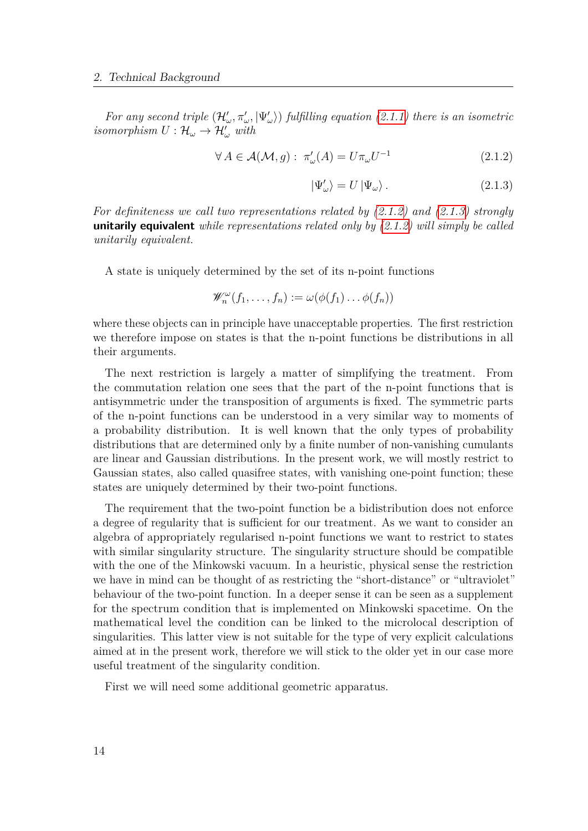*For any second triple*  $(\mathcal{H}'_{\omega}, \pi'_{\omega}, |\Psi'_{\omega}\rangle)$  *fulfilling equation* [\(2.1.1\)](#page-12-1) *there is an isometric*  $isomorphism U: \mathcal{H}_{\omega} \to \mathcal{H}'_{\omega}$  with

$$
\forall A \in \mathcal{A}(\mathcal{M}, g) : \pi'_{\omega}(A) = U \pi_{\omega} U^{-1}
$$
\n(2.1.2)

<span id="page-13-1"></span><span id="page-13-0"></span>
$$
|\Psi'_{\omega}\rangle = U |\Psi_{\omega}\rangle. \tag{2.1.3}
$$

*For definiteness we call two representations related by [\(2.1.2\)](#page-13-0) and [\(2.1.3\)](#page-13-1) strongly* **unitarily equivalent** *while representations related only by [\(2.1.2\)](#page-13-0) will simply be called unitarily equivalent.*

A state is uniquely determined by the set of its n-point functions

$$
\mathscr{W}_n^{\omega}(f_1,\ldots,f_n):=\omega(\phi(f_1)\ldots\phi(f_n))
$$

where these objects can in principle have unacceptable properties. The first restriction we therefore impose on states is that the n-point functions be distributions in all their arguments.

The next restriction is largely a matter of simplifying the treatment. From the commutation relation one sees that the part of the n-point functions that is antisymmetric under the transposition of arguments is fixed. The symmetric parts of the n-point functions can be understood in a very similar way to moments of a probability distribution. It is well known that the only types of probability distributions that are determined only by a finite number of non-vanishing cumulants are linear and Gaussian distributions. In the present work, we will mostly restrict to Gaussian states, also called quasifree states, with vanishing one-point function; these states are uniquely determined by their two-point functions.

The requirement that the two-point function be a bidistribution does not enforce a degree of regularity that is sufficient for our treatment. As we want to consider an algebra of appropriately regularised n-point functions we want to restrict to states with similar singularity structure. The singularity structure should be compatible with the one of the Minkowski vacuum. In a heuristic, physical sense the restriction we have in mind can be thought of as restricting the "short-distance" or "ultraviolet" behaviour of the two-point function. In a deeper sense it can be seen as a supplement for the spectrum condition that is implemented on Minkowski spacetime. On the mathematical level the condition can be linked to the microlocal description of singularities. This latter view is not suitable for the type of very explicit calculations aimed at in the present work, therefore we will stick to the older yet in our case more useful treatment of the singularity condition.

First we will need some additional geometric apparatus.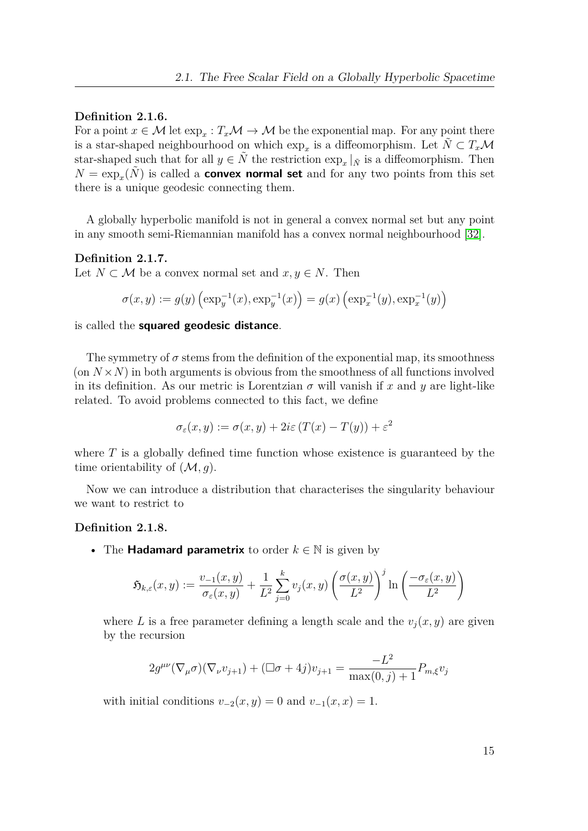## **Definition 2.1.6.**

For a point  $x \in \mathcal{M}$  let  $\exp_x : T_x \mathcal{M} \to \mathcal{M}$  be the exponential map. For any point there is a star-shaped neighbourhood on which  $\exp_x$  is a diffeomorphism. Let  $\tilde{N} \subset T_x\mathcal{M}$ star-shaped such that for all  $y \in \tilde{N}$  the restriction  $\exp_x |_{\tilde{N}}$  is a diffeomorphism. Then  $N = \exp<sub>x</sub>(\tilde{N})$  is called a **convex normal set** and for any two points from this set there is a unique geodesic connecting them.

A globally hyperbolic manifold is not in general a convex normal set but any point in any smooth semi-Riemannian manifold has a convex normal neighbourhood [\[32\]](#page-151-4).

### **Definition 2.1.7.**

Let  $N \subset \mathcal{M}$  be a convex normal set and  $x, y \in N$ . Then

$$
\sigma(x,y) := g(y) \left( \exp_y^{-1}(x), \exp_y^{-1}(x) \right) = g(x) \left( \exp_x^{-1}(y), \exp_x^{-1}(y) \right)
$$

is called the **squared geodesic distance**.

The symmetry of  $\sigma$  stems from the definition of the exponential map, its smoothness (on  $N \times N$ ) in both arguments is obvious from the smoothness of all functions involved in its definition. As our metric is Lorentzian  $\sigma$  will vanish if x and y are light-like related. To avoid problems connected to this fact, we define

$$
\sigma_{\varepsilon}(x, y) := \sigma(x, y) + 2i\varepsilon (T(x) - T(y)) + \varepsilon^2
$$

where *T* is a globally defined time function whose existence is guaranteed by the time orientability of  $(M, g)$ .

Now we can introduce a distribution that characterises the singularity behaviour we want to restrict to

#### **Definition 2.1.8.**

• The **Hadamard parametrix** to order  $k \in \mathbb{N}$  is given by

$$
\mathfrak{H}_{k,\varepsilon}(x,y) := \frac{v_{-1}(x,y)}{\sigma_{\varepsilon}(x,y)} + \frac{1}{L^2} \sum_{j=0}^k v_j(x,y) \left( \frac{\sigma(x,y)}{L^2} \right)^j \ln \left( \frac{-\sigma_{\varepsilon}(x,y)}{L^2} \right)
$$

where *L* is a free parameter defining a length scale and the  $v_i(x, y)$  are given by the recursion

$$
2g^{\mu\nu}(\nabla_{\mu}\sigma)(\nabla_{\nu}v_{j+1}) + (\Box \sigma + 4j)v_{j+1} = \frac{-L^2}{\max(0,j)+1}P_{m,\xi}v_j
$$

with initial conditions  $v_{-2}(x, y) = 0$  and  $v_{-1}(x, x) = 1$ .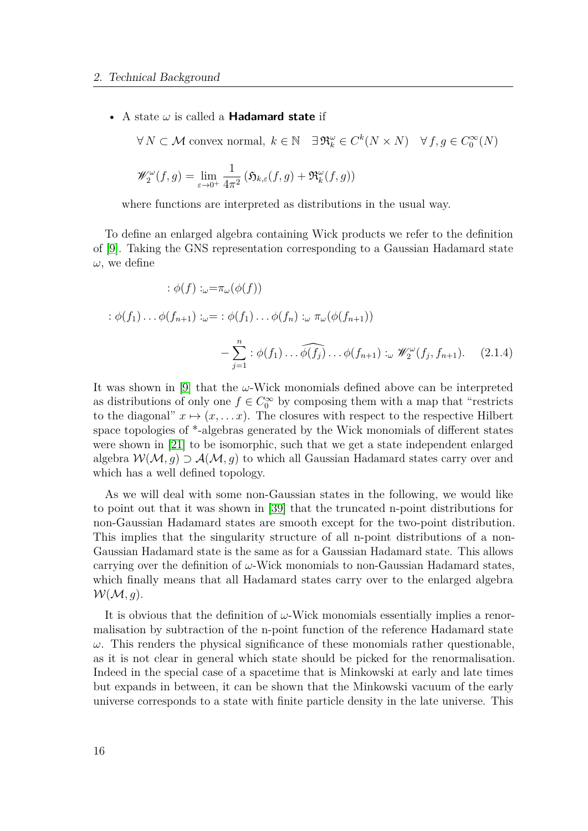• A state *ω* is called a **Hadamard state** if

$$
\forall N \subset \mathcal{M} \text{ convex normal}, \ k \in \mathbb{N} \quad \exists \mathfrak{R}_k^{\omega} \in C^k(N \times N) \quad \forall f, g \in C_0^{\infty}(N)
$$

$$
\mathscr{W}^{\omega}_{2}(f,g) = \lim_{\varepsilon \to 0^{+}} \frac{1}{4\pi^{2}} \left( \mathfrak{H}_{k,\varepsilon}(f,g) + \mathfrak{R}_{k}^{\omega}(f,g) \right)
$$

where functions are interpreted as distributions in the usual way.

To define an enlarged algebra containing Wick products we refer to the definition of [\[9\]](#page-149-4). Taking the GNS representation corresponding to a Gaussian Hadamard state *ω*, we define

<span id="page-15-0"></span>
$$
\begin{aligned}\n\therefore \phi(f) & \therefore \omega = \pi_{\omega}(\phi(f)) \\
\therefore \phi(f_1) \dots \phi(f_{n+1}) & \therefore \omega = \phi(f_1) \dots \phi(f_n) \dots \varphi(f_{n+1}) \\
& \quad - \sum_{j=1}^n \phi(f_1) \dots \widehat{\phi(f_j)} \dots \phi(f_{n+1}) \dots \mathscr{W}_2^{\omega}(f_j, f_{n+1}).\n\end{aligned} \tag{2.1.4}
$$

It was shown in [\[9\]](#page-149-4) that the *ω*-Wick monomials defined above can be interpreted as distributions of only one  $f \in C_0^{\infty}$  by composing them with a map that "restricts" to the diagonal"  $x \mapsto (x, \ldots x)$ . The closures with respect to the respective Hilbert space topologies of \*-algebras generated by the Wick monomials of different states were shown in [\[21\]](#page-150-1) to be isomorphic, such that we get a state independent enlarged algebra  $W(\mathcal{M}, q) \supset \mathcal{A}(\mathcal{M}, q)$  to which all Gaussian Hadamard states carry over and which has a well defined topology.

As we will deal with some non-Gaussian states in the following, we would like to point out that it was shown in [\[39\]](#page-151-5) that the truncated n-point distributions for non-Gaussian Hadamard states are smooth except for the two-point distribution. This implies that the singularity structure of all n-point distributions of a non-Gaussian Hadamard state is the same as for a Gaussian Hadamard state. This allows carrying over the definition of *ω*-Wick monomials to non-Gaussian Hadamard states, which finally means that all Hadamard states carry over to the enlarged algebra  $W(M,g)$ .

It is obvious that the definition of *ω*-Wick monomials essentially implies a renormalisation by subtraction of the n-point function of the reference Hadamard state  $ω$ . This renders the physical significance of these monomials rather questionable, as it is not clear in general which state should be picked for the renormalisation. Indeed in the special case of a spacetime that is Minkowski at early and late times but expands in between, it can be shown that the Minkowski vacuum of the early universe corresponds to a state with finite particle density in the late universe. This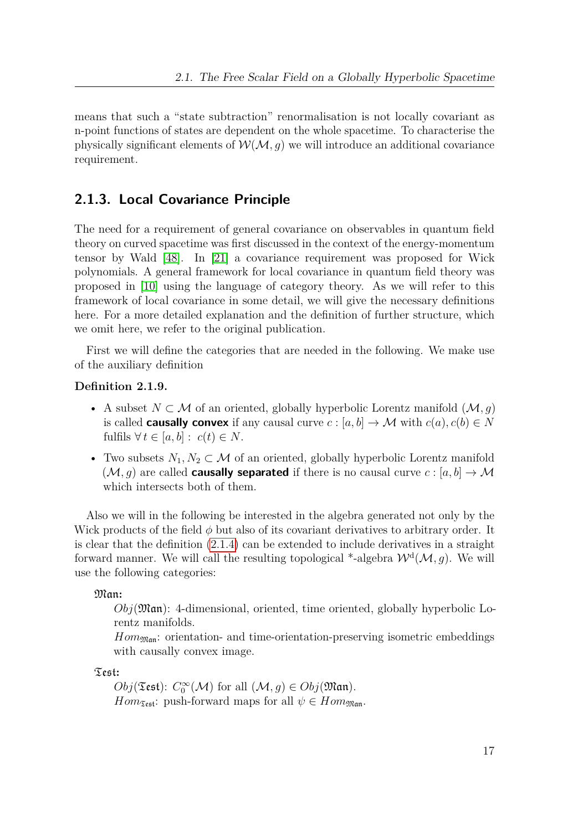means that such a "state subtraction" renormalisation is not locally covariant as n-point functions of states are dependent on the whole spacetime. To characterise the physically significant elements of  $W(\mathcal{M}, g)$  we will introduce an additional covariance requirement.

# <span id="page-16-0"></span>**2.1.3. Local Covariance Principle**

The need for a requirement of general covariance on observables in quantum field theory on curved spacetime was first discussed in the context of the energy-momentum tensor by Wald [\[48\]](#page-152-1). In [\[21\]](#page-150-1) a covariance requirement was proposed for Wick polynomials. A general framework for local covariance in quantum field theory was proposed in [\[10\]](#page-149-5) using the language of category theory. As we will refer to this framework of local covariance in some detail, we will give the necessary definitions here. For a more detailed explanation and the definition of further structure, which we omit here, we refer to the original publication.

First we will define the categories that are needed in the following. We make use of the auxiliary definition

### **Definition 2.1.9.**

- A subset *N* ⊂ M of an oriented, globally hyperbolic Lorentz manifold (M*, g*) is called **causally convex** if any causal curve  $c : [a, b] \to M$  with  $c(a), c(b) \in N$ fulfils  $\forall t \in [a, b] : c(t) \in N$ .
- Two subsets  $N_1, N_2 \subset \mathcal{M}$  of an oriented, globally hyperbolic Lorentz manifold  $(\mathcal{M}, g)$  are called **causally separated** if there is no causal curve  $c : [a, b] \to \mathcal{M}$ which intersects both of them.

Also we will in the following be interested in the algebra generated not only by the Wick products of the field *φ* but also of its covariant derivatives to arbitrary order. It is clear that the definition [\(2.1.4\)](#page-15-0) can be extended to include derivatives in a straight forward manner. We will call the resulting topological \*-algebra  $\mathcal{W}^{\mathrm{d}}(\mathcal{M},g)$ . We will use the following categories:

Man**:**

*Obj*(Man): 4-dimensional, oriented, time oriented, globally hyperbolic Lorentz manifolds.

 $Hom_{\mathfrak{Man}}$ : orientation- and time-orientation-preserving isometric embeddings with causally convex image.

Test**:**

 $Obj(\mathfrak{Test})$ :  $C_0^{\infty}(\mathcal{M})$  for all  $(\mathcal{M}, g) \in Obj(\mathfrak{Man})$ . *Hom*<sub>Test</sub>: push-forward maps for all  $\psi \in Hom_{\mathfrak{Man}}$ .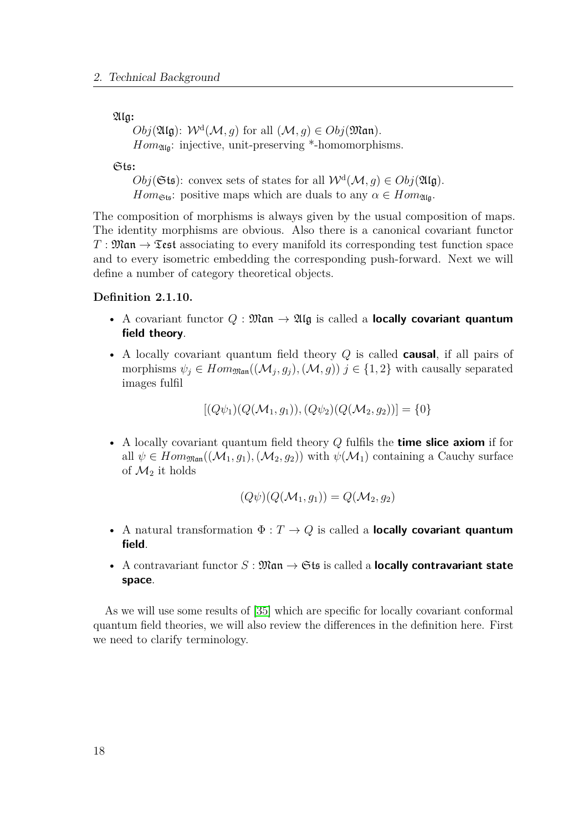Alg**:**

 $Obj(\mathfrak{Alg})$ :  $\mathcal{W}^d(\mathcal{M}, g)$  for all  $(\mathcal{M}, g) \in Obj(\mathfrak{Man})$ .  $Hom_{\mathfrak{AIG}}:$  injective, unit-preserving \*-homomorphisms.

Sts**:**

 $Obj(\mathfrak{Sts})$ : convex sets of states for all  $W^d(\mathcal{M}, g) \in Obj(\mathfrak{Alg})$ . *Hom*<sub> $\mathfrak{S}_{\mathfrak{t}\mathfrak{s}}$ : positive maps which are duals to any  $\alpha \in Hom_{\mathfrak{A}_{\mathfrak{l}\mathfrak{q}}}$ .</sub>

The composition of morphisms is always given by the usual composition of maps. The identity morphisms are obvious. Also there is a canonical covariant functor  $T : \mathfrak{Man} \to \mathfrak{Test}$  associating to every manifold its corresponding test function space and to every isometric embedding the corresponding push-forward. Next we will define a number of category theoretical objects.

# **Definition 2.1.10.**

- A covariant functor  $Q : \mathfrak{Man} \to \mathfrak{Alg}$  is called a **locally covariant quantum field theory**.
- A locally covariant quantum field theory *Q* is called **causal**, if all pairs of morphisms  $\psi_j \in Hom_{\mathfrak{Man}}((\mathcal{M}_j, g_j), (\mathcal{M}, g))$   $j \in \{1, 2\}$  with causally separated images fulfil

 $[(Q\psi_1)(Q(\mathcal{M}_1, q_1)), (Q\psi_2)(Q(\mathcal{M}_2, q_2))] = \{0\}$ 

• A locally covariant quantum field theory *Q* fulfils the **time slice axiom** if for all  $\psi \in Hom_{\mathfrak{Man}}((\mathcal{M}_1, g_1),(\mathcal{M}_2, g_2))$  with  $\psi(\mathcal{M}_1)$  containing a Cauchy surface of  $\mathcal{M}_2$  it holds

$$
(Q\psi)(Q(\mathcal{M}_1,g_1)) = Q(\mathcal{M}_2,g_2)
$$

- A natural transformation  $\Phi: T \to Q$  is called a **locally covariant quantum field**.
- A contravariant functor  $S: \mathfrak{Man} \to \mathfrak{Sts}$  is called a **locally contravariant state space**.

As we will use some results of [\[35\]](#page-151-6) which are specific for locally covariant conformal quantum field theories, we will also review the differences in the definition here. First we need to clarify terminology.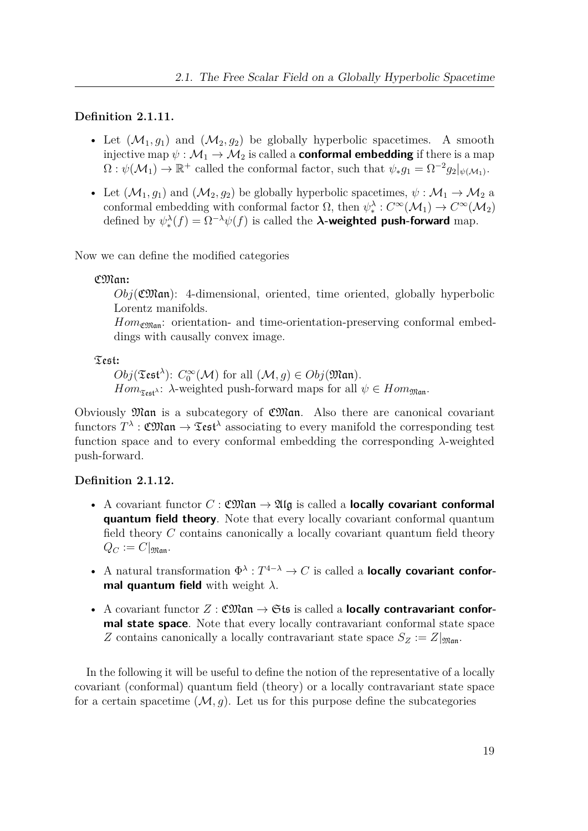# **Definition 2.1.11.**

- Let  $(\mathcal{M}_1, g_1)$  and  $(\mathcal{M}_2, g_2)$  be globally hyperbolic spacetimes. A smooth injective map  $\psi : \mathcal{M}_1 \to \mathcal{M}_2$  is called a **conformal embedding** if there is a map  $\Omega: \psi(M_1) \to \mathbb{R}^+$  called the conformal factor, such that  $\psi_* g_1 = \Omega^{-2} g_2|_{\psi(M_1)}$ .
- Let  $(\mathcal{M}_1, g_1)$  and  $(\mathcal{M}_2, g_2)$  be globally hyperbolic spacetimes,  $\psi : \mathcal{M}_1 \to \mathcal{M}_2$  a conformal embedding with conformal factor  $\Omega$ , then  $\psi_*^{\lambda}: C^{\infty}(\mathcal{M}_1) \to C^{\infty}(\mathcal{M}_2)$ defined by  $\psi_*^{\lambda}(f) = \Omega^{-\lambda} \psi(f)$  is called the  $\lambda$ **-weighted push-forward** map.

Now we can define the modified categories

# CMan**:**

 $Obj(\mathfrak{CMan})$ : 4-dimensional, oriented, time oriented, globally hyperbolic Lorentz manifolds.

 $Hom_{\mathfrak{CMan}}$ : orientation- and time-orientation-preserving conformal embeddings with causally convex image.

Test**:**

 $Obj(\mathfrak{Test}^{\lambda})$ :  $C_0^{\infty}(\mathcal{M})$  for all  $(\mathcal{M}, g) \in Obj(\mathfrak{Man})$ . *Hom*<sub> $\tau_{\text{ref}}$ *λ*: *λ*-weighted push-forward maps for all  $\psi \in Hom_{\mathfrak{Man}}$ .</sub>

Obviously Man is a subcategory of CMan. Also there are canonical covariant  $\text{functors } T^{\lambda} : \mathfrak{CMan} \to \mathfrak{Test}^{\lambda}$  associating to every manifold the corresponding test function space and to every conformal embedding the corresponding *λ*-weighted push-forward.

# **Definition 2.1.12.**

- A covariant functor  $C : \mathfrak{CMan} \to \mathfrak{Alg}$  is called a **locally covariant conformal quantum field theory**. Note that every locally covariant conformal quantum field theory *C* contains canonically a locally covariant quantum field theory  $Q_C := C|_{\mathfrak{Man}}.$
- A natural transformation  $\Phi^{\lambda}: T^{4-\lambda} \to C$  is called a **locally covariant conformal quantum field** with weight *λ*.
- A covariant functor  $Z : \mathfrak{CMan} \to \mathfrak{Sts}$  is called a **locally contravariant conformal state space**. Note that every locally contravariant conformal state space *Z* contains canonically a locally contravariant state space  $S_Z := Z|_{\mathfrak{Man}}$ .

In the following it will be useful to define the notion of the representative of a locally covariant (conformal) quantum field (theory) or a locally contravariant state space for a certain spacetime  $(M, g)$ . Let us for this purpose define the subcategories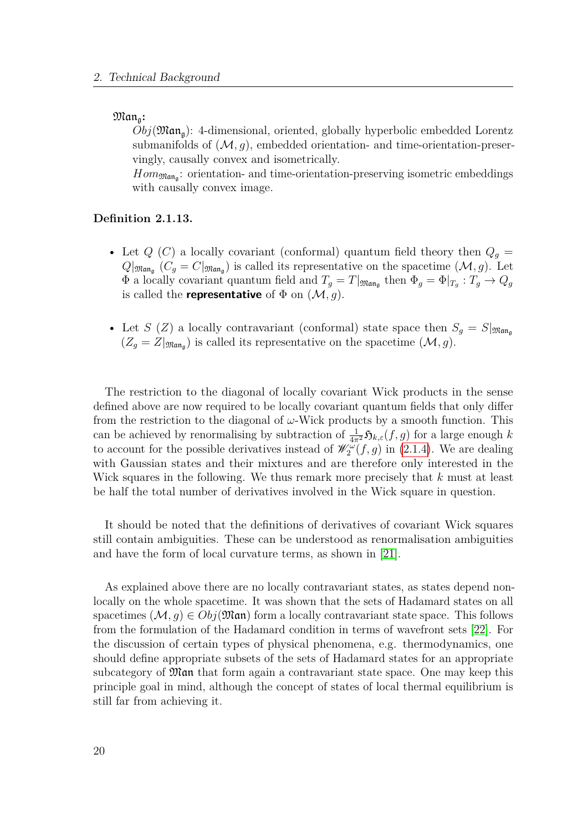#### $Man_a$ :

 $Obj(\mathfrak{Man}_{\mathfrak{a}}):$  4-dimensional, oriented, globally hyperbolic embedded Lorentz submanifolds of  $(M, q)$ , embedded orientation- and time-orientation-preservingly, causally convex and isometrically.

 $Hom_{\mathfrak{Man}_{\mathfrak{g}}}$ : orientation- and time-orientation-preserving isometric embeddings with causally convex image.

## **Definition 2.1.13.**

- Let  $Q(G)$  a locally covariant (conformal) quantum field theory then  $Q<sub>g</sub>$  =  $Q|_{\mathfrak{Man}_{\mathfrak{g}}}(C_g=C|_{\mathfrak{Man}_{\mathfrak{g}}})$  is called its representative on the spacetime  $(\mathcal{M}, g)$ . Let  $\Phi$  a locally covariant quantum field and  $T_g = T|_{\mathfrak{Man}_g}$  then  $\Phi_g = \Phi|_{T_g}: T_g \to Q_g$ is called the **representative** of  $\Phi$  on  $(\mathcal{M}, g)$ .
- Let *S* (*Z*) a locally contravariant (conformal) state space then  $S_g = S|_{\mathfrak{Man}_\mathfrak{a}}$  $(Z_g = Z|_{\mathfrak{Man}_g})$  is called its representative on the spacetime  $(\mathcal{M}, g)$ .

The restriction to the diagonal of locally covariant Wick products in the sense defined above are now required to be locally covariant quantum fields that only differ from the restriction to the diagonal of  $\omega$ -Wick products by a smooth function. This can be achieved by renormalising by subtraction of  $\frac{1}{4\pi^2}\mathfrak{H}_{k,\varepsilon}(f,g)$  for a large enough *k* to account for the possible derivatives instead of  $\mathscr{W}_2^{\omega}(f,g)$  in [\(2.1.4\)](#page-15-0). We are dealing with Gaussian states and their mixtures and are therefore only interested in the Wick squares in the following. We thus remark more precisely that *k* must at least be half the total number of derivatives involved in the Wick square in question.

It should be noted that the definitions of derivatives of covariant Wick squares still contain ambiguities. These can be understood as renormalisation ambiguities and have the form of local curvature terms, as shown in [\[21\]](#page-150-1).

As explained above there are no locally contravariant states, as states depend nonlocally on the whole spacetime. It was shown that the sets of Hadamard states on all spacetimes  $(M, q) \in Obj(\mathfrak{Man})$  form a locally contravariant state space. This follows from the formulation of the Hadamard condition in terms of wavefront sets [\[22\]](#page-150-2). For the discussion of certain types of physical phenomena, e.g. thermodynamics, one should define appropriate subsets of the sets of Hadamard states for an appropriate subcategory of Man that form again a contravariant state space. One may keep this principle goal in mind, although the concept of states of local thermal equilibrium is still far from achieving it.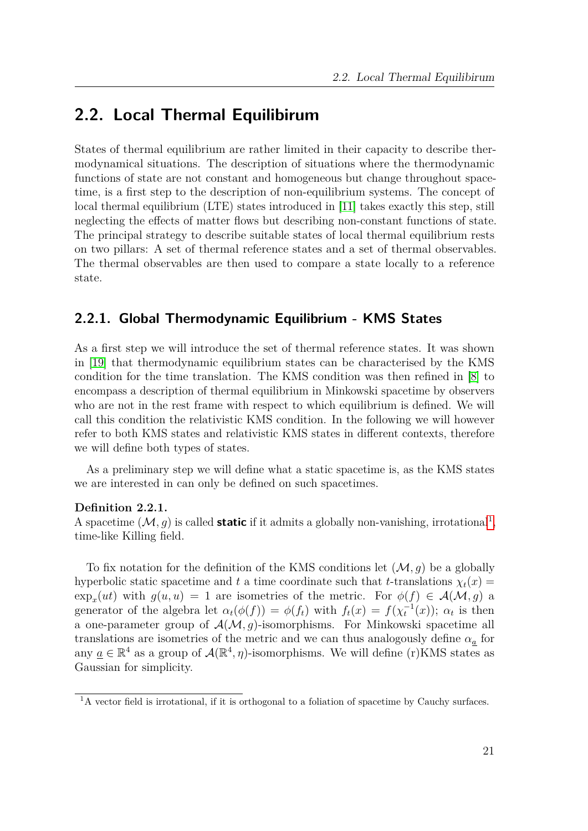# <span id="page-20-0"></span>**2.2. Local Thermal Equilibirum**

States of thermal equilibrium are rather limited in their capacity to describe thermodynamical situations. The description of situations where the thermodynamic functions of state are not constant and homogeneous but change throughout spacetime, is a first step to the description of non-equilibrium systems. The concept of local thermal equilibrium (LTE) states introduced in [\[11\]](#page-149-0) takes exactly this step, still neglecting the effects of matter flows but describing non-constant functions of state. The principal strategy to describe suitable states of local thermal equilibrium rests on two pillars: A set of thermal reference states and a set of thermal observables. The thermal observables are then used to compare a state locally to a reference state.

# <span id="page-20-1"></span>**2.2.1. Global Thermodynamic Equilibrium - KMS States**

As a first step we will introduce the set of thermal reference states. It was shown in [\[19\]](#page-150-3) that thermodynamic equilibrium states can be characterised by the KMS condition for the time translation. The KMS condition was then refined in [\[8\]](#page-149-6) to encompass a description of thermal equilibrium in Minkowski spacetime by observers who are not in the rest frame with respect to which equilibrium is defined. We will call this condition the relativistic KMS condition. In the following we will however refer to both KMS states and relativistic KMS states in different contexts, therefore we will define both types of states.

As a preliminary step we will define what a static spacetime is, as the KMS states we are interested in can only be defined on such spacetimes.

# **Definition 2.2.1.**

A spacetime  $(M, g)$  is called **static** if it admits a globally non-vanishing, irrotational<sup>[1](#page-20-2)</sup>, time-like Killing field.

To fix notation for the definition of the KMS conditions let  $(\mathcal{M}, q)$  be a globally hyperbolic static spacetime and *t* a time coordinate such that *t*-translations  $\chi_t(x)$  =  $\exp_x(u t)$  with  $g(u, u) = 1$  are isometries of the metric. For  $\phi(f) \in \mathcal{A}(\mathcal{M}, g)$  a generator of the algebra let  $\alpha_t(\phi(f)) = \phi(f_t)$  with  $f_t(x) = f(\chi_t^{-1}(x))$ ;  $\alpha_t$  is then a one-parameter group of  $\mathcal{A}(\mathcal{M}, g)$ -isomorphisms. For Minkowski spacetime all translations are isometries of the metric and we can thus analogously define  $\alpha_a$  for any  $\underline{a} \in \mathbb{R}^4$  as a group of  $\mathcal{A}(\mathbb{R}^4, \eta)$ -isomorphisms. We will define (r) KMS states as Gaussian for simplicity.

<span id="page-20-2"></span><sup>&</sup>lt;sup>1</sup>A vector field is irrotational, if it is orthogonal to a foliation of spacetime by Cauchy surfaces.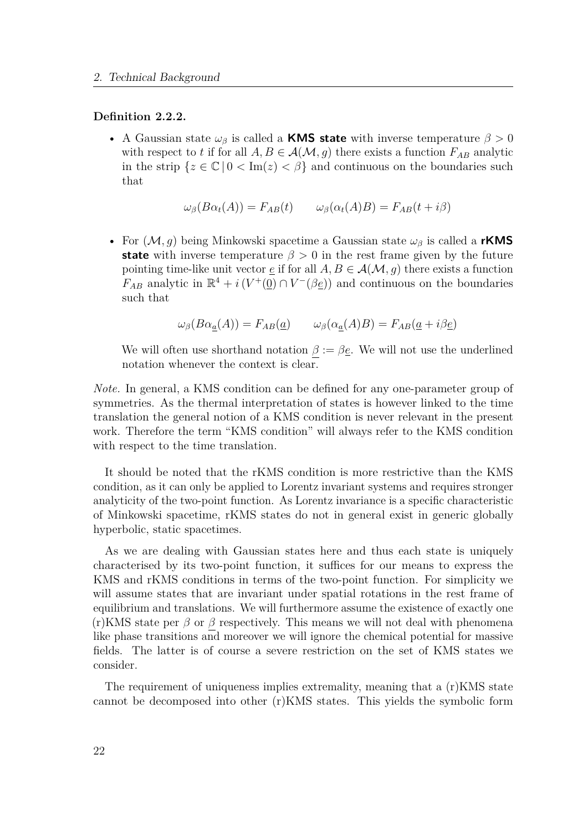### **Definition 2.2.2.**

• A Gaussian state  $\omega_{\beta}$  is called a **KMS state** with inverse temperature  $\beta > 0$ with respect to *t* if for all  $A, B \in \mathcal{A}(\mathcal{M}, g)$  there exists a function  $F_{AB}$  analytic in the strip  $\{z \in \mathbb{C} \mid 0 < \text{Im}(z) < \beta\}$  and continuous on the boundaries such that

$$
\omega_{\beta}(B\alpha_t(A)) = F_{AB}(t) \qquad \omega_{\beta}(\alpha_t(A)B) = F_{AB}(t + i\beta)
$$

• For (M*, g*) being Minkowski spacetime a Gaussian state *ω<sup>β</sup>* is called a **rKMS state** with inverse temperature  $\beta > 0$  in the rest frame given by the future pointing time-like unit vector  $\underline{e}$  if for all  $A, B \in \mathcal{A}(\mathcal{M}, g)$  there exists a function  $F_{AB}$  analytic in  $\mathbb{R}^4 + i(V^+(\underline{0}) \cap V^-(\beta \underline{e}))$  and continuous on the boundaries such that

$$
\omega_{\beta}(B\alpha_{\underline{a}}(A)) = F_{AB}(\underline{a}) \qquad \omega_{\beta}(\alpha_{\underline{a}}(A)B) = F_{AB}(\underline{a} + i\beta \underline{e})
$$

We will often use shorthand notation  $\beta := \beta \underline{e}$ . We will not use the underlined notation whenever the context is clear.

*Note.* In general, a KMS condition can be defined for any one-parameter group of symmetries. As the thermal interpretation of states is however linked to the time translation the general notion of a KMS condition is never relevant in the present work. Therefore the term "KMS condition" will always refer to the KMS condition with respect to the time translation.

It should be noted that the rKMS condition is more restrictive than the KMS condition, as it can only be applied to Lorentz invariant systems and requires stronger analyticity of the two-point function. As Lorentz invariance is a specific characteristic of Minkowski spacetime, rKMS states do not in general exist in generic globally hyperbolic, static spacetimes.

As we are dealing with Gaussian states here and thus each state is uniquely characterised by its two-point function, it suffices for our means to express the KMS and rKMS conditions in terms of the two-point function. For simplicity we will assume states that are invariant under spatial rotations in the rest frame of equilibrium and translations. We will furthermore assume the existence of exactly one  $(r)$ KMS state per  $\beta$  or  $\beta$  respectively. This means we will not deal with phenomena like phase transitions and moreover we will ignore the chemical potential for massive fields. The latter is of course a severe restriction on the set of KMS states we consider.

The requirement of uniqueness implies extremality, meaning that a  $(r)$ KMS state cannot be decomposed into other (r)KMS states. This yields the symbolic form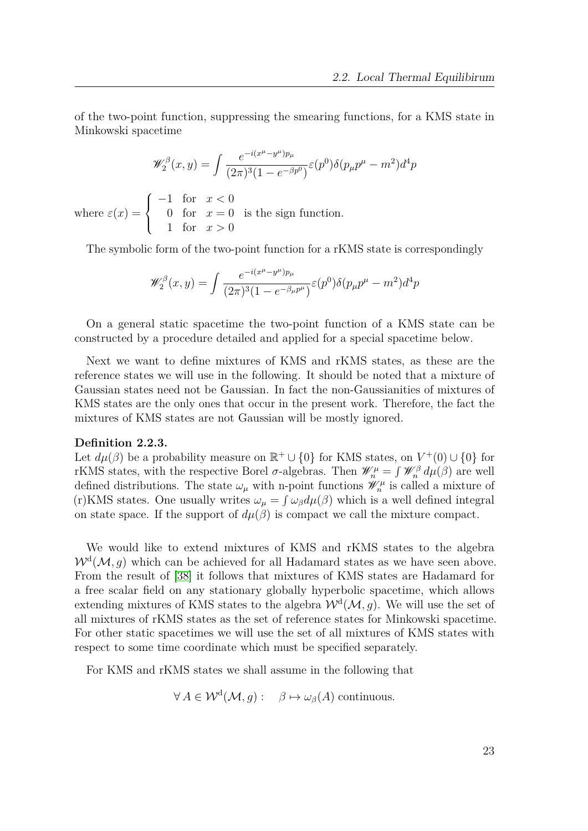of the two-point function, suppressing the smearing functions, for a KMS state in Minkowski spacetime

$$
\mathscr{W}_2^{\beta}(x,y) = \int \frac{e^{-i(x^{\mu} - y^{\mu})p_{\mu}}}{(2\pi)^3 (1 - e^{-\beta p^0})} \varepsilon(p^0) \delta(p_{\mu}p^{\mu} - m^2) d^4p
$$
  
where  $\varepsilon(x) = \begin{cases} -1 & \text{for } x < 0 \\ 0 & \text{for } x = 0 \\ 1 & \text{for } x > 0 \end{cases}$  is the sign function.

The symbolic form of the two-point function for a rKMS state is correspondingly

$$
\mathscr{W}_2^{\beta}(x,y) = \int \frac{e^{-i(x^{\mu} - y^{\mu})p_{\mu}}}{(2\pi)^3 (1 - e^{-\beta_{\mu}p^{\mu}})} \varepsilon(p^0) \delta(p_{\mu}p^{\mu} - m^2) d^4p
$$

On a general static spacetime the two-point function of a KMS state can be constructed by a procedure detailed and applied for a special spacetime below.

Next we want to define mixtures of KMS and rKMS states, as these are the reference states we will use in the following. It should be noted that a mixture of Gaussian states need not be Gaussian. In fact the non-Gaussianities of mixtures of KMS states are the only ones that occur in the present work. Therefore, the fact the mixtures of KMS states are not Gaussian will be mostly ignored.

#### **Definition 2.2.3.**

Let  $d\mu(\beta)$  be a probability measure on  $\mathbb{R}^+ \cup \{0\}$  for KMS states, on  $V^+(0) \cup \{0\}$  for rKMS states, with the respective Borel  $\sigma$ -algebras. Then  $\mathscr{W}_n^{\mu} = \int \mathscr{W}_n^{\beta} d\mu(\beta)$  are well defined distributions. The state  $\omega_{\mu}$  with n-point functions  $\mathscr{W}^{\mu}_{n}$  is called a mixture of (r)KMS states. One usually writes  $\omega_{\mu} = \int \omega_{\beta} d\mu(\beta)$  which is a well defined integral on state space. If the support of  $d\mu(\beta)$  is compact we call the mixture compact.

We would like to extend mixtures of KMS and rKMS states to the algebra  $W^d(\mathcal{M}, g)$  which can be achieved for all Hadamard states as we have seen above. From the result of [\[38\]](#page-151-7) it follows that mixtures of KMS states are Hadamard for a free scalar field on any stationary globally hyperbolic spacetime, which allows extending mixtures of KMS states to the algebra  $W<sup>d</sup>(M, g)$ . We will use the set of all mixtures of rKMS states as the set of reference states for Minkowski spacetime. For other static spacetimes we will use the set of all mixtures of KMS states with respect to some time coordinate which must be specified separately.

For KMS and rKMS states we shall assume in the following that

$$
\forall A \in \mathcal{W}^{\mathrm{d}}(\mathcal{M}, g): \quad \beta \mapsto \omega_{\beta}(A) \text{ continuous.}
$$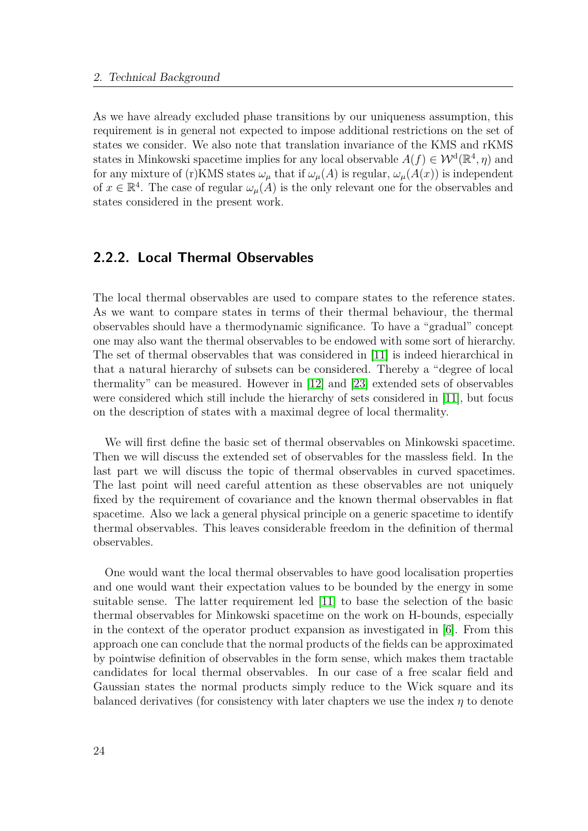As we have already excluded phase transitions by our uniqueness assumption, this requirement is in general not expected to impose additional restrictions on the set of states we consider. We also note that translation invariance of the KMS and rKMS states in Minkowski spacetime implies for any local observable  $A(f) \in W^d(\mathbb{R}^4, \eta)$  and for any mixture of (r)KMS states  $\omega_{\mu}$  that if  $\omega_{\mu}(A)$  is regular,  $\omega_{\mu}(A(x))$  is independent of  $x \in \mathbb{R}^4$ . The case of regular  $\omega_\mu(A)$  is the only relevant one for the observables and states considered in the present work.

# <span id="page-23-0"></span>**2.2.2. Local Thermal Observables**

The local thermal observables are used to compare states to the reference states. As we want to compare states in terms of their thermal behaviour, the thermal observables should have a thermodynamic significance. To have a "gradual" concept one may also want the thermal observables to be endowed with some sort of hierarchy. The set of thermal observables that was considered in [\[11\]](#page-149-0) is indeed hierarchical in that a natural hierarchy of subsets can be considered. Thereby a "degree of local thermality" can be measured. However in [\[12\]](#page-149-7) and [\[23\]](#page-150-4) extended sets of observables were considered which still include the hierarchy of sets considered in [\[11\]](#page-149-0), but focus on the description of states with a maximal degree of local thermality.

We will first define the basic set of thermal observables on Minkowski spacetime. Then we will discuss the extended set of observables for the massless field. In the last part we will discuss the topic of thermal observables in curved spacetimes. The last point will need careful attention as these observables are not uniquely fixed by the requirement of covariance and the known thermal observables in flat spacetime. Also we lack a general physical principle on a generic spacetime to identify thermal observables. This leaves considerable freedom in the definition of thermal observables.

One would want the local thermal observables to have good localisation properties and one would want their expectation values to be bounded by the energy in some suitable sense. The latter requirement led [\[11\]](#page-149-0) to base the selection of the basic thermal observables for Minkowski spacetime on the work on H-bounds, especially in the context of the operator product expansion as investigated in [\[6\]](#page-149-8). From this approach one can conclude that the normal products of the fields can be approximated by pointwise definition of observables in the form sense, which makes them tractable candidates for local thermal observables. In our case of a free scalar field and Gaussian states the normal products simply reduce to the Wick square and its balanced derivatives (for consistency with later chapters we use the index *η* to denote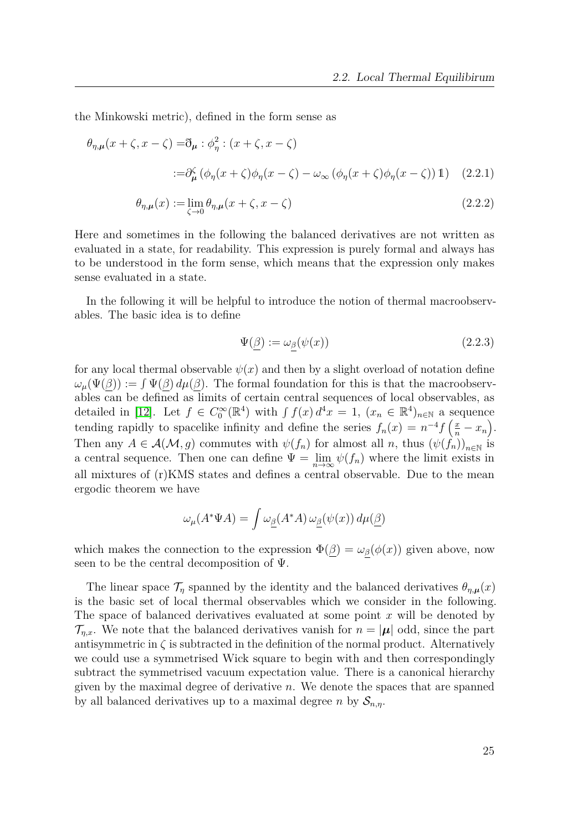the Minkowski metric), defined in the form sense as

$$
\theta_{\eta,\mu}(x+\zeta, x-\zeta) = \eth_{\mu} : \phi_{\eta}^{2} : (x+\zeta, x-\zeta)
$$
  

$$
:= \partial_{\mu}^{\zeta} (\phi_{\eta}(x+\zeta)\phi_{\eta}(x-\zeta) - \omega_{\infty} (\phi_{\eta}(x+\zeta)\phi_{\eta}(x-\zeta)) \mathbf{1}) \quad (2.2.1)
$$
  

$$
\theta_{\eta,\mu}(x) := \lim_{\zeta \to 0} \theta_{\eta,\mu}(x+\zeta, x-\zeta) \qquad (2.2.2)
$$

Here and sometimes in the following the balanced derivatives are not written as evaluated in a state, for readability. This expression is purely formal and always has to be understood in the form sense, which means that the expression only makes sense evaluated in a state.

In the following it will be helpful to introduce the notion of thermal macroobservables. The basic idea is to define

$$
\Psi(\beta) := \omega_{\beta}(\psi(x)) \tag{2.2.3}
$$

for any local thermal observable  $\psi(x)$  and then by a slight overload of notation define  $\omega_{\mu}(\Psi(\beta)) := \int \Psi(\beta) d\mu(\beta)$ . The formal foundation for this is that the macroobservables can be defined as limits of certain central sequences of local observables, as detailed in [\[12\]](#page-149-7). Let  $f \in C_0^{\infty}(\mathbb{R}^4)$  with  $\int f(x) d^4x = 1$ ,  $(x_n \in \mathbb{R}^4)_{n \in \mathbb{N}}$  a sequence tending rapidly to spacelike infinity and define the series  $f_n(x) = n^{-4} f\left(\frac{x}{n} - x_n\right)$ . Then any  $A \in \mathcal{A}(\mathcal{M}, g)$  commutes with  $\psi(f_n)$  for almost all *n*, thus  $(\psi(f_n))_{n \in \mathbb{N}}$  is a central sequence. Then one can define  $\Psi = \lim_{n \to \infty} \psi(f_n)$  where the limit exists in all mixtures of (r)KMS states and defines a central observable. Due to the mean ergodic theorem we have

$$
\omega_{\mu}(A^*\Psi A) = \int \omega_{\underline{\beta}}(A^*A) \,\omega_{\underline{\beta}}(\psi(x)) \,d\mu(\underline{\beta})
$$

which makes the connection to the expression  $\Phi(\beta) = \omega_{\beta}(\phi(x))$  given above, now seen to be the central decomposition of  $\Psi$ .

The linear space  $\mathcal{T}_n$  spanned by the identity and the balanced derivatives  $\theta_{n,\mu}(x)$ is the basic set of local thermal observables which we consider in the following. The space of balanced derivatives evaluated at some point *x* will be denoted by  $\mathcal{T}_{n,x}$ . We note that the balanced derivatives vanish for  $n = |\mu|$  odd, since the part antisymmetric in  $\zeta$  is subtracted in the definition of the normal product. Alternatively we could use a symmetrised Wick square to begin with and then correspondingly subtract the symmetrised vacuum expectation value. There is a canonical hierarchy given by the maximal degree of derivative *n*. We denote the spaces that are spanned by all balanced derivatives up to a maximal degree *n* by  $S_{n,n}$ .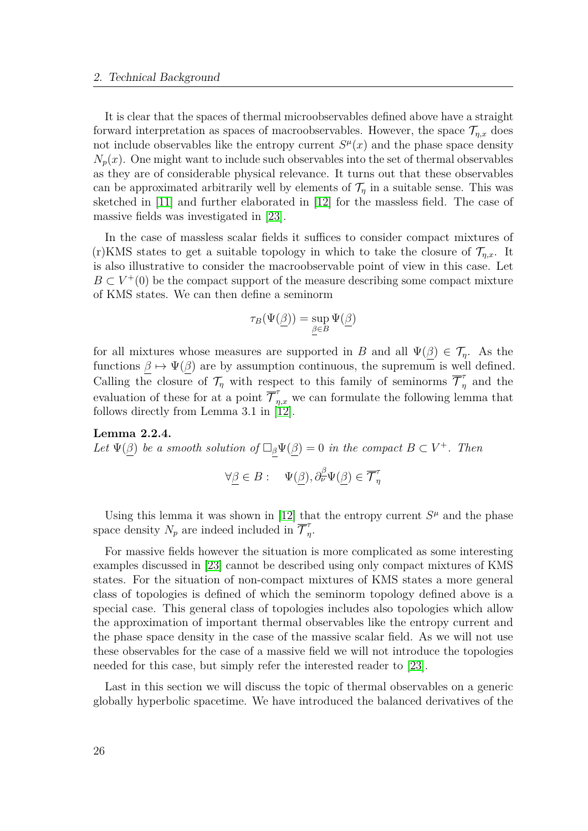It is clear that the spaces of thermal microobservables defined above have a straight forward interpretation as spaces of macroobservables. However, the space  $\mathcal{T}_{n,x}$  does not include observables like the entropy current  $S<sup>\mu</sup>(x)$  and the phase space density  $N_p(x)$ . One might want to include such observables into the set of thermal observables as they are of considerable physical relevance. It turns out that these observables can be approximated arbitrarily well by elements of  $\mathcal{T}_n$  in a suitable sense. This was sketched in [\[11\]](#page-149-0) and further elaborated in [\[12\]](#page-149-7) for the massless field. The case of massive fields was investigated in [\[23\]](#page-150-4).

In the case of massless scalar fields it suffices to consider compact mixtures of (r)KMS states to get a suitable topology in which to take the closure of  $\mathcal{T}_{n,x}$ . It is also illustrative to consider the macroobservable point of view in this case. Let  $B \subset V^+(0)$  be the compact support of the measure describing some compact mixture of KMS states. We can then define a seminorm

$$
\tau_B(\Psi(\underline{\beta})) = \sup_{\underline{\beta} \in B} \Psi(\underline{\beta})
$$

for all mixtures whose measures are supported in *B* and all  $\Psi(\underline{\beta}) \in \mathcal{T}_\eta$ . As the functions  $\beta \mapsto \Psi(\beta)$  are by assumption continuous, the supremum is well defined. Calling the closure of  $\mathcal{T}_\eta$  with respect to this family of seminorms  $\overline{\mathcal{T}}_r^{\tau}$  $\frac{a}{\eta}$  and the evaluation of these for at a point  $\overline{\mathcal{T}}_{\eta,x}^{\tau}$  we can formulate the following lemma that follows directly from Lemma 3.1 in [\[12\]](#page-149-7).

#### **Lemma 2.2.4.**

*Let*  $\Psi(\beta)$  *be a smooth solution of*  $\Box_{\beta}\Psi(\beta) = 0$  *in the compact*  $B \subset V^+$ *. Then* 

$$
\forall \underline{\beta} \in B: \quad \Psi(\underline{\beta}), \partial^{\underline{\beta}}_{\nu} \Psi(\underline{\beta}) \in \overline{\mathcal{T}}_{\eta}^{\tau}
$$

Using this lemma it was shown in [\[12\]](#page-149-7) that the entropy current  $S<sup>\mu</sup>$  and the phase space density  $N_p$  are indeed included in  $\overline{\mathcal{T}}_p^{\tau}$ *η* .

For massive fields however the situation is more complicated as some interesting examples discussed in [\[23\]](#page-150-4) cannot be described using only compact mixtures of KMS states. For the situation of non-compact mixtures of KMS states a more general class of topologies is defined of which the seminorm topology defined above is a special case. This general class of topologies includes also topologies which allow the approximation of important thermal observables like the entropy current and the phase space density in the case of the massive scalar field. As we will not use these observables for the case of a massive field we will not introduce the topologies needed for this case, but simply refer the interested reader to [\[23\]](#page-150-4).

Last in this section we will discuss the topic of thermal observables on a generic globally hyperbolic spacetime. We have introduced the balanced derivatives of the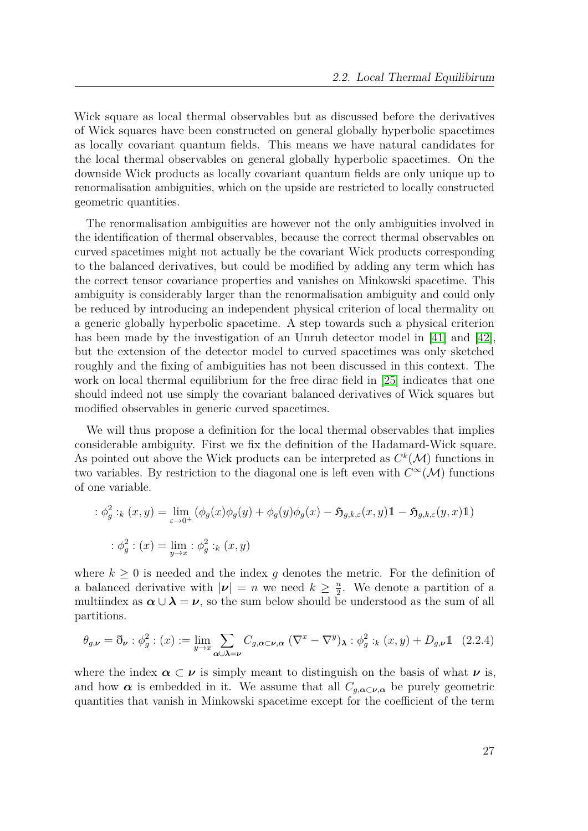Wick square as local thermal observables but as discussed before the derivatives of Wick squares have been constructed on general globally hyperbolic spacetimes as locally covariant quantum fields. This means we have natural candidates for the local thermal observables on general globally hyperbolic spacetimes. On the downside Wick products as locally covariant quantum fields are only unique up to renormalisation ambiguities, which on the upside are restricted to locally constructed geometric quantities.

The renormalisation ambiguities are however not the only ambiguities involved in the identification of thermal observables, because the correct thermal observables on curved spacetimes might not actually be the covariant Wick products corresponding to the balanced derivatives, but could be modified by adding any term which has the correct tensor covariance properties and vanishes on Minkowski spacetime. This ambiguity is considerably larger than the renormalisation ambiguity and could only be reduced by introducing an independent physical criterion of local thermality on a generic globally hyperbolic spacetime. A step towards such a physical criterion has been made by the investigation of an Unruh detector model in [\[41\]](#page-151-8) and [\[42\]](#page-151-1), but the extension of the detector model to curved spacetimes was only sketched roughly and the fixing of ambiguities has not been discussed in this context. The work on local thermal equilibrium for the free dirac field in [\[25\]](#page-150-5) indicates that one should indeed not use simply the covariant balanced derivatives of Wick squares but modified observables in generic curved spacetimes.

We will thus propose a definition for the local thermal observables that implies considerable ambiguity. First we fix the definition of the Hadamard-Wick square. As pointed out above the Wick products can be interpreted as  $C^k(\mathcal{M})$  functions in two variables. By restriction to the diagonal one is left even with  $C^{\infty}(\mathcal{M})$  functions of one variable.

$$
\begin{aligned}\n\therefore \phi_g^2:_{k}(x,y) &= \lim_{\varepsilon \to 0^+} \left( \phi_g(x)\phi_g(y) + \phi_g(y)\phi_g(x) - \mathfrak{H}_{g,k,\varepsilon}(x,y) \mathbb{1} - \mathfrak{H}_{g,k,\varepsilon}(y,x) \mathbb{1} \right) \\
&\therefore \phi_g^2: (x) = \lim_{y \to x} \varepsilon \phi_g^2:_{k}(x,y)\n\end{aligned}
$$

where  $k \geq 0$  is needed and the index g denotes the metric. For the definition of a balanced derivative with  $|\nu| = n$  we need  $k \geq \frac{n}{2}$  $\frac{n}{2}$ . We denote a partition of a multiindex as  $\alpha \cup \lambda = \nu$ , so the sum below should be understood as the sum of all partitions.

$$
\theta_{g,\nu} = \delta_{\nu} : \phi_g^2 : (x) := \lim_{y \to x} \sum_{\alpha \cup \lambda = \nu} C_{g,\alpha \subset \nu, \alpha} \left( \nabla^x - \nabla^y \right)_{\lambda} : \phi_g^2 :_k (x, y) + D_{g,\nu} \mathbb{1} \quad (2.2.4)
$$

where the index  $\alpha \subset \nu$  is simply meant to distinguish on the basis of what  $\nu$  is, and how  $\alpha$  is embedded in it. We assume that all  $C_{q,\alpha\subset \nu,\alpha}$  be purely geometric quantities that vanish in Minkowski spacetime except for the coefficient of the term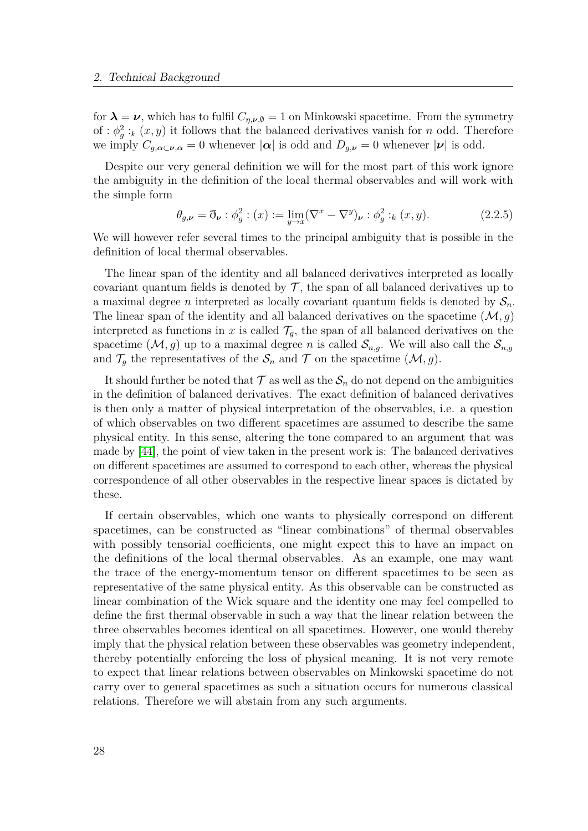for  $\lambda = \nu$ , which has to fulfil  $C_{n,\nu,\emptyset} = 1$  on Minkowski spacetime. From the symmetry of :  $\phi_g^2$ :<sub>*k*</sub> (*x, y*) it follows that the balanced derivatives vanish for *n* odd. Therefore we imply  $C_{q,\alpha\subset\nu,\alpha} = 0$  whenever  $|\alpha|$  is odd and  $D_{q,\nu} = 0$  whenever  $|\nu|$  is odd.

Despite our very general definition we will for the most part of this work ignore the ambiguity in the definition of the local thermal observables and will work with the simple form

$$
\theta_{g,\nu} = \eth_{\nu} : \phi_g^2 : (x) := \lim_{y \to x} (\nabla^x - \nabla^y)_{\nu} : \phi_g^2 :_k (x, y).
$$
 (2.2.5)

We will however refer several times to the principal ambiguity that is possible in the definition of local thermal observables.

The linear span of the identity and all balanced derivatives interpreted as locally covariant quantum fields is denoted by  $\mathcal T$ , the span of all balanced derivatives up to a maximal degree *n* interpreted as locally covariant quantum fields is denoted by  $S_n$ . The linear span of the identity and all balanced derivatives on the spacetime  $(M, g)$ interpreted as functions in *x* is called  $\mathcal{T}_q$ , the span of all balanced derivatives on the spacetime  $(M, g)$  up to a maximal degree *n* is called  $S_{n,g}$ . We will also call the  $S_{n,g}$ and  $\mathcal{T}_g$  the representatives of the  $\mathcal{S}_n$  and  $\mathcal{T}$  on the spacetime  $(\mathcal{M}, g)$ .

It should further be noted that  $\mathcal T$  as well as the  $\mathcal S_n$  do not depend on the ambiguities in the definition of balanced derivatives. The exact definition of balanced derivatives is then only a matter of physical interpretation of the observables, i.e. a question of which observables on two different spacetimes are assumed to describe the same physical entity. In this sense, altering the tone compared to an argument that was made by [\[44\]](#page-151-9), the point of view taken in the present work is: The balanced derivatives on different spacetimes are assumed to correspond to each other, whereas the physical correspondence of all other observables in the respective linear spaces is dictated by these.

If certain observables, which one wants to physically correspond on different spacetimes, can be constructed as "linear combinations" of thermal observables with possibly tensorial coefficients, one might expect this to have an impact on the definitions of the local thermal observables. As an example, one may want the trace of the energy-momentum tensor on different spacetimes to be seen as representative of the same physical entity. As this observable can be constructed as linear combination of the Wick square and the identity one may feel compelled to define the first thermal observable in such a way that the linear relation between the three observables becomes identical on all spacetimes. However, one would thereby imply that the physical relation between these observables was geometry independent, thereby potentially enforcing the loss of physical meaning. It is not very remote to expect that linear relations between observables on Minkowski spacetime do not carry over to general spacetimes as such a situation occurs for numerous classical relations. Therefore we will abstain from any such arguments.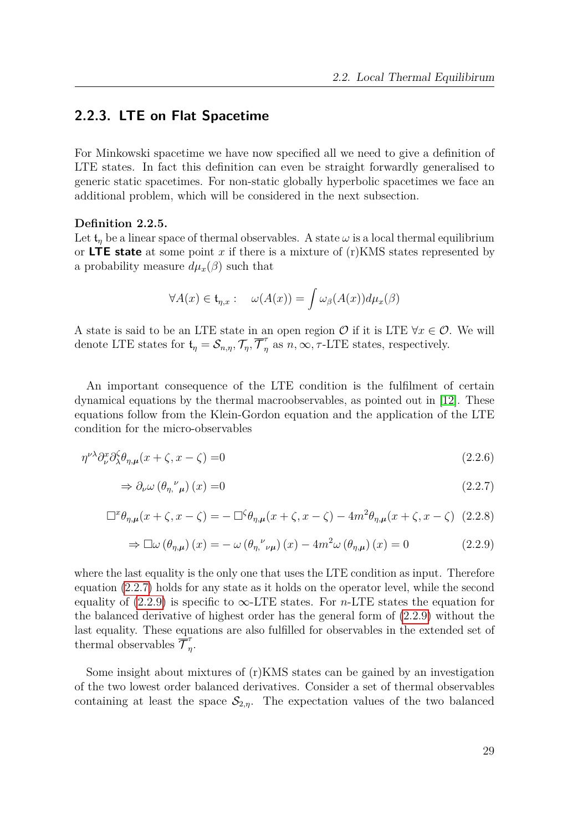# <span id="page-28-0"></span>**2.2.3. LTE on Flat Spacetime**

For Minkowski spacetime we have now specified all we need to give a definition of LTE states. In fact this definition can even be straight forwardly generalised to generic static spacetimes. For non-static globally hyperbolic spacetimes we face an additional problem, which will be considered in the next subsection.

#### **Definition 2.2.5.**

Let  $t_n$  be a linear space of thermal observables. A state  $\omega$  is a local thermal equilibrium or **LTE state** at some point *x* if there is a mixture of (r)KMS states represented by a probability measure  $d\mu_x(\beta)$  such that

<span id="page-28-1"></span>
$$
\forall A(x) \in \mathfrak{t}_{\eta,x} : \quad \omega(A(x)) = \int \omega_{\beta}(A(x)) d\mu_x(\beta)
$$

A state is said to be an LTE state in an open region  $\mathcal O$  if it is LTE  $\forall x \in \mathcal O$ . We will denote LTE states for  $\mathfrak{t}_{\eta} = \mathcal{S}_{n,\eta}, \mathcal{T}_{\eta}, \overline{\mathcal{T}}_{\eta}^{\tau}$  $n_{\eta}$  as  $n, \infty, \tau$ -LTE states, respectively.

An important consequence of the LTE condition is the fulfilment of certain dynamical equations by the thermal macroobservables, as pointed out in [\[12\]](#page-149-7). These equations follow from the Klein-Gordon equation and the application of the LTE condition for the micro-observables

$$
\eta^{\nu\lambda}\partial_{\nu}^{x}\partial_{\lambda}^{\zeta}\theta_{\eta,\mu}(x+\zeta,x-\zeta) = 0
$$
\n(2.2.6)

$$
\Rightarrow \partial_{\nu} \omega \left( \theta_{\eta, \nu} \right) (x) = 0 \tag{2.2.7}
$$

$$
\Box^x \theta_{\eta,\mu}(x+\zeta, x-\zeta) = -\Box^{\zeta} \theta_{\eta,\mu}(x+\zeta, x-\zeta) - 4m^2 \theta_{\eta,\mu}(x+\zeta, x-\zeta) \tag{2.2.8}
$$

<span id="page-28-2"></span>
$$
\Rightarrow \Box \omega (\theta_{\eta,\mu})(x) = -\omega (\theta_{\eta,\nu}\nu})(x) - 4m^2 \omega (\theta_{\eta,\mu})(x) = 0 \qquad (2.2.9)
$$

where the last equality is the only one that uses the LTE condition as input. Therefore equation [\(2.2.7\)](#page-28-1) holds for any state as it holds on the operator level, while the second equality of [\(2.2.9\)](#page-28-2) is specific to  $\infty$ -LTE states. For *n*-LTE states the equation for the balanced derivative of highest order has the general form of [\(2.2.9\)](#page-28-2) without the last equality. These equations are also fulfilled for observables in the extended set of thermal observables  $\overline{\mathcal{T}}_n^{\tau}$ *η* .

Some insight about mixtures of (r)KMS states can be gained by an investigation of the two lowest order balanced derivatives. Consider a set of thermal observables containing at least the space  $\mathcal{S}_{2,\eta}$ . The expectation values of the two balanced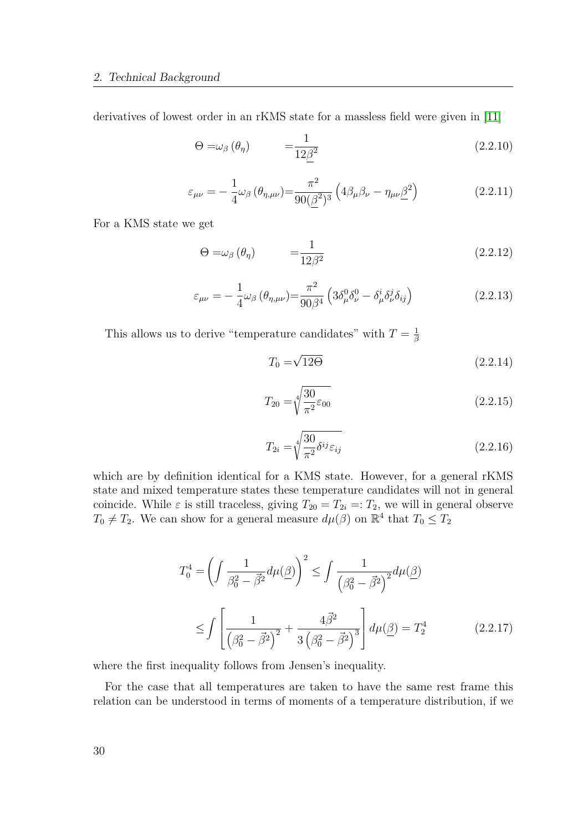derivatives of lowest order in an rKMS state for a massless field were given in [\[11\]](#page-149-0)

$$
\Theta = \omega_{\beta} \left( \theta_{\eta} \right) \qquad \qquad = \frac{1}{12 \underline{\beta}^2} \tag{2.2.10}
$$

$$
\varepsilon_{\mu\nu} = -\frac{1}{4}\omega_{\beta} \left( \theta_{\eta,\mu\nu} \right) = \frac{\pi^2}{90(\underline{\beta}^2)^3} \left( 4\beta_{\mu}\beta_{\nu} - \eta_{\mu\nu}\underline{\beta}^2 \right) \tag{2.2.11}
$$

For a KMS state we get

$$
\Theta = \omega_{\beta} \left( \theta_{\eta} \right) \qquad \qquad = \frac{1}{12\beta^2} \tag{2.2.12}
$$

$$
\varepsilon_{\mu\nu} = -\frac{1}{4}\omega_{\beta} \left( \theta_{\eta,\mu\nu} \right) = \frac{\pi^2}{90\beta^4} \left( 3\delta_{\mu}^0 \delta_{\nu}^0 - \delta_{\mu}^i \delta_{\nu}^j \delta_{ij} \right) \tag{2.2.13}
$$

This allows us to derive "temperature candidates" with  $T = \frac{1}{6}$ *β*

$$
T_0 = \sqrt{12\Theta} \tag{2.2.14}
$$

$$
T_{20} = \sqrt[4]{\frac{30}{\pi^2} \varepsilon_{00}} \tag{2.2.15}
$$

$$
T_{2i} = \sqrt[4]{\frac{30}{\pi^2} \delta^{ij} \varepsilon_{ij}} \tag{2.2.16}
$$

which are by definition identical for a KMS state. However, for a general rKMS state and mixed temperature states these temperature candidates will not in general coincide. While  $\varepsilon$  is still traceless, giving  $T_{20} = T_{2i} =: T_2$ , we will in general observe  $T_0 \neq T_2$ . We can show for a general measure  $d\mu(\beta)$  on  $\mathbb{R}^4$  that  $T_0 \leq T_2$ 

$$
T_0^4 = \left(\int \frac{1}{\beta_0^2 - \vec{\beta}^2} d\mu(\vec{\beta})\right)^2 \le \int \frac{1}{\left(\beta_0^2 - \vec{\beta}^2\right)^2} d\mu(\vec{\beta})
$$
  
 
$$
\le \int \left[\frac{1}{\left(\beta_0^2 - \vec{\beta}^2\right)^2} + \frac{4\vec{\beta}^2}{3\left(\beta_0^2 - \vec{\beta}^2\right)^3}\right] d\mu(\vec{\beta}) = T_2^4 \tag{2.2.17}
$$

where the first inequality follows from Jensen's inequality.

For the case that all temperatures are taken to have the same rest frame this relation can be understood in terms of moments of a temperature distribution, if we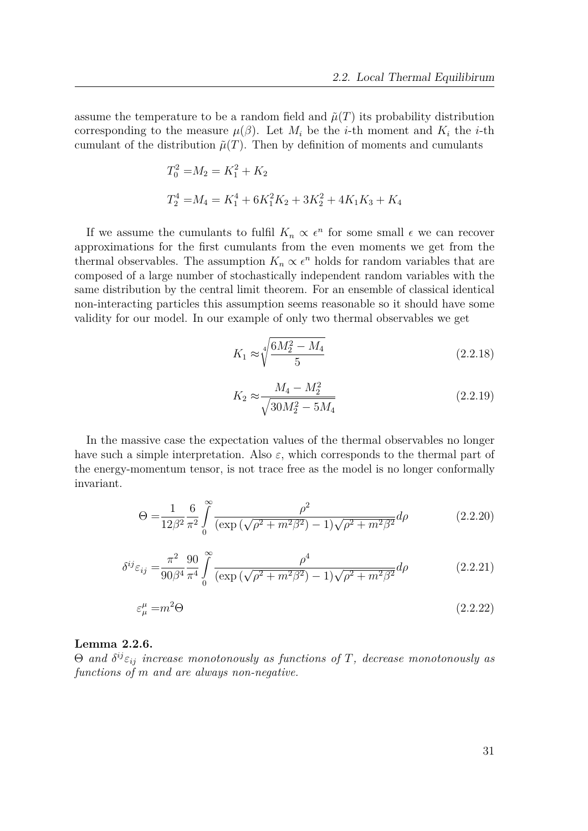assume the temperature to be a random field and  $\tilde{\mu}(T)$  its probability distribution corresponding to the measure  $\mu(\beta)$ . Let  $M_i$  be the *i*-th moment and  $K_i$  the *i*-th cumulant of the distribution  $\tilde{\mu}(T)$ . Then by definition of moments and cumulants

$$
T_0^2 = M_2 = K_1^2 + K_2
$$
  
\n
$$
T_2^4 = M_4 = K_1^4 + 6K_1^2K_2 + 3K_2^2 + 4K_1K_3 + K_4
$$

If we assume the cumulants to fulfil  $K_n \propto \epsilon^n$  for some small  $\epsilon$  we can recover approximations for the first cumulants from the even moments we get from the thermal observables. The assumption  $K_n \propto e^n$  holds for random variables that are composed of a large number of stochastically independent random variables with the same distribution by the central limit theorem. For an ensemble of classical identical non-interacting particles this assumption seems reasonable so it should have some validity for our model. In our example of only two thermal observables we get

$$
K_1 \approx \sqrt[4]{\frac{6M_2^2 - M_4}{5}}\tag{2.2.18}
$$

$$
K_2 \approx \frac{M_4 - M_2^2}{\sqrt{30M_2^2 - 5M_4}}
$$
\n(2.2.19)

In the massive case the expectation values of the thermal observables no longer have such a simple interpretation. Also  $\varepsilon$ , which corresponds to the thermal part of the energy-momentum tensor, is not trace free as the model is no longer conformally invariant.

$$
\Theta = \frac{1}{12\beta^2} \frac{6}{\pi^2} \int_{0}^{\infty} \frac{\rho^2}{(\exp(\sqrt{\rho^2 + m^2 \beta^2}) - 1)\sqrt{\rho^2 + m^2 \beta^2}} d\rho \tag{2.2.20}
$$

$$
\delta^{ij}\varepsilon_{ij} = \frac{\pi^2}{90\beta^4} \frac{90}{\pi^4} \int_0^\infty \frac{\rho^4}{(\exp(\sqrt{\rho^2 + m^2 \beta^2}) - 1)\sqrt{\rho^2 + m^2 \beta^2}} d\rho \tag{2.2.21}
$$

$$
\varepsilon_{\mu}^{\mu} = m^2 \Theta \tag{2.2.22}
$$

# **Lemma 2.2.6.**

Θ *and δ ijεij increase monotonously as functions of T, decrease monotonously as functions of m and are always non-negative.*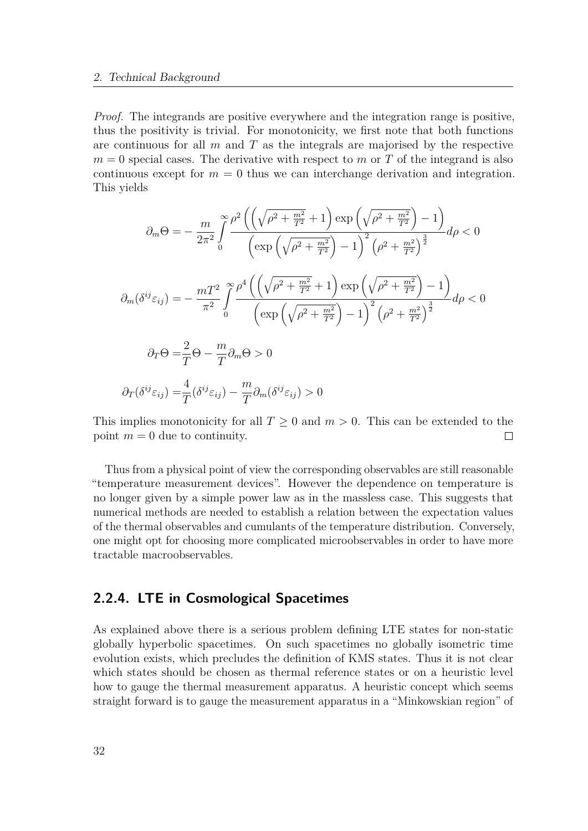#### 2. Technical Background

*Proof.* The integrands are positive everywhere and the integration range is positive, thus the positivity is trivial. For monotonicity, we first note that both functions are continuous for all *m* and *T* as the integrals are majorised by the respective  $m = 0$  special cases. The derivative with respect to *m* or *T* of the integrand is also continuous except for  $m = 0$  thus we can interchange derivation and integration. This yields

$$
\partial_m \Theta = -\frac{m}{2\pi^2} \int_0^\infty \frac{\rho^2 \left( \left( \sqrt{\rho^2 + \frac{m^2}{T^2}} + 1 \right) \exp\left( \sqrt{\rho^2 + \frac{m^2}{T^2}} \right) - 1 \right)}{\left( \exp\left( \sqrt{\rho^2 + \frac{m^2}{T^2}} \right) - 1 \right)^2 \left( \rho^2 + \frac{m^2}{T^2} \right)^{\frac{3}{2}}} d\rho < 0
$$
  

$$
\partial_m (\delta^{ij} \varepsilon_{ij}) = -\frac{mT^2}{\pi^2} \int_0^\infty \frac{\rho^4 \left( \left( \sqrt{\rho^2 + \frac{m^2}{T^2}} + 1 \right) \exp\left( \sqrt{\rho^2 + \frac{m^2}{T^2}} \right) - 1 \right)}{\left( \exp\left( \sqrt{\rho^2 + \frac{m^2}{T^2}} \right) - 1 \right)^2 \left( \rho^2 + \frac{m^2}{T^2} \right)^{\frac{3}{2}}} d\rho < 0
$$
  

$$
\partial_T \Theta = \frac{2}{T} \Theta - \frac{m}{T} \partial_m \Theta > 0
$$
  

$$
\partial_T (\delta^{ij} \varepsilon_{ij}) = \frac{4}{T} (\delta^{ij} \varepsilon_{ij}) - \frac{m}{T} \partial_m (\delta^{ij} \varepsilon_{ij}) > 0
$$

This implies monotonicity for all  $T \geq 0$  and  $m > 0$ . This can be extended to the point  $m = 0$  due to continuity.  $\Box$ 

Thus from a physical point of view the corresponding observables are still reasonable "temperature measurement devices". However the dependence on temperature is no longer given by a simple power law as in the massless case. This suggests that numerical methods are needed to establish a relation between the expectation values of the thermal observables and cumulants of the temperature distribution. Conversely, one might opt for choosing more complicated microobservables in order to have more tractable macroobservables.

# <span id="page-31-0"></span>**2.2.4. LTE in Cosmological Spacetimes**

As explained above there is a serious problem defining LTE states for non-static globally hyperbolic spacetimes. On such spacetimes no globally isometric time evolution exists, which precludes the definition of KMS states. Thus it is not clear which states should be chosen as thermal reference states or on a heuristic level how to gauge the thermal measurement apparatus. A heuristic concept which seems straight forward is to gauge the measurement apparatus in a "Minkowskian region" of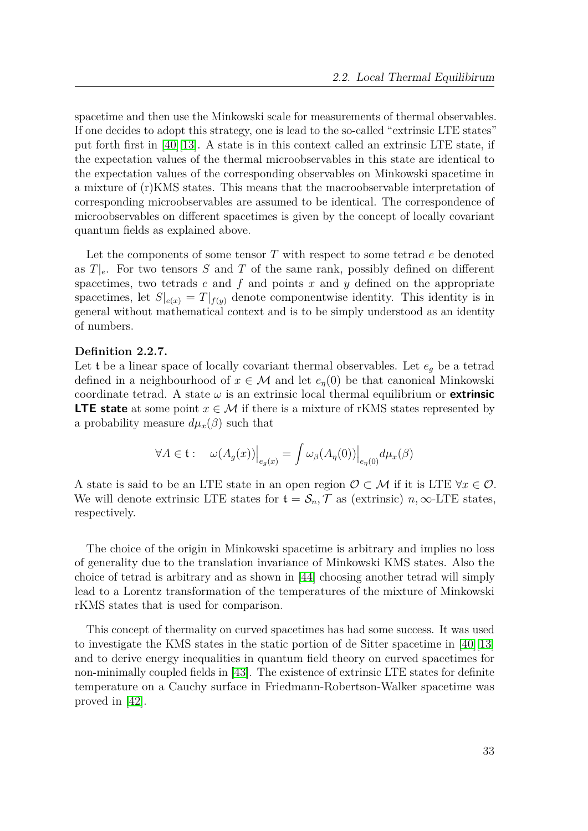spacetime and then use the Minkowski scale for measurements of thermal observables. If one decides to adopt this strategy, one is lead to the so-called "extrinsic LTE states" put forth first in [\[40\]](#page-151-0)[\[13\]](#page-150-0). A state is in this context called an extrinsic LTE state, if the expectation values of the thermal microobservables in this state are identical to the expectation values of the corresponding observables on Minkowski spacetime in a mixture of (r)KMS states. This means that the macroobservable interpretation of corresponding microobservables are assumed to be identical. The correspondence of microobservables on different spacetimes is given by the concept of locally covariant quantum fields as explained above.

Let the components of some tensor *T* with respect to some tetrad *e* be denoted as  $T|_e$ . For two tensors *S* and *T* of the same rank, possibly defined on different spacetimes, two tetrads *e* and *f* and points *x* and *y* defined on the appropriate spacetimes, let  $S|_{e(x)} = T|_{f(y)}$  denote componentwise identity. This identity is in general without mathematical context and is to be simply understood as an identity of numbers.

### **Definition 2.2.7.**

Let **t** be a linear space of locally covariant thermal observables. Let  $e_g$  be a tetrad defined in a neighbourhood of  $x \in M$  and let  $e_n(0)$  be that canonical Minkowski coordinate tetrad. A state  $\omega$  is an extrinsic local thermal equilibrium or **extrinsic LTE state** at some point  $x \in \mathcal{M}$  if there is a mixture of rKMS states represented by a probability measure  $d\mu_x(\beta)$  such that

$$
\forall A \in \mathfrak{t}: \quad \omega(A_g(x))\Big|_{e_g(x)} = \int \omega_\beta(A_\eta(0))\Big|_{e_\eta(0)} d\mu_x(\beta)
$$

A state is said to be an LTE state in an open region  $\mathcal{O} \subset \mathcal{M}$  if it is LTE  $\forall x \in \mathcal{O}$ . We will denote extrinsic LTE states for  $\mathfrak{t} = \mathcal{S}_n$ ,  $\mathcal{T}$  as (extrinsic)  $n, \infty$ -LTE states, respectively.

The choice of the origin in Minkowski spacetime is arbitrary and implies no loss of generality due to the translation invariance of Minkowski KMS states. Also the choice of tetrad is arbitrary and as shown in [\[44\]](#page-151-9) choosing another tetrad will simply lead to a Lorentz transformation of the temperatures of the mixture of Minkowski rKMS states that is used for comparison.

This concept of thermality on curved spacetimes has had some success. It was used to investigate the KMS states in the static portion of de Sitter spacetime in [\[40\]](#page-151-0)[\[13\]](#page-150-0) and to derive energy inequalities in quantum field theory on curved spacetimes for non-minimally coupled fields in [\[43\]](#page-151-2). The existence of extrinsic LTE states for definite temperature on a Cauchy surface in Friedmann-Robertson-Walker spacetime was proved in [\[42\]](#page-151-1).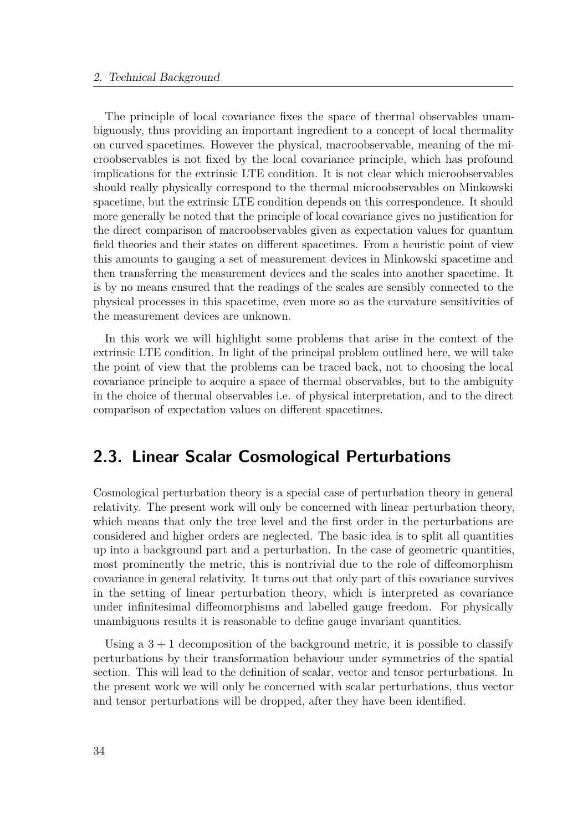The principle of local covariance fixes the space of thermal observables unambiguously, thus providing an important ingredient to a concept of local thermality on curved spacetimes. However the physical, macroobservable, meaning of the microobservables is not fixed by the local covariance principle, which has profound implications for the extrinsic LTE condition. It is not clear which microobservables should really physically correspond to the thermal microobservables on Minkowski spacetime, but the extrinsic LTE condition depends on this correspondence. It should more generally be noted that the principle of local covariance gives no justification for the direct comparison of macroobservables given as expectation values for quantum field theories and their states on different spacetimes. From a heuristic point of view this amounts to gauging a set of measurement devices in Minkowski spacetime and then transferring the measurement devices and the scales into another spacetime. It is by no means ensured that the readings of the scales are sensibly connected to the physical processes in this spacetime, even more so as the curvature sensitivities of the measurement devices are unknown.

In this work we will highlight some problems that arise in the context of the extrinsic LTE condition. In light of the principal problem outlined here, we will take the point of view that the problems can be traced back, not to choosing the local covariance principle to acquire a space of thermal observables, but to the ambiguity in the choice of thermal observables i.e. of physical interpretation, and to the direct comparison of expectation values on different spacetimes.

# <span id="page-33-0"></span>**2.3. Linear Scalar Cosmological Perturbations**

Cosmological perturbation theory is a special case of perturbation theory in general relativity. The present work will only be concerned with linear perturbation theory, which means that only the tree level and the first order in the perturbations are considered and higher orders are neglected. The basic idea is to split all quantities up into a background part and a perturbation. In the case of geometric quantities, most prominently the metric, this is nontrivial due to the role of diffeomorphism covariance in general relativity. It turns out that only part of this covariance survives in the setting of linear perturbation theory, which is interpreted as covariance under infinitesimal diffeomorphisms and labelled gauge freedom. For physically unambiguous results it is reasonable to define gauge invariant quantities.

Using a  $3 + 1$  decomposition of the background metric, it is possible to classify perturbations by their transformation behaviour under symmetries of the spatial section. This will lead to the definition of scalar, vector and tensor perturbations. In the present work we will only be concerned with scalar perturbations, thus vector and tensor perturbations will be dropped, after they have been identified.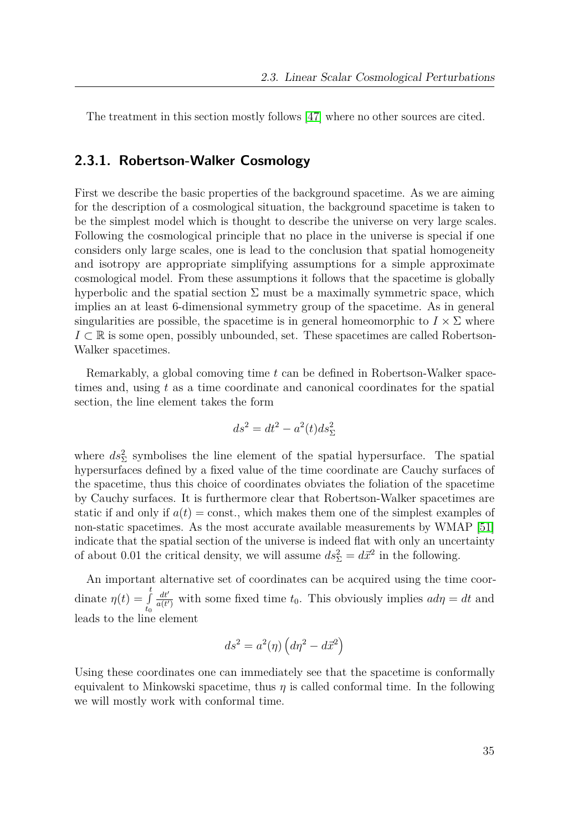The treatment in this section mostly follows [\[47\]](#page-152-2) where no other sources are cited.

# <span id="page-34-0"></span>**2.3.1. Robertson-Walker Cosmology**

First we describe the basic properties of the background spacetime. As we are aiming for the description of a cosmological situation, the background spacetime is taken to be the simplest model which is thought to describe the universe on very large scales. Following the cosmological principle that no place in the universe is special if one considers only large scales, one is lead to the conclusion that spatial homogeneity and isotropy are appropriate simplifying assumptions for a simple approximate cosmological model. From these assumptions it follows that the spacetime is globally hyperbolic and the spatial section  $\Sigma$  must be a maximally symmetric space, which implies an at least 6-dimensional symmetry group of the spacetime. As in general singularities are possible, the spacetime is in general homeomorphic to  $I \times \Sigma$  where *I* ⊂ R is some open, possibly unbounded, set. These spacetimes are called Robertson-Walker spacetimes.

Remarkably, a global comoving time *t* can be defined in Robertson-Walker spacetimes and, using *t* as a time coordinate and canonical coordinates for the spatial section, the line element takes the form

$$
ds^2 = dt^2 - a^2(t)ds_{\Sigma}^2
$$

where  $ds_{\Sigma}^2$  symbolises the line element of the spatial hypersurface. The spatial hypersurfaces defined by a fixed value of the time coordinate are Cauchy surfaces of the spacetime, thus this choice of coordinates obviates the foliation of the spacetime by Cauchy surfaces. It is furthermore clear that Robertson-Walker spacetimes are static if and only if  $a(t) = \text{const.}$ , which makes them one of the simplest examples of non-static spacetimes. As the most accurate available measurements by WMAP [\[51\]](#page-152-3) indicate that the spatial section of the universe is indeed flat with only an uncertainty of about 0.01 the critical density, we will assume  $ds_{\Sigma}^2 = d\vec{x}^2$  in the following.

An important alternative set of coordinates can be acquired using the time coordinate  $\eta(t) = \int_0^t$ *t*0  $dt$  $\frac{dt'}{a(t')}$  with some fixed time  $t_0$ . This obviously implies  $ad\eta = dt$  and leads to the line element

$$
ds^2 = a^2(\eta) \left( d\eta^2 - d\vec{x}^2 \right)
$$

Using these coordinates one can immediately see that the spacetime is conformally equivalent to Minkowski spacetime, thus  $\eta$  is called conformal time. In the following we will mostly work with conformal time.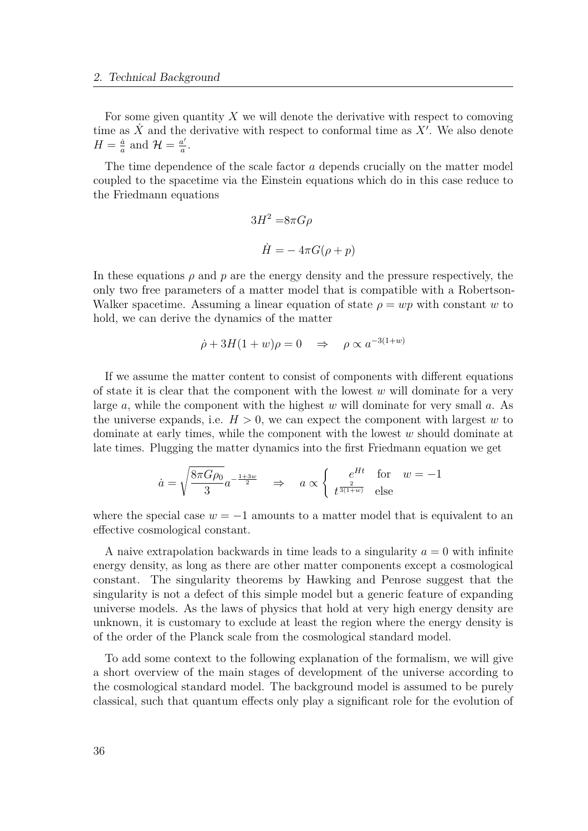For some given quantity *X* we will denote the derivative with respect to comoving time as  $\dot{X}$  and the derivative with respect to conformal time as  $X'$ . We also denote  $H=\frac{\dot{a}}{a}$  $\frac{\dot{a}}{a}$  and  $\mathcal{H} = \frac{a'}{a}$  $\frac{a'}{a}$ .

The time dependence of the scale factor *a* depends crucially on the matter model coupled to the spacetime via the Einstein equations which do in this case reduce to the Friedmann equations

$$
3H^2 = 8\pi G\rho
$$
  

$$
\dot{H} = -4\pi G(\rho + p)
$$

In these equations *ρ* and *p* are the energy density and the pressure respectively, the only two free parameters of a matter model that is compatible with a Robertson-Walker spacetime. Assuming a linear equation of state  $\rho = wp$  with constant *w* to hold, we can derive the dynamics of the matter

$$
\dot{\rho} + 3H(1+w)\rho = 0 \quad \Rightarrow \quad \rho \propto a^{-3(1+w)}
$$

If we assume the matter content to consist of components with different equations of state it is clear that the component with the lowest *w* will dominate for a very large *a*, while the component with the highest *w* will dominate for very small *a*. As the universe expands, i.e.  $H > 0$ , we can expect the component with largest *w* to dominate at early times, while the component with the lowest *w* should dominate at late times. Plugging the matter dynamics into the first Friedmann equation we get

$$
\dot{a} = \sqrt{\frac{8\pi G \rho_0}{3}} a^{-\frac{1+3w}{2}} \quad \Rightarrow \quad a \propto \begin{cases} e^{Ht} & \text{for} \quad w = -1\\ t^{\frac{2}{3(1+w)}} & \text{else} \end{cases}
$$

where the special case  $w = -1$  amounts to a matter model that is equivalent to an effective cosmological constant.

A naive extrapolation backwards in time leads to a singularity  $a = 0$  with infinite energy density, as long as there are other matter components except a cosmological constant. The singularity theorems by Hawking and Penrose suggest that the singularity is not a defect of this simple model but a generic feature of expanding universe models. As the laws of physics that hold at very high energy density are unknown, it is customary to exclude at least the region where the energy density is of the order of the Planck scale from the cosmological standard model.

To add some context to the following explanation of the formalism, we will give a short overview of the main stages of development of the universe according to the cosmological standard model. The background model is assumed to be purely classical, such that quantum effects only play a significant role for the evolution of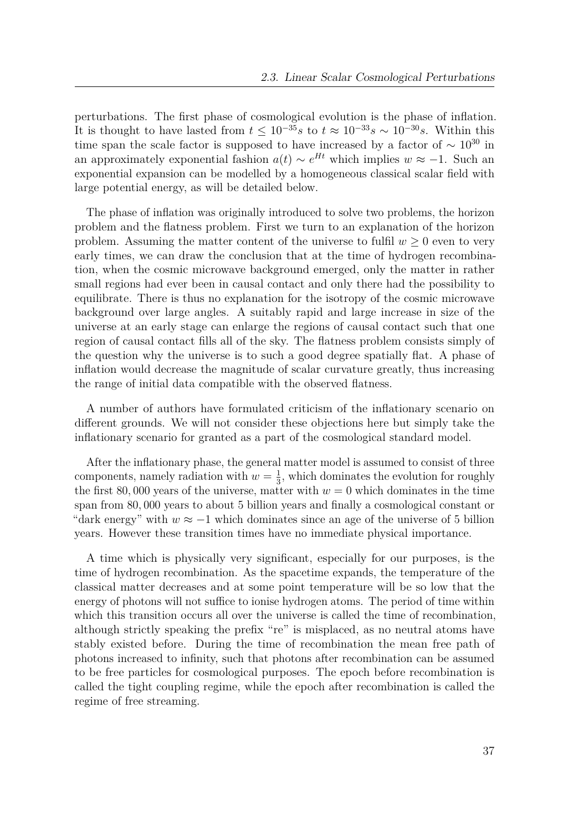perturbations. The first phase of cosmological evolution is the phase of inflation. It is thought to have lasted from  $t \leq 10^{-35} s$  to  $t \approx 10^{-33} s \sim 10^{-30} s$ . Within this time span the scale factor is supposed to have increased by a factor of  $\sim 10^{30}$  in an approximately exponential fashion  $a(t) \sim e^{Ht}$  which implies  $w \approx -1$ . Such an exponential expansion can be modelled by a homogeneous classical scalar field with large potential energy, as will be detailed below.

The phase of inflation was originally introduced to solve two problems, the horizon problem and the flatness problem. First we turn to an explanation of the horizon problem. Assuming the matter content of the universe to fulfil  $w \geq 0$  even to very early times, we can draw the conclusion that at the time of hydrogen recombination, when the cosmic microwave background emerged, only the matter in rather small regions had ever been in causal contact and only there had the possibility to equilibrate. There is thus no explanation for the isotropy of the cosmic microwave background over large angles. A suitably rapid and large increase in size of the universe at an early stage can enlarge the regions of causal contact such that one region of causal contact fills all of the sky. The flatness problem consists simply of the question why the universe is to such a good degree spatially flat. A phase of inflation would decrease the magnitude of scalar curvature greatly, thus increasing the range of initial data compatible with the observed flatness.

A number of authors have formulated criticism of the inflationary scenario on different grounds. We will not consider these objections here but simply take the inflationary scenario for granted as a part of the cosmological standard model.

After the inflationary phase, the general matter model is assumed to consist of three components, namely radiation with  $w = \frac{1}{3}$  $\frac{1}{3}$ , which dominates the evolution for roughly the first 80,000 years of the universe, matter with  $w = 0$  which dominates in the time span from 80*,* 000 years to about 5 billion years and finally a cosmological constant or "dark energy" with  $w \approx -1$  which dominates since an age of the universe of 5 billion years. However these transition times have no immediate physical importance.

A time which is physically very significant, especially for our purposes, is the time of hydrogen recombination. As the spacetime expands, the temperature of the classical matter decreases and at some point temperature will be so low that the energy of photons will not suffice to ionise hydrogen atoms. The period of time within which this transition occurs all over the universe is called the time of recombination, although strictly speaking the prefix "re" is misplaced, as no neutral atoms have stably existed before. During the time of recombination the mean free path of photons increased to infinity, such that photons after recombination can be assumed to be free particles for cosmological purposes. The epoch before recombination is called the tight coupling regime, while the epoch after recombination is called the regime of free streaming.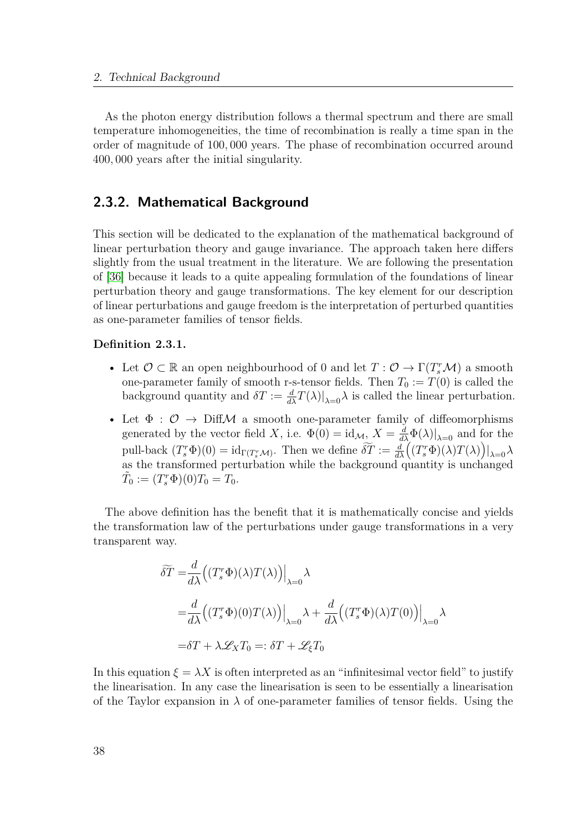As the photon energy distribution follows a thermal spectrum and there are small temperature inhomogeneities, the time of recombination is really a time span in the order of magnitude of 100*,* 000 years. The phase of recombination occurred around 400*,* 000 years after the initial singularity.

## **2.3.2. Mathematical Background**

This section will be dedicated to the explanation of the mathematical background of linear perturbation theory and gauge invariance. The approach taken here differs slightly from the usual treatment in the literature. We are following the presentation of [\[36\]](#page-151-0) because it leads to a quite appealing formulation of the foundations of linear perturbation theory and gauge transformations. The key element for our description of linear perturbations and gauge freedom is the interpretation of perturbed quantities as one-parameter families of tensor fields.

#### **Definition 2.3.1.**

- Let  $\mathcal{O} \subset \mathbb{R}$  an open neighbourhood of 0 and let  $T: \mathcal{O} \to \Gamma(T_s^r \mathcal{M})$  a smooth one-parameter family of smooth r-s-tensor fields. Then  $T_0 := T(0)$  is called the background quantity and  $\delta T := \frac{d}{d\lambda}T(\lambda)|_{\lambda=0}\lambda$  is called the linear perturbation.
- Let  $\Phi : \mathcal{O} \to \text{Diff}\mathcal{M}$  a smooth one-parameter family of diffeomorphisms generated by the vector field *X*, i.e.  $\Phi(0) = id_{\mathcal{M}_1} X = \frac{d}{d\lambda} \Phi(\lambda)|_{\lambda=0}$  and for the pull-back  $(T_s^r \Phi)(0) = id_{\Gamma(T_s^r \mathcal{M})}$ . Then we define  $\widetilde{\delta T} := \frac{d}{d\lambda} ((T_s^r \Phi)(\lambda) T(\lambda))|_{\lambda=0} \lambda$ as the transformed perturbation while the background quantity is unchanged  $\tilde{T}_0 := (T_s^r \Phi)(0) T_0 = T_0.$

The above definition has the benefit that it is mathematically concise and yields the transformation law of the perturbations under gauge transformations in a very transparent way.

$$
\widetilde{\delta T} = \frac{d}{d\lambda} \Big( (T_s^r \Phi)(\lambda) T(\lambda) \Big) \Big|_{\lambda=0} \lambda
$$
  
= 
$$
\frac{d}{d\lambda} \Big( (T_s^r \Phi)(0) T(\lambda) \Big) \Big|_{\lambda=0} \lambda + \frac{d}{d\lambda} \Big( (T_s^r \Phi)(\lambda) T(0) \Big) \Big|_{\lambda=0} \lambda
$$
  
= 
$$
\delta T + \lambda \mathscr{L}_X T_0 =: \delta T + \mathscr{L}_\xi T_0
$$

In this equation  $\xi = \lambda X$  is often interpreted as an "infinitesimal vector field" to justify the linearisation. In any case the linearisation is seen to be essentially a linearisation of the Taylor expansion in  $\lambda$  of one-parameter families of tensor fields. Using the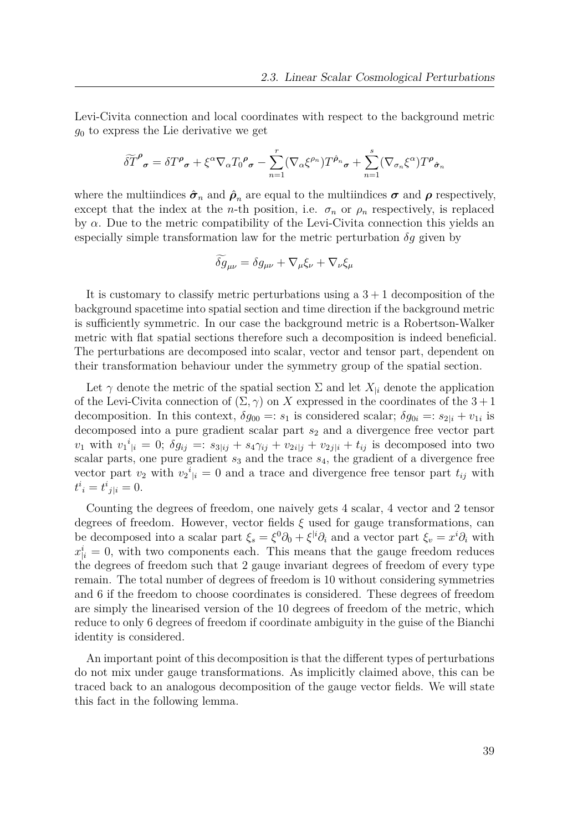Levi-Civita connection and local coordinates with respect to the background metric *g*<sup>0</sup> to express the Lie derivative we get

$$
\widetilde{\delta T}^{\rho}_{\sigma} = \delta T^{\rho}_{\sigma} + \xi^{\alpha} \nabla_{\alpha} T_0^{\rho}_{\sigma} - \sum_{n=1}^{r} (\nabla_{\alpha} \xi^{\rho_n}) T^{\hat{\rho}_n}_{\sigma} + \sum_{n=1}^{s} (\nabla_{\sigma_n} \xi^{\alpha}) T^{\rho}_{\hat{\sigma}_n}
$$

where the multiindices  $\hat{\sigma}_n$  and  $\hat{\rho}_n$  are equal to the multiindices  $\sigma$  and  $\rho$  respectively, except that the index at the *n*-th position, i.e.  $\sigma_n$  or  $\rho_n$  respectively, is replaced by *α*. Due to the metric compatibility of the Levi-Civita connection this yields an especially simple transformation law for the metric perturbation  $\delta q$  given by

$$
\delta g_{\mu\nu} = \delta g_{\mu\nu} + \nabla_{\mu}\xi_{\nu} + \nabla_{\nu}\xi_{\mu}
$$

It is customary to classify metric perturbations using a  $3 + 1$  decomposition of the background spacetime into spatial section and time direction if the background metric is sufficiently symmetric. In our case the background metric is a Robertson-Walker metric with flat spatial sections therefore such a decomposition is indeed beneficial. The perturbations are decomposed into scalar, vector and tensor part, dependent on their transformation behaviour under the symmetry group of the spatial section.

Let  $\gamma$  denote the metric of the spatial section  $\Sigma$  and let  $X_{\vert i}$  denote the application of the Levi-Civita connection of  $(\Sigma, \gamma)$  on *X* expressed in the coordinates of the  $3+1$ decomposition. In this context,  $\delta g_{00} =: s_1$  is considered scalar;  $\delta g_{0i} =: s_{2|i} + v_{1i}$  is decomposed into a pure gradient scalar part  $s_2$  and a divergence free vector part  $v_1$  with  $v_1^i{}_{|i} = 0$ ;  $\delta g_{ij} =: s_{3|ij} + s_4 \gamma_{ij} + v_{2i|j} + v_{2j|i} + t_{ij}$  is decomposed into two scalar parts, one pure gradient  $s_3$  and the trace  $s_4$ , the gradient of a divergence free vector part  $v_2$  with  $v_2^i{}_{\vert i} = 0$  and a trace and divergence free tensor part  $t_{ij}$  with  $t^{i}{}_{i} = t^{i}{}_{j|i} = 0.$ 

Counting the degrees of freedom, one naively gets 4 scalar, 4 vector and 2 tensor degrees of freedom. However, vector fields *ξ* used for gauge transformations, can be decomposed into a scalar part  $\xi_s = \xi^0 \partial_0 + \xi^{i} \partial_i$  and a vector part  $\xi_v = x^i \partial_i$  with  $x_{|i}^i = 0$ , with two components each. This means that the gauge freedom reduces the degrees of freedom such that 2 gauge invariant degrees of freedom of every type remain. The total number of degrees of freedom is 10 without considering symmetries and 6 if the freedom to choose coordinates is considered. These degrees of freedom are simply the linearised version of the 10 degrees of freedom of the metric, which reduce to only 6 degrees of freedom if coordinate ambiguity in the guise of the Bianchi identity is considered.

An important point of this decomposition is that the different types of perturbations do not mix under gauge transformations. As implicitly claimed above, this can be traced back to an analogous decomposition of the gauge vector fields. We will state this fact in the following lemma.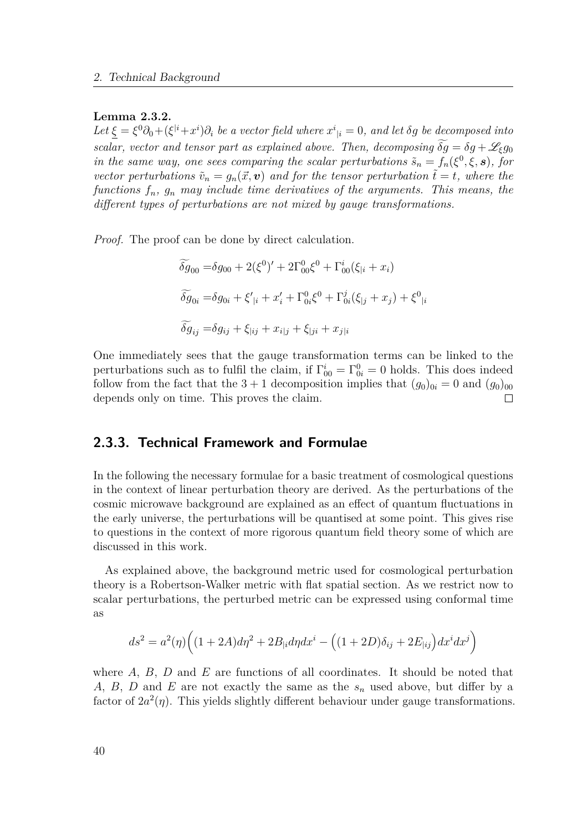#### **Lemma 2.3.2.**

Let  $\xi = \xi^0 \partial_0 + (\xi^{i} + x^i) \partial_i$  *be a vector field where*  $x^i{}_{|i} = 0$ *, and let*  $\delta g$  *be decomposed into scalar, vector and tensor part as explained above. Then, decomposing*  $\widetilde{\delta q} = \delta q + \mathscr{L}_{\epsilon} q_0$ *in the same way, one sees comparing the scalar perturbations*  $\tilde{s}_n = f_n(\xi^0, \xi, \mathbf{s})$ , for *vector perturbations*  $\tilde{v}_n = g_n(\vec{x}, \mathbf{v})$  *and for the tensor perturbation*  $\tilde{t} = t$ *, where the functions fn, g<sup>n</sup> may include time derivatives of the arguments. This means, the different types of perturbations are not mixed by gauge transformations.*

*Proof.* The proof can be done by direct calculation.

$$
\begin{aligned}\n\widetilde{\delta g}_{00} &= \delta g_{00} + 2(\xi^0)' + 2\Gamma^0_{00}\xi^0 + \Gamma^i_{00}(\xi_{|i} + x_i) \\
\widetilde{\delta g}_{0i} &= \delta g_{0i} + \xi'_{|i} + x'_i + \Gamma^0_{0i}\xi^0 + \Gamma^j_{0i}(\xi_{|j} + x_j) + \xi^0_{|i} \\
\widetilde{\delta g}_{ij} &= \delta g_{ij} + \xi_{|ij} + x_{i|j} + \xi_{|ji} + x_{j|i}\n\end{aligned}
$$

One immediately sees that the gauge transformation terms can be linked to the perturbations such as to fulfil the claim, if  $\Gamma^i_{00} = \Gamma^0_{0i} = 0$  holds. This does indeed follow from the fact that the  $3 + 1$  decomposition implies that  $(q_0)_{0i} = 0$  and  $(q_0)_{00}$ depends only on time. This proves the claim.  $\Box$ 

### **2.3.3. Technical Framework and Formulae**

In the following the necessary formulae for a basic treatment of cosmological questions in the context of linear perturbation theory are derived. As the perturbations of the cosmic microwave background are explained as an effect of quantum fluctuations in the early universe, the perturbations will be quantised at some point. This gives rise to questions in the context of more rigorous quantum field theory some of which are discussed in this work.

As explained above, the background metric used for cosmological perturbation theory is a Robertson-Walker metric with flat spatial section. As we restrict now to scalar perturbations, the perturbed metric can be expressed using conformal time as

$$
ds^{2} = a^{2}(\eta)\left((1+2A)d\eta^{2} + 2B_{|i}d\eta dx^{i} - \left((1+2D)\delta_{ij} + 2E_{|ij}\right)dx^{i}dx^{j}\right)
$$

where *A*, *B*, *D* and *E* are functions of all coordinates. It should be noted that *A*, *B*, *D* and *E* are not exactly the same as the *s<sup>n</sup>* used above, but differ by a factor of  $2a^2(\eta)$ . This yields slightly different behaviour under gauge transformations.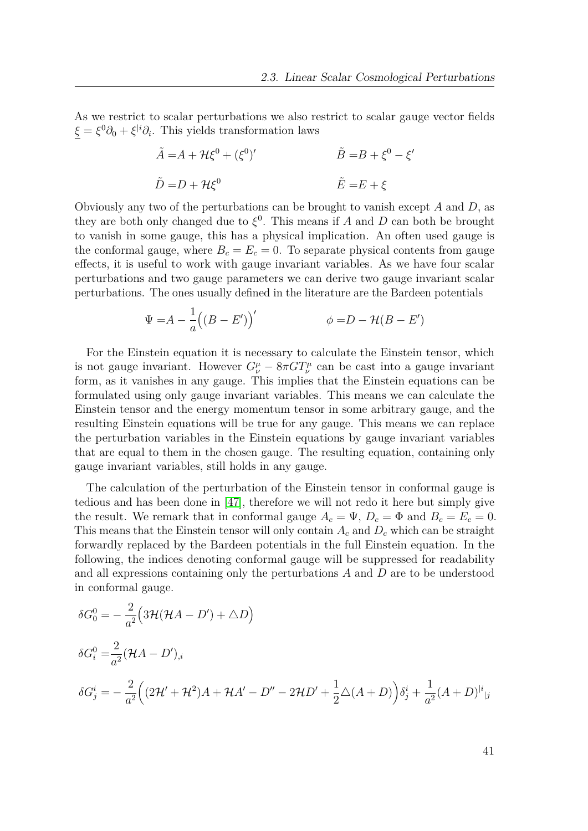As we restrict to scalar perturbations we also restrict to scalar gauge vector fields  $\xi = \xi^0 \partial_0 + \xi^{i} \partial_i$ . This yields transformation laws

$$
\tilde{A} = A + \mathcal{H}\xi^{0} + (\xi^{0})'
$$
  
\n
$$
\tilde{B} = B + \xi^{0} - \xi'
$$
  
\n
$$
\tilde{D} = D + \mathcal{H}\xi^{0}
$$
  
\n
$$
\tilde{E} = E + \xi
$$

Obviously any two of the perturbations can be brought to vanish except *A* and *D*, as they are both only changed due to  $\xi^0$ . This means if *A* and *D* can both be brought to vanish in some gauge, this has a physical implication. An often used gauge is the conformal gauge, where  $B_c = E_c = 0$ . To separate physical contents from gauge effects, it is useful to work with gauge invariant variables. As we have four scalar perturbations and two gauge parameters we can derive two gauge invariant scalar perturbations. The ones usually defined in the literature are the Bardeen potentials

$$
\Psi = A - \frac{1}{a} ((B - E'))'
$$
\n
$$
\phi = D - \mathcal{H}(B - E')
$$

For the Einstein equation it is necessary to calculate the Einstein tensor, which is not gauge invariant. However  $G^{\mu}_{\nu} - 8\pi GT^{\mu}_{\nu}$  can be cast into a gauge invariant form, as it vanishes in any gauge. This implies that the Einstein equations can be formulated using only gauge invariant variables. This means we can calculate the Einstein tensor and the energy momentum tensor in some arbitrary gauge, and the resulting Einstein equations will be true for any gauge. This means we can replace the perturbation variables in the Einstein equations by gauge invariant variables that are equal to them in the chosen gauge. The resulting equation, containing only gauge invariant variables, still holds in any gauge.

The calculation of the perturbation of the Einstein tensor in conformal gauge is tedious and has been done in [\[47\]](#page-152-0), therefore we will not redo it here but simply give the result. We remark that in conformal gauge  $A_c = \Psi$ ,  $D_c = \Phi$  and  $B_c = E_c = 0$ . This means that the Einstein tensor will only contain  $A_c$  and  $D_c$  which can be straight forwardly replaced by the Bardeen potentials in the full Einstein equation. In the following, the indices denoting conformal gauge will be suppressed for readability and all expressions containing only the perturbations *A* and *D* are to be understood in conformal gauge.

$$
\delta G_0^0 = -\frac{2}{a^2} \Big( 3\mathcal{H} (\mathcal{H}A - D') + \Delta D \Big)
$$
  
\n
$$
\delta G_i^0 = \frac{2}{a^2} (\mathcal{H}A - D')_{,i}
$$
  
\n
$$
\delta G_j^i = -\frac{2}{a^2} \Big( (2\mathcal{H}' + \mathcal{H}^2)A + \mathcal{H}A' - D'' - 2\mathcal{H}D' + \frac{1}{2} \Delta (A + D) \Big) \delta_j^i + \frac{1}{a^2} (A + D)^{|i|}{}_{|j}
$$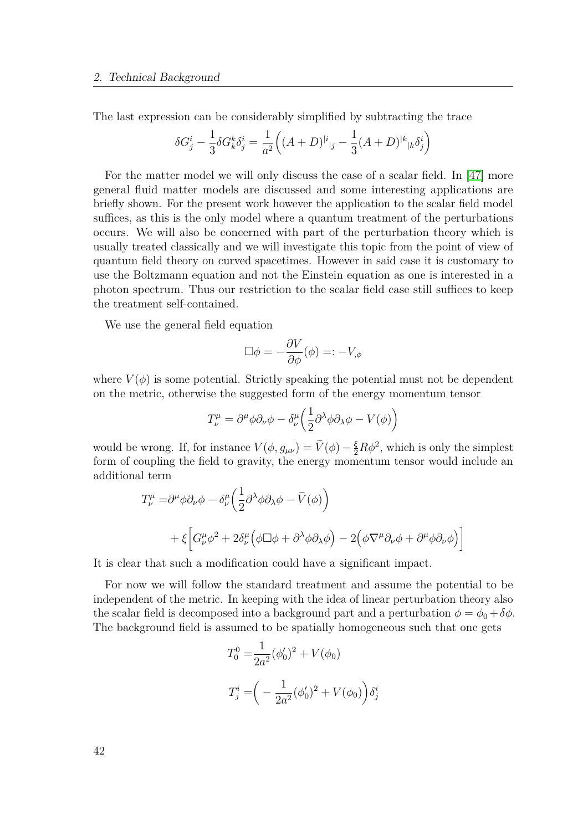The last expression can be considerably simplified by subtracting the trace

$$
\delta G_j^i - \frac{1}{3} \delta G_k^k \delta_j^i = \frac{1}{a^2} \Big( (A+D)^{|i|}{}_{|j} - \frac{1}{3} (A+D)^{|k|}{}_{|k} \delta_j^i \Big)
$$

For the matter model we will only discuss the case of a scalar field. In [\[47\]](#page-152-0) more general fluid matter models are discussed and some interesting applications are briefly shown. For the present work however the application to the scalar field model suffices, as this is the only model where a quantum treatment of the perturbations occurs. We will also be concerned with part of the perturbation theory which is usually treated classically and we will investigate this topic from the point of view of quantum field theory on curved spacetimes. However in said case it is customary to use the Boltzmann equation and not the Einstein equation as one is interested in a photon spectrum. Thus our restriction to the scalar field case still suffices to keep the treatment self-contained.

We use the general field equation

$$
\Box \phi = -\frac{\partial V}{\partial \phi}(\phi) =: -V_{,\phi}
$$

where  $V(\phi)$  is some potential. Strictly speaking the potential must not be dependent on the metric, otherwise the suggested form of the energy momentum tensor

$$
T^{\mu}_{\nu} = \partial^{\mu} \phi \partial_{\nu} \phi - \delta^{\mu}_{\nu} \left( \frac{1}{2} \partial^{\lambda} \phi \partial_{\lambda} \phi - V(\phi) \right)
$$

would be wrong. If, for instance  $V(\phi, g_{\mu\nu}) = \tilde{V}(\phi) - \frac{\xi}{2}R\phi^2$ , which is only the simplest form of coupling the field to gravity, the energy momentum tensor would include an additional term

$$
T^{\mu}_{\nu} = \partial^{\mu} \phi \partial_{\nu} \phi - \delta^{\mu}_{\nu} \left( \frac{1}{2} \partial^{\lambda} \phi \partial_{\lambda} \phi - \tilde{V}(\phi) \right)
$$
  
+  $\xi \left[ G^{\mu}_{\nu} \phi^{2} + 2 \delta^{\mu}_{\nu} \left( \phi \Box \phi + \partial^{\lambda} \phi \partial_{\lambda} \phi \right) - 2 \left( \phi \nabla^{\mu} \partial_{\nu} \phi + \partial^{\mu} \phi \partial_{\nu} \phi \right) \right]$ 

It is clear that such a modification could have a significant impact.

For now we will follow the standard treatment and assume the potential to be independent of the metric. In keeping with the idea of linear perturbation theory also the scalar field is decomposed into a background part and a perturbation  $\phi = \phi_0 + \delta \phi$ . The background field is assumed to be spatially homogeneous such that one gets

$$
T_0^0 = \frac{1}{2a^2} (\phi'_0)^2 + V(\phi_0)
$$
  

$$
T_j^i = \left(-\frac{1}{2a^2} (\phi'_0)^2 + V(\phi_0)\right) \delta_j^i
$$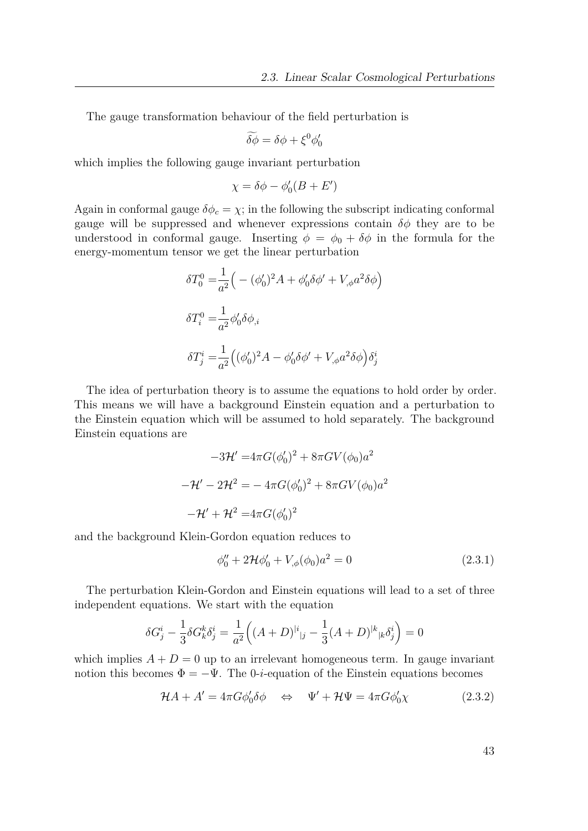The gauge transformation behaviour of the field perturbation is

$$
\widetilde{\delta\phi} = \delta\phi + \xi^0\phi'_0
$$

which implies the following gauge invariant perturbation

$$
\chi=\delta\phi-\phi_0'(B+E')
$$

Again in conformal gauge  $\delta \phi_c = \chi$ ; in the following the subscript indicating conformal gauge will be suppressed and whenever expressions contain  $\delta\phi$  they are to be understood in conformal gauge. Inserting  $\phi = \phi_0 + \delta \phi$  in the formula for the energy-momentum tensor we get the linear perturbation

$$
\delta T_0^0 = \frac{1}{a^2} \Big( - (\phi'_0)^2 A + \phi'_0 \delta \phi' + V_{,\phi} a^2 \delta \phi \Big)
$$
  

$$
\delta T_i^0 = \frac{1}{a^2} \phi'_0 \delta \phi_{,i}
$$
  

$$
\delta T_j^i = \frac{1}{a^2} \Big( (\phi'_0)^2 A - \phi'_0 \delta \phi' + V_{,\phi} a^2 \delta \phi \Big) \delta_j^i
$$

The idea of perturbation theory is to assume the equations to hold order by order. This means we will have a background Einstein equation and a perturbation to the Einstein equation which will be assumed to hold separately. The background Einstein equations are

$$
-3\mathcal{H}' = 4\pi G(\phi'_0)^2 + 8\pi G V(\phi_0) a^2
$$

$$
-\mathcal{H}' - 2\mathcal{H}^2 = -4\pi G(\phi'_0)^2 + 8\pi G V(\phi_0) a^2
$$

$$
-\mathcal{H}' + \mathcal{H}^2 = 4\pi G(\phi'_0)^2
$$

and the background Klein-Gordon equation reduces to

<span id="page-42-0"></span>
$$
\phi_0'' + 2\mathcal{H}\phi_0' + V_{,\phi}(\phi_0)a^2 = 0
$$
\n(2.3.1)

The perturbation Klein-Gordon and Einstein equations will lead to a set of three independent equations. We start with the equation

$$
\delta G_j^i - \frac{1}{3} \delta G_k^k \delta_j^i = \frac{1}{a^2} \Big( (A+D)^{|i|}{}_{|j} - \frac{1}{3} (A+D)^{|k|}{}_{|k} \delta_j^i \Big) = 0
$$

which implies  $A + D = 0$  up to an irrelevant homogeneous term. In gauge invariant notion this becomes  $\Phi = -\Psi$ . The 0-*i*-equation of the Einstein equations becomes

$$
\mathcal{H}A + A' = 4\pi G \phi_0' \delta \phi \quad \Leftrightarrow \quad \Psi' + \mathcal{H}\Psi = 4\pi G \phi_0' \chi \tag{2.3.2}
$$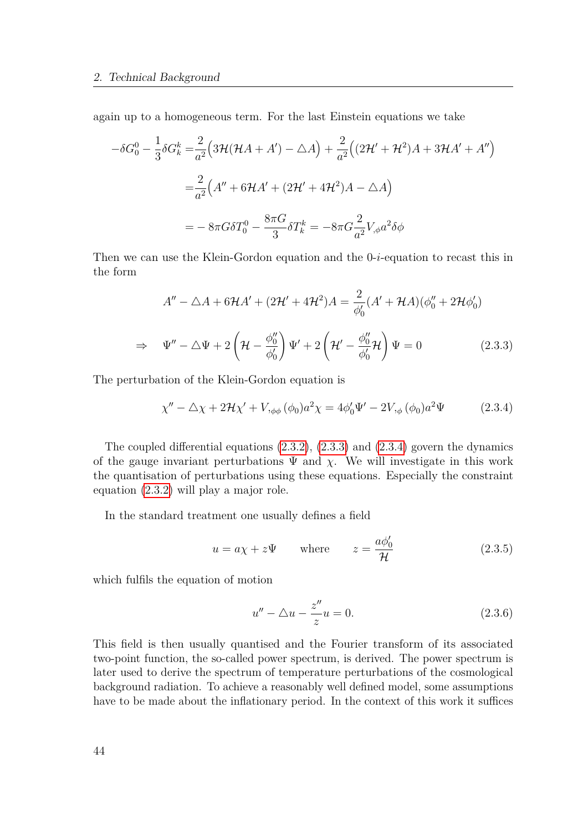again up to a homogeneous term. For the last Einstein equations we take

$$
-\delta G_0^0 - \frac{1}{3}\delta G_k^k = \frac{2}{a^2} \Big( 3\mathcal{H}(\mathcal{H}A + A') - \Delta A \Big) + \frac{2}{a^2} \Big( (2\mathcal{H}' + \mathcal{H}^2)A + 3\mathcal{H}A' + A'' \Big)
$$
  

$$
= \frac{2}{a^2} \Big( A'' + 6\mathcal{H}A' + (2\mathcal{H}' + 4\mathcal{H}^2)A - \Delta A \Big)
$$
  

$$
= -8\pi G \delta T_0^0 - \frac{8\pi G}{3} \delta T_k^k = -8\pi G \frac{2}{a^2} V_{,\phi} a^2 \delta \phi
$$

Then we can use the Klein-Gordon equation and the 0-*i*-equation to recast this in the form

$$
A'' - \Delta A + 6\mathcal{H}A' + (2\mathcal{H}' + 4\mathcal{H}^2)A = \frac{2}{\phi'_0}(A' + \mathcal{H}A)(\phi''_0 + 2\mathcal{H}\phi'_0)
$$
  
\n
$$
\Rightarrow \Psi'' - \Delta\Psi + 2\left(\mathcal{H} - \frac{\phi''_0}{\phi'_0}\right)\Psi' + 2\left(\mathcal{H}' - \frac{\phi''_0}{\phi'_0}\mathcal{H}\right)\Psi = 0
$$
 (2.3.3)

The perturbation of the Klein-Gordon equation is

<span id="page-43-0"></span>
$$
\chi'' - \Delta \chi + 2\mathcal{H}\chi' + V_{,\phi\phi} (\phi_0) a^2 \chi = 4\phi'_0 \Psi' - 2V_{,\phi} (\phi_0) a^2 \Psi
$$
 (2.3.4)

The coupled differential equations [\(2.3.2\)](#page-42-0), [\(2.3.3\)](#page-43-0) and [\(2.3.4\)](#page-43-1) govern the dynamics of the gauge invariant perturbations  $\Psi$  and  $\chi$ . We will investigate in this work the quantisation of perturbations using these equations. Especially the constraint equation [\(2.3.2\)](#page-42-0) will play a major role.

In the standard treatment one usually defines a field

<span id="page-43-1"></span>
$$
u = a\chi + z\Psi \qquad \text{where} \qquad z = \frac{a\phi_0'}{\mathcal{H}} \tag{2.3.5}
$$

which fulfils the equation of motion

$$
u'' - \triangle u - \frac{z''}{z}u = 0.
$$
 (2.3.6)

This field is then usually quantised and the Fourier transform of its associated two-point function, the so-called power spectrum, is derived. The power spectrum is later used to derive the spectrum of temperature perturbations of the cosmological background radiation. To achieve a reasonably well defined model, some assumptions have to be made about the inflationary period. In the context of this work it suffices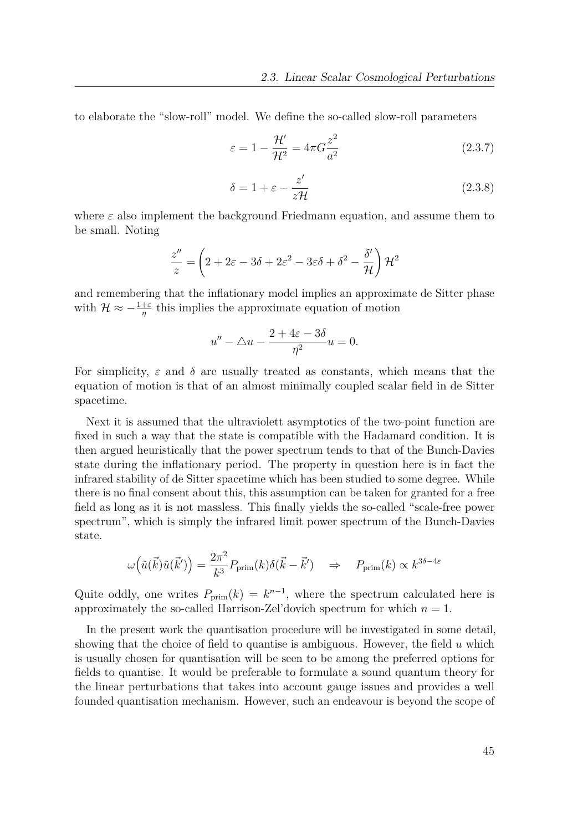to elaborate the "slow-roll" model. We define the so-called slow-roll parameters

$$
\varepsilon = 1 - \frac{\mathcal{H}'}{\mathcal{H}^2} = 4\pi G \frac{z^2}{a^2}
$$
\n(2.3.7)

$$
\delta = 1 + \varepsilon - \frac{z'}{z\mathcal{H}} \tag{2.3.8}
$$

where  $\varepsilon$  also implement the background Friedmann equation, and assume them to be small. Noting

$$
\frac{z''}{z} = \left(2 + 2\varepsilon - 3\delta + 2\varepsilon^2 - 3\varepsilon\delta + \delta^2 - \frac{\delta'}{\mathcal{H}}\right)\mathcal{H}^2
$$

and remembering that the inflationary model implies an approximate de Sitter phase with  $\mathcal{H} \approx -\frac{1+\varepsilon}{\eta}$  this implies the approximate equation of motion

$$
u'' - \triangle u - \frac{2 + 4\varepsilon - 3\delta}{\eta^2}u = 0.
$$

For simplicity,  $\varepsilon$  and  $\delta$  are usually treated as constants, which means that the equation of motion is that of an almost minimally coupled scalar field in de Sitter spacetime.

Next it is assumed that the ultraviolett asymptotics of the two-point function are fixed in such a way that the state is compatible with the Hadamard condition. It is then argued heuristically that the power spectrum tends to that of the Bunch-Davies state during the inflationary period. The property in question here is in fact the infrared stability of de Sitter spacetime which has been studied to some degree. While there is no final consent about this, this assumption can be taken for granted for a free field as long as it is not massless. This finally yields the so-called "scale-free power spectrum", which is simply the infrared limit power spectrum of the Bunch-Davies state.

$$
\omega(\tilde{u}(\vec{k})\tilde{u}(\vec{k}')) = \frac{2\pi^2}{k^3} P_{\text{prim}}(k)\delta(\vec{k} - \vec{k}') \quad \Rightarrow \quad P_{\text{prim}}(k) \propto k^{3\delta - 4\varepsilon}
$$

Quite oddly, one writes  $P_{\text{prim}}(k) = k^{n-1}$ , where the spectrum calculated here is approximately the so-called Harrison-Zel'dovich spectrum for which  $n = 1$ .

In the present work the quantisation procedure will be investigated in some detail, showing that the choice of field to quantise is ambiguous. However, the field *u* which is usually chosen for quantisation will be seen to be among the preferred options for fields to quantise. It would be preferable to formulate a sound quantum theory for the linear perturbations that takes into account gauge issues and provides a well founded quantisation mechanism. However, such an endeavour is beyond the scope of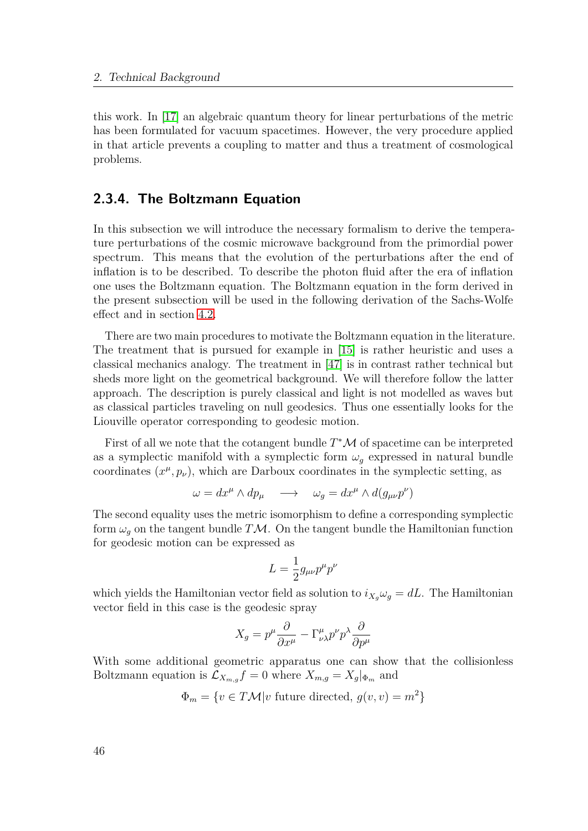this work. In [\[17\]](#page-150-0) an algebraic quantum theory for linear perturbations of the metric has been formulated for vacuum spacetimes. However, the very procedure applied in that article prevents a coupling to matter and thus a treatment of cosmological problems.

## **2.3.4. The Boltzmann Equation**

In this subsection we will introduce the necessary formalism to derive the temperature perturbations of the cosmic microwave background from the primordial power spectrum. This means that the evolution of the perturbations after the end of inflation is to be described. To describe the photon fluid after the era of inflation one uses the Boltzmann equation. The Boltzmann equation in the form derived in the present subsection will be used in the following derivation of the Sachs-Wolfe effect and in section [4.2.](#page-119-0)

There are two main procedures to motivate the Boltzmann equation in the literature. The treatment that is pursued for example in [\[15\]](#page-150-1) is rather heuristic and uses a classical mechanics analogy. The treatment in [\[47\]](#page-152-0) is in contrast rather technical but sheds more light on the geometrical background. We will therefore follow the latter approach. The description is purely classical and light is not modelled as waves but as classical particles traveling on null geodesics. Thus one essentially looks for the Liouville operator corresponding to geodesic motion.

First of all we note that the cotangent bundle  $T^{\ast}\mathcal{M}$  of spacetime can be interpreted as a symplectic manifold with a symplectic form  $\omega_g$  expressed in natural bundle coordinates  $(x^{\mu}, p_{\nu})$ , which are Darboux coordinates in the symplectic setting, as

$$
\omega = dx^{\mu} \wedge dp_{\mu} \longrightarrow \omega_g = dx^{\mu} \wedge d(g_{\mu\nu}p^{\nu})
$$

The second equality uses the metric isomorphism to define a corresponding symplectic form  $\omega_g$  on the tangent bundle *TM*. On the tangent bundle the Hamiltonian function for geodesic motion can be expressed as

$$
L = \frac{1}{2} g_{\mu\nu} p^{\mu} p^{\nu}
$$

which yields the Hamiltonian vector field as solution to  $i_{X_q}\omega_q = dL$ . The Hamiltonian vector field in this case is the geodesic spray

$$
X_g = p^{\mu} \frac{\partial}{\partial x^{\mu}} - \Gamma^{\mu}_{\nu\lambda} p^{\nu} p^{\lambda} \frac{\partial}{\partial p^{\mu}}
$$

With some additional geometric apparatus one can show that the collisionless Boltzmann equation is  $\mathcal{L}_{X_{m,g}} f = 0$  where  $X_{m,g} = X_g |_{\Phi_m}$  and

 $\Phi_m = \{ v \in T\mathcal{M} | v \text{ future directed}, g(v, v) = m^2 \}$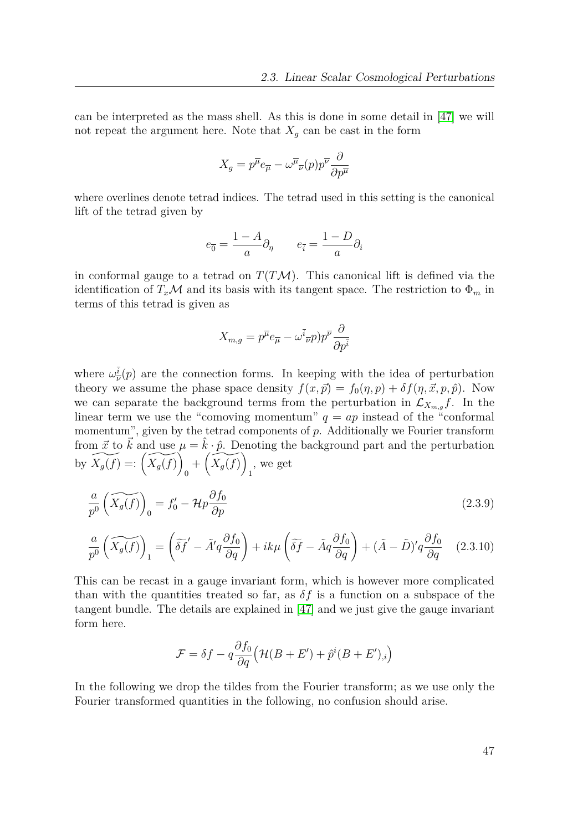can be interpreted as the mass shell. As this is done in some detail in [\[47\]](#page-152-0) we will not repeat the argument here. Note that  $X_g$  can be cast in the form

$$
X_g = p^{\overline{\mu}} e_{\overline{\mu}} - \omega^{\overline{\mu}}{}_{\overline{\nu}}(p) p^{\overline{\nu}} \frac{\partial}{\partial p^{\overline{\mu}}}
$$

where overlines denote tetrad indices. The tetrad used in this setting is the canonical lift of the tetrad given by

$$
e_{\overline{0}} = \frac{1 - A}{a} \partial_{\eta} \qquad e_{\overline{i}} = \frac{1 - D}{a} \partial_{i}
$$

in conformal gauge to a tetrad on  $T(T\mathcal{M})$ . This canonical lift is defined via the identification of  $T_x\mathcal{M}$  and its basis with its tangent space. The restriction to  $\Phi_m$  in terms of this tetrad is given as

<span id="page-46-1"></span>
$$
X_{m,g} = p^{\overline{\mu}} e_{\overline{\mu}} - \omega^{\overline{i}}{}_{\overline{\nu}} p) p^{\overline{\nu}} \frac{\partial}{\partial p^{\overline{i}}}
$$

where  $\omega_{\overline{\nu}}^i(p)$  are the connection forms. In keeping with the idea of perturbation theory we assume the phase space density  $f(x, \vec{p}) = f_0(\eta, p) + \delta f(\eta, \vec{x}, p, \hat{p})$ . Now we can separate the background terms from the perturbation in  $\mathcal{L}_{X_{m,g}}f$ . In the linear term we use the "comoving momentum"  $q = ap$  instead of the "conformal" momentum", given by the tetrad components of  $p$ . Additionally we Fourier transform from  $\vec{x}$  to  $\vec{k}$  and use  $\mu = \hat{k} \cdot \hat{p}$ . Denoting the background part and the perturbation by  $\widetilde{X_g(f)} =: \left( \widetilde{X_g(f)} \right)$ 0  $+\left(\widetilde{X_g(f)}\right)$ 1 , we get

$$
\frac{a}{p^0} \left( \widetilde{X_g(f)} \right)_0 = f'_0 - \mathcal{H}p \frac{\partial f_0}{\partial p} \tag{2.3.9}
$$

$$
\frac{a}{p^0} \left( \widetilde{X_g(f)} \right)_1 = \left( \widetilde{\delta f}' - \widetilde{A}' q \frac{\partial f_0}{\partial q} \right) + i k \mu \left( \widetilde{\delta f} - \widetilde{A} q \frac{\partial f_0}{\partial q} \right) + (\widetilde{A} - \widetilde{D})' q \frac{\partial f_0}{\partial q} \tag{2.3.10}
$$

This can be recast in a gauge invariant form, which is however more complicated than with the quantities treated so far, as  $\delta f$  is a function on a subspace of the tangent bundle. The details are explained in [\[47\]](#page-152-0) and we just give the gauge invariant form here.

<span id="page-46-0"></span>
$$
\mathcal{F} = \delta f - q \frac{\partial f_0}{\partial q} \Big( \mathcal{H}(B + E') + \hat{p}^i (B + E')_{,i} \Big)
$$

In the following we drop the tildes from the Fourier transform; as we use only the Fourier transformed quantities in the following, no confusion should arise.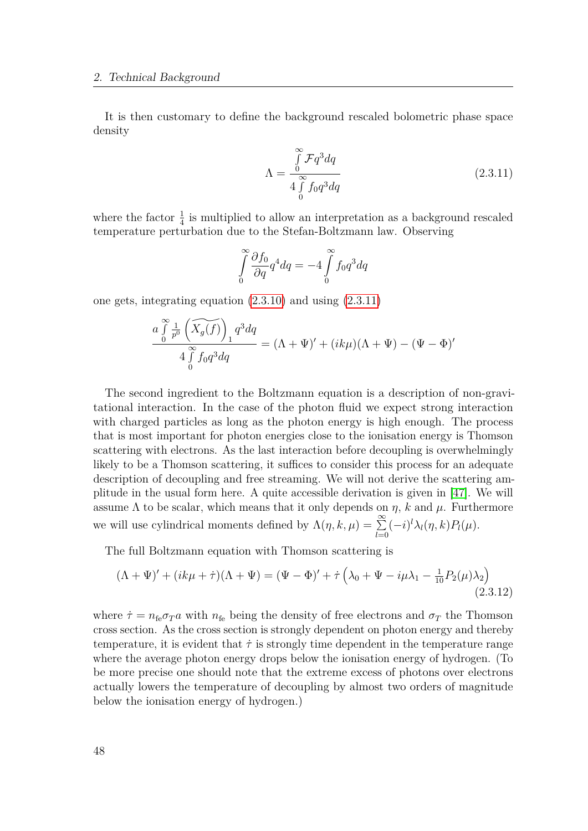It is then customary to define the background rescaled bolometric phase space density

<span id="page-47-0"></span>
$$
\Lambda = \frac{\int_{0}^{\infty} \mathcal{F}q^3 dq}{4 \int_{0}^{\infty} f_0 q^3 dq}
$$
\n(2.3.11)

where the factor  $\frac{1}{4}$  is multiplied to allow an interpretation as a background rescaled temperature perturbation due to the Stefan-Boltzmann law. Observing

$$
\int_{0}^{\infty} \frac{\partial f_0}{\partial q} q^4 dq = -4 \int_{0}^{\infty} f_0 q^3 dq
$$

one gets, integrating equation [\(2.3.10\)](#page-46-0) and using [\(2.3.11\)](#page-47-0)

$$
\frac{a\int_{0}^{\infty}\frac{1}{p^0}\left(\widetilde{X_g(f)}\right)_1q^3dq}{4\int_{0}^{\infty}f_0q^3dq} = (\Lambda + \Psi)' + (ik\mu)(\Lambda + \Psi) - (\Psi - \Phi)'
$$

The second ingredient to the Boltzmann equation is a description of non-gravitational interaction. In the case of the photon fluid we expect strong interaction with charged particles as long as the photon energy is high enough. The process that is most important for photon energies close to the ionisation energy is Thomson scattering with electrons. As the last interaction before decoupling is overwhelmingly likely to be a Thomson scattering, it suffices to consider this process for an adequate description of decoupling and free streaming. We will not derive the scattering amplitude in the usual form here. A quite accessible derivation is given in [\[47\]](#page-152-0). We will assume  $\Lambda$  to be scalar, which means that it only depends on  $\eta$ ,  $k$  and  $\mu$ . Furthermore we will use cylindrical moments defined by  $\Lambda(\eta, k, \mu) = \sum^{\infty}$ *l*=0  $(-i)^l \lambda_l(\eta, k) P_l(\mu).$ 

The full Boltzmann equation with Thomson scattering is

<span id="page-47-1"></span>
$$
(\Lambda + \Psi)' + (ik\mu + \dot{\tau})(\Lambda + \Psi) = (\Psi - \Phi)' + \dot{\tau} \left(\lambda_0 + \Psi - i\mu\lambda_1 - \frac{1}{10}P_2(\mu)\lambda_2\right)
$$
\n(2.3.12)

where  $\dot{\tau} = n_{\text{fe}} \sigma_{T} a$  with  $n_{\text{fe}}$  being the density of free electrons and  $\sigma_{T}$  the Thomson cross section. As the cross section is strongly dependent on photon energy and thereby temperature, it is evident that  $\dot{\tau}$  is strongly time dependent in the temperature range where the average photon energy drops below the ionisation energy of hydrogen. (To be more precise one should note that the extreme excess of photons over electrons actually lowers the temperature of decoupling by almost two orders of magnitude below the ionisation energy of hydrogen.)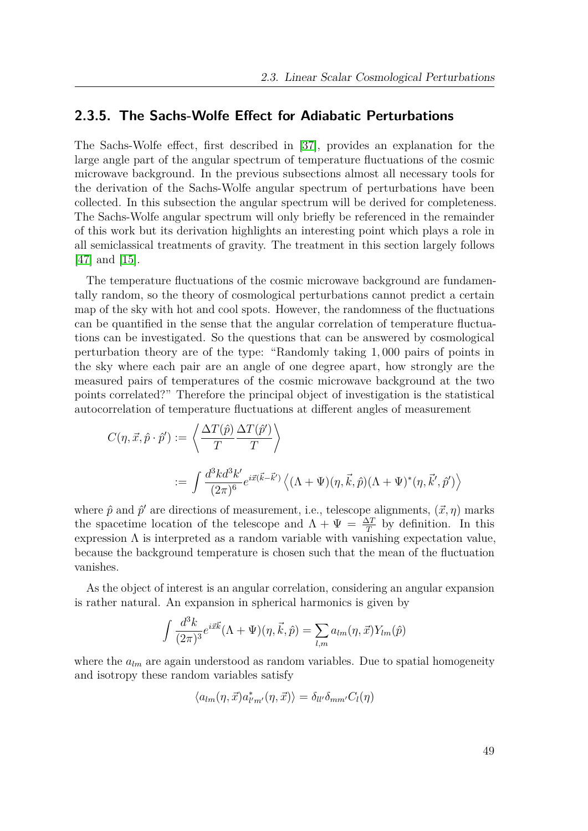## **2.3.5. The Sachs-Wolfe Effect for Adiabatic Perturbations**

The Sachs-Wolfe effect, first described in [\[37\]](#page-151-1), provides an explanation for the large angle part of the angular spectrum of temperature fluctuations of the cosmic microwave background. In the previous subsections almost all necessary tools for the derivation of the Sachs-Wolfe angular spectrum of perturbations have been collected. In this subsection the angular spectrum will be derived for completeness. The Sachs-Wolfe angular spectrum will only briefly be referenced in the remainder of this work but its derivation highlights an interesting point which plays a role in all semiclassical treatments of gravity. The treatment in this section largely follows [\[47\]](#page-152-0) and [\[15\]](#page-150-1).

The temperature fluctuations of the cosmic microwave background are fundamentally random, so the theory of cosmological perturbations cannot predict a certain map of the sky with hot and cool spots. However, the randomness of the fluctuations can be quantified in the sense that the angular correlation of temperature fluctuations can be investigated. So the questions that can be answered by cosmological perturbation theory are of the type: "Randomly taking 1*,* 000 pairs of points in the sky where each pair are an angle of one degree apart, how strongly are the measured pairs of temperatures of the cosmic microwave background at the two points correlated?" Therefore the principal object of investigation is the statistical autocorrelation of temperature fluctuations at different angles of measurement

$$
C(\eta, \vec{x}, \hat{p} \cdot \hat{p}') := \left\langle \frac{\Delta T(\hat{p})}{T} \frac{\Delta T(\hat{p}')}{T} \right\rangle
$$
  
 := 
$$
\int \frac{d^3k d^3k'}{(2\pi)^6} e^{i\vec{x}(\vec{k} - \vec{k}')} \left\langle (\Lambda + \Psi)(\eta, \vec{k}, \hat{p})(\Lambda + \Psi)^*(\eta, \vec{k}', \hat{p}') \right\rangle
$$

where  $\hat{p}$  and  $\hat{p}'$  are directions of measurement, i.e., telescope alignments,  $(\vec{x}, \eta)$  marks the spacetime location of the telescope and  $\Lambda + \Psi = \frac{\Delta T}{T}$  by definition. In this expression  $\Lambda$  is interpreted as a random variable with vanishing expectation value. because the background temperature is chosen such that the mean of the fluctuation vanishes.

As the object of interest is an angular correlation, considering an angular expansion is rather natural. An expansion in spherical harmonics is given by

$$
\int \frac{d^3k}{(2\pi)^3} e^{i\vec{x}\vec{k}} (\Lambda + \Psi)(\eta, \vec{k}, \hat{p}) = \sum_{l,m} a_{lm}(\eta, \vec{x}) Y_{lm}(\hat{p})
$$

where the  $a_{lm}$  are again understood as random variables. Due to spatial homogeneity and isotropy these random variables satisfy

$$
\langle a_{lm}(\eta,\vec{x})a^*_{l'm'}(\eta,\vec{x})\rangle = \delta_{ll'}\delta_{mm'}C_l(\eta)
$$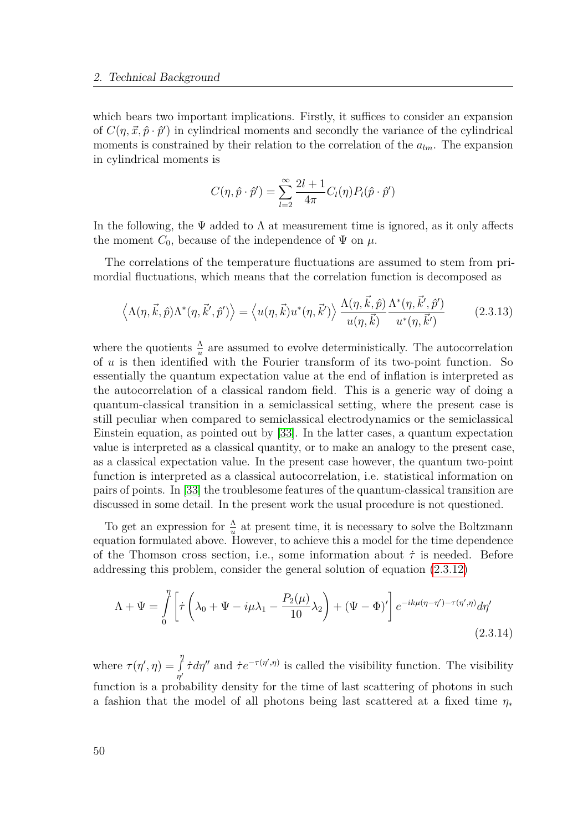which bears two important implications. Firstly, it suffices to consider an expansion of  $C(\eta, \vec{x}, \hat{p} \cdot \hat{p}')$  in cylindrical moments and secondly the variance of the cylindrical moments is constrained by their relation to the correlation of the *alm*. The expansion in cylindrical moments is

<span id="page-49-0"></span>
$$
C(\eta, \hat{p} \cdot \hat{p}') = \sum_{l=2}^{\infty} \frac{2l+1}{4\pi} C_l(\eta) P_l(\hat{p} \cdot \hat{p}')
$$

In the following, the  $\Psi$  added to  $\Lambda$  at measurement time is ignored, as it only affects the moment  $C_0$ , because of the independence of  $\Psi$  on  $\mu$ .

The correlations of the temperature fluctuations are assumed to stem from primordial fluctuations, which means that the correlation function is decomposed as

$$
\left\langle \Lambda(\eta, \vec{k}, \hat{p}) \Lambda^*(\eta, \vec{k}', \hat{p}') \right\rangle = \left\langle u(\eta, \vec{k}) u^*(\eta, \vec{k}') \right\rangle \frac{\Lambda(\eta, \vec{k}, \hat{p})}{u(\eta, \vec{k})} \frac{\Lambda^*(\eta, \vec{k}', \hat{p}')}{u^*(\eta, \vec{k}')} \tag{2.3.13}
$$

where the quotients  $\frac{\Lambda}{u}$  are assumed to evolve deterministically. The autocorrelation of *u* is then identified with the Fourier transform of its two-point function. So essentially the quantum expectation value at the end of inflation is interpreted as the autocorrelation of a classical random field. This is a generic way of doing a quantum-classical transition in a semiclassical setting, where the present case is still peculiar when compared to semiclassical electrodynamics or the semiclassical Einstein equation, as pointed out by [\[33\]](#page-151-2). In the latter cases, a quantum expectation value is interpreted as a classical quantity, or to make an analogy to the present case, as a classical expectation value. In the present case however, the quantum two-point function is interpreted as a classical autocorrelation, i.e. statistical information on pairs of points. In [\[33\]](#page-151-2) the troublesome features of the quantum-classical transition are discussed in some detail. In the present work the usual procedure is not questioned.

To get an expression for  $\frac{\Lambda}{u}$  at present time, it is necessary to solve the Boltzmann equation formulated above. However, to achieve this a model for the time dependence of the Thomson cross section, i.e., some information about *τ*˙ is needed. Before addressing this problem, consider the general solution of equation [\(2.3.12\)](#page-47-1)

$$
\Lambda + \Psi = \int_{0}^{\eta} \left[ \dot{\tau} \left( \lambda_0 + \Psi - i\mu \lambda_1 - \frac{P_2(\mu)}{10} \lambda_2 \right) + (\Psi - \Phi)' \right] e^{-ik\mu(\eta - \eta') - \tau(\eta', \eta)} d\eta'
$$
\n(2.3.14)

where  $\tau(\eta', \eta) =$ *η* R  $\int_{\eta'}^{\eta'} \dot{\tau} d\eta''$  and  $\dot{\tau} e^{-\tau(\eta', \eta)}$  is called the visibility function. The visibility function is a probability density for the time of last scattering of photons in such a fashion that the model of all photons being last scattered at a fixed time *η*<sup>∗</sup>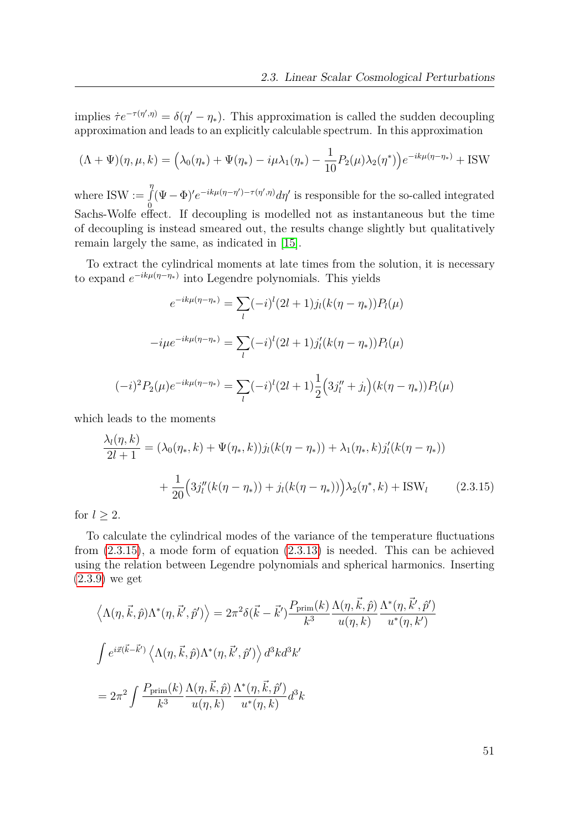implies  $\dot{\tau}e^{-\tau(\eta',\eta)} = \delta(\eta'-\eta_*)$ . This approximation is called the sudden decoupling approximation and leads to an explicitly calculable spectrum. In this approximation

$$
(\Lambda + \Psi)(\eta, \mu, k) = \left(\lambda_0(\eta_*) + \Psi(\eta_*) - i\mu\lambda_1(\eta_*) - \frac{1}{10}P_2(\mu)\lambda_2(\eta^*)\right)e^{-ik\mu(\eta - \eta_*)} + \text{ISW}
$$

where  $ISW :=$ *η* R 0  $(\Psi - \Phi)'e^{-ik\mu(\eta - \eta') - \tau(\eta', \eta)}d\eta'$  is responsible for the so-called integrated Sachs-Wolfe effect. If decoupling is modelled not as instantaneous but the time of decoupling is instead smeared out, the results change slightly but qualitatively remain largely the same, as indicated in [\[15\]](#page-150-1).

To extract the cylindrical moments at late times from the solution, it is necessary to expand *e* −*ikµ*(*η*−*η*∗) into Legendre polynomials. This yields

$$
e^{-ik\mu(\eta-\eta_*)} = \sum_{l} (-i)^l (2l+1) j_l (k(\eta-\eta_*)) P_l(\mu)
$$

$$
-i\mu e^{-ik\mu(\eta-\eta_*)} = \sum_{l} (-i)^l (2l+1) j'_l (k(\eta-\eta_*)) P_l(\mu)
$$

$$
(-i)^2 P_2(\mu) e^{-ik\mu(\eta-\eta_*)} = \sum_{l} (-i)^l (2l+1) \frac{1}{2} \Big( 3j''_l + j_l \Big) (k(\eta-\eta_*)) P_l(\mu)
$$

which leads to the moments

<span id="page-50-0"></span>
$$
\frac{\lambda_l(\eta, k)}{2l+1} = (\lambda_0(\eta_*, k) + \Psi(\eta_*, k))j_l(k(\eta - \eta_*)) + \lambda_1(\eta_*, k)j'_l(k(\eta - \eta_*)) \n+ \frac{1}{20}\Big(3j''_l(k(\eta - \eta_*)) + j_l(k(\eta - \eta_*))\Big)\lambda_2(\eta^*, k) + \text{ISW}_l \tag{2.3.15}
$$

for  $l \geq 2$ .

To calculate the cylindrical modes of the variance of the temperature fluctuations from [\(2.3.15\)](#page-50-0), a mode form of equation [\(2.3.13\)](#page-49-0) is needed. This can be achieved using the relation between Legendre polynomials and spherical harmonics. Inserting [\(2.3.9\)](#page-46-1) we get

$$
\langle \Lambda(\eta, \vec{k}, \hat{p}) \Lambda^*(\eta, \vec{k}', \hat{p}') \rangle = 2\pi^2 \delta(\vec{k} - \vec{k}') \frac{P_{\text{prim}}(k)}{k^3} \frac{\Lambda(\eta, \vec{k}, \hat{p})}{u(\eta, k)} \frac{\Lambda^*(\eta, \vec{k}', \hat{p}')}{u^*(\eta, k')}
$$
  

$$
\int e^{i\vec{x}(\vec{k} - \vec{k}')} \langle \Lambda(\eta, \vec{k}, \hat{p}) \Lambda^*(\eta, \vec{k}', \hat{p}') \rangle d^3kd^3k'
$$
  

$$
= 2\pi^2 \int \frac{P_{\text{prim}}(k)}{k^3} \frac{\Lambda(\eta, \vec{k}, \hat{p})}{u(\eta, k)} \frac{\Lambda^*(\eta, \vec{k}, \hat{p}')}{u^*(\eta, k)} d^3k
$$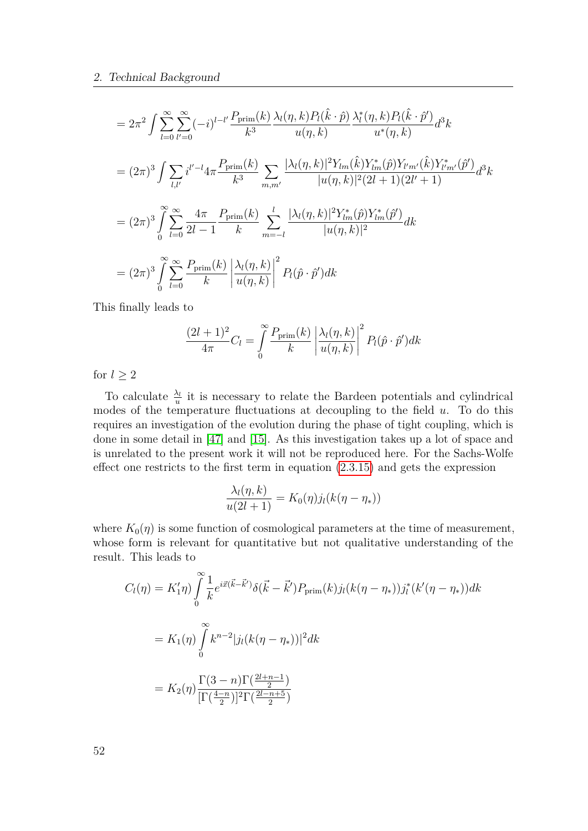$$
= 2\pi^{2} \int \sum_{l=0}^{\infty} \sum_{l'=0}^{\infty} (-i)^{l-l'} \frac{P_{\text{prim}}(k)}{k^{3}} \frac{\lambda_{l}(\eta, k) P_{l}(\hat{k} \cdot \hat{p})}{u(\eta, k)} \frac{\lambda_{l}^{*}(\eta, k) P_{l}(\hat{k} \cdot \hat{p}^{\prime})}{u^{*}(\eta, k)} d^{3}k
$$
  
\n
$$
= (2\pi)^{3} \int \sum_{l,l'} i^{l'-l} 4\pi \frac{P_{\text{prim}}(k)}{k^{3}} \sum_{m,m'} \frac{|\lambda_{l}(\eta, k)|^{2} Y_{lm}(\hat{k}) Y_{lm}^{*}(\hat{p}) Y_{l'm'}(\hat{k}) Y_{l'm'}^{*}(\hat{p}^{\prime})}{|u(\eta, k)|^{2} (2l+1)(2l'+1)} d^{3}k
$$
  
\n
$$
= (2\pi)^{3} \int_{0}^{\infty} \sum_{l=0}^{\infty} \frac{4\pi}{2l-1} \frac{P_{\text{prim}}(k)}{k} \sum_{m=-l}^{l} \frac{|\lambda_{l}(\eta, k)|^{2} Y_{lm}^{*}(\hat{p}) Y_{lm}^{*}(\hat{p}^{\prime})}{|u(\eta, k)|^{2}} dk
$$
  
\n
$$
= (2\pi)^{3} \int_{0}^{\infty} \sum_{l=0}^{\infty} \frac{P_{\text{prim}}(k)}{k} \left| \frac{\lambda_{l}(\eta, k)}{u(\eta, k)} \right|^{2} P_{l}(\hat{p} \cdot \hat{p}^{\prime}) dk
$$

This finally leads to

$$
\frac{(2l+1)^2}{4\pi}C_l = \int\limits_0^\infty \frac{P_{\text{prim}}(k)}{k} \left| \frac{\lambda_l(\eta, k)}{u(\eta, k)} \right|^2 P_l(\hat{p} \cdot \hat{p}') dk
$$

for  $l \geq 2$ 

To calculate  $\frac{\lambda_l}{u}$  it is necessary to relate the Bardeen potentials and cylindrical modes of the temperature fluctuations at decoupling to the field *u*. To do this requires an investigation of the evolution during the phase of tight coupling, which is done in some detail in [\[47\]](#page-152-0) and [\[15\]](#page-150-1). As this investigation takes up a lot of space and is unrelated to the present work it will not be reproduced here. For the Sachs-Wolfe effect one restricts to the first term in equation [\(2.3.15\)](#page-50-0) and gets the expression

$$
\frac{\lambda_l(\eta, k)}{u(2l+1)} = K_0(\eta) j_l(k(\eta - \eta_*))
$$

where  $K_0(\eta)$  is some function of cosmological parameters at the time of measurement, whose form is relevant for quantitative but not qualitative understanding of the result. This leads to

$$
C_l(\eta) = K'_1 \eta) \int_0^{\infty} \frac{1}{k} e^{i\vec{x}(\vec{k} - \vec{k}')} \delta(\vec{k} - \vec{k}') P_{\text{prim}}(k) j_l(k(\eta - \eta_*)) j_l^* (k'(\eta - \eta_*)) dk
$$
  
=  $K_1(\eta) \int_0^{\infty} k^{n-2} |j_l(k(\eta - \eta_*))|^2 dk$   
=  $K_2(\eta) \frac{\Gamma(3 - n) \Gamma(\frac{2l+n-1}{2})}{\Gamma(\frac{4-n}{2})^2 \Gamma(\frac{2l-n+5}{2})}$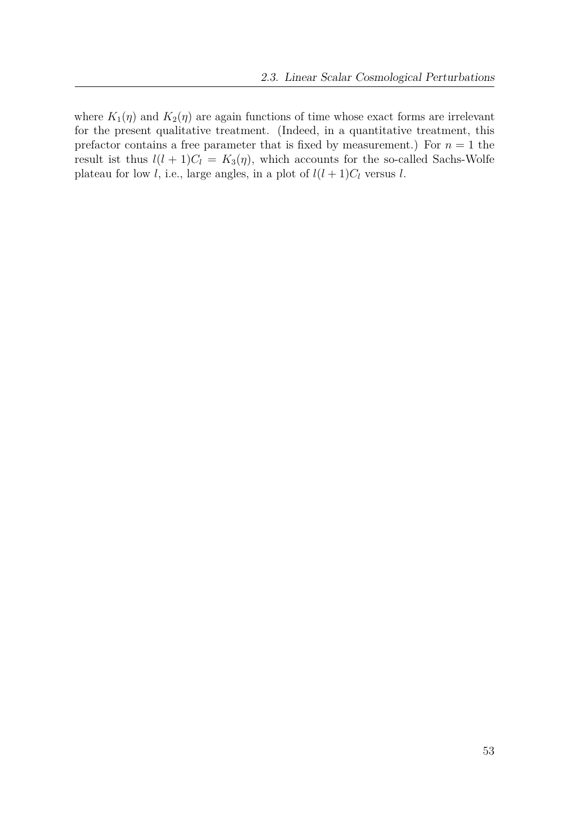where  $K_1(\eta)$  and  $K_2(\eta)$  are again functions of time whose exact forms are irrelevant for the present qualitative treatment. (Indeed, in a quantitative treatment, this prefactor contains a free parameter that is fixed by measurement.) For  $n = 1$  the result ist thus  $l(l + 1)C_l = K_3(\eta)$ , which accounts for the so-called Sachs-Wolfe plateau for low *l*, i.e., large angles, in a plot of  $l(l + 1)C_l$  versus *l*.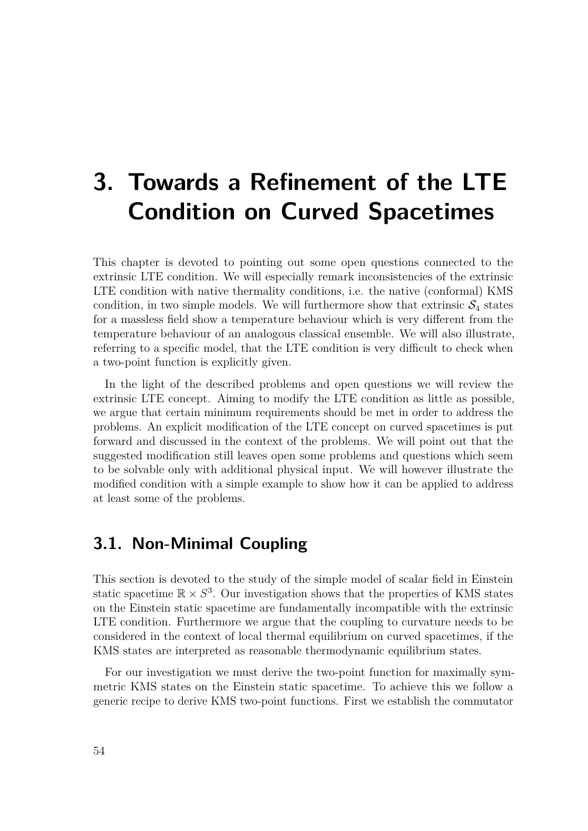# **3. Towards a Refinement of the LTE Condition on Curved Spacetimes**

This chapter is devoted to pointing out some open questions connected to the extrinsic LTE condition. We will especially remark inconsistencies of the extrinsic LTE condition with native thermality conditions, i.e. the native (conformal) KMS condition, in two simple models. We will furthermore show that extrinsic  $S_4$  states for a massless field show a temperature behaviour which is very different from the temperature behaviour of an analogous classical ensemble. We will also illustrate, referring to a specific model, that the LTE condition is very difficult to check when a two-point function is explicitly given.

In the light of the described problems and open questions we will review the extrinsic LTE concept. Aiming to modify the LTE condition as little as possible, we argue that certain minimum requirements should be met in order to address the problems. An explicit modification of the LTE concept on curved spacetimes is put forward and discussed in the context of the problems. We will point out that the suggested modification still leaves open some problems and questions which seem to be solvable only with additional physical input. We will however illustrate the modified condition with a simple example to show how it can be applied to address at least some of the problems.

# **3.1. Non-Minimal Coupling**

This section is devoted to the study of the simple model of scalar field in Einstein static spacetime  $\mathbb{R} \times S^3$ . Our investigation shows that the properties of KMS states on the Einstein static spacetime are fundamentally incompatible with the extrinsic LTE condition. Furthermore we argue that the coupling to curvature needs to be considered in the context of local thermal equilibrium on curved spacetimes, if the KMS states are interpreted as reasonable thermodynamic equilibrium states.

For our investigation we must derive the two-point function for maximally symmetric KMS states on the Einstein static spacetime. To achieve this we follow a generic recipe to derive KMS two-point functions. First we establish the commutator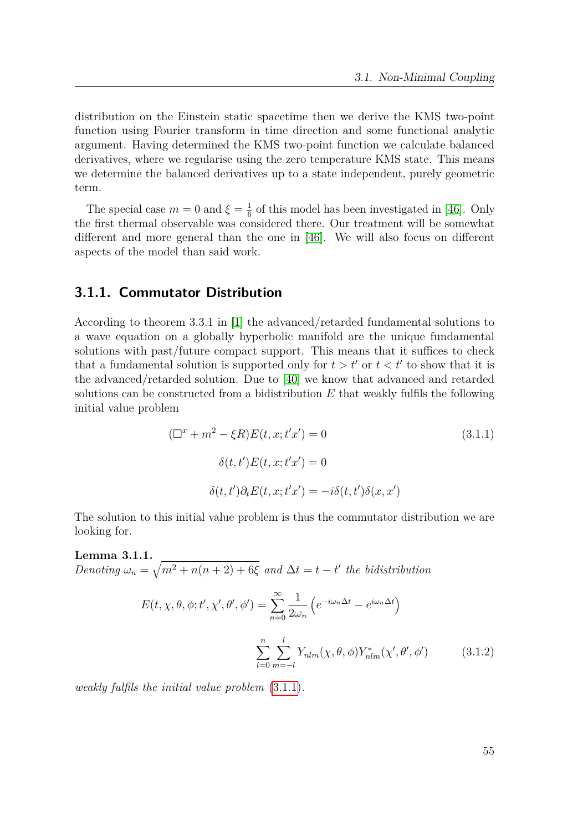distribution on the Einstein static spacetime then we derive the KMS two-point function using Fourier transform in time direction and some functional analytic argument. Having determined the KMS two-point function we calculate balanced derivatives, where we regularise using the zero temperature KMS state. This means we determine the balanced derivatives up to a state independent, purely geometric term.

The special case  $m = 0$  and  $\xi = \frac{1}{6}$  $\frac{1}{6}$  of this model has been investigated in [\[46\]](#page-152-1). Only the first thermal observable was considered there. Our treatment will be somewhat different and more general than the one in [\[46\]](#page-152-1). We will also focus on different aspects of the model than said work.

## **3.1.1. Commutator Distribution**

According to theorem 3.3.1 in [\[1\]](#page-149-0) the advanced/retarded fundamental solutions to a wave equation on a globally hyperbolic manifold are the unique fundamental solutions with past/future compact support. This means that it suffices to check that a fundamental solution is supported only for  $t > t'$  or  $t < t'$  to show that it is the advanced/retarded solution. Due to [\[40\]](#page-151-3) we know that advanced and retarded solutions can be constructed from a bidistribution *E* that weakly fulfils the following initial value problem

<span id="page-54-0"></span>
$$
(\Box^x + m^2 - \xi R)E(t, x; t'x') = 0
$$
\n
$$
\delta(t, t')E(t, x; t'x') = 0
$$
\n
$$
\delta(t, t')\partial_t E(t, x; t'x') = -i\delta(t, t')\delta(x, x')
$$
\n(3.1.1)

The solution to this initial value problem is thus the commutator distribution we are looking for.

**Lemma 3.1.1.** *Denoting*  $\omega_n = \sqrt{m^2 + n(n+2) + 6\xi}$  and  $\Delta t = t - t'$  the bidistribution

<span id="page-54-1"></span>
$$
E(t, \chi, \theta, \phi; t', \chi', \theta', \phi') = \sum_{n=0}^{\infty} \frac{1}{2\omega_n} \left( e^{-i\omega_n \Delta t} - e^{i\omega_n \Delta t} \right)
$$

$$
\sum_{l=0}^{n} \sum_{m=-l}^{l} Y_{nlm}(\chi, \theta, \phi) Y_{nlm}^*(\chi', \theta', \phi')
$$
(3.1.2)

*weakly fulfils the initial value problem* [\(3.1.1\)](#page-54-0)*.*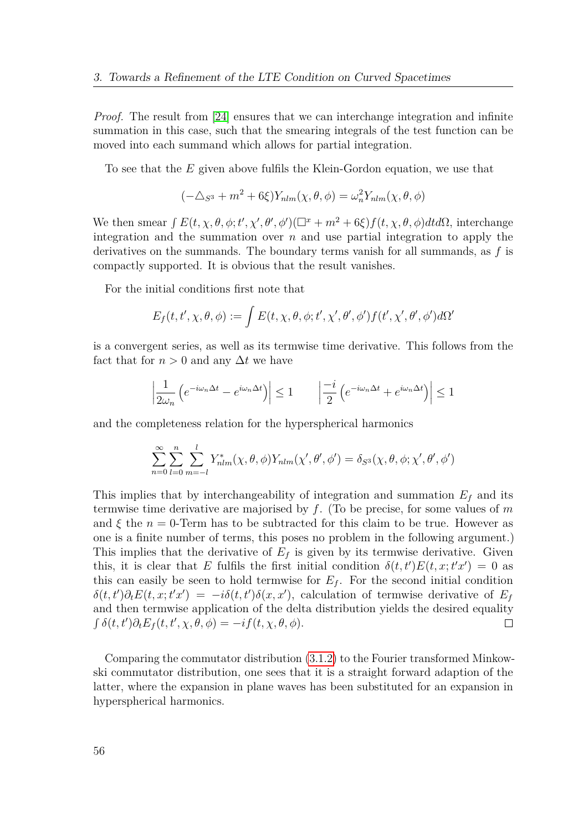*Proof.* The result from [\[24\]](#page-150-2) ensures that we can interchange integration and infinite summation in this case, such that the smearing integrals of the test function can be moved into each summand which allows for partial integration.

To see that the *E* given above fulfils the Klein-Gordon equation, we use that

$$
(-\triangle_{S^3} + m^2 + 6\xi)Y_{nlm}(\chi, \theta, \phi) = \omega_n^2 Y_{nlm}(\chi, \theta, \phi)
$$

We then smear  $\int E(t, \chi, \theta, \phi; t', \chi', \theta', \phi')(\Box^x + m^2 + 6\xi) f(t, \chi, \theta, \phi) dt d\Omega$ , interchange integration and the summation over *n* and use partial integration to apply the derivatives on the summands. The boundary terms vanish for all summands, as *f* is compactly supported. It is obvious that the result vanishes.

For the initial conditions first note that

$$
E_f(t, t', \chi, \theta, \phi) := \int E(t, \chi, \theta, \phi; t', \chi', \theta', \phi') f(t', \chi', \theta', \phi') d\Omega'
$$

is a convergent series, as well as its termwise time derivative. This follows from the fact that for  $n > 0$  and any  $\Delta t$  we have

$$
\left|\frac{1}{2\omega_n}\left(e^{-i\omega_n\Delta t} - e^{i\omega_n\Delta t}\right)\right| \le 1 \qquad \left|\frac{-i}{2}\left(e^{-i\omega_n\Delta t} + e^{i\omega_n\Delta t}\right)\right| \le 1
$$

and the completeness relation for the hyperspherical harmonics

$$
\sum_{n=0}^{\infty} \sum_{l=0}^{n} \sum_{m=-l}^{l} Y_{nlm}^{*}(\chi, \theta, \phi) Y_{nlm}(\chi', \theta', \phi') = \delta_{S^3}(\chi, \theta, \phi; \chi', \theta', \phi')
$$

This implies that by interchangeability of integration and summation  $E_f$  and its termwise time derivative are majorised by *f*. (To be precise, for some values of *m* and  $\xi$  the  $n = 0$ -Term has to be subtracted for this claim to be true. However as one is a finite number of terms, this poses no problem in the following argument.) This implies that the derivative of  $E_f$  is given by its termwise derivative. Given this, it is clear that *E* fulfils the first initial condition  $\delta(t, t')E(t, x; t'x') = 0$  as this can easily be seen to hold termwise for  $E_f$ . For the second initial condition  $\delta(t,t')\partial_t E(t,x;t'x') = -i\delta(t,t')\delta(x,x')$ , calculation of termwise derivative of *E<sub>f</sub>* and then termwise application of the delta distribution yields the desired equality  $\int \delta(t, t') \partial_t E_f(t, t', \chi, \theta, \phi) = -i f(t, \chi, \theta, \phi).$  $\Box$ 

Comparing the commutator distribution [\(3.1.2\)](#page-54-1) to the Fourier transformed Minkowski commutator distribution, one sees that it is a straight forward adaption of the latter, where the expansion in plane waves has been substituted for an expansion in hyperspherical harmonics.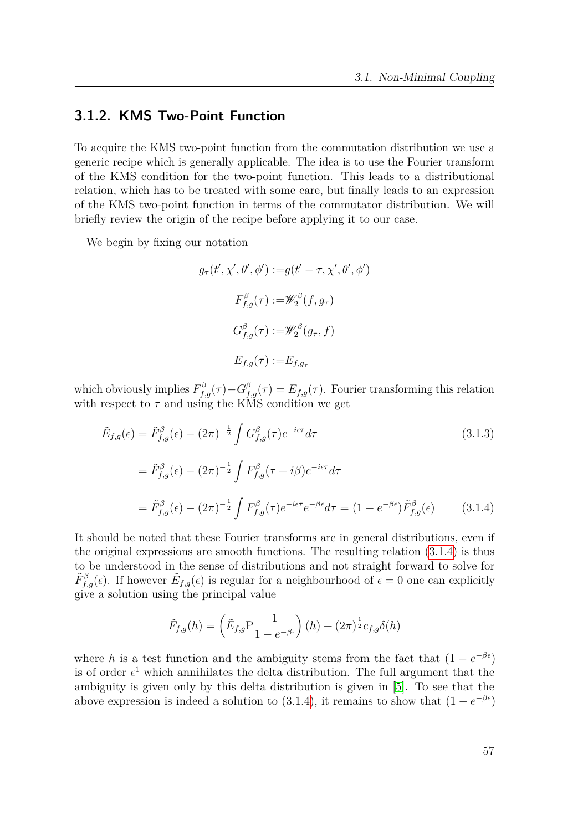## **3.1.2. KMS Two-Point Function**

To acquire the KMS two-point function from the commutation distribution we use a generic recipe which is generally applicable. The idea is to use the Fourier transform of the KMS condition for the two-point function. This leads to a distributional relation, which has to be treated with some care, but finally leads to an expression of the KMS two-point function in terms of the commutator distribution. We will briefly review the origin of the recipe before applying it to our case.

We begin by fixing our notation

$$
g_{\tau}(t', \chi', \theta', \phi') := g(t' - \tau, \chi', \theta', \phi')
$$

$$
F_{f,g}^{\beta}(\tau) := \mathscr{W}_2^{\beta}(f, g_{\tau})
$$

$$
G_{f,g}^{\beta}(\tau) := \mathscr{W}_2^{\beta}(g_{\tau}, f)
$$

$$
E_{f,g}(\tau) := E_{f,g_{\tau}}
$$

which obviously implies  $F_{f,g}^{\beta}(\tau) - G_{f,g}^{\beta}(\tau) = E_{f,g}(\tau)$ . Fourier transforming this relation with respect to  $\tau$  and using the KMS condition we get

$$
\tilde{E}_{f,g}(\epsilon) = \tilde{F}_{f,g}^{\beta}(\epsilon) - (2\pi)^{-\frac{1}{2}} \int G_{f,g}^{\beta}(\tau) e^{-i\epsilon \tau} d\tau
$$
\n
$$
= \tilde{F}_{f,g}^{\beta}(\epsilon) - (2\pi)^{-\frac{1}{2}} \int F_{f,g}^{\beta}(\tau + i\beta) e^{-i\epsilon \tau} d\tau
$$
\n
$$
= \tilde{F}_{f,g}^{\beta}(\epsilon) - (2\pi)^{-\frac{1}{2}} \int F_{f,g}^{\beta}(\tau) e^{-i\epsilon \tau} e^{-\beta \epsilon} d\tau = (1 - e^{-\beta \epsilon}) \tilde{F}_{f,g}^{\beta}(\epsilon)
$$
\n(3.1.4)

It should be noted that these Fourier transforms are in general distributions, even if the original expressions are smooth functions. The resulting relation [\(3.1.4\)](#page-56-0) is thus to be understood in the sense of distributions and not straight forward to solve for  $\tilde{F}^{\beta}_{f,g}(\epsilon)$ . If however  $\tilde{E}_{f,g}(\epsilon)$  is regular for a neighbourhood of  $\epsilon = 0$  one can explicitly give a solution using the principal value

<span id="page-56-0"></span>
$$
\tilde{F}_{f,g}(h) = \left(\tilde{E}_{f,g} P \frac{1}{1 - e^{-\beta}}\right)(h) + (2\pi)^{\frac{1}{2}} c_{f,g} \delta(h)
$$

where *h* is a test function and the ambiguity stems from the fact that  $(1 - e^{-\beta \epsilon})$ is of order  $\epsilon^1$  which annihilates the delta distribution. The full argument that the ambiguity is given only by this delta distribution is given in [\[5\]](#page-149-1). To see that the above expression is indeed a solution to [\(3.1.4\)](#page-56-0), it remains to show that  $(1 - e^{-\beta \epsilon})$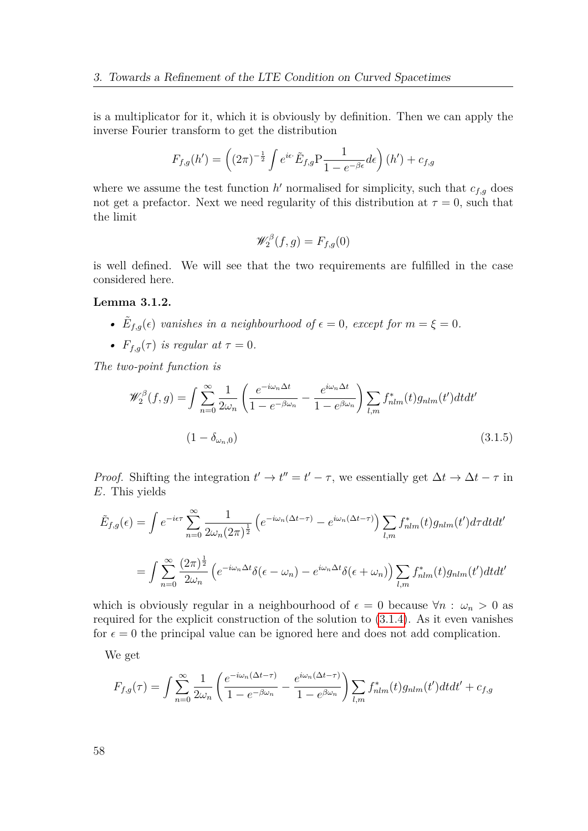is a multiplicator for it, which it is obviously by definition. Then we can apply the inverse Fourier transform to get the distribution

$$
F_{f,g}(h') = \left( (2\pi)^{-\frac{1}{2}} \int e^{i\epsilon} \tilde{E}_{f,g} P \frac{1}{1 - e^{-\beta \epsilon}} d\epsilon \right) (h') + c_{f,g}
$$

where we assume the test function  $h'$  normalised for simplicity, such that  $c_{f,g}$  does not get a prefactor. Next we need regularity of this distribution at  $\tau = 0$ , such that the limit

$$
\mathscr{W}_2^{\beta}(f,g) = F_{f,g}(0)
$$

is well defined. We will see that the two requirements are fulfilled in the case considered here.

#### **Lemma 3.1.2.**

- $\tilde{E}_{f,g}(\epsilon)$  *vanishes in a neighbourhood of*  $\epsilon = 0$ *, except for*  $m = \xi = 0$ *.*
- $F_{f,q}(\tau)$  *is regular at*  $\tau = 0$ *.*

*The two-point function is*

$$
\mathcal{W}_2^{\beta}(f,g) = \int \sum_{n=0}^{\infty} \frac{1}{2\omega_n} \left( \frac{e^{-i\omega_n \Delta t}}{1 - e^{-\beta \omega_n}} - \frac{e^{i\omega_n \Delta t}}{1 - e^{\beta \omega_n}} \right) \sum_{l,m} f_{nlm}^*(t) g_{nlm}(t') dt dt'
$$
\n
$$
(1 - \delta_{\omega_n,0})
$$
\n(3.1.5)

*Proof.* Shifting the integration  $t' \to t'' = t' - \tau$ , we essentially get  $\Delta t \to \Delta t - \tau$  in *E*. This yields

$$
\tilde{E}_{f,g}(\epsilon) = \int e^{-i\epsilon \tau} \sum_{n=0}^{\infty} \frac{1}{2\omega_n (2\pi)^{\frac{1}{2}}} \left( e^{-i\omega_n(\Delta t - \tau)} - e^{i\omega_n(\Delta t - \tau)} \right) \sum_{l,m} f_{nlm}^*(t) g_{nlm}(t') d\tau dt dt'
$$
\n
$$
= \int \sum_{n=0}^{\infty} \frac{(2\pi)^{\frac{1}{2}}}{2\omega_n} \left( e^{-i\omega_n \Delta t} \delta(\epsilon - \omega_n) - e^{i\omega_n \Delta t} \delta(\epsilon + \omega_n) \right) \sum_{l,m} f_{nlm}^*(t) g_{nlm}(t') dt dt'
$$

which is obviously regular in a neighbourhood of  $\epsilon = 0$  because  $\forall n : \omega_n > 0$  as required for the explicit construction of the solution to [\(3.1.4\)](#page-56-0). As it even vanishes for  $\epsilon = 0$  the principal value can be ignored here and does not add complication.

We get

$$
F_{f,g}(\tau) = \int \sum_{n=0}^{\infty} \frac{1}{2\omega_n} \left( \frac{e^{-i\omega_n(\Delta t - \tau)}}{1 - e^{-\beta \omega_n}} - \frac{e^{i\omega_n(\Delta t - \tau)}}{1 - e^{\beta \omega_n}} \right) \sum_{l,m} f_{nlm}^*(t) g_{nlm}(t') dt dt' + c_{f,g}
$$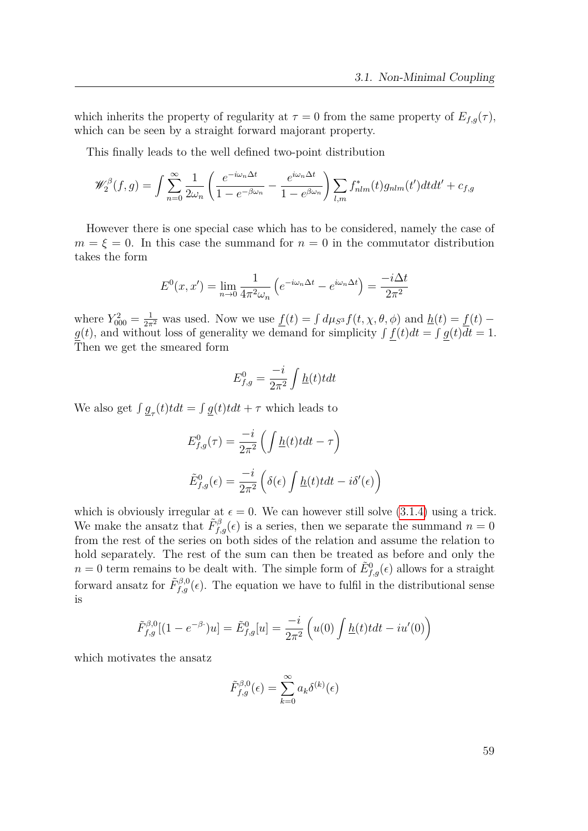which inherits the property of regularity at  $\tau = 0$  from the same property of  $E_{f,q}(\tau)$ , which can be seen by a straight forward majorant property.

This finally leads to the well defined two-point distribution

$$
\mathscr{W}_2^{\beta}(f,g) = \int \sum_{n=0}^{\infty} \frac{1}{2\omega_n} \left( \frac{e^{-i\omega_n \Delta t}}{1 - e^{-\beta \omega_n}} - \frac{e^{i\omega_n \Delta t}}{1 - e^{\beta \omega_n}} \right) \sum_{l,m} f_{nlm}^*(t) g_{nlm}(t') dt dt' + c_{f,g}
$$

However there is one special case which has to be considered, namely the case of  $m = \xi = 0$ . In this case the summand for  $n = 0$  in the commutator distribution takes the form

$$
E^{0}(x, x') = \lim_{n \to 0} \frac{1}{4\pi^{2} \omega_{n}} \left( e^{-i\omega_{n}\Delta t} - e^{i\omega_{n}\Delta t} \right) = \frac{-i\Delta t}{2\pi^{2}}
$$

where  $Y_{000}^2 = \frac{1}{2\pi^2}$  was used. Now we use  $\underline{f}(t) = \int d\mu_{S^3} f(t, \chi, \theta, \phi)$  and  $\underline{h}(t) = \underline{f}(t)$  $g(t)$ , and without loss of generality we demand for simplicity  $\int f(t)dt = \int g(t)dt = 1$ . Then we get the smeared form

$$
E_{f,g}^0 = \frac{-i}{2\pi^2} \int \underline{h}(t) t dt
$$

We also get  $\int g_{\tau}(t) t dt = \int g(t) t dt + \tau$  which leads to

$$
E_{f,g}^{0}(\tau) = \frac{-i}{2\pi^2} \left( \int \underline{h}(t) t dt - \tau \right)
$$

$$
\tilde{E}_{f,g}^{0}(\epsilon) = \frac{-i}{2\pi^2} \left( \delta(\epsilon) \int \underline{h}(t) t dt - i \delta'(\epsilon) \right)
$$

which is obviously irregular at  $\epsilon = 0$ . We can however still solve [\(3.1.4\)](#page-56-0) using a trick. We make the ansatz that  $\tilde{F}^{\beta}_{f,g}(\epsilon)$  is a series, then we separate the summand  $n=0$ from the rest of the series on both sides of the relation and assume the relation to hold separately. The rest of the sum can then be treated as before and only the  $n = 0$  term remains to be dealt with. The simple form of  $\tilde{E}^0_{f,g}(\epsilon)$  allows for a straight forward ansatz for  $\tilde{F}^{\beta,0}_{f,g}(\epsilon)$ . The equation we have to fulfil in the distributional sense is

$$
\tilde{F}_{f,g}^{\beta,0}[(1-e^{-\beta \cdot})u] = \tilde{E}_{f,g}^{0}[u] = \frac{-i}{2\pi^2} \left( u(0) \int \underline{h}(t) t dt - i u'(0) \right)
$$

which motivates the ansatz

$$
\tilde{F}_{f,g}^{\beta,0}(\epsilon) = \sum_{k=0}^{\infty} a_k \delta^{(k)}(\epsilon)
$$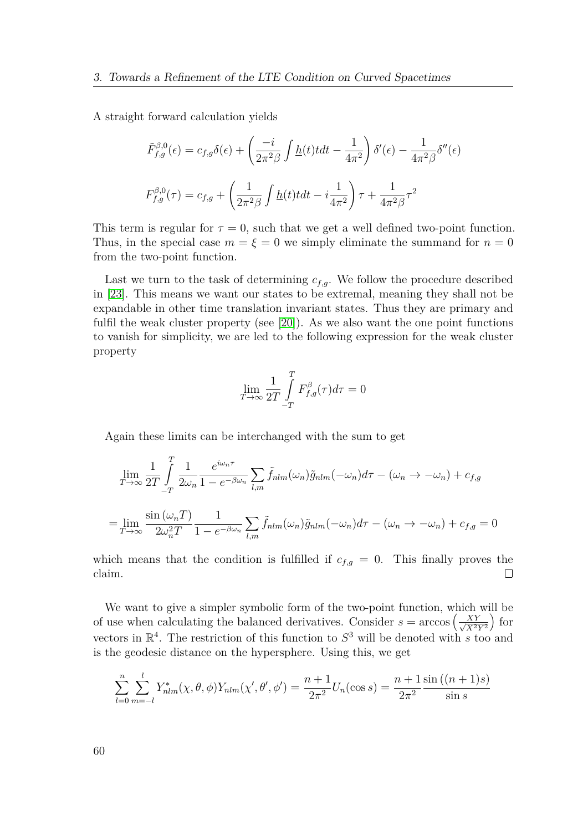A straight forward calculation yields

$$
\tilde{F}_{f,g}^{\beta,0}(\epsilon) = c_{f,g}\delta(\epsilon) + \left(\frac{-i}{2\pi^2\beta} \int \underline{h}(t) t dt - \frac{1}{4\pi^2} \right) \delta'(\epsilon) - \frac{1}{4\pi^2\beta} \delta''(\epsilon)
$$
\n
$$
F_{f,g}^{\beta,0}(\tau) = c_{f,g} + \left(\frac{1}{2\pi^2\beta} \int \underline{h}(t) t dt - i \frac{1}{4\pi^2} \right) \tau + \frac{1}{4\pi^2\beta} \tau^2
$$

This term is regular for  $\tau = 0$ , such that we get a well defined two-point function. Thus, in the special case  $m = \xi = 0$  we simply eliminate the summand for  $n = 0$ from the two-point function.

Last we turn to the task of determining  $c_{f,q}$ . We follow the procedure described in [\[23\]](#page-150-3). This means we want our states to be extremal, meaning they shall not be expandable in other time translation invariant states. Thus they are primary and fulfil the weak cluster property (see [\[20\]](#page-150-4)). As we also want the one point functions to vanish for simplicity, we are led to the following expression for the weak cluster property

$$
\lim_{T \to \infty} \frac{1}{2T} \int_{-T}^{T} F_{f,g}^{\beta}(\tau) d\tau = 0
$$

Again these limits can be interchanged with the sum to get

$$
\lim_{T \to \infty} \frac{1}{2T} \int_{-T}^{T} \frac{1}{2\omega_n} \frac{e^{i\omega_n \tau}}{1 - e^{-\beta \omega_n}} \sum_{l,m} \tilde{f}_{nlm}(\omega_n) \tilde{g}_{nlm}(-\omega_n) d\tau - (\omega_n \to -\omega_n) + c_{f,g}
$$
\n
$$
= \lim_{T \to \infty} \frac{\sin(\omega_n T)}{2\omega_n^2 T} \frac{1}{1 - e^{-\beta \omega_n}} \sum_{l,m} \tilde{f}_{nlm}(\omega_n) \tilde{g}_{nlm}(-\omega_n) d\tau - (\omega_n \to -\omega_n) + c_{f,g} = 0
$$

which means that the condition is fulfilled if  $c_{f,g} = 0$ . This finally proves the claim.  $\Box$ 

We want to give a simpler symbolic form of the two-point function, which will be of use when calculating the balanced derivatives. Consider  $s = \arccos\left(\frac{XY}{\sqrt{X^2}}\right)$  $X^2Y^2$  $\int$  for vectors in  $\mathbb{R}^4$ . The restriction of this function to  $S^3$  will be denoted with *s* too and is the geodesic distance on the hypersphere. Using this, we get

$$
\sum_{l=0}^{n} \sum_{m=-l}^{l} Y_{nlm}^{*}(\chi, \theta, \phi) Y_{nlm}(\chi', \theta', \phi') = \frac{n+1}{2\pi^2} U_n(\cos s) = \frac{n+1}{2\pi^2} \frac{\sin((n+1)s)}{\sin s}
$$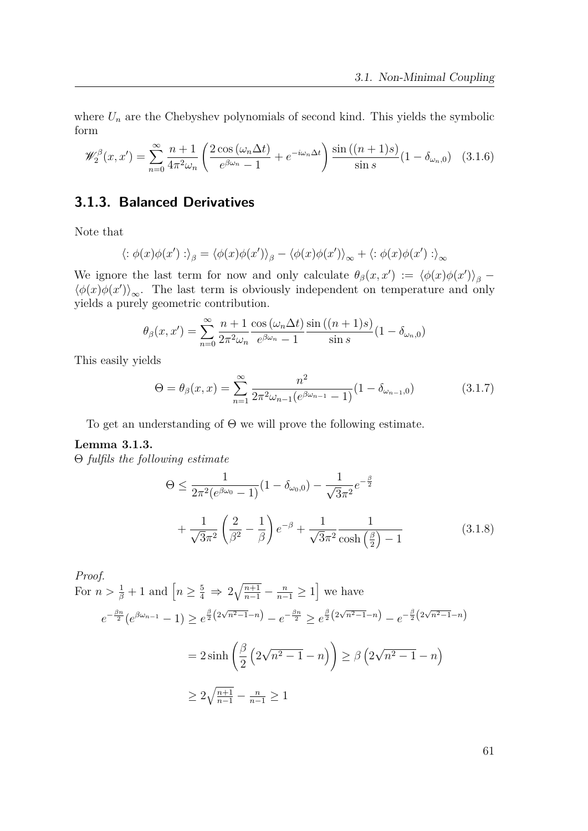where  $U_n$  are the Chebyshev polynomials of second kind. This yields the symbolic form

$$
\mathscr{W}_2^{\beta}(x,x') = \sum_{n=0}^{\infty} \frac{n+1}{4\pi^2 \omega_n} \left( \frac{2\cos\left(\omega_n \Delta t\right)}{e^{\beta \omega_n} - 1} + e^{-i\omega_n \Delta t} \right) \frac{\sin\left((n+1)s\right)}{\sin s} (1 - \delta_{\omega_n,0}) \tag{3.1.6}
$$

## **3.1.3. Balanced Derivatives**

Note that

$$
\langle : \phi(x)\phi(x') : \rangle_{\beta} = \langle \phi(x)\phi(x') \rangle_{\beta} - \langle \phi(x)\phi(x') \rangle_{\infty} + \langle : \phi(x)\phi(x') : \rangle_{\infty}
$$

We ignore the last term for now and only calculate  $\theta_{\beta}(x, x') := \langle \phi(x) \phi(x') \rangle_{\beta}$  $\langle \phi(x)\phi(x') \rangle_{\infty}$ . The last term is obviously independent on temperature and only yields a purely geometric contribution.

$$
\theta_{\beta}(x, x') = \sum_{n=0}^{\infty} \frac{n+1}{2\pi^2 \omega_n} \frac{\cos(\omega_n \Delta t)}{e^{\beta \omega_n} - 1} \frac{\sin((n+1)s)}{\sin s} (1 - \delta_{\omega_n, 0})
$$

This easily yields

<span id="page-60-0"></span>
$$
\Theta = \theta_{\beta}(x, x) = \sum_{n=1}^{\infty} \frac{n^2}{2\pi^2 \omega_{n-1} (e^{\beta \omega_{n-1}} - 1)} (1 - \delta_{\omega_{n-1}, 0}) \tag{3.1.7}
$$

To get an understanding of Θ we will prove the following estimate.

#### **Lemma 3.1.3.**

Θ *fulfils the following estimate*

$$
\Theta \le \frac{1}{2\pi^2 (e^{\beta \omega_0} - 1)} (1 - \delta_{\omega_0,0}) - \frac{1}{\sqrt{3}\pi^2} e^{-\frac{\beta}{2}}
$$

$$
+ \frac{1}{\sqrt{3}\pi^2} \left(\frac{2}{\beta^2} - \frac{1}{\beta}\right) e^{-\beta} + \frac{1}{\sqrt{3}\pi^2} \frac{1}{\cosh\left(\frac{\beta}{2}\right) - 1} \tag{3.1.8}
$$

Proof.  
\nFor 
$$
n > \frac{1}{\beta} + 1
$$
 and  $\left[ n \ge \frac{5}{4} \Rightarrow 2\sqrt{\frac{n+1}{n-1}} - \frac{n}{n-1} \ge 1 \right]$  we have  
\n
$$
e^{-\frac{\beta n}{2}} (e^{\beta \omega_{n-1}} - 1) \ge e^{\frac{\beta}{2} (2\sqrt{n^2 - 1} - n)} - e^{-\frac{\beta n}{2}} \ge e^{\frac{\beta}{2} (2\sqrt{n^2 - 1} - n)} - e^{-\frac{\beta}{2} (2\sqrt{n^2 - 1} - n)}
$$
\n
$$
= 2 \sinh \left( \frac{\beta}{2} \left( 2\sqrt{n^2 - 1} - n \right) \right) \ge \beta \left( 2\sqrt{n^2 - 1} - n \right)
$$
\n
$$
\ge 2\sqrt{\frac{n+1}{n-1}} - \frac{n}{n-1} \ge 1
$$

61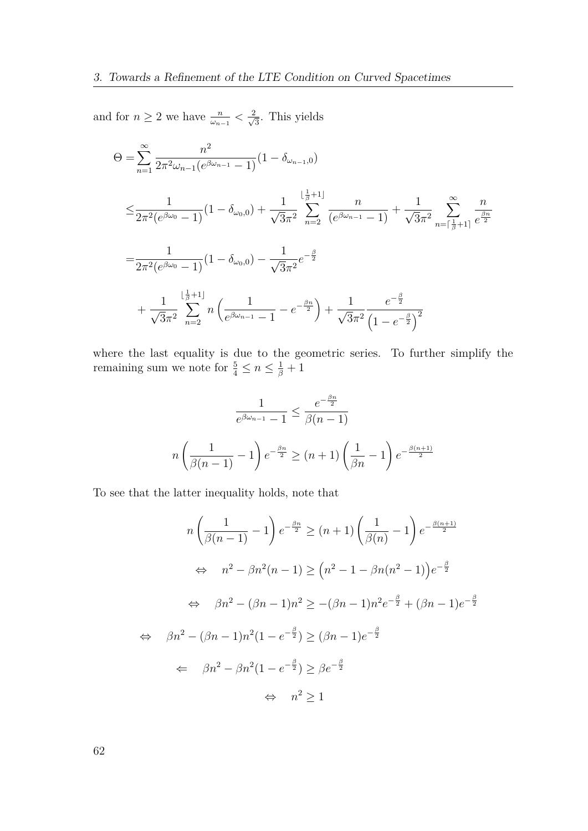and for  $n \geq 2$  we have  $\frac{n}{\omega_{n-1}} < \frac{2}{\sqrt{n}}$  $\frac{2}{3}$ . This yields

$$
\Theta = \sum_{n=1}^{\infty} \frac{n^2}{2\pi^2 \omega_{n-1} (e^{\beta \omega_{n-1}} - 1)} (1 - \delta_{\omega_{n-1},0})
$$
\n
$$
\leq \frac{1}{2\pi^2 (e^{\beta \omega_0} - 1)} (1 - \delta_{\omega_0,0}) + \frac{1}{\sqrt{3}\pi^2} \sum_{n=2}^{\lfloor \frac{1}{\beta} + 1 \rfloor} \frac{n}{(e^{\beta \omega_{n-1}} - 1)} + \frac{1}{\sqrt{3}\pi^2} \sum_{n=\lceil \frac{1}{\beta} + 1 \rceil}^{\infty} \frac{n}{e^{\frac{\beta n}{2}}}
$$
\n
$$
= \frac{1}{2\pi^2 (e^{\beta \omega_0} - 1)} (1 - \delta_{\omega_0,0}) - \frac{1}{\sqrt{3}\pi^2} e^{-\frac{\beta}{2}}
$$
\n
$$
+ \frac{1}{\sqrt{3}\pi^2} \sum_{n=2}^{\lfloor \frac{1}{\beta} + 1 \rfloor} n \left( \frac{1}{e^{\beta \omega_{n-1}} - 1} - e^{-\frac{\beta n}{2}} \right) + \frac{1}{\sqrt{3}\pi^2} \frac{e^{-\frac{\beta}{2}}}{(1 - e^{-\frac{\beta}{2}})^2}
$$

where the last equality is due to the geometric series. To further simplify the remaining sum we note for  $\frac{5}{4} \leq n \leq \frac{1}{\beta} + 1$ 

$$
\frac{1}{e^{\beta \omega_{n-1}} - 1} \le \frac{e^{-\frac{\beta n}{2}}}{\beta(n-1)}
$$

$$
n\left(\frac{1}{\beta(n-1)} - 1\right) e^{-\frac{\beta n}{2}} \ge (n+1)\left(\frac{1}{\beta n} - 1\right) e^{-\frac{\beta(n+1)}{2}}
$$

To see that the latter inequality holds, note that

$$
n\left(\frac{1}{\beta(n-1)}-1\right)e^{-\frac{\beta n}{2}} \ge (n+1)\left(\frac{1}{\beta(n)}-1\right)e^{-\frac{\beta(n+1)}{2}}
$$
  
\n
$$
\Leftrightarrow n^2 - \beta n^2(n-1) \ge (n^2 - 1 - \beta n(n^2 - 1))e^{-\frac{\beta}{2}}
$$
  
\n
$$
\Leftrightarrow \beta n^2 - (\beta n - 1)n^2 \ge -(\beta n - 1)n^2e^{-\frac{\beta}{2}} + (\beta n - 1)e^{-\frac{\beta}{2}}
$$
  
\n
$$
\Leftrightarrow \beta n^2 - (\beta n - 1)n^2(1 - e^{-\frac{\beta}{2}}) \ge (\beta n - 1)e^{-\frac{\beta}{2}}
$$
  
\n
$$
\Leftrightarrow \beta n^2 - \beta n^2(1 - e^{-\frac{\beta}{2}}) \ge \beta e^{-\frac{\beta}{2}}
$$
  
\n
$$
\Leftrightarrow n^2 \ge 1
$$

62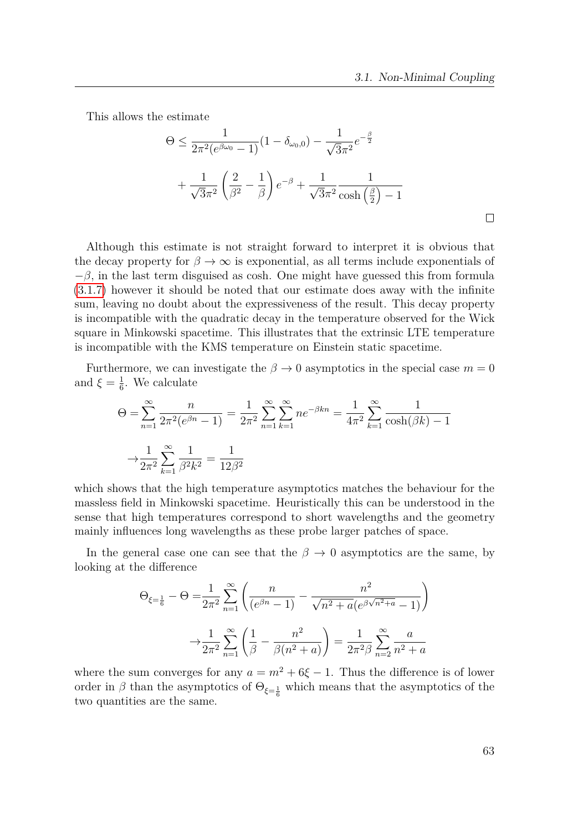This allows the estimate

$$
\Theta \le \frac{1}{2\pi^2 (e^{\beta \omega_0} - 1)} (1 - \delta_{\omega_0,0}) - \frac{1}{\sqrt{3}\pi^2} e^{-\frac{\beta}{2}}
$$

$$
+ \frac{1}{\sqrt{3}\pi^2} \left(\frac{2}{\beta^2} - \frac{1}{\beta}\right) e^{-\beta} + \frac{1}{\sqrt{3}\pi^2} \frac{1}{\cosh\left(\frac{\beta}{2}\right) - 1}
$$

Although this estimate is not straight forward to interpret it is obvious that the decay property for  $\beta \to \infty$  is exponential, as all terms include exponentials of  $-\beta$ , in the last term disguised as cosh. One might have guessed this from formula [\(3.1.7\)](#page-60-0) however it should be noted that our estimate does away with the infinite sum, leaving no doubt about the expressiveness of the result. This decay property is incompatible with the quadratic decay in the temperature observed for the Wick square in Minkowski spacetime. This illustrates that the extrinsic LTE temperature is incompatible with the KMS temperature on Einstein static spacetime.

Furthermore, we can investigate the  $\beta \to 0$  asymptotics in the special case  $m = 0$ and  $\xi = \frac{1}{6}$  $\frac{1}{6}$ . We calculate

$$
\Theta = \sum_{n=1}^{\infty} \frac{n}{2\pi^2 (e^{\beta n} - 1)} = \frac{1}{2\pi^2} \sum_{n=1}^{\infty} \sum_{k=1}^{\infty} n e^{-\beta k n} = \frac{1}{4\pi^2} \sum_{k=1}^{\infty} \frac{1}{\cosh(\beta k) - 1}
$$

$$
\to \frac{1}{2\pi^2} \sum_{k=1}^{\infty} \frac{1}{\beta^2 k^2} = \frac{1}{12\beta^2}
$$

which shows that the high temperature asymptotics matches the behaviour for the massless field in Minkowski spacetime. Heuristically this can be understood in the sense that high temperatures correspond to short wavelengths and the geometry mainly influences long wavelengths as these probe larger patches of space.

In the general case one can see that the  $\beta \to 0$  asymptotics are the same, by looking at the difference

$$
\Theta_{\xi=\frac{1}{6}} - \Theta = \frac{1}{2\pi^2} \sum_{n=1}^{\infty} \left( \frac{n}{(e^{\beta n} - 1)} - \frac{n^2}{\sqrt{n^2 + a} (e^{\beta \sqrt{n^2 + a}} - 1)} \right)
$$

$$
\Theta_{\xi=\frac{1}{6}} - \Theta_{n=1} \sum_{n=1}^{\infty} \left( \frac{1}{\beta} - \frac{n^2}{\beta(n^2 + a)} \right) = \frac{1}{2\pi^2 \beta} \sum_{n=2}^{\infty} \frac{a}{n^2 + a}
$$

where the sum converges for any  $a = m^2 + 6\xi - 1$ . Thus the difference is of lower order in  $\beta$  than the asymptotics of  $\Theta_{\xi=\frac{1}{6}}$  which means that the asymptotics of the two quantities are the same.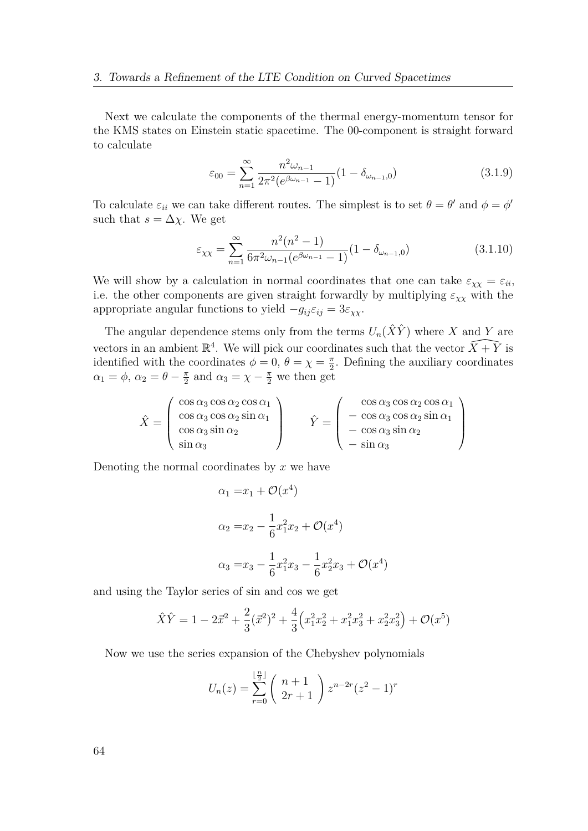Next we calculate the components of the thermal energy-momentum tensor for the KMS states on Einstein static spacetime. The 00-component is straight forward to calculate

$$
\varepsilon_{00} = \sum_{n=1}^{\infty} \frac{n^2 \omega_{n-1}}{2\pi^2 (e^{\beta \omega_{n-1}} - 1)} (1 - \delta_{\omega_{n-1},0})
$$
(3.1.9)

To calculate  $\varepsilon_{ii}$  we can take different routes. The simplest is to set  $\theta = \theta'$  and  $\phi = \phi'$ such that  $s = \Delta \chi$ . We get

$$
\varepsilon_{\chi\chi} = \sum_{n=1}^{\infty} \frac{n^2(n^2 - 1)}{6\pi^2 \omega_{n-1}(e^{\beta \omega_{n-1}} - 1)} (1 - \delta_{\omega_{n-1},0})
$$
(3.1.10)

We will show by a calculation in normal coordinates that one can take  $\varepsilon_{\chi\chi} = \varepsilon_{ii}$ , i.e. the other components are given straight forwardly by multiplying  $\varepsilon_{\chi\chi}$  with the appropriate angular functions to yield  $-g_{ij}\varepsilon_{ij} = 3\varepsilon_{\chi\chi}$ .

The angular dependence stems only from the terms  $U_n(\hat{X}\hat{Y})$  where X and Y are vectors in an ambient  $\mathbb{R}^4$ . We will pick our coordinates such that the vector  $\widehat{X+Y}$  is identified with the coordinates  $\phi = 0, \theta = \chi = \frac{\pi}{2}$  $\frac{\pi}{2}$ . Defining the auxiliary coordinates  $\alpha_1 = \phi$ ,  $\alpha_2 = \theta - \frac{\pi}{2}$  $\frac{\pi}{2}$  and  $\alpha_3 = \chi - \frac{\pi}{2}$  we then get

$$
\hat{X} = \begin{pmatrix}\n\cos \alpha_3 \cos \alpha_2 \cos \alpha_1 \\
\cos \alpha_3 \cos \alpha_2 \sin \alpha_1 \\
\cos \alpha_3 \sin \alpha_2 \\
\sin \alpha_3\n\end{pmatrix} \qquad\n\hat{Y} = \begin{pmatrix}\n\cos \alpha_3 \cos \alpha_2 \cos \alpha_1 \\
-\cos \alpha_3 \cos \alpha_2 \sin \alpha_1 \\
-\cos \alpha_3 \sin \alpha_2 \\
-\sin \alpha_3\n\end{pmatrix}
$$

Denoting the normal coordinates by *x* we have

$$
\alpha_1 = x_1 + \mathcal{O}(x^4)
$$
  
\n
$$
\alpha_2 = x_2 - \frac{1}{6}x_1^2 x_2 + \mathcal{O}(x^4)
$$
  
\n
$$
\alpha_3 = x_3 - \frac{1}{6}x_1^2 x_3 - \frac{1}{6}x_2^2 x_3 + \mathcal{O}(x^4)
$$

and using the Taylor series of sin and cos we get

$$
\hat{X}\hat{Y} = 1 - 2\vec{x}^2 + \frac{2}{3}(\vec{x}^2)^2 + \frac{4}{3}\left(x_1^2x_2^2 + x_1^2x_3^2 + x_2^2x_3^2\right) + \mathcal{O}(x^5)
$$

Now we use the series expansion of the Chebyshev polynomials

$$
U_n(z) = \sum_{r=0}^{\lfloor \frac{n}{2} \rfloor} {n+1 \choose 2r+1} z^{n-2r} (z^2 - 1)^r
$$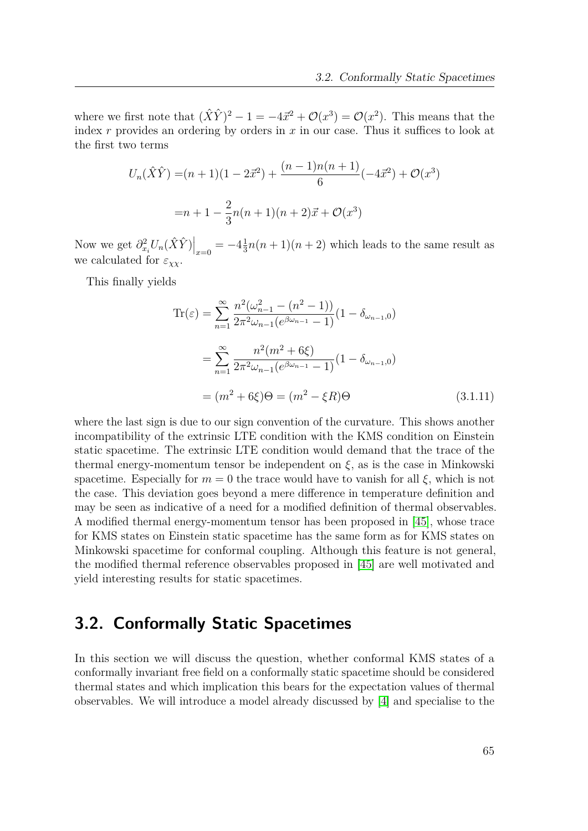where we first note that  $(\hat{X}\hat{Y})^2 - 1 = -4\vec{x}^2 + \mathcal{O}(x^3) = \mathcal{O}(x^2)$ . This means that the index *r* provides an ordering by orders in *x* in our case. Thus it suffices to look at the first two terms

$$
U_n(\hat{X}\hat{Y}) = (n+1)(1 - 2\vec{x}^2) + \frac{(n-1)n(n+1)}{6}(-4\vec{x}^2) + \mathcal{O}(x^3)
$$

$$
= n+1 - \frac{2}{3}n(n+1)(n+2)\vec{x} + \mathcal{O}(x^3)
$$

Now we get  $\frac{\partial^2 x_i U_n(\hat{X}\hat{Y})}{\partial x_i} = -4\frac{1}{3}$  $\frac{1}{3}n(n+1)(n+2)$  which leads to the same result as we calculated for  $\varepsilon_{\chi\chi}$ .

This finally yields

$$
\operatorname{Tr}(\varepsilon) = \sum_{n=1}^{\infty} \frac{n^2(\omega_{n-1}^2 - (n^2 - 1))}{2\pi^2 \omega_{n-1} (e^{\beta \omega_{n-1}} - 1)} (1 - \delta_{\omega_{n-1},0})
$$
  
= 
$$
\sum_{n=1}^{\infty} \frac{n^2(m^2 + 6\xi)}{2\pi^2 \omega_{n-1} (e^{\beta \omega_{n-1}} - 1)} (1 - \delta_{\omega_{n-1},0})
$$
  
= 
$$
(m^2 + 6\xi)\Theta = (m^2 - \xi R)\Theta
$$
 (3.1.11)

where the last sign is due to our sign convention of the curvature. This shows another incompatibility of the extrinsic LTE condition with the KMS condition on Einstein static spacetime. The extrinsic LTE condition would demand that the trace of the thermal energy-momentum tensor be independent on  $\xi$ , as is the case in Minkowski spacetime. Especially for  $m = 0$  the trace would have to vanish for all  $\xi$ , which is not the case. This deviation goes beyond a mere difference in temperature definition and may be seen as indicative of a need for a modified definition of thermal observables. A modified thermal energy-momentum tensor has been proposed in [\[45\]](#page-151-4), whose trace for KMS states on Einstein static spacetime has the same form as for KMS states on Minkowski spacetime for conformal coupling. Although this feature is not general, the modified thermal reference observables proposed in [\[45\]](#page-151-4) are well motivated and yield interesting results for static spacetimes.

# **3.2. Conformally Static Spacetimes**

In this section we will discuss the question, whether conformal KMS states of a conformally invariant free field on a conformally static spacetime should be considered thermal states and which implication this bears for the expectation values of thermal observables. We will introduce a model already discussed by [\[4\]](#page-149-2) and specialise to the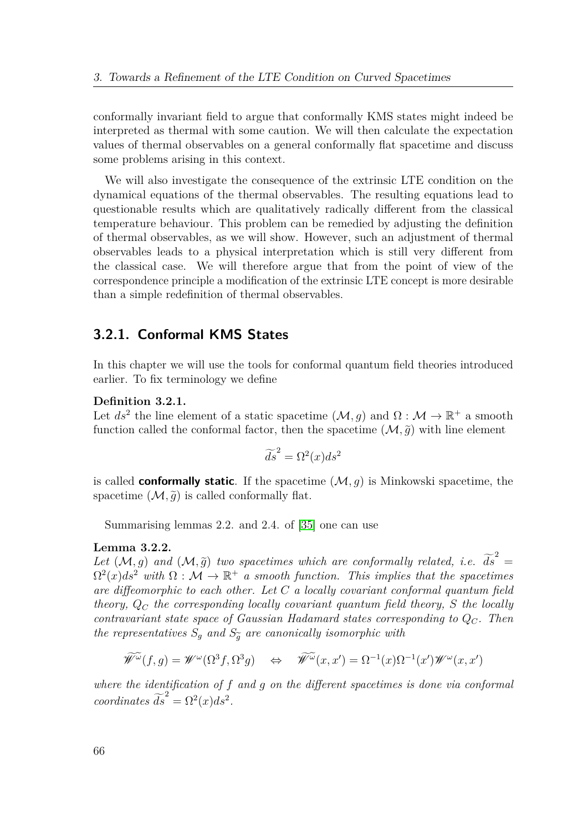conformally invariant field to argue that conformally KMS states might indeed be interpreted as thermal with some caution. We will then calculate the expectation values of thermal observables on a general conformally flat spacetime and discuss some problems arising in this context.

We will also investigate the consequence of the extrinsic LTE condition on the dynamical equations of the thermal observables. The resulting equations lead to questionable results which are qualitatively radically different from the classical temperature behaviour. This problem can be remedied by adjusting the definition of thermal observables, as we will show. However, such an adjustment of thermal observables leads to a physical interpretation which is still very different from the classical case. We will therefore argue that from the point of view of the correspondence principle a modification of the extrinsic LTE concept is more desirable than a simple redefinition of thermal observables.

## **3.2.1. Conformal KMS States**

In this chapter we will use the tools for conformal quantum field theories introduced earlier. To fix terminology we define

#### **Definition 3.2.1.**

Let  $ds^2$  the line element of a static spacetime  $(\mathcal{M}, g)$  and  $\Omega : \mathcal{M} \to \mathbb{R}^+$  a smooth function called the conformal factor, then the spacetime  $(M, \tilde{q})$  with line element

$$
\widetilde{ds}^2 = \Omega^2(x)ds^2
$$

is called **conformally static**. If the spacetime (M*, g*) is Minkowski spacetime, the spacetime  $(\mathcal{M}, \tilde{g})$  is called conformally flat.

Summarising lemmas 2.2. and 2.4. of [\[35\]](#page-151-5) one can use

#### **Lemma 3.2.2.**

Let  $(M, g)$  and  $(M, \tilde{g})$  two spacetimes which are conformally related, i.e.  $\tilde{ds}^2 = Q^2(M, g)$  in  $Q(M, \tilde{g})$  $\Omega^2(x)ds^2$  with  $\Omega: \mathcal{M} \to \mathbb{R}^+$  *a smooth function. This implies that the spacetimes are diffeomorphic to each other. Let C a locally covariant conformal quantum field theory, Q<sup>C</sup> the corresponding locally covariant quantum field theory, S the locally contravariant state space of Gaussian Hadamard states corresponding to QC. Then the representatives*  $S_g$  *and*  $S_{\tilde{g}}$  *are canonically isomorphic with* 

$$
\widetilde{\mathscr{W}}^{\widetilde{\omega}}(f,g) = \mathscr{W}^{\omega}(\Omega^{3}f, \Omega^{3}g) \quad \Leftrightarrow \quad \widetilde{\mathscr{W}}^{\widetilde{\omega}}(x,x') = \Omega^{-1}(x)\Omega^{-1}(x')\mathscr{W}^{\omega}(x,x')
$$

*where the identification of f and g on the different spacetimes is done via conformal coordinates*  $\widetilde{ds}^2 = \Omega^2(x)ds^2$ .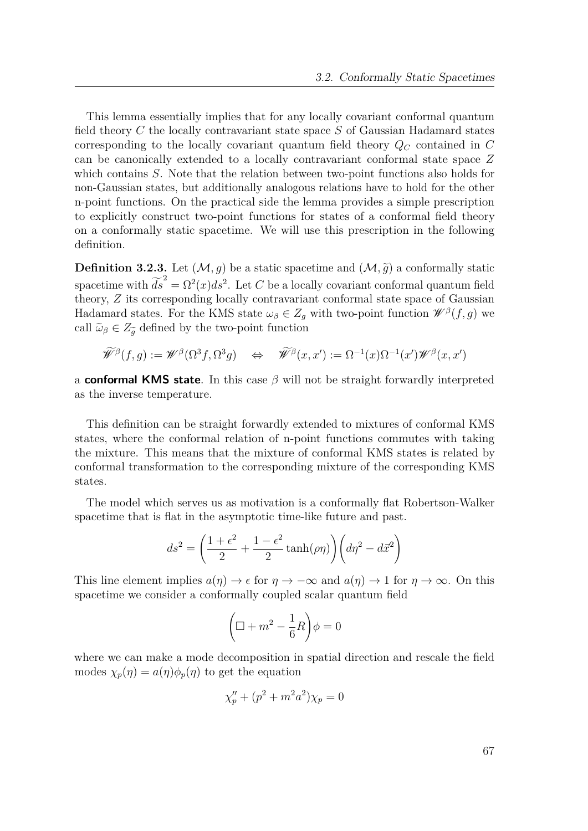This lemma essentially implies that for any locally covariant conformal quantum field theory *C* the locally contravariant state space *S* of Gaussian Hadamard states corresponding to the locally covariant quantum field theory *Q<sup>C</sup>* contained in *C* can be canonically extended to a locally contravariant conformal state space *Z* which contains *S*. Note that the relation between two-point functions also holds for non-Gaussian states, but additionally analogous relations have to hold for the other n-point functions. On the practical side the lemma provides a simple prescription to explicitly construct two-point functions for states of a conformal field theory on a conformally static spacetime. We will use this prescription in the following definition.

**Definition 3.2.3.** Let  $(M, g)$  be a static spacetime and  $(M, \tilde{g})$  a conformally static spacetime with  $\widetilde{ds}^2 = \Omega^2(x)ds^2$ . Let *C* be a locally covariant conformal quantum field theory, *Z* its corresponding locally contravariant conformal state space of Gaussian Hadamard states. For the KMS state  $\omega_{\beta} \in Z_g$  with two-point function  $\mathscr{W}^{\beta}(f,g)$  we call  $\tilde{\omega}_{\beta} \in Z_{\tilde{\alpha}}$  defined by the two-point function

$$
\widetilde{\mathscr{W}}^{\beta}(f,g):=\mathscr{W}^{\beta}(\Omega^{3}f,\Omega^{3}g) \quad \Leftrightarrow \quad \widetilde{\mathscr{W}}^{\beta}(x,x'):=\Omega^{-1}(x)\Omega^{-1}(x')\mathscr{W}^{\beta}(x,x')
$$

a **conformal KMS state**. In this case *β* will not be straight forwardly interpreted as the inverse temperature.

This definition can be straight forwardly extended to mixtures of conformal KMS states, where the conformal relation of n-point functions commutes with taking the mixture. This means that the mixture of conformal KMS states is related by conformal transformation to the corresponding mixture of the corresponding KMS states.

The model which serves us as motivation is a conformally flat Robertson-Walker spacetime that is flat in the asymptotic time-like future and past.

$$
ds^{2} = \left(\frac{1+\epsilon^{2}}{2} + \frac{1-\epsilon^{2}}{2}\tanh(\rho\eta)\right)\left(d\eta^{2} - d\vec{x}^{2}\right)
$$

This line element implies  $a(\eta) \to \epsilon$  for  $\eta \to -\infty$  and  $a(\eta) \to 1$  for  $\eta \to \infty$ . On this spacetime we consider a conformally coupled scalar quantum field

$$
\left(\Box + m^2 - \frac{1}{6}R\right)\phi = 0
$$

where we can make a mode decomposition in spatial direction and rescale the field modes  $\chi_p(\eta) = a(\eta)\phi_p(\eta)$  to get the equation

$$
\chi''_p + (p^2 + m^2 a^2) \chi_p = 0
$$

67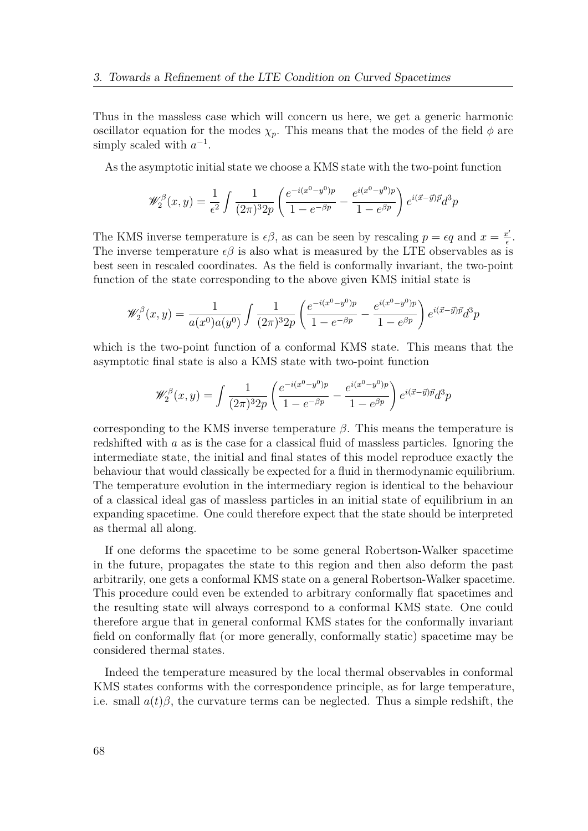Thus in the massless case which will concern us here, we get a generic harmonic oscillator equation for the modes  $\chi_p$ . This means that the modes of the field  $\phi$  are simply scaled with  $a^{-1}$ .

As the asymptotic initial state we choose a KMS state with the two-point function

$$
\mathscr{W}^{\beta}_{2}(x,y) = \frac{1}{\epsilon^{2}} \int \frac{1}{(2\pi)^{3} 2p} \left( \frac{e^{-i(x^{0}-y^{0})p}}{1-e^{-\beta p}} - \frac{e^{i(x^{0}-y^{0})p}}{1-e^{\beta p}} \right) e^{i(\vec{x}-\vec{y})\vec{p}} d^{3}p
$$

The KMS inverse temperature is  $\epsilon \beta$ , as can be seen by rescaling  $p = \epsilon q$  and  $x = \frac{x^2}{\epsilon}$  $\frac{x'}{\epsilon}$ . The inverse temperature  $\epsilon \beta$  is also what is measured by the LTE observables as is best seen in rescaled coordinates. As the field is conformally invariant, the two-point function of the state corresponding to the above given KMS initial state is

$$
\mathscr{W}_2^{\beta}(x,y) = \frac{1}{a(x^0)a(y^0)} \int \frac{1}{(2\pi)^3 2p} \left( \frac{e^{-i(x^0 - y^0)p}}{1 - e^{-\beta p}} - \frac{e^{i(x^0 - y^0)p}}{1 - e^{\beta p}} \right) e^{i(\vec{x} - \vec{y})\vec{p}} d^3p
$$

which is the two-point function of a conformal KMS state. This means that the asymptotic final state is also a KMS state with two-point function

$$
\mathscr{W}_2^{\beta}(x,y) = \int \frac{1}{(2\pi)^3 2p} \left( \frac{e^{-i(x^0 - y^0)p}}{1 - e^{-\beta p}} - \frac{e^{i(x^0 - y^0)p}}{1 - e^{\beta p}} \right) e^{i(\vec{x} - \vec{y})\vec{p}} d^3p
$$

corresponding to the KMS inverse temperature  $\beta$ . This means the temperature is redshifted with *a* as is the case for a classical fluid of massless particles. Ignoring the intermediate state, the initial and final states of this model reproduce exactly the behaviour that would classically be expected for a fluid in thermodynamic equilibrium. The temperature evolution in the intermediary region is identical to the behaviour of a classical ideal gas of massless particles in an initial state of equilibrium in an expanding spacetime. One could therefore expect that the state should be interpreted as thermal all along.

If one deforms the spacetime to be some general Robertson-Walker spacetime in the future, propagates the state to this region and then also deform the past arbitrarily, one gets a conformal KMS state on a general Robertson-Walker spacetime. This procedure could even be extended to arbitrary conformally flat spacetimes and the resulting state will always correspond to a conformal KMS state. One could therefore argue that in general conformal KMS states for the conformally invariant field on conformally flat (or more generally, conformally static) spacetime may be considered thermal states.

Indeed the temperature measured by the local thermal observables in conformal KMS states conforms with the correspondence principle, as for large temperature, i.e. small  $a(t)\beta$ , the curvature terms can be neglected. Thus a simple redshift, the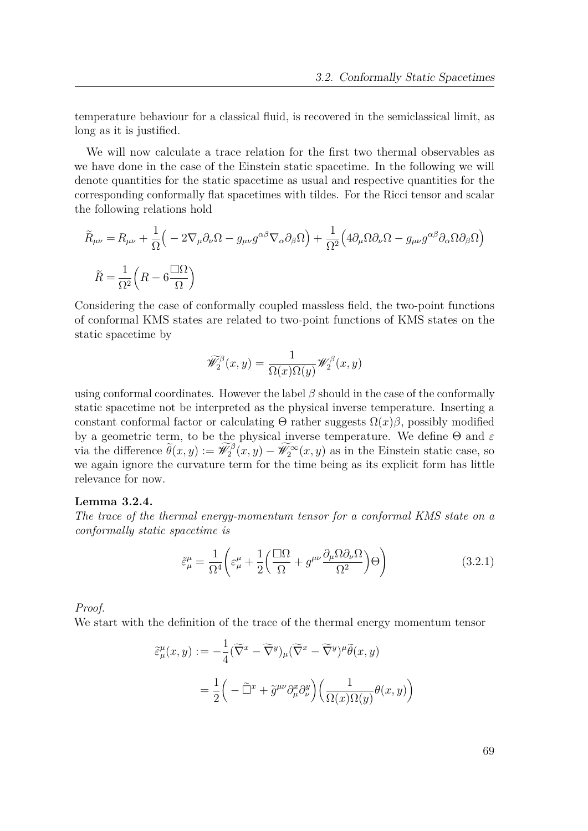temperature behaviour for a classical fluid, is recovered in the semiclassical limit, as long as it is justified.

We will now calculate a trace relation for the first two thermal observables as we have done in the case of the Einstein static spacetime. In the following we will denote quantities for the static spacetime as usual and respective quantities for the corresponding conformally flat spacetimes with tildes. For the Ricci tensor and scalar the following relations hold

$$
\widetilde{R}_{\mu\nu} = R_{\mu\nu} + \frac{1}{\Omega} \Big( -2\nabla_{\mu}\partial_{\nu}\Omega - g_{\mu\nu}g^{\alpha\beta}\nabla_{\alpha}\partial_{\beta}\Omega \Big) + \frac{1}{\Omega^{2}} \Big( 4\partial_{\mu}\Omega\partial_{\nu}\Omega - g_{\mu\nu}g^{\alpha\beta}\partial_{\alpha}\Omega\partial_{\beta}\Omega \Big)
$$

$$
\widetilde{R} = \frac{1}{\Omega^{2}} \Big( R - 6\frac{\Box\Omega}{\Omega} \Big)
$$

Considering the case of conformally coupled massless field, the two-point functions of conformal KMS states are related to two-point functions of KMS states on the static spacetime by

$$
\widetilde{\mathscr{W}}^{\beta}_{2}(x,y)=\frac{1}{\Omega(x)\Omega(y)}\mathscr{W}^{\beta}_{2}(x,y)
$$

using conformal coordinates. However the label  $\beta$  should in the case of the conformally static spacetime not be interpreted as the physical inverse temperature. Inserting a constant conformal factor or calculating  $\Theta$  rather suggests  $\Omega(x)\beta$ , possibly modified by a geometric term, to be the physical inverse temperature. We define Θ and *ε* via the difference  $\widetilde{\theta}(x, y) := \widetilde{\mathscr{W}}_2^{\beta}(x, y) - \widetilde{\mathscr{W}}_2^{\infty}(x, y)$  as in the Einstein static case, so we again ignore the curvature term for the time being as its explicit form has little relevance for now.

#### **Lemma 3.2.4.**

*The trace of the thermal energy-momentum tensor for a conformal KMS state on a conformally static spacetime is*

$$
\tilde{\varepsilon}_{\mu}^{\mu} = \frac{1}{\Omega^4} \left( \varepsilon_{\mu}^{\mu} + \frac{1}{2} \left( \frac{\Box \Omega}{\Omega} + g^{\mu \nu} \frac{\partial_{\mu} \Omega \partial_{\nu} \Omega}{\Omega^2} \right) \Theta \right)
$$
(3.2.1)

*Proof.*

We start with the definition of the trace of the thermal energy momentum tensor

$$
\tilde{\varepsilon}^{\mu}_{\mu}(x,y) := -\frac{1}{4} (\widetilde{\nabla}^x - \widetilde{\nabla}^y)_{\mu} (\widetilde{\nabla}^x - \widetilde{\nabla}^y)^{\mu} \widetilde{\theta}(x,y)
$$

$$
= \frac{1}{2} \left( -\widetilde{\Box}^x + \widetilde{g}^{\mu\nu} \partial^x_{\mu} \partial^y_{\nu} \right) \left( \frac{1}{\Omega(x)\Omega(y)} \theta(x,y) \right)
$$

69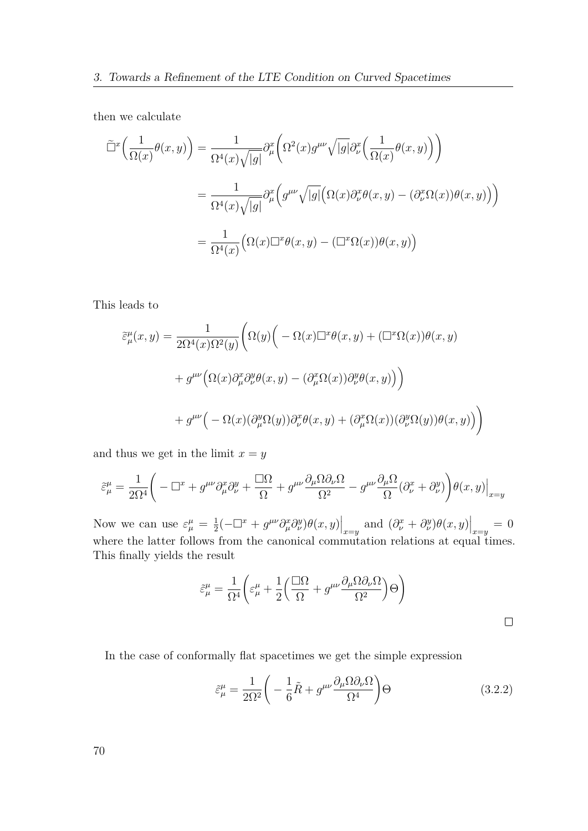then we calculate

$$
\tilde{\Box}^{x}\left(\frac{1}{\Omega(x)}\theta(x,y)\right) = \frac{1}{\Omega^{4}(x)\sqrt{|g|}} \partial_{\mu}^{x}\left(\Omega^{2}(x)g^{\mu\nu}\sqrt{|g|}\partial_{\nu}^{x}\left(\frac{1}{\Omega(x)}\theta(x,y)\right)\right)
$$

$$
= \frac{1}{\Omega^{4}(x)\sqrt{|g|}} \partial_{\mu}^{x}\left(g^{\mu\nu}\sqrt{|g|}\left(\Omega(x)\partial_{\nu}^{x}\theta(x,y) - (\partial_{\nu}^{x}\Omega(x))\theta(x,y)\right)\right)
$$

$$
= \frac{1}{\Omega^{4}(x)}\left(\Omega(x)\Box^{x}\theta(x,y) - (\Box^{x}\Omega(x))\theta(x,y)\right)
$$

This leads to

$$
\tilde{\varepsilon}^{\mu}_{\mu}(x,y) = \frac{1}{2\Omega^{4}(x)\Omega^{2}(y)} \Biggl( \Omega(y) \Big( -\Omega(x)\Box^{x}\theta(x,y) + (\Box^{x}\Omega(x))\theta(x,y) \n+ g^{\mu\nu}\Big( \Omega(x)\partial_{\mu}^{x}\partial_{\nu}^{y}\theta(x,y) - (\partial_{\mu}^{x}\Omega(x))\partial_{\nu}^{y}\theta(x,y) \Big) \Big) \n+ g^{\mu\nu}\Big( -\Omega(x)(\partial_{\mu}^{y}\Omega(y))\partial_{\nu}^{x}\theta(x,y) + (\partial_{\mu}^{x}\Omega(x))(\partial_{\nu}^{y}\Omega(y))\theta(x,y) \Big) \Bigg)
$$

and thus we get in the limit  $x = y$ 

$$
\tilde{\varepsilon}^{\mu}_{\mu} = \frac{1}{2\Omega^4}\bigg(-\square^x+g^{\mu\nu}\partial^x_{\mu}\partial^y_{\nu}+\frac{\square\Omega}{\Omega}+g^{\mu\nu}\frac{\partial_{\mu}\Omega\partial_{\nu}\Omega}{\Omega^2}-g^{\mu\nu}\frac{\partial_{\mu}\Omega}{\Omega}(\partial^x_{\nu}+\partial^y_{\nu})\bigg)\theta(x,y)\Big|_{x=y}
$$

Now we can use  $\varepsilon^{\mu}_{\mu} = \frac{1}{2}$  $\frac{1}{2}(-\Box^x + g^{\mu\nu}\partial^x_\mu \partial^y_\nu)\theta(x,y)\Big|_{x=y}$  and  $(\partial^x_\nu + \partial^y_\nu)\theta(x,y)\Big|_{x=y} = 0$ where the latter follows from the canonical commutation relations at equal times. This finally yields the result

$$
\tilde{\varepsilon}^{\mu}_{\mu} = \frac{1}{\Omega^4} \bigg( \varepsilon^{\mu}_{\mu} + \frac{1}{2} \bigg( \frac{\Box \Omega}{\Omega} + g^{\mu\nu} \frac{\partial_{\mu} \Omega \partial_{\nu} \Omega}{\Omega^2} \bigg) \Theta \bigg)
$$

In the case of conformally flat spacetimes we get the simple expression

$$
\tilde{\varepsilon}_{\mu}^{\mu} = \frac{1}{2\Omega^2} \left( -\frac{1}{6}\tilde{R} + g^{\mu\nu} \frac{\partial_{\mu}\Omega \partial_{\nu}\Omega}{\Omega^4} \right) \Theta \tag{3.2.2}
$$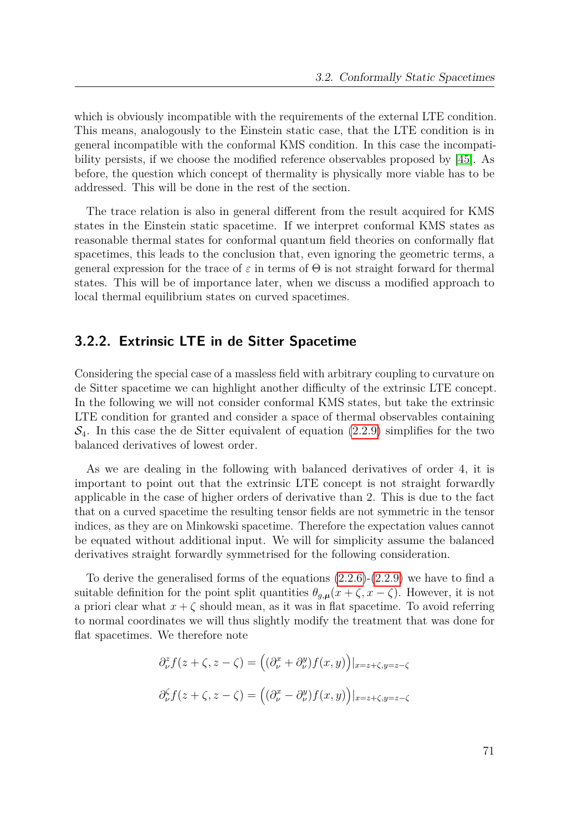which is obviously incompatible with the requirements of the external LTE condition. This means, analogously to the Einstein static case, that the LTE condition is in general incompatible with the conformal KMS condition. In this case the incompatibility persists, if we choose the modified reference observables proposed by [\[45\]](#page-151-4). As before, the question which concept of thermality is physically more viable has to be addressed. This will be done in the rest of the section.

The trace relation is also in general different from the result acquired for KMS states in the Einstein static spacetime. If we interpret conformal KMS states as reasonable thermal states for conformal quantum field theories on conformally flat spacetimes, this leads to the conclusion that, even ignoring the geometric terms, a general expression for the trace of  $\varepsilon$  in terms of  $\Theta$  is not straight forward for thermal states. This will be of importance later, when we discuss a modified approach to local thermal equilibrium states on curved spacetimes.

## **3.2.2. Extrinsic LTE in de Sitter Spacetime**

Considering the special case of a massless field with arbitrary coupling to curvature on de Sitter spacetime we can highlight another difficulty of the extrinsic LTE concept. In the following we will not consider conformal KMS states, but take the extrinsic LTE condition for granted and consider a space of thermal observables containing  $\mathcal{S}_4$ . In this case the de Sitter equivalent of equation [\(2.2.9\)](#page-28-0) simplifies for the two balanced derivatives of lowest order.

As we are dealing in the following with balanced derivatives of order 4, it is important to point out that the extrinsic LTE concept is not straight forwardly applicable in the case of higher orders of derivative than 2. This is due to the fact that on a curved spacetime the resulting tensor fields are not symmetric in the tensor indices, as they are on Minkowski spacetime. Therefore the expectation values cannot be equated without additional input. We will for simplicity assume the balanced derivatives straight forwardly symmetrised for the following consideration.

To derive the generalised forms of the equations [\(2.2.6\)](#page-28-1)-[\(2.2.9\)](#page-28-0) we have to find a suitable definition for the point split quantities  $\theta_{g,\mu}(x+\zeta,x-\zeta)$ . However, it is not a priori clear what  $x + \zeta$  should mean, as it was in flat spacetime. To avoid referring to normal coordinates we will thus slightly modify the treatment that was done for flat spacetimes. We therefore note

$$
\partial_{\nu}^{z} f(z+\zeta, z-\zeta) = ((\partial_{\nu}^{x} + \partial_{\nu}^{y}) f(x, y))|_{x=z+\zeta, y=z-\zeta}
$$

$$
\partial_{\nu}^{\zeta} f(z+\zeta, z-\zeta) = ((\partial_{\nu}^{x} - \partial_{\nu}^{y}) f(x, y))|_{x=z+\zeta, y=z-\zeta}
$$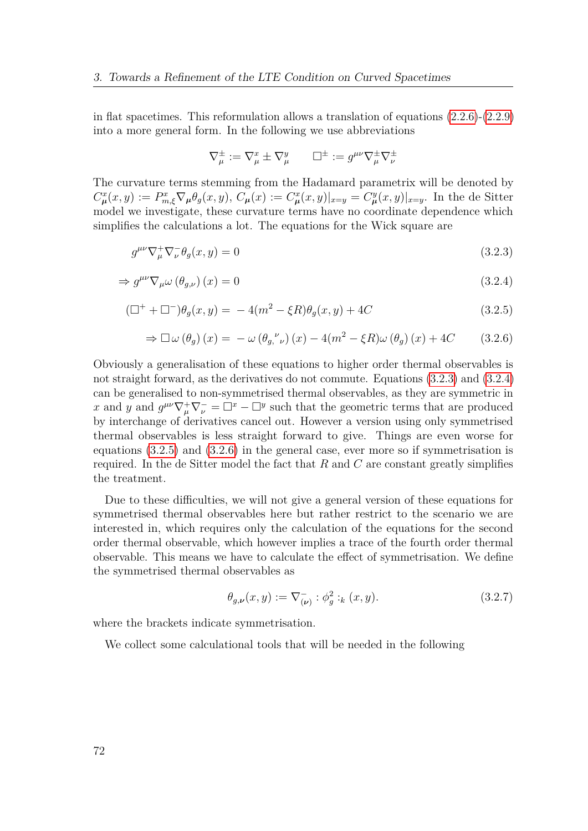in flat spacetimes. This reformulation allows a translation of equations  $(2.2.6)-(2.2.9)$  $(2.2.6)-(2.2.9)$  $(2.2.6)-(2.2.9)$ into a more general form. In the following we use abbreviations

<span id="page-71-3"></span><span id="page-71-2"></span><span id="page-71-1"></span><span id="page-71-0"></span>
$$
\nabla^\pm_\mu := \nabla^x_\mu \pm \nabla^y_\mu \qquad \Box^\pm := g^{\mu\nu} \nabla^\pm_\mu \nabla^\pm_\nu
$$

The curvature terms stemming from the Hadamard parametrix will be denoted by  $C_{\mu}^{x}(x,y) := P_{m,\xi}^{x} \nabla_{\mu} \theta_{g}(x,y), \ C_{\mu}(x) := C_{\mu}^{x}(x,y)|_{x=y} = C_{\mu}^{y}(x,y)|_{x=y}.$  In the de Sitter model we investigate, these curvature terms have no coordinate dependence which simplifies the calculations a lot. The equations for the Wick square are

$$
g^{\mu\nu}\nabla^+_\mu\nabla^-_\nu\theta_g(x,y) = 0\tag{3.2.3}
$$

$$
\Rightarrow g^{\mu\nu}\nabla_{\mu}\omega\left(\theta_{g,\nu}\right)(x) = 0\tag{3.2.4}
$$

$$
(\Box^{+} + \Box^{-})\theta_{g}(x, y) = -4(m^{2} - \xi R)\theta_{g}(x, y) + 4C
$$
\n(3.2.5)

$$
\Rightarrow \Box \omega (\theta_g) (x) = -\omega (\theta_g, \nu) (x) - 4(m^2 - \xi R) \omega (\theta_g) (x) + 4C \qquad (3.2.6)
$$

Obviously a generalisation of these equations to higher order thermal observables is not straight forward, as the derivatives do not commute. Equations [\(3.2.3\)](#page-71-0) and [\(3.2.4\)](#page-71-1) can be generalised to non-symmetrised thermal observables, as they are symmetric in *x* and *y* and  $g^{\mu\nu}\nabla^+_\mu\nabla^-_\nu = \Box^x - \Box^y$  such that the geometric terms that are produced by interchange of derivatives cancel out. However a version using only symmetrised thermal observables is less straight forward to give. Things are even worse for equations [\(3.2.5\)](#page-71-2) and [\(3.2.6\)](#page-71-3) in the general case, ever more so if symmetrisation is required. In the de Sitter model the fact that *R* and *C* are constant greatly simplifies the treatment.

Due to these difficulties, we will not give a general version of these equations for symmetrised thermal observables here but rather restrict to the scenario we are interested in, which requires only the calculation of the equations for the second order thermal observable, which however implies a trace of the fourth order thermal observable. This means we have to calculate the effect of symmetrisation. We define the symmetrised thermal observables as

$$
\theta_{g,\nu}(x,y) := \nabla_{(\nu)}^- : \phi_g^2 : _k (x,y). \tag{3.2.7}
$$

where the brackets indicate symmetrisation.

We collect some calculational tools that will be needed in the following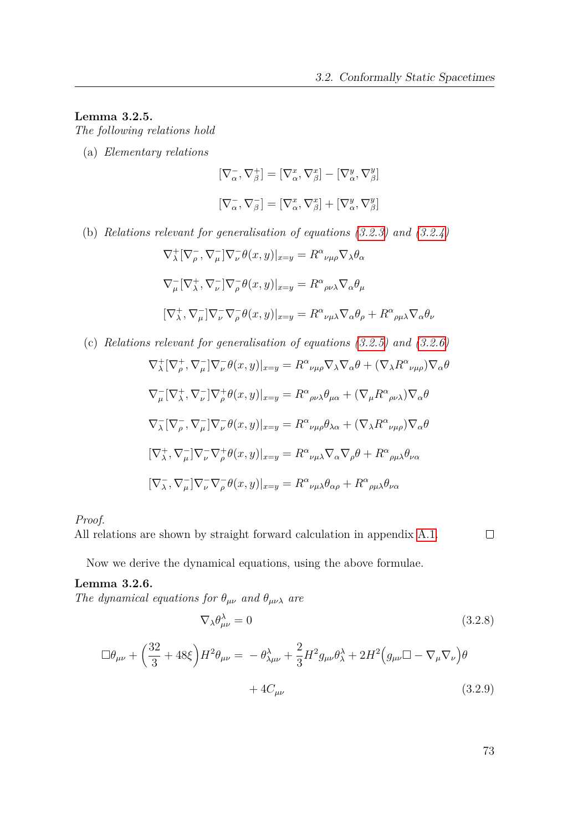### <span id="page-72-0"></span>**Lemma 3.2.5.**

*The following relations hold*

(a) *Elementary relations*

$$
[\nabla^-_{\alpha}, \nabla^+_{\beta}] = [\nabla^x_{\alpha}, \nabla^x_{\beta}] - [\nabla^y_{\alpha}, \nabla^y_{\beta}]
$$

$$
[\nabla^-_{\alpha}, \nabla^-_{\beta}] = [\nabla^x_{\alpha}, \nabla^x_{\beta}] + [\nabla^y_{\alpha}, \nabla^y_{\beta}]
$$

(b) *Relations relevant for generalisation of equations [\(3.2.3\)](#page-71-0) and [\(3.2.4\)](#page-71-1)*

$$
\nabla_{\lambda}^{+} [\nabla_{\rho}^{-}, \nabla_{\mu}^{-}] \nabla_{\nu}^{-} \theta(x, y)|_{x=y} = R^{\alpha}{}_{\nu\mu\rho} \nabla_{\lambda} \theta_{\alpha}
$$
  

$$
\nabla_{\mu}^{-} [\nabla_{\lambda}^{+}, \nabla_{\nu}^{-}] \nabla_{\rho}^{-} \theta(x, y)|_{x=y} = R^{\alpha}{}_{\rho\nu\lambda} \nabla_{\alpha} \theta_{\mu}
$$
  

$$
[\nabla_{\lambda}^{+}, \nabla_{\mu}^{-}] \nabla_{\nu}^{-} \nabla_{\rho}^{-} \theta(x, y)|_{x=y} = R^{\alpha}{}_{\nu\mu\lambda} \nabla_{\alpha} \theta_{\rho} + R^{\alpha}{}_{\rho\mu\lambda} \nabla_{\alpha} \theta_{\nu}
$$

(c) *Relations relevant for generalisation of equations [\(3.2.5\)](#page-71-2) and [\(3.2.6\)](#page-71-3)*

$$
\nabla_{\lambda}^{+} [\nabla_{\rho}^{+}, \nabla_{\mu}^{-}] \nabla_{\nu}^{-} \theta(x, y)|_{x=y} = R^{\alpha}{}_{\nu\mu\rho} \nabla_{\lambda} \nabla_{\alpha} \theta + (\nabla_{\lambda} R^{\alpha}{}_{\nu\mu\rho}) \nabla_{\alpha} \theta
$$
  

$$
\nabla_{\mu}^{-} [\nabla_{\lambda}^{+}, \nabla_{\nu}^{-}] \nabla_{\rho}^{+} \theta(x, y)|_{x=y} = R^{\alpha}{}_{\rho\nu\lambda} \theta_{\mu\alpha} + (\nabla_{\mu} R^{\alpha}{}_{\rho\nu\lambda}) \nabla_{\alpha} \theta
$$
  

$$
\nabla_{\lambda}^{-} [\nabla_{\rho}^{-}, \nabla_{\mu}^{-}] \nabla_{\nu}^{-} \theta(x, y)|_{x=y} = R^{\alpha}{}_{\nu\mu\rho} \theta_{\lambda\alpha} + (\nabla_{\lambda} R^{\alpha}{}_{\nu\mu\rho}) \nabla_{\alpha} \theta
$$
  

$$
[\nabla_{\lambda}^{+}, \nabla_{\mu}^{-}] \nabla_{\nu}^{-} \nabla_{\rho}^{+} \theta(x, y)|_{x=y} = R^{\alpha}{}_{\nu\mu\lambda} \nabla_{\alpha} \nabla_{\rho} \theta + R^{\alpha}{}_{\rho\mu\lambda} \theta_{\nu\alpha}
$$
  

$$
[\nabla_{\lambda}^{-}, \nabla_{\mu}^{-}] \nabla_{\nu}^{-} \nabla_{\rho}^{-} \theta(x, y)|_{x=y} = R^{\alpha}{}_{\nu\mu\lambda} \theta_{\alpha\rho} + R^{\alpha}{}_{\rho\mu\lambda} \theta_{\nu\alpha}
$$

*Proof.*

All relations are shown by straight forward calculation in appendix [A.1.](#page-135-0)  $\Box$ 

Now we derive the dynamical equations, using the above formulae.

# **Lemma 3.2.6.**

*The dynamical equations for*  $\theta_{\mu\nu}$  *and*  $\theta_{\mu\nu\lambda}$  *are* 

<span id="page-72-2"></span><span id="page-72-1"></span>
$$
\nabla_{\lambda} \theta_{\mu\nu}^{\lambda} = 0
$$
\n
$$
\Box \theta_{\mu\nu} + \left(\frac{32}{3} + 48\xi\right) H^2 \theta_{\mu\nu} = -\theta_{\lambda\mu\nu}^{\lambda} + \frac{2}{3} H^2 g_{\mu\nu} \theta_{\lambda}^{\lambda} + 2H^2 \left(g_{\mu\nu} \Box - \nabla_{\mu} \nabla_{\nu}\right) \theta
$$
\n
$$
+ 4C_{\mu\nu}
$$
\n(3.2.9)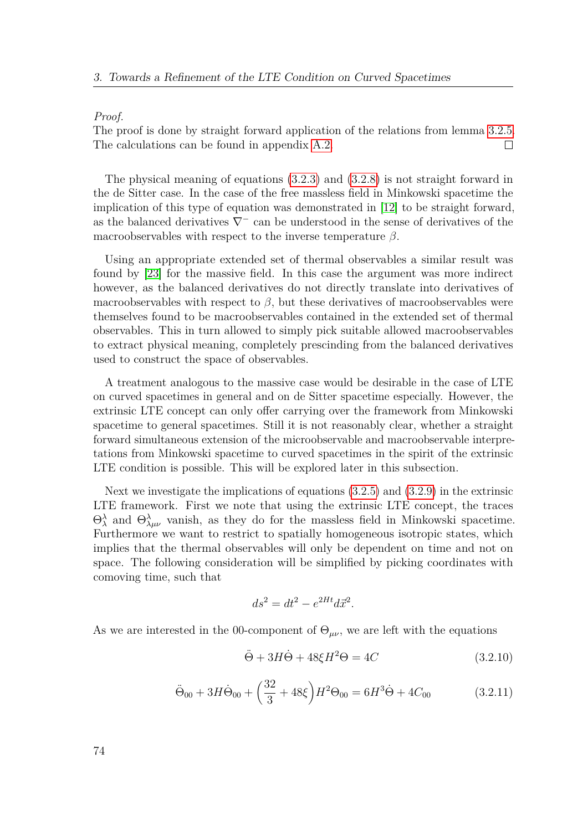#### *Proof.*

The proof is done by straight forward application of the relations from lemma [3.2.5.](#page-72-0) The calculations can be found in appendix [A.2.](#page-137-0)  $\Box$ 

The physical meaning of equations [\(3.2.3\)](#page-71-0) and [\(3.2.8\)](#page-72-1) is not straight forward in the de Sitter case. In the case of the free massless field in Minkowski spacetime the implication of this type of equation was demonstrated in [\[12\]](#page-149-0) to be straight forward, as the balanced derivatives  $\nabla^-$  can be understood in the sense of derivatives of the macroobservables with respect to the inverse temperature *β*.

Using an appropriate extended set of thermal observables a similar result was found by [\[23\]](#page-150-0) for the massive field. In this case the argument was more indirect however, as the balanced derivatives do not directly translate into derivatives of macroobservables with respect to  $\beta$ , but these derivatives of macroobservables were themselves found to be macroobservables contained in the extended set of thermal observables. This in turn allowed to simply pick suitable allowed macroobservables to extract physical meaning, completely prescinding from the balanced derivatives used to construct the space of observables.

A treatment analogous to the massive case would be desirable in the case of LTE on curved spacetimes in general and on de Sitter spacetime especially. However, the extrinsic LTE concept can only offer carrying over the framework from Minkowski spacetime to general spacetimes. Still it is not reasonably clear, whether a straight forward simultaneous extension of the microobservable and macroobservable interpretations from Minkowski spacetime to curved spacetimes in the spirit of the extrinsic LTE condition is possible. This will be explored later in this subsection.

Next we investigate the implications of equations [\(3.2.5\)](#page-71-2) and [\(3.2.9\)](#page-72-2) in the extrinsic LTE framework. First we note that using the extrinsic LTE concept, the traces  $\Theta_\lambda^\lambda$  and  $\Theta_{\lambda\mu\nu}^\lambda$  vanish, as they do for the massless field in Minkowski spacetime. Furthermore we want to restrict to spatially homogeneous isotropic states, which implies that the thermal observables will only be dependent on time and not on space. The following consideration will be simplified by picking coordinates with comoving time, such that

<span id="page-73-0"></span>
$$
ds^2 = dt^2 - e^{2Ht} d\vec{x}^2.
$$

As we are interested in the 00-component of  $\Theta_{\mu\nu}$ , we are left with the equations

<span id="page-73-1"></span>
$$
\ddot{\Theta} + 3H\dot{\Theta} + 48\xi H^2 \Theta = 4C\tag{3.2.10}
$$

$$
\ddot{\Theta}_{00} + 3H\dot{\Theta}_{00} + \left(\frac{32}{3} + 48\xi\right)H^2\Theta_{00} = 6H^3\dot{\Theta} + 4C_{00}
$$
 (3.2.11)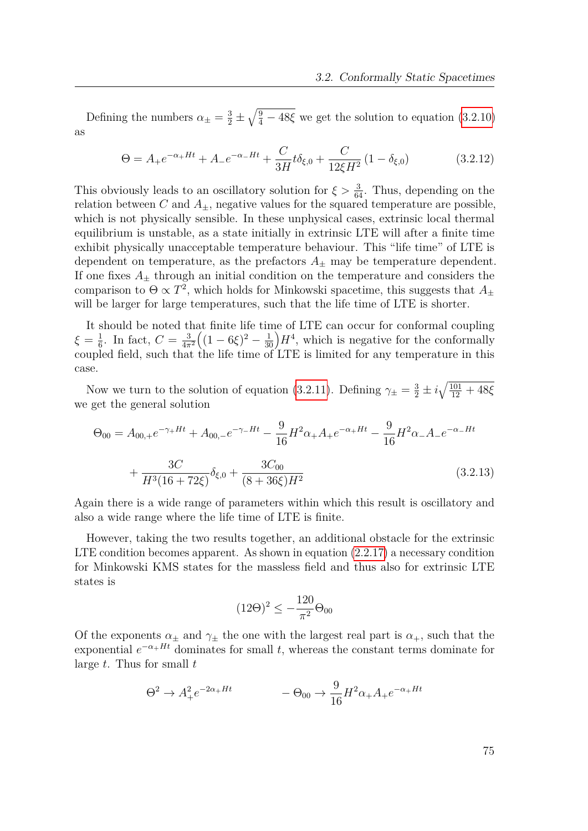Defining the numbers  $\alpha_{\pm} = \frac{3}{2} \pm \sqrt{\frac{9}{4} - 48\xi}$  we get the solution to equation [\(3.2.10\)](#page-73-0) as

<span id="page-74-0"></span>
$$
\Theta = A_{+}e^{-\alpha_{+}Ht} + A_{-}e^{-\alpha_{-}Ht} + \frac{C}{3H}t\delta_{\xi,0} + \frac{C}{12\xi H^2} (1 - \delta_{\xi,0})
$$
(3.2.12)

This obviously leads to an oscillatory solution for  $\xi > \frac{3}{64}$ . Thus, depending on the relation between *C* and  $A_{\pm}$ , negative values for the squared temperature are possible, which is not physically sensible. In these unphysical cases, extrinsic local thermal equilibrium is unstable, as a state initially in extrinsic LTE will after a finite time exhibit physically unacceptable temperature behaviour. This "life time" of LTE is dependent on temperature, as the prefactors  $A_{\pm}$  may be temperature dependent. If one fixes  $A_+$  through an initial condition on the temperature and considers the comparison to  $\Theta \propto T^2$ , which holds for Minkowski spacetime, this suggests that  $A_{\pm}$ will be larger for large temperatures, such that the life time of LTE is shorter.

It should be noted that finite life time of LTE can occur for conformal coupling  $\xi = \frac{1}{6}$  $\frac{1}{6}$ . In fact,  $C = \frac{3}{4\pi}$  $\overline{4\pi^2}$  $((1-6\xi)^2-\frac{1}{30})H^4$ , which is negative for the conformally coupled field, such that the life time of LTE is limited for any temperature in this case.

Now we turn to the solution of equation [\(3.2.11\)](#page-73-1). Defining  $\gamma_{\pm} = \frac{3}{2} \pm i \sqrt{\frac{101}{12} + 48 \xi}$ we get the general solution

$$
\Theta_{00} = A_{00,+}e^{-\gamma_{+}Ht} + A_{00,-}e^{-\gamma_{-}Ht} - \frac{9}{16}H^{2}\alpha_{+}A_{+}e^{-\alpha_{+}Ht} - \frac{9}{16}H^{2}\alpha_{-}A_{-}e^{-\alpha_{-}Ht} + \frac{3C}{H^{3}(16+72\xi)}\delta_{\xi,0} + \frac{3C_{00}}{(8+36\xi)H^{2}}
$$
(3.2.13)

Again there is a wide range of parameters within which this result is oscillatory and also a wide range where the life time of LTE is finite.

However, taking the two results together, an additional obstacle for the extrinsic LTE condition becomes apparent. As shown in equation [\(2.2.17\)](#page-29-0) a necessary condition for Minkowski KMS states for the massless field and thus also for extrinsic LTE states is

<span id="page-74-1"></span>
$$
(12\Theta)^2 \le -\frac{120}{\pi^2} \Theta_{00}
$$

Of the exponents  $\alpha_{\pm}$  and  $\gamma_{\pm}$  the one with the largest real part is  $\alpha_{+}$ , such that the exponential  $e^{-\alpha + Ht}$  dominates for small *t*, whereas the constant terms dominate for large *t*. Thus for small *t*

$$
\Theta^2 \to A_+^2 e^{-2\alpha_+ H t} \qquad -\Theta_{00} \to \frac{9}{16} H^2 \alpha_+ A_+ e^{-\alpha_+ H t}
$$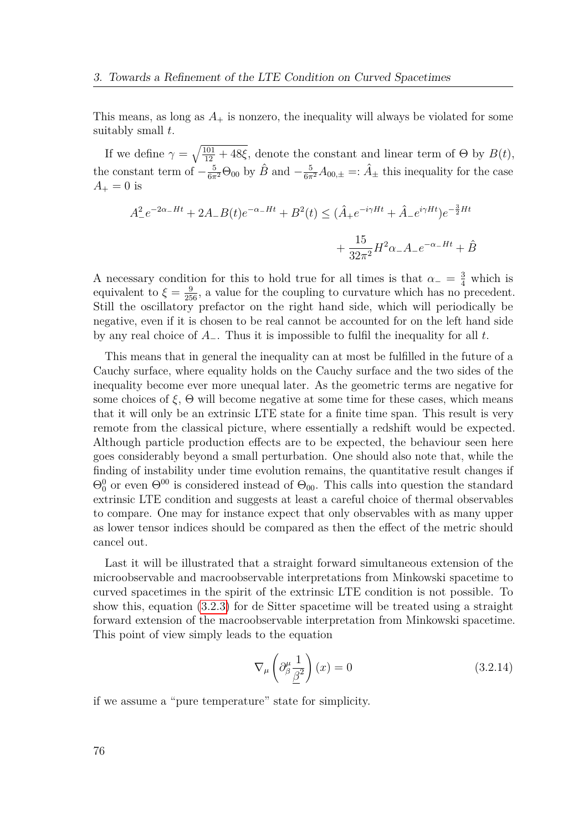This means, as long as  $A_+$  is nonzero, the inequality will always be violated for some suitably small *t*.

If we define  $\gamma = \sqrt{\frac{101}{12} + 48\xi}$ , denote the constant and linear term of  $\Theta$  by  $B(t)$ , the constant term of  $-\frac{5}{6\pi^2}\Theta_{00}$  by  $\hat{B}$  and  $-\frac{5}{6\pi^2}A_{00,\pm} =: \hat{A}_{\pm}$  this inequality for the case  $A_{+} = 0$  is

$$
A_{-}^{2}e^{-2\alpha_{-}Ht} + 2A_{-}B(t)e^{-\alpha_{-}Ht} + B^{2}(t) \leq (\hat{A}_{+}e^{-i\gamma Ht} + \hat{A}_{-}e^{i\gamma Ht})e^{-\frac{3}{2}Ht} + \frac{15}{32\pi^{2}}H^{2}\alpha_{-}A_{-}e^{-\alpha_{-}Ht} + \hat{B}
$$

A necessary condition for this to hold true for all times is that  $\alpha_-\equiv \frac{3}{4}$  which is equivalent to  $\xi = \frac{9}{256}$ , a value for the coupling to curvature which has no precedent. Still the oscillatory prefactor on the right hand side, which will periodically be negative, even if it is chosen to be real cannot be accounted for on the left hand side by any real choice of *A*−. Thus it is impossible to fulfil the inequality for all *t*.

This means that in general the inequality can at most be fulfilled in the future of a Cauchy surface, where equality holds on the Cauchy surface and the two sides of the inequality become ever more unequal later. As the geometric terms are negative for some choices of  $\xi$ ,  $\Theta$  will become negative at some time for these cases, which means that it will only be an extrinsic LTE state for a finite time span. This result is very remote from the classical picture, where essentially a redshift would be expected. Although particle production effects are to be expected, the behaviour seen here goes considerably beyond a small perturbation. One should also note that, while the finding of instability under time evolution remains, the quantitative result changes if  $\Theta_0^0$  or even  $\Theta^{00}$  is considered instead of  $\Theta_{00}$ . This calls into question the standard extrinsic LTE condition and suggests at least a careful choice of thermal observables to compare. One may for instance expect that only observables with as many upper as lower tensor indices should be compared as then the effect of the metric should cancel out.

Last it will be illustrated that a straight forward simultaneous extension of the microobservable and macroobservable interpretations from Minkowski spacetime to curved spacetimes in the spirit of the extrinsic LTE condition is not possible. To show this, equation [\(3.2.3\)](#page-71-0) for de Sitter spacetime will be treated using a straight forward extension of the macroobservable interpretation from Minkowski spacetime. This point of view simply leads to the equation

<span id="page-75-0"></span>
$$
\nabla_{\mu} \left( \partial^{\mu}_{\beta} \frac{1}{\underline{\beta}^2} \right) (x) = 0 \tag{3.2.14}
$$

if we assume a "pure temperature" state for simplicity.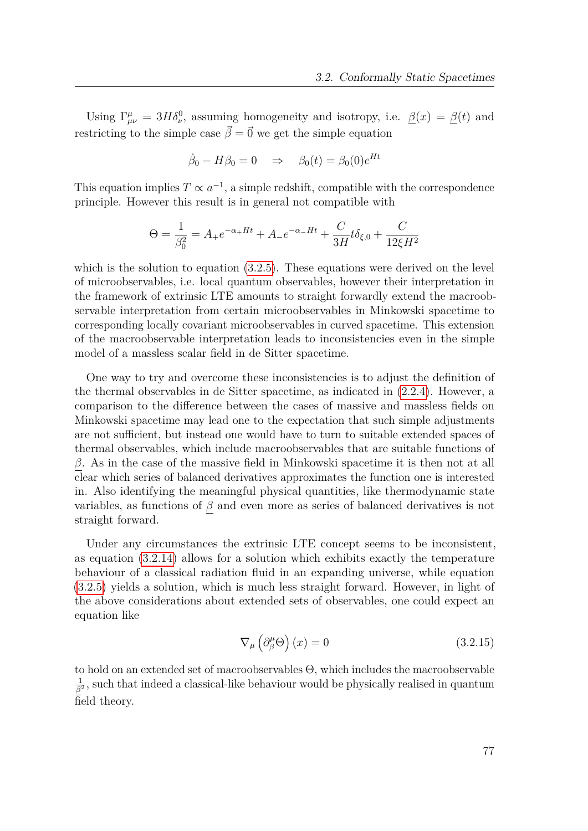Using  $\Gamma^{\mu}_{\mu\nu} = 3H\delta^0_{\nu}$ , assuming homogeneity and isotropy, i.e.  $\beta(x) = \beta(t)$  and restricting to the simple case  $\vec{\beta} = \vec{0}$  we get the simple equation

$$
\dot{\beta}_0 - H\beta_0 = 0 \quad \Rightarrow \quad \beta_0(t) = \beta_0(0)e^{Ht}
$$

This equation implies  $T \propto a^{-1}$ , a simple redshift, compatible with the correspondence principle. However this result is in general not compatible with

$$
\Theta = \frac{1}{\beta_0^2} = A_+ e^{-\alpha_+ H t} + A_- e^{-\alpha_- H t} + \frac{C}{3H} t \delta_{\xi,0} + \frac{C}{12\xi H^2}
$$

which is the solution to equation  $(3.2.5)$ . These equations were derived on the level of microobservables, i.e. local quantum observables, however their interpretation in the framework of extrinsic LTE amounts to straight forwardly extend the macroobservable interpretation from certain microobservables in Minkowski spacetime to corresponding locally covariant microobservables in curved spacetime. This extension of the macroobservable interpretation leads to inconsistencies even in the simple model of a massless scalar field in de Sitter spacetime.

One way to try and overcome these inconsistencies is to adjust the definition of the thermal observables in de Sitter spacetime, as indicated in [\(2.2.4\)](#page-26-0). However, a comparison to the difference between the cases of massive and massless fields on Minkowski spacetime may lead one to the expectation that such simple adjustments are not sufficient, but instead one would have to turn to suitable extended spaces of thermal observables, which include macroobservables that are suitable functions of *β*. As in the case of the massive field in Minkowski spacetime it is then not at all clear which series of balanced derivatives approximates the function one is interested in. Also identifying the meaningful physical quantities, like thermodynamic state variables, as functions of  $\beta$  and even more as series of balanced derivatives is not straight forward.

Under any circumstances the extrinsic LTE concept seems to be inconsistent, as equation [\(3.2.14\)](#page-75-0) allows for a solution which exhibits exactly the temperature behaviour of a classical radiation fluid in an expanding universe, while equation [\(3.2.5\)](#page-71-2) yields a solution, which is much less straight forward. However, in light of the above considerations about extended sets of observables, one could expect an equation like

$$
\nabla_{\mu} \left( \partial_{\beta}^{\mu} \Theta \right) (x) = 0 \tag{3.2.15}
$$

to hold on an extended set of macroobservables Θ, which includes the macroobservable 1  $\frac{1}{\beta^2}$ , such that indeed a classical-like behaviour would be physically realised in quantum field theory.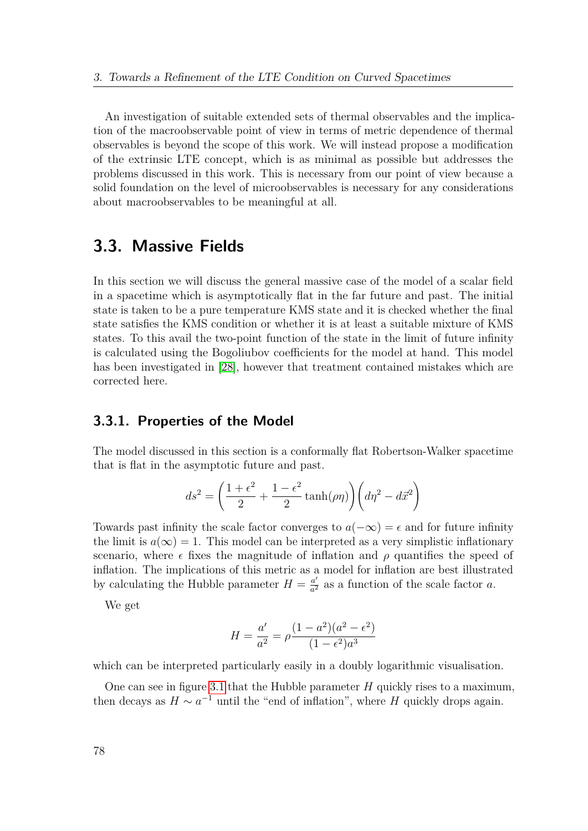An investigation of suitable extended sets of thermal observables and the implication of the macroobservable point of view in terms of metric dependence of thermal observables is beyond the scope of this work. We will instead propose a modification of the extrinsic LTE concept, which is as minimal as possible but addresses the problems discussed in this work. This is necessary from our point of view because a solid foundation on the level of microobservables is necessary for any considerations about macroobservables to be meaningful at all.

# <span id="page-77-0"></span>**3.3. Massive Fields**

In this section we will discuss the general massive case of the model of a scalar field in a spacetime which is asymptotically flat in the far future and past. The initial state is taken to be a pure temperature KMS state and it is checked whether the final state satisfies the KMS condition or whether it is at least a suitable mixture of KMS states. To this avail the two-point function of the state in the limit of future infinity is calculated using the Bogoliubov coefficients for the model at hand. This model has been investigated in [\[28\]](#page-150-1), however that treatment contained mistakes which are corrected here.

## **3.3.1. Properties of the Model**

The model discussed in this section is a conformally flat Robertson-Walker spacetime that is flat in the asymptotic future and past.

$$
ds^{2} = \left(\frac{1+\epsilon^{2}}{2} + \frac{1-\epsilon^{2}}{2}\tanh(\rho\eta)\right)\left(d\eta^{2} - d\vec{x}^{2}\right)
$$

Towards past infinity the scale factor converges to  $a(-\infty) = \epsilon$  and for future infinity the limit is  $a(\infty) = 1$ . This model can be interpreted as a very simplistic inflationary scenario, where  $\epsilon$  fixes the magnitude of inflation and  $\rho$  quantifies the speed of inflation. The implications of this metric as a model for inflation are best illustrated by calculating the Hubble parameter  $H = \frac{a'}{a^2}$  $\frac{a'}{a^2}$  as a function of the scale factor *a*.

We get

$$
H = \frac{a'}{a^2} = \rho \frac{(1 - a^2)(a^2 - \epsilon^2)}{(1 - \epsilon^2)a^3}
$$

which can be interpreted particularly easily in a doubly logarithmic visualisation.

One can see in figure [3.1](#page-78-0) that the Hubble parameter *H* quickly rises to a maximum, then decays as  $H \sim a^{-1}$  until the "end of inflation", where *H* quickly drops again.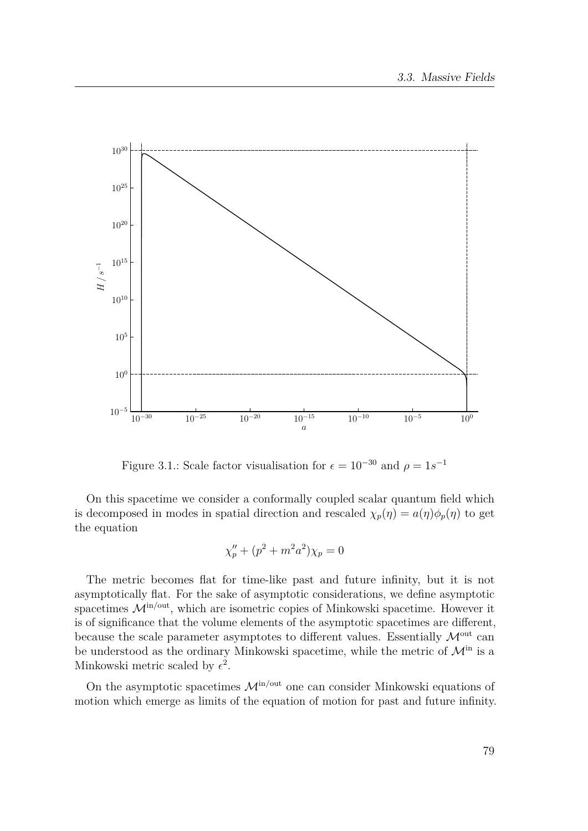

<span id="page-78-0"></span>Figure 3.1.: Scale factor visualisation for  $\epsilon = 10^{-30}$  and  $\rho = 1s^{-1}$ 

On this spacetime we consider a conformally coupled scalar quantum field which is decomposed in modes in spatial direction and rescaled  $\chi_p(\eta) = a(\eta)\phi_p(\eta)$  to get the equation

$$
\chi''_p + (p^2 + m^2 a^2) \chi_p = 0
$$

The metric becomes flat for time-like past and future infinity, but it is not asymptotically flat. For the sake of asymptotic considerations, we define asymptotic spacetimes  $\mathcal{M}^{\text{in/out}}$ , which are isometric copies of Minkowski spacetime. However it is of significance that the volume elements of the asymptotic spacetimes are different, because the scale parameter asymptotes to different values. Essentially  $\mathcal{M}^{\text{out}}$  can be understood as the ordinary Minkowski spacetime, while the metric of  $\mathcal{M}^{\text{in}}$  is a Minkowski metric scaled by  $\epsilon^2$ .

On the asymptotic spacetimes  $\mathcal{M}^{\text{in/out}}$  one can consider Minkowski equations of motion which emerge as limits of the equation of motion for past and future infinity.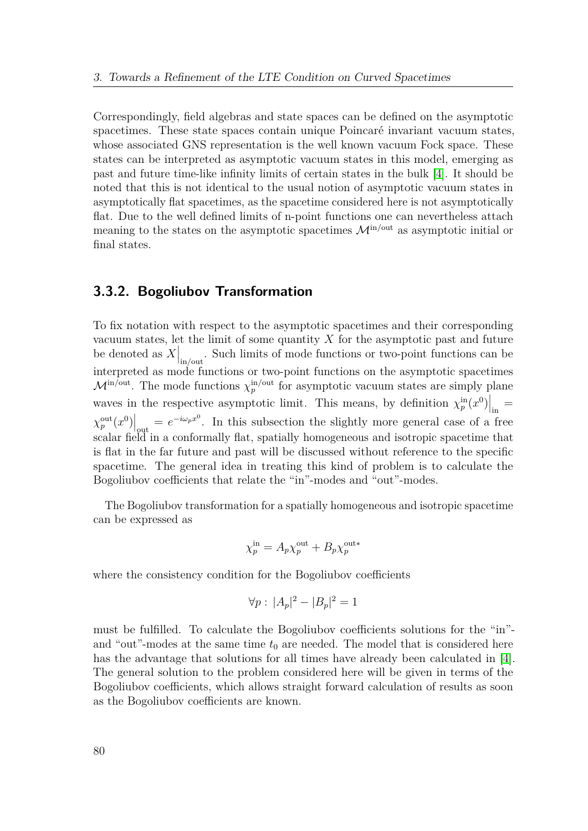Correspondingly, field algebras and state spaces can be defined on the asymptotic spacetimes. These state spaces contain unique Poincaré invariant vacuum states, whose associated GNS representation is the well known vacuum Fock space. These states can be interpreted as asymptotic vacuum states in this model, emerging as past and future time-like infinity limits of certain states in the bulk [\[4\]](#page-149-1). It should be noted that this is not identical to the usual notion of asymptotic vacuum states in asymptotically flat spacetimes, as the spacetime considered here is not asymptotically flat. Due to the well defined limits of n-point functions one can nevertheless attach meaning to the states on the asymptotic spacetimes  $\mathcal{M}^{\text{in/out}}$  as asymptotic initial or final states.

## **3.3.2. Bogoliubov Transformation**

To fix notation with respect to the asymptotic spacetimes and their corresponding vacuum states, let the limit of some quantity *X* for the asymptotic past and future be denoted as  $X|_{\text{in/out}}$ . Such limits of mode functions or two-point functions can be interpreted as mode functions or two-point functions on the asymptotic spacetimes  $\mathcal{M}^{\text{in/out}}$ . The mode functions  $\chi_p^{\text{in/out}}$  for asymptotic vacuum states are simply plane waves in the respective asymptotic limit. This means, by definition  $\chi_p^{\text{in}}(x^0)$  =  $\chi_p^{\text{out}}(x^0)$  =  $e^{-i\omega_p x^0}$ . In this subsection the slightly more general case of a free scalar field in a conformally flat, spatially homogeneous and isotropic spacetime that is flat in the far future and past will be discussed without reference to the specific spacetime. The general idea in treating this kind of problem is to calculate the Bogoliubov coefficients that relate the "in"-modes and "out"-modes.

The Bogoliubov transformation for a spatially homogeneous and isotropic spacetime can be expressed as

$$
\chi_p^{\text{in}} = A_p \chi_p^{\text{out}} + B_p \chi_p^{\text{out}*}
$$

where the consistency condition for the Bogoliubov coefficients

$$
\forall p: \, |A_p|^2 - |B_p|^2 = 1
$$

must be fulfilled. To calculate the Bogoliubov coefficients solutions for the "in" and "out"-modes at the same time  $t_0$  are needed. The model that is considered here has the advantage that solutions for all times have already been calculated in [\[4\]](#page-149-1). The general solution to the problem considered here will be given in terms of the Bogoliubov coefficients, which allows straight forward calculation of results as soon as the Bogoliubov coefficients are known.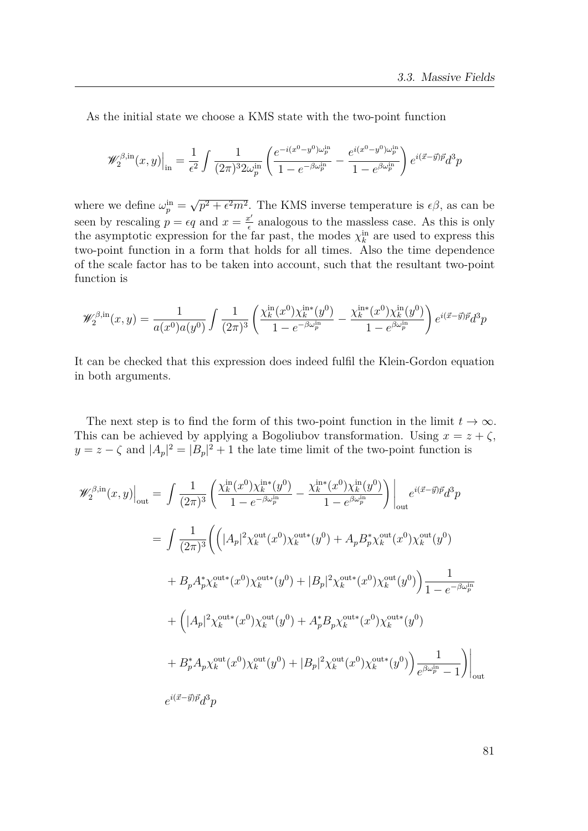As the initial state we choose a KMS state with the two-point function

$$
\mathscr{W}^{\beta,\mathrm{in}}_2(x,y)\Big|_{\mathrm{in}} = \frac{1}{\epsilon^2} \int \frac{1}{(2\pi)^3 2\omega^\mathrm{in}_p} \left( \frac{e^{-i(x^0-y^0)\omega^\mathrm{in}_p}}{1-e^{-\beta\omega^\mathrm{in}_p}} - \frac{e^{i(x^0-y^0)\omega^\mathrm{in}_p}}{1-e^{\beta\omega^\mathrm{in}_p}} \right) e^{i(\vec{x}-\vec{y})\vec{p}} d^3p
$$

where we define  $\omega_p^{\text{in}} =$ √  $p^2 + \epsilon^2 m^2$ . The KMS inverse temperature is  $\epsilon \beta$ , as can be seen by rescaling  $p = \epsilon q$  and  $x = \frac{x^{\prime}}{\epsilon}$  $\frac{c'}{\epsilon}$  analogous to the massless case. As this is only the asymptotic expression for the far past, the modes  $\chi_k^{\text{in}}$  are used to express this two-point function in a form that holds for all times. Also the time dependence of the scale factor has to be taken into account, such that the resultant two-point function is

$$
\mathscr{W}_2^{\beta,\mathrm{in}}(x,y) = \frac{1}{a(x^0)a(y^0)} \int \frac{1}{(2\pi)^3} \left( \frac{\chi_k^{\mathrm{in}}(x^0)\chi_k^{\mathrm{in}*}(y^0)}{1 - e^{-\beta \omega_p^{\mathrm{in}}}} - \frac{\chi_k^{\mathrm{in}*}(x^0)\chi_k^{\mathrm{in}}(y^0)}{1 - e^{\beta \omega_p^{\mathrm{in}}}} \right) e^{i(\vec{x}-\vec{y})\vec{p}} d^3p
$$

It can be checked that this expression does indeed fulfil the Klein-Gordon equation in both arguments.

The next step is to find the form of this two-point function in the limit  $t \to \infty$ . This can be achieved by applying a Bogoliubov transformation. Using  $x = z + \zeta$ ,  $y = z - \zeta$  and  $|A_p|^2 = |B_p|^2 + 1$  the late time limit of the two-point function is

$$
\mathscr{W}_{2}^{\beta,\text{in}}(x,y)\Big|_{\text{out}} = \int \frac{1}{(2\pi)^{3}} \left( \frac{\chi_{k}^{\text{in}}(x^{0})\chi_{k}^{\text{in}*}(y^{0})}{1 - e^{-\beta\omega_{p}^{\text{in}}}} - \frac{\chi_{k}^{\text{in}*}(x^{0})\chi_{k}^{\text{in}}(y^{0})}{1 - e^{\beta\omega_{p}^{\text{in}}}} \right) \Big|_{\text{out}} e^{i(\vec{x}-\vec{y})\vec{p}} d^{3}p
$$
  
\n
$$
= \int \frac{1}{(2\pi)^{3}} \Biggl( \Bigl( |A_{p}|^{2} \chi_{k}^{\text{out}*}(x^{0}) \chi_{k}^{\text{out}*}(y^{0}) + A_{p} B_{p}^{*} \chi_{k}^{\text{out}}(x^{0}) \chi_{k}^{\text{out}}(y^{0}) \Bigr) \Biggr) + B_{p} A_{p}^{*} \chi_{k}^{\text{out}*}(x^{0}) \chi_{k}^{\text{out}*}(y^{0}) + |B_{p}|^{2} \chi_{k}^{\text{out}*}(x^{0}) \chi_{k}^{\text{out}*}(y^{0}) \Biggr) \frac{1}{1 - e^{-\beta\omega_{p}^{\text{in}}}}
$$
  
\n
$$
+ (|A_{p}|^{2} \chi_{k}^{\text{out}*}(x^{0}) \chi_{k}^{\text{out}*}(y^{0}) + A_{p}^{*} B_{p} \chi_{k}^{\text{out}*}(x^{0}) \chi_{k}^{\text{out}*}(y^{0})
$$
  
\n
$$
+ B_{p}^{*} A_{p} \chi_{k}^{\text{out}}(x^{0}) \chi_{k}^{\text{out}}(y^{0}) + |B_{p}|^{2} \chi_{k}^{\text{out}}(x^{0}) \chi_{k}^{\text{out}*}(y^{0}) \Biggr) \frac{1}{e^{\beta\omega_{p}^{\text{in}} - 1}} \Biggr) \Big|_{\text{out}}
$$
  
\n
$$
e^{i(\vec{x}-\vec{y})\vec{p}} d^{3}p
$$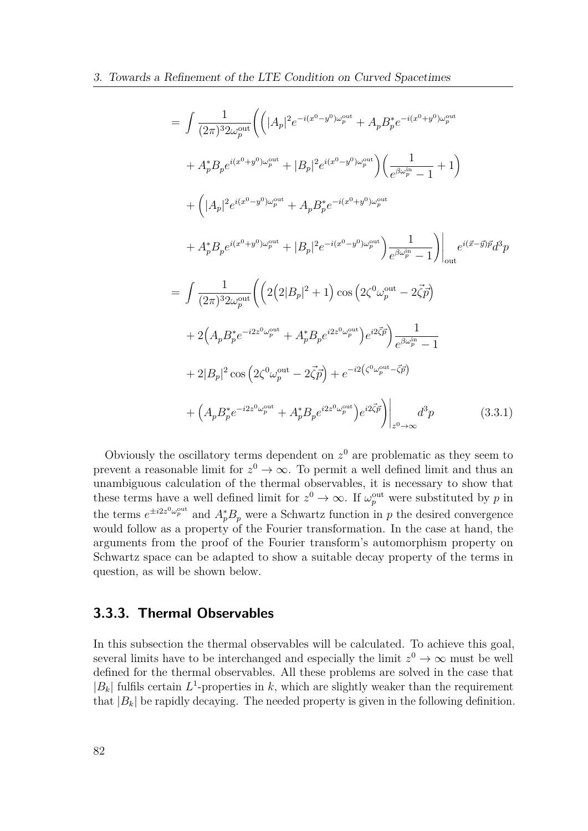$$
= \int \frac{1}{(2\pi)^3 2\omega_p^{out}} \left( \left( |A_p|^2 e^{-i(x^0 - y^0)\omega_p^{out}} + A_p B_p^* e^{-i(x^0 + y^0)\omega_p^{out}} \right) \right. \\ + A_p^* B_p e^{i(x^0 + y^0)\omega_p^{out}} + |B_p|^2 e^{i(x^0 - y^0)\omega_p^{out}} \right) \left( \frac{1}{e^{\beta \omega_p^{in}} - 1} + 1 \right) \\ + \left( |A_p|^2 e^{i(x^0 - y^0)\omega_p^{out}} + A_p B_p^* e^{-i(x^0 + y^0)\omega_p^{out}} \right. \\ + A_p^* B_p e^{i(x^0 + y^0)\omega_p^{out}} + |B_p|^2 e^{-i(x^0 - y^0)\omega_p^{out}} \left. \right) \frac{1}{e^{\beta \omega_p^{in}} - 1} \right) \Big|_{\text{out}} e^{i(\vec{x} - \vec{y})\vec{p}} d^3p
$$

$$
= \int \frac{1}{(2\pi)^3 2\omega_p^{out}} \left( \left( 2(2|B_p|^2 + 1) \cos \left( 2\zeta^0 \omega_p^{out} - 2\vec{\zeta} \vec{p} \right) \right. \\ + 2 \left( A_p B_p^* e^{-i2z^0 \omega_p^{out}} + A_p^* B_p e^{i2z^0 \omega_p^{out}} \right) e^{i2\vec{\zeta}\vec{p}} \right) \frac{1}{e^{\beta \omega_p^{in}} - 1}
$$

$$
+ 2|B_p|^2 \cos \left( 2\zeta^0 \omega_p^{out} - 2\vec{\zeta}\vec{p} \right) + e^{-i2(\zeta^0 \omega_p^{out} - \vec{\zeta}\vec{p})}
$$

$$
+ \left( A_p B_p^* e^{-i2z^0 \omega_p^{out}} + A_p^* B_p e^{i2z^0 \omega_p^{out}} \right) e^{i2\vec{\zeta}\vec{p}} \Big|_{z^0 \to \infty} d^3p \tag{3.3.1}
$$

<span id="page-81-0"></span>Obviously the oscillatory terms dependent on  $z<sup>0</sup>$  are problematic as they seem to prevent a reasonable limit for  $z^0 \to \infty$ . To permit a well defined limit and thus an unambiguous calculation of the thermal observables, it is necessary to show that these terms have a well defined limit for  $z^0 \to \infty$ . If  $\omega_p^{\text{out}}$  were substituted by *p* in the terms  $e^{\pm i2z^0\omega_p^{\text{out}}}$  and  $A_p^*B_p$  were a Schwartz function in *p* the desired convergence would follow as a property of the Fourier transformation. In the case at hand, the arguments from the proof of the Fourier transform's automorphism property on Schwartz space can be adapted to show a suitable decay property of the terms in question, as will be shown below.

# **3.3.3. Thermal Observables**

In this subsection the thermal observables will be calculated. To achieve this goal, several limits have to be interchanged and especially the limit  $z^0 \to \infty$  must be well defined for the thermal observables. All these problems are solved in the case that  $|B_k|$  fulfils certain  $L^1$ -properties in k, which are slightly weaker than the requirement that  $|B_k|$  be rapidly decaying. The needed property is given in the following definition.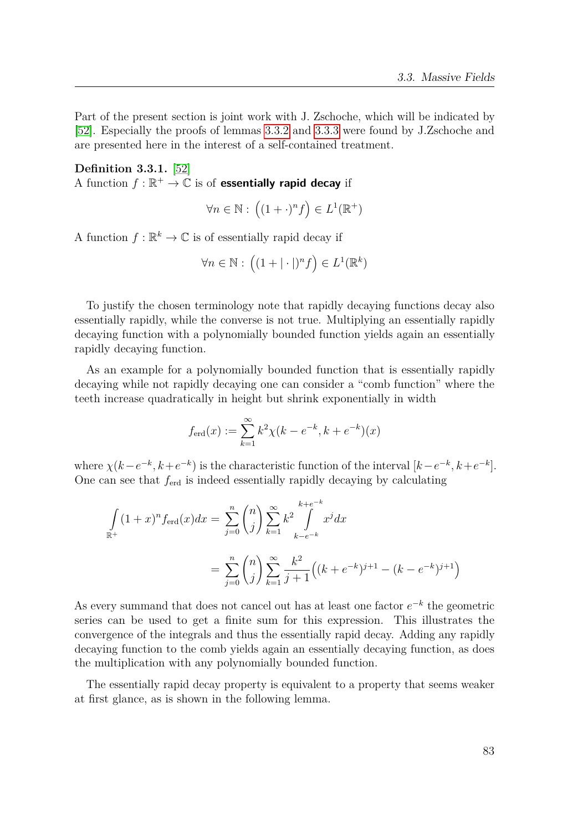Part of the present section is joint work with J. Zschoche, which will be indicated by [\[52\]](#page-152-0). Especially the proofs of lemmas [3.3.2](#page-83-0) and [3.3.3](#page-83-1) were found by J.Zschoche and are presented here in the interest of a self-contained treatment.

**Definition 3.3.1.** [\[52\]](#page-152-0) A function  $f : \mathbb{R}^+ \to \mathbb{C}$  is of **essentially rapid decay** if

$$
\forall n \in \mathbb{N}: \left( (1 + \cdot)^n f \right) \in L^1(\mathbb{R}^+)
$$

A function  $f: \mathbb{R}^k \to \mathbb{C}$  is of essentially rapid decay if

$$
\forall n \in \mathbb{N}: \left( (1+|\cdot|)^n f \right) \in L^1(\mathbb{R}^k)
$$

To justify the chosen terminology note that rapidly decaying functions decay also essentially rapidly, while the converse is not true. Multiplying an essentially rapidly decaying function with a polynomially bounded function yields again an essentially rapidly decaying function.

As an example for a polynomially bounded function that is essentially rapidly decaying while not rapidly decaying one can consider a "comb function" where the teeth increase quadratically in height but shrink exponentially in width

$$
f_{\text{erd}}(x) := \sum_{k=1}^{\infty} k^2 \chi(k - e^{-k}, k + e^{-k})(x)
$$

where  $\chi(k-e^{-k}, k+e^{-k})$  is the characteristic function of the interval  $[k-e^{-k}, k+e^{-k}]$ . One can see that *f*erd is indeed essentially rapidly decaying by calculating

$$
\int_{\mathbb{R}^+} (1+x)^n f_{\text{erd}}(x) dx = \sum_{j=0}^n {n \choose j} \sum_{k=1}^\infty k^2 \int_{k-e^{-k}}^{k+e^{-k}} x^j dx
$$

$$
= \sum_{j=0}^n {n \choose j} \sum_{k=1}^\infty \frac{k^2}{j+1} \left( (k+e^{-k})^{j+1} - (k-e^{-k})^{j+1} \right)
$$

As every summand that does not cancel out has at least one factor  $e^{-k}$  the geometric series can be used to get a finite sum for this expression. This illustrates the convergence of the integrals and thus the essentially rapid decay. Adding any rapidly decaying function to the comb yields again an essentially decaying function, as does the multiplication with any polynomially bounded function.

The essentially rapid decay property is equivalent to a property that seems weaker at first glance, as is shown in the following lemma.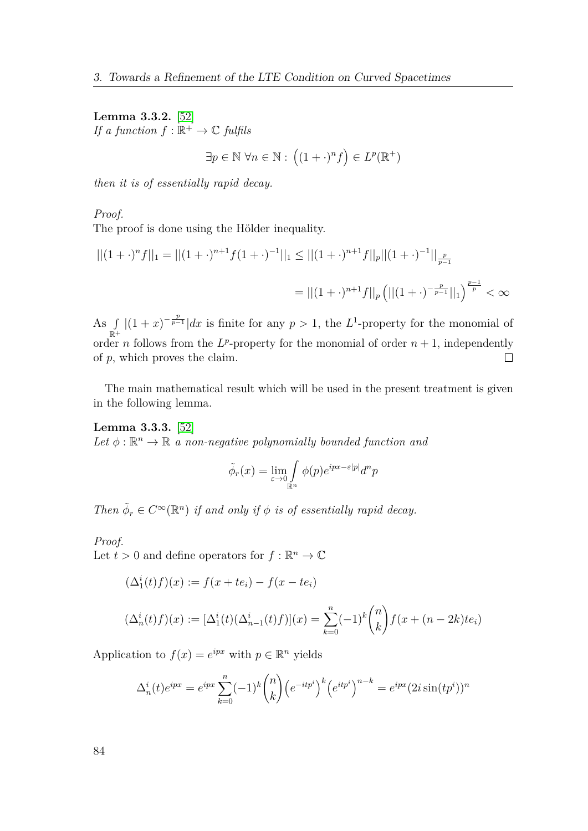<span id="page-83-0"></span>**Lemma 3.3.2.** [\[52\]](#page-152-0) *If a function*  $f : \mathbb{R}^+ \to \mathbb{C}$  *fulfils* 

 $\exists p \in \mathbb{N} \; \forall n \in \mathbb{N} : ((1 + \cdot)^n f) \in L^p(\mathbb{R}^+)$ 

*then it is of essentially rapid decay.*

*Proof.*

The proof is done using the Hölder inequality.

$$
||(1+\cdot)^n f||_1 = ||(1+\cdot)^{n+1} f(1+\cdot)^{-1}||_1 \le ||(1+\cdot)^{n+1} f||_p ||(1+\cdot)^{-1}||_{\frac{p}{p-1}}
$$
  
=  $||(1+\cdot)^{n+1} f||_p (||(1+\cdot)^{-\frac{p}{p-1}}||_1)^{\frac{p-1}{p}} < \infty$ 

As  $\int |(1+x)^{-\frac{p}{p-1}}|dx$  is finite for any  $p > 1$ , the *L*<sup>1</sup>-property for the monomial of  $\mathbb{R}^+$ order *n* follows from the  $L^p$ -property for the monomial of order  $n+1$ , independently of *p*, which proves the claim.  $\Box$ 

The main mathematical result which will be used in the present treatment is given in the following lemma.

<span id="page-83-1"></span>**Lemma 3.3.3.** [\[52\]](#page-152-0) Let  $\phi : \mathbb{R}^n \to \mathbb{R}$  *a non-negative polynomially bounded function and* 

$$
\tilde{\phi}_r(x) = \lim_{\varepsilon \to 0 \atop \mathbb{R}^n} \int_{\mathbb{R}^n} \phi(p) e^{ipx - \varepsilon |p|} d^n p
$$

*Then*  $\tilde{\phi}_r \in C^\infty(\mathbb{R}^n)$  *if and only if*  $\phi$  *is of essentially rapid decay.* 

*Proof.*

Let  $t > 0$  and define operators for  $f : \mathbb{R}^n \to \mathbb{C}$ 

$$
(\Delta_1^i(t)f)(x) := f(x + te_i) - f(x - te_i)
$$
  

$$
(\Delta_n^i(t)f)(x) := [\Delta_1^i(t)(\Delta_{n-1}^i(t)f)](x) = \sum_{k=0}^n (-1)^k \binom{n}{k} f(x + (n-2k)te_i)
$$

Application to  $f(x) = e^{ipx}$  with  $p \in \mathbb{R}^n$  yields

$$
\Delta_n^i(t)e^{ipx} = e^{ipx} \sum_{k=0}^n (-1)^k \binom{n}{k} \left(e^{-itp^i}\right)^k \left(e^{itp^i}\right)^{n-k} = e^{ipx} (2i\sin(tp^i))^n
$$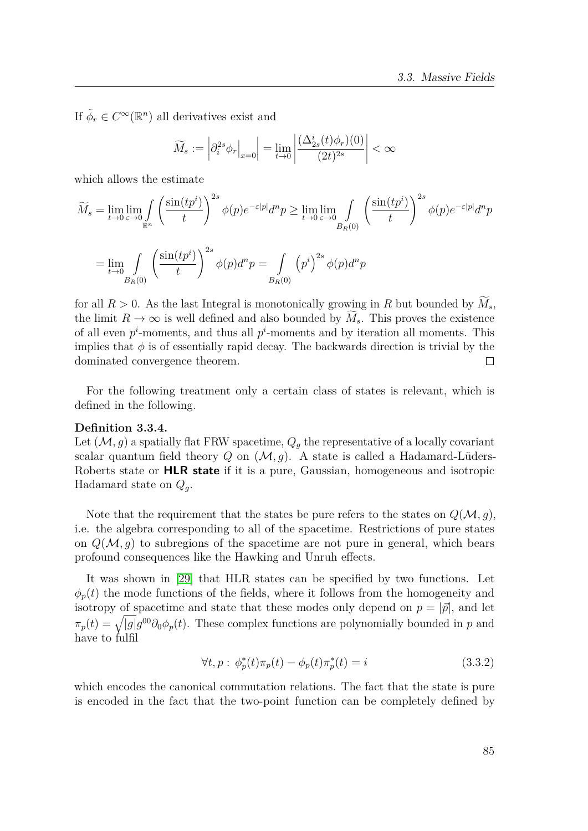If  $\tilde{\phi}_r \in C^{\infty}(\mathbb{R}^n)$  all derivatives exist and

$$
\widetilde{M}_s := \left| \partial_i^{2s} \phi_r \Big|_{x=0} \right| = \lim_{t \to 0} \left| \frac{(\Delta_{2s}^i(t)\phi_r)(0)}{(2t)^{2s}} \right| < \infty
$$

which allows the estimate

$$
\widetilde{M}_s = \lim_{t \to 0} \lim_{\varepsilon \to 0} \int_{\mathbb{R}^n} \left( \frac{\sin(tp^i)}{t} \right)^{2s} \phi(p) e^{-\varepsilon|p|} d^p p \ge \lim_{t \to 0} \lim_{\varepsilon \to 0} \int_{B_R(0)} \left( \frac{\sin(tp^i)}{t} \right)^{2s} \phi(p) e^{-\varepsilon|p|} d^p p
$$
\n
$$
= \lim_{t \to 0} \int_{B_R(0)} \left( \frac{\sin(tp^i)}{t} \right)^{2s} \phi(p) d^p p = \int_{B_R(0)} \left( p^i \right)^{2s} \phi(p) d^p p
$$

for all  $R > 0$ . As the last Integral is monotonically growing in R but bounded by  $M_s$ , the limit  $R \to \infty$  is well defined and also bounded by  $M_s$ . This proves the existence of all even  $p^i$ -moments, and thus all  $p^i$ -moments and by iteration all moments. This implies that  $\phi$  is of essentially rapid decay. The backwards direction is trivial by the dominated convergence theorem.  $\Box$ 

For the following treatment only a certain class of states is relevant, which is defined in the following.

#### **Definition 3.3.4.**

Let  $(M, g)$  a spatially flat FRW spacetime,  $Q_g$  the representative of a locally covariant scalar quantum field theory  $Q$  on  $(\mathcal{M}, g)$ . A state is called a Hadamard-Lüders-Roberts state or **HLR state** if it is a pure, Gaussian, homogeneous and isotropic Hadamard state on *Qg*.

Note that the requirement that the states be pure refers to the states on  $Q(\mathcal{M}, g)$ , i.e. the algebra corresponding to all of the spacetime. Restrictions of pure states on  $Q(\mathcal{M}, g)$  to subregions of the spacetime are not pure in general, which bears profound consequences like the Hawking and Unruh effects.

It was shown in [\[29\]](#page-151-0) that HLR states can be specified by two functions. Let  $\phi_p(t)$  the mode functions of the fields, where it follows from the homogeneity and isotropy of spacetime and state that these modes only depend on  $p = |\vec{p}|$ , and let  $\pi_p(t) = \sqrt{|g|} g^{00} \partial_0 \phi_p(t)$ . These complex functions are polynomially bounded in *p* and have to fulfil

<span id="page-84-0"></span>
$$
\forall t, p: \phi_p^*(t)\pi_p(t) - \phi_p(t)\pi_p^*(t) = i \tag{3.3.2}
$$

which encodes the canonical commutation relations. The fact that the state is pure is encoded in the fact that the two-point function can be completely defined by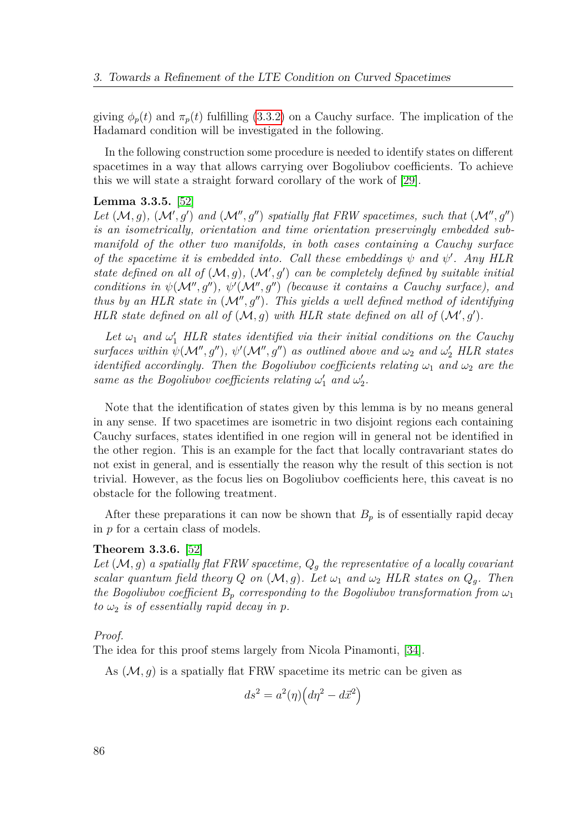giving  $\phi_p(t)$  and  $\pi_p(t)$  fulfilling [\(3.3.2\)](#page-84-0) on a Cauchy surface. The implication of the Hadamard condition will be investigated in the following.

In the following construction some procedure is needed to identify states on different spacetimes in a way that allows carrying over Bogoliubov coefficients. To achieve this we will state a straight forward corollary of the work of [\[29\]](#page-151-0).

#### <span id="page-85-0"></span>**Lemma 3.3.5.** [\[52\]](#page-152-0)

Let  $(M, g)$ ,  $(M', g')$  and  $(M'', g'')$  spatially flat FRW spacetimes, such that  $(M'', g'')$ *is an isometrically, orientation and time orientation preservingly embedded submanifold of the other two manifolds, in both cases containing a Cauchy surface of the spacetime it is embedded into. Call these embeddings*  $\psi$  *and*  $\psi'$ *. Any HLR* state defined on all of  $(M, g)$ ,  $(M', g')$  can be completely defined by suitable initial *conditions in*  $\psi(M'', g'')$ ,  $\psi'(M'', g'')$  (because it contains a Cauchy surface), and *thus by an HLR state in*  $(M'', g'')$ *. This yields a well defined method of identifying HLR state defined on all of*  $(M, g)$  *with HLR state defined on all of*  $(M', g')$ *.* 

Let  $\omega_1$  and  $\omega'_1$  HLR states identified via their initial conditions on the Cauchy  $surfacees$  within  $\psi(M'', g'')$ ,  $\psi'(\mathcal{M}'', g'')$  *as outlined above and*  $\omega_2$  *and*  $\omega'_2$  *HLR states identified accordingly. Then the Bogoliubov coefficients relating*  $\omega_1$  *and*  $\omega_2$  *are the same as the Bogoliubov coefficients relating*  $\omega'_1$  *and*  $\omega'_2$ *.* 

Note that the identification of states given by this lemma is by no means general in any sense. If two spacetimes are isometric in two disjoint regions each containing Cauchy surfaces, states identified in one region will in general not be identified in the other region. This is an example for the fact that locally contravariant states do not exist in general, and is essentially the reason why the result of this section is not trivial. However, as the focus lies on Bogoliubov coefficients here, this caveat is no obstacle for the following treatment.

After these preparations it can now be shown that  $B_p$  is of essentially rapid decay in *p* for a certain class of models.

#### **Theorem 3.3.6.** [\[52\]](#page-152-0)

*Let* (M*, g*) *a spatially flat FRW spacetime, Q<sup>g</sup> the representative of a locally covariant scalar quantum field theory*  $Q$  *on*  $(\mathcal{M}, g)$ *. Let*  $\omega_1$  *and*  $\omega_2$  *HLR states on*  $Q_q$ *. Then the Bogoliubov coefficient*  $B_p$  *corresponding to the Bogoliubov transformation from*  $\omega_1$  $to \omega_2$  *is of essentially rapid decay in p.* 

#### *Proof.*

The idea for this proof stems largely from Nicola Pinamonti, [\[34\]](#page-151-1).

As  $(M, g)$  is a spatially flat FRW spacetime its metric can be given as

$$
ds^2 = a^2(\eta)\left(d\eta^2 - d\vec{x}^2\right)
$$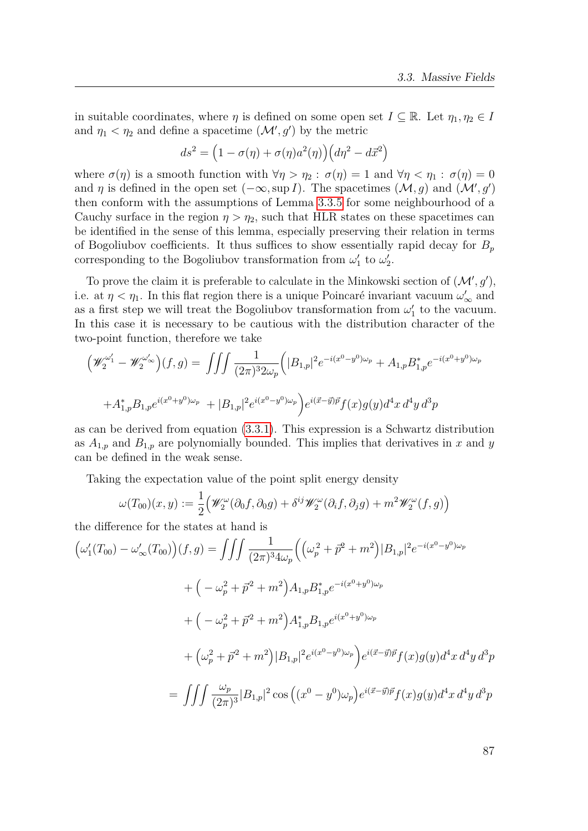in suitable coordinates, where  $\eta$  is defined on some open set  $I \subseteq \mathbb{R}$ . Let  $\eta_1, \eta_2 \in I$ and  $\eta_1 < \eta_2$  and define a spacetime  $(\mathcal{M}', g')$  by the metric

$$
ds^{2} = (1 - \sigma(\eta) + \sigma(\eta)a^{2}(\eta))(d\eta^{2} - d\vec{x}^{2})
$$

where  $\sigma(\eta)$  is a smooth function with  $\forall \eta > \eta_2 : \sigma(\eta) = 1$  and  $\forall \eta < \eta_1 : \sigma(\eta) = 0$ and *η* is defined in the open set  $(-\infty, \sup I)$ . The spacetimes  $(\mathcal{M}, g)$  and  $(\mathcal{M}', g')$ then conform with the assumptions of Lemma [3.3.5](#page-85-0) for some neighbourhood of a Cauchy surface in the region  $\eta > \eta_2$ , such that HLR states on these spacetimes can be identified in the sense of this lemma, especially preserving their relation in terms of Bogoliubov coefficients. It thus suffices to show essentially rapid decay for *B<sup>p</sup>* corresponding to the Bogoliubov transformation from  $\omega_1'$  to  $\omega_2'$ .

To prove the claim it is preferable to calculate in the Minkowski section of  $(\mathcal{M}', g')$ , i.e. at  $\eta < \eta_1$ . In this flat region there is a unique Poincaré invariant vacuum  $\omega'_\infty$  and as a first step we will treat the Bogoliubov transformation from  $\omega_1'$  to the vacuum. In this case it is necessary to be cautious with the distribution character of the two-point function, therefore we take

$$
\left(\mathscr{W}_2^{\omega'_1} - \mathscr{W}_2^{\omega'_\infty}\right)(f,g) = \iiint \frac{1}{(2\pi)^3 2\omega_p} \left(|B_{1,p}|^2 e^{-i(x^0 - y^0)\omega_p} + A_{1,p} B_{1,p}^* e^{-i(x^0 + y^0)\omega_p}\right)
$$

$$
+ A_{1,p}^* B_{1,p} e^{i(x^0 + y^0)\omega_p} + |B_{1,p}|^2 e^{i(x^0 - y^0)\omega_p}\right)e^{i(\vec{x} - \vec{y})\vec{p}} f(x)g(y) d^4x d^4y d^3p
$$

as can be derived from equation [\(3.3.1\)](#page-81-0). This expression is a Schwartz distribution as  $A_{1,p}$  and  $B_{1,p}$  are polynomially bounded. This implies that derivatives in *x* and *y* can be defined in the weak sense.

Taking the expectation value of the point split energy density

$$
\omega(T_{00})(x,y) := \frac{1}{2} \Big( \mathscr{W}_2^{\omega}(\partial_0 f, \partial_0 g) + \delta^{ij} \mathscr{W}_2^{\omega}(\partial_i f, \partial_j g) + m^2 \mathscr{W}_2^{\omega}(f,g) \Big)
$$

the difference for the states at hand is

$$
\left(\omega'_{1}(T_{00}) - \omega'_{\infty}(T_{00})\right)(f,g) = \iiint \frac{1}{(2\pi)^{3}4\omega_{p}} \left( \left(\omega_{p}^{2} + \vec{p}^{2} + m^{2}\right) |B_{1,p}|^{2} e^{-i(x^{0} - y^{0})\omega_{p}} + \left(-\omega_{p}^{2} + \vec{p}^{2} + m^{2}\right) A_{1,p} B_{1,p}^{*} e^{-i(x^{0} + y^{0})\omega_{p}} + \left(-\omega_{p}^{2} + \vec{p}^{2} + m^{2}\right) A_{1,p}^{*} B_{1,p} e^{i(x^{0} + y^{0})\omega_{p}} + \left(\omega_{p}^{2} + \vec{p}^{2} + m^{2}\right) |B_{1,p}|^{2} e^{i(x^{0} - y^{0})\omega_{p}} \right) e^{i(\vec{x} - \vec{y})\vec{p}} f(x) g(y) d^{4}x d^{4}y d^{3}p
$$

$$
= \iiint \frac{\omega_{p}}{(2\pi)^{3}} |B_{1,p}|^{2} \cos\left((x^{0} - y^{0})\omega_{p}\right) e^{i(\vec{x} - \vec{y})\vec{p}} f(x) g(y) d^{4}x d^{4}y d^{3}p
$$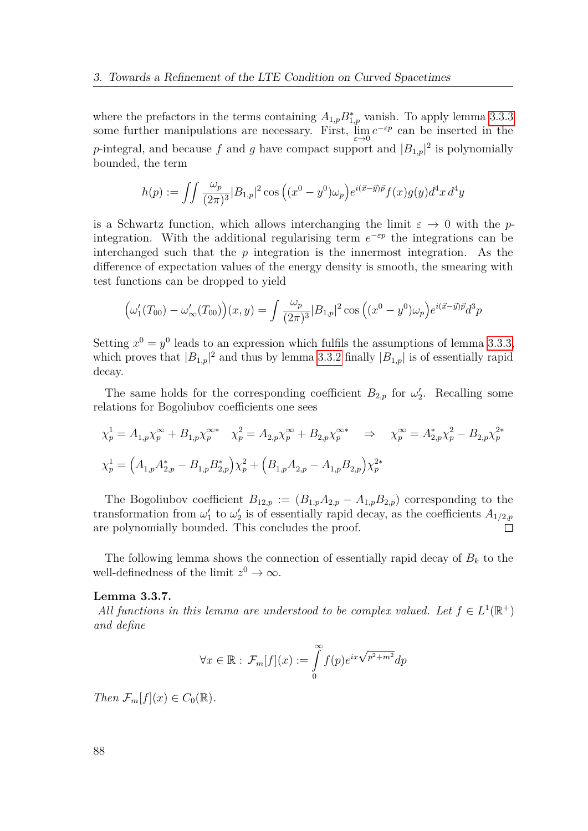where the prefactors in the terms containing  $A_{1,p}B_{1,p}^*$  vanish. To apply lemma [3.3.3](#page-83-1) some further manipulations are necessary. First,  $\lim_{\varepsilon \to 0} e^{-\varepsilon p}$  can be inserted in the *p*-integral, and because *f* and *g* have compact support and  $|B_{1,p}|^2$  is polynomially bounded, the term

$$
h(p) := \iint \frac{\omega_p}{(2\pi)^3} |B_{1,p}|^2 \cos \left( (x^0 - y^0)\omega_p \right) e^{i(\vec{x} - \vec{y})\vec{p}} f(x) g(y) d^4 x d^4 y
$$

is a Schwartz function, which allows interchanging the limit  $\varepsilon \to 0$  with the *p*integration. With the additional regularising term  $e^{-\varepsilon p}$  the integrations can be interchanged such that the *p* integration is the innermost integration. As the difference of expectation values of the energy density is smooth, the smearing with test functions can be dropped to yield

$$
(\omega_1'(T_{00}) - \omega_\infty'(T_{00})) (x, y) = \int \frac{\omega_p}{(2\pi)^3} |B_{1,p}|^2 \cos ((x^0 - y^0)\omega_p) e^{i(\vec{x} - \vec{y})\vec{p}} d^3p
$$

Setting  $x^0 = y^0$  leads to an expression which fulfils the assumptions of lemma [3.3.3,](#page-83-1) which proves that  $|B_{1,p}|^2$  and thus by lemma [3.3.2](#page-83-0) finally  $|B_{1,p}|$  is of essentially rapid decay.

The same holds for the corresponding coefficient  $B_{2,p}$  for  $\omega_2'$ . Recalling some relations for Bogoliubov coefficients one sees

$$
\chi_p^1 = A_{1,p}\chi_p^{\infty} + B_{1,p}\chi_p^{\infty*} \quad \chi_p^2 = A_{2,p}\chi_p^{\infty} + B_{2,p}\chi_p^{\infty*} \quad \Rightarrow \quad \chi_p^{\infty} = A_{2,p}^*\chi_p^2 - B_{2,p}\chi_p^{2*}
$$
  

$$
\chi_p^1 = \left(A_{1,p}A_{2,p}^* - B_{1,p}B_{2,p}^*\right)\chi_p^2 + \left(B_{1,p}A_{2,p} - A_{1,p}B_{2,p}\right)\chi_p^{2*}
$$

The Bogoliubov coefficient  $B_{12,p} := (B_{1,p}A_{2,p} - A_{1,p}B_{2,p})$  corresponding to the transformation from  $\omega'_1$  to  $\omega'_2$  is of essentially rapid decay, as the coefficients  $A_{1/2,p}$  $\Box$ are polynomially bounded. This concludes the proof.

The following lemma shows the connection of essentially rapid decay of  $B_k$  to the well-definedness of the limit  $z^0 \to \infty$ .

#### <span id="page-87-0"></span>**Lemma 3.3.7.**

*All functions in this lemma are understood to be complex valued. Let*  $f \in L^1(\mathbb{R}^+)$ *and define*

$$
\forall x \in \mathbb{R} : \mathcal{F}_m[f](x) := \int_0^\infty f(p)e^{ix\sqrt{p^2 + m^2}} dp
$$

*Then*  $\mathcal{F}_m[f](x) \in C_0(\mathbb{R})$ .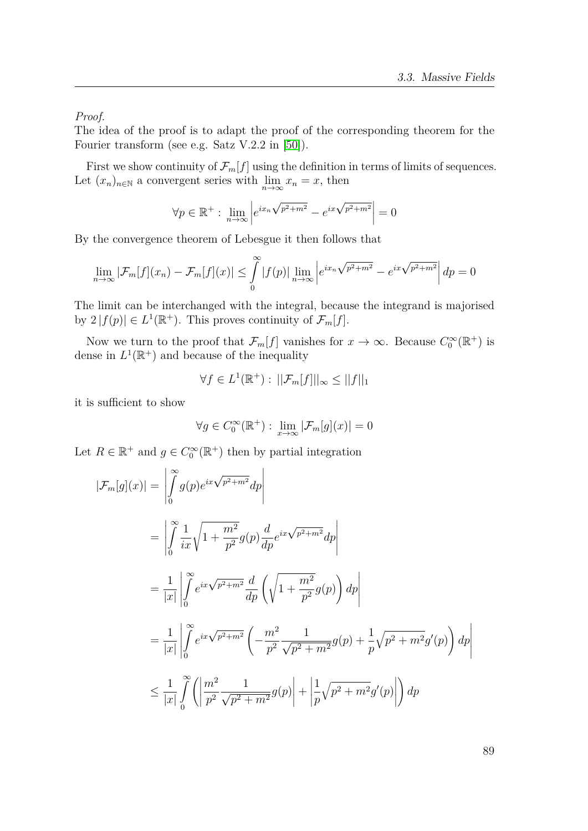*Proof.*

The idea of the proof is to adapt the proof of the corresponding theorem for the Fourier transform (see e.g. Satz V.2.2 in [\[50\]](#page-152-1)).

First we show continuity of  $\mathcal{F}_m[f]$  using the definition in terms of limits of sequences. Let  $(x_n)_{n \in \mathbb{N}}$  a convergent series with  $\lim_{n \to \infty} x_n = x$ , then

$$
\forall p \in \mathbb{R}^+ : \lim_{n \to \infty} \left| e^{ix_n \sqrt{p^2 + m^2}} - e^{ix \sqrt{p^2 + m^2}} \right| = 0
$$

By the convergence theorem of Lebesgue it then follows that

$$
\lim_{n \to \infty} |\mathcal{F}_m[f](x_n) - \mathcal{F}_m[f](x)| \le \int_0^\infty |f(p)| \lim_{n \to \infty} \left| e^{ix_n \sqrt{p^2 + m^2}} - e^{ix \sqrt{p^2 + m^2}} \right| dp = 0
$$

The limit can be interchanged with the integral, because the integrand is majorised by  $2 | f(p) | \in L^1(\mathbb{R}^+)$ . This proves continuity of  $\mathcal{F}_m[f]$ .

Now we turn to the proof that  $\mathcal{F}_m[f]$  vanishes for  $x \to \infty$ . Because  $C_0^{\infty}(\mathbb{R}^+)$  is dense in  $L^1(\mathbb{R}^+)$  and because of the inequality

$$
\forall f \in L^1(\mathbb{R}^+): \, ||\mathcal{F}_m[f]||_{\infty} \le ||f||_1
$$

it is sufficient to show

$$
\forall g\in C_0^\infty(\mathbb{R}^+):\;\lim_{x\to\infty}|\mathcal{F}_m[g](x)|=0
$$

Let  $R \in \mathbb{R}^+$  and  $g \in C_0^{\infty}(\mathbb{R}^+)$  then by partial integration

$$
|\mathcal{F}_m[g](x)| = \left| \int_0^{\infty} g(p)e^{ix\sqrt{p^2 + m^2}} dp \right|
$$
  
\n
$$
= \left| \int_0^{\infty} \frac{1}{ix} \sqrt{1 + \frac{m^2}{p^2}} g(p) \frac{d}{dp} e^{ix\sqrt{p^2 + m^2}} dp \right|
$$
  
\n
$$
= \frac{1}{|x|} \left| \int_0^{\infty} e^{ix\sqrt{p^2 + m^2}} \frac{d}{dp} \left( \sqrt{1 + \frac{m^2}{p^2}} g(p) \right) dp \right|
$$
  
\n
$$
= \frac{1}{|x|} \left| \int_0^{\infty} e^{ix\sqrt{p^2 + m^2}} \left( -\frac{m^2}{p^2} \frac{1}{\sqrt{p^2 + m^2}} g(p) + \frac{1}{p} \sqrt{p^2 + m^2} g'(p) \right) dp \right|
$$
  
\n
$$
\leq \frac{1}{|x|} \int_0^{\infty} \left( \left| \frac{m^2}{p^2} \frac{1}{\sqrt{p^2 + m^2}} g(p) \right| + \left| \frac{1}{p} \sqrt{p^2 + m^2} g'(p) \right| \right) dp
$$

89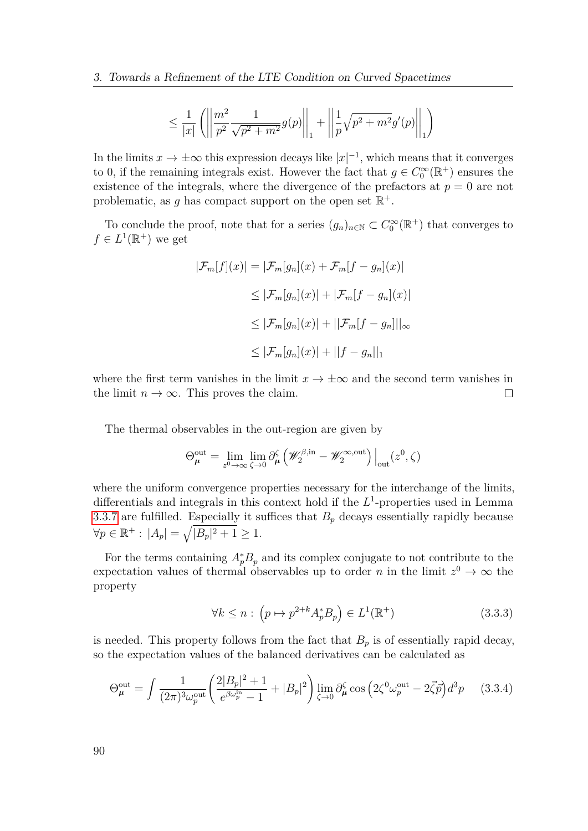$$
\leq \frac{1}{|x|} \left( \left\| \frac{m^2}{p^2} \frac{1}{\sqrt{p^2 + m^2}} g(p) \right\|_1 + \left\| \frac{1}{p} \sqrt{p^2 + m^2} g'(p) \right\|_1 \right)
$$

In the limits  $x \to \pm \infty$  this expression decays like  $|x|^{-1}$ , which means that it converges to 0, if the remaining integrals exist. However the fact that  $g \in C_0^{\infty}(\mathbb{R}^+)$  ensures the existence of the integrals, where the divergence of the prefactors at  $p = 0$  are not problematic, as g has compact support on the open set  $\mathbb{R}^+$ .

To conclude the proof, note that for a series  $(g_n)_{n\in\mathbb{N}}\subset C_0^{\infty}(\mathbb{R}^+)$  that converges to  $f \in L^1(\mathbb{R}^+)$  we get

$$
|\mathcal{F}_m[f](x)| = |\mathcal{F}_m[g_n](x) + \mathcal{F}_m[f - g_n](x)|
$$
  
\n
$$
\leq |\mathcal{F}_m[g_n](x)| + |\mathcal{F}_m[f - g_n](x)|
$$
  
\n
$$
\leq |\mathcal{F}_m[g_n](x)| + ||\mathcal{F}_m[f - g_n]||_{\infty}
$$
  
\n
$$
\leq |\mathcal{F}_m[g_n](x)| + ||f - g_n||_1
$$

where the first term vanishes in the limit  $x \to \pm \infty$  and the second term vanishes in the limit  $n \to \infty$ . This proves the claim.  $\Box$ 

The thermal observables in the out-region are given by

$$
\Theta_{\mu}^{\text{out}} = \lim_{z^0 \to \infty} \lim_{\zeta \to 0} \partial_{\mu}^{\zeta} \left( \mathscr{W}_{2}^{\beta, \text{in}} - \mathscr{W}_{2}^{\infty, \text{out}} \right) \Big|_{\text{out}} (z^0, \zeta)
$$

where the uniform convergence properties necessary for the interchange of the limits, differentials and integrals in this context hold if the  $L^1$ -properties used in Lemma [3.3.7](#page-87-0) are fulfilled. Especially it suffices that  $B_p$  decays essentially rapidly because  $\forall p \in \mathbb{R}^+ : |A_p| = \sqrt{|B_p|^2 + 1} \ge 1.$ 

For the terms containing  $A_p^*B_p$  and its complex conjugate to not contribute to the expectation values of thermal observables up to order *n* in the limit  $z^0 \to \infty$  the property

<span id="page-89-0"></span>
$$
\forall k \le n : \left( p \mapsto p^{2+k} A_p^* B_p \right) \in L^1(\mathbb{R}^+) \tag{3.3.3}
$$

is needed. This property follows from the fact that  $B_p$  is of essentially rapid decay, so the expectation values of the balanced derivatives can be calculated as

$$
\Theta_{\mu}^{\text{out}} = \int \frac{1}{(2\pi)^3 \omega_p^{\text{out}}} \left( \frac{2|B_p|^2 + 1}{e^{\beta \omega_p^{\text{in}}} - 1} + |B_p|^2 \right) \lim_{\zeta \to 0} \partial_{\mu}^{\zeta} \cos \left( 2\zeta^0 \omega_p^{\text{out}} - 2\vec{\zeta} \vec{p} \right) d^3 p \tag{3.3.4}
$$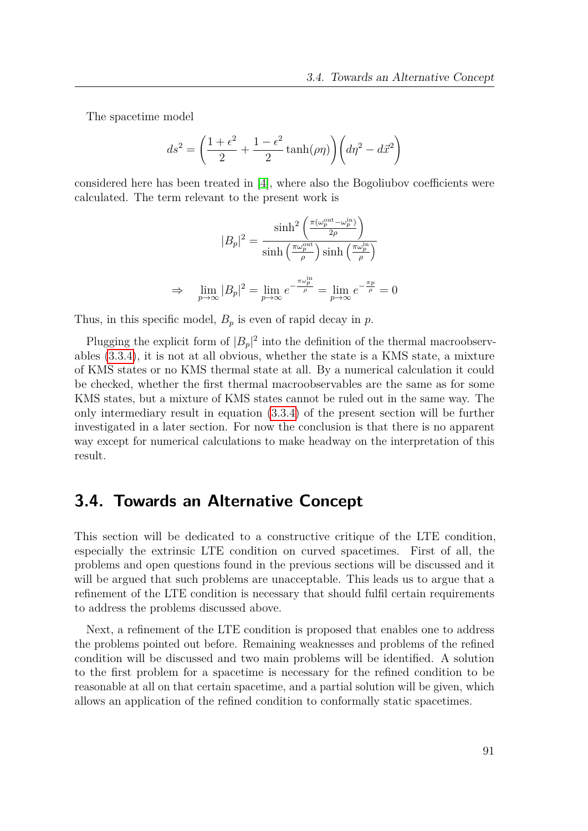The spacetime model

$$
ds^{2} = \left(\frac{1+\epsilon^{2}}{2} + \frac{1-\epsilon^{2}}{2}\tanh(\rho\eta)\right)\left(d\eta^{2} - d\vec{x}^{2}\right)
$$

considered here has been treated in [\[4\]](#page-149-1), where also the Bogoliubov coefficients were calculated. The term relevant to the present work is

$$
|B_p|^2 = \frac{\sinh^2\left(\frac{\pi(\omega_p^{\text{out}} - \omega_p^{\text{in}})}{2\rho}\right)}{\sinh\left(\frac{\pi\omega_p^{\text{out}}}{\rho}\right)\sinh\left(\frac{\pi\omega_p^{\text{in}}}{\rho}\right)}
$$

$$
\lim_{p \to \infty} |B_p|^2 = \lim_{p \to \infty} e^{-\frac{\pi\omega_p^{\text{in}}}{\rho}} = \lim_{p \to \infty} e^{-\frac{\pi p}{\rho}} = 0
$$

Thus, in this specific model,  $B_p$  is even of rapid decay in  $p$ .

 $\Rightarrow$ 

Plugging the explicit form of  $|B_p|^2$  into the definition of the thermal macroobservables [\(3.3.4\)](#page-89-0), it is not at all obvious, whether the state is a KMS state, a mixture of KMS states or no KMS thermal state at all. By a numerical calculation it could be checked, whether the first thermal macroobservables are the same as for some KMS states, but a mixture of KMS states cannot be ruled out in the same way. The only intermediary result in equation [\(3.3.4\)](#page-89-0) of the present section will be further investigated in a later section. For now the conclusion is that there is no apparent way except for numerical calculations to make headway on the interpretation of this result.

# **3.4. Towards an Alternative Concept**

This section will be dedicated to a constructive critique of the LTE condition, especially the extrinsic LTE condition on curved spacetimes. First of all, the problems and open questions found in the previous sections will be discussed and it will be argued that such problems are unacceptable. This leads us to argue that a refinement of the LTE condition is necessary that should fulfil certain requirements to address the problems discussed above.

Next, a refinement of the LTE condition is proposed that enables one to address the problems pointed out before. Remaining weaknesses and problems of the refined condition will be discussed and two main problems will be identified. A solution to the first problem for a spacetime is necessary for the refined condition to be reasonable at all on that certain spacetime, and a partial solution will be given, which allows an application of the refined condition to conformally static spacetimes.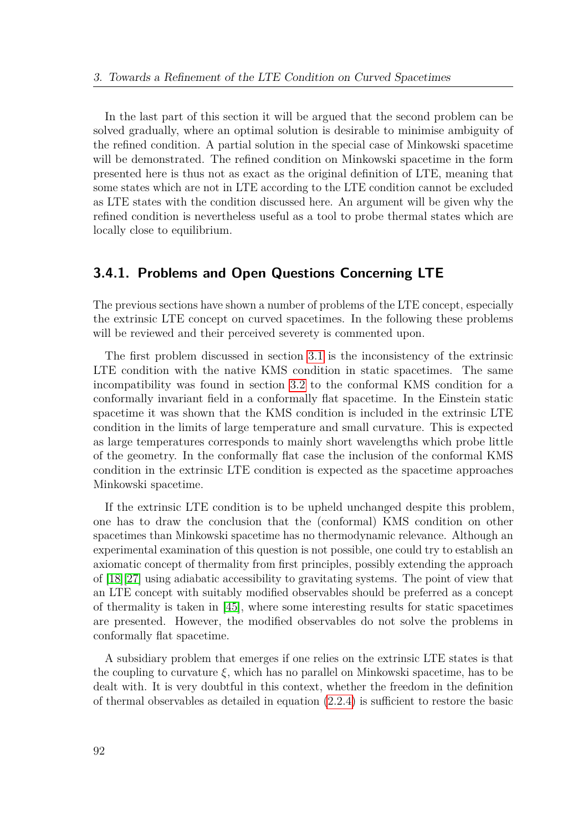In the last part of this section it will be argued that the second problem can be solved gradually, where an optimal solution is desirable to minimise ambiguity of the refined condition. A partial solution in the special case of Minkowski spacetime will be demonstrated. The refined condition on Minkowski spacetime in the form presented here is thus not as exact as the original definition of LTE, meaning that some states which are not in LTE according to the LTE condition cannot be excluded as LTE states with the condition discussed here. An argument will be given why the refined condition is nevertheless useful as a tool to probe thermal states which are locally close to equilibrium.

# **3.4.1. Problems and Open Questions Concerning LTE**

The previous sections have shown a number of problems of the LTE concept, especially the extrinsic LTE concept on curved spacetimes. In the following these problems will be reviewed and their perceived severety is commented upon.

The first problem discussed in section [3.1](#page-53-0) is the inconsistency of the extrinsic LTE condition with the native KMS condition in static spacetimes. The same incompatibility was found in section [3.2](#page-64-0) to the conformal KMS condition for a conformally invariant field in a conformally flat spacetime. In the Einstein static spacetime it was shown that the KMS condition is included in the extrinsic LTE condition in the limits of large temperature and small curvature. This is expected as large temperatures corresponds to mainly short wavelengths which probe little of the geometry. In the conformally flat case the inclusion of the conformal KMS condition in the extrinsic LTE condition is expected as the spacetime approaches Minkowski spacetime.

If the extrinsic LTE condition is to be upheld unchanged despite this problem, one has to draw the conclusion that the (conformal) KMS condition on other spacetimes than Minkowski spacetime has no thermodynamic relevance. Although an experimental examination of this question is not possible, one could try to establish an axiomatic concept of thermality from first principles, possibly extending the approach of [\[18\]](#page-150-2)[\[27\]](#page-150-3) using adiabatic accessibility to gravitating systems. The point of view that an LTE concept with suitably modified observables should be preferred as a concept of thermality is taken in [\[45\]](#page-151-2), where some interesting results for static spacetimes are presented. However, the modified observables do not solve the problems in conformally flat spacetime.

A subsidiary problem that emerges if one relies on the extrinsic LTE states is that the coupling to curvature *ξ*, which has no parallel on Minkowski spacetime, has to be dealt with. It is very doubtful in this context, whether the freedom in the definition of thermal observables as detailed in equation  $(2.2.4)$  is sufficient to restore the basic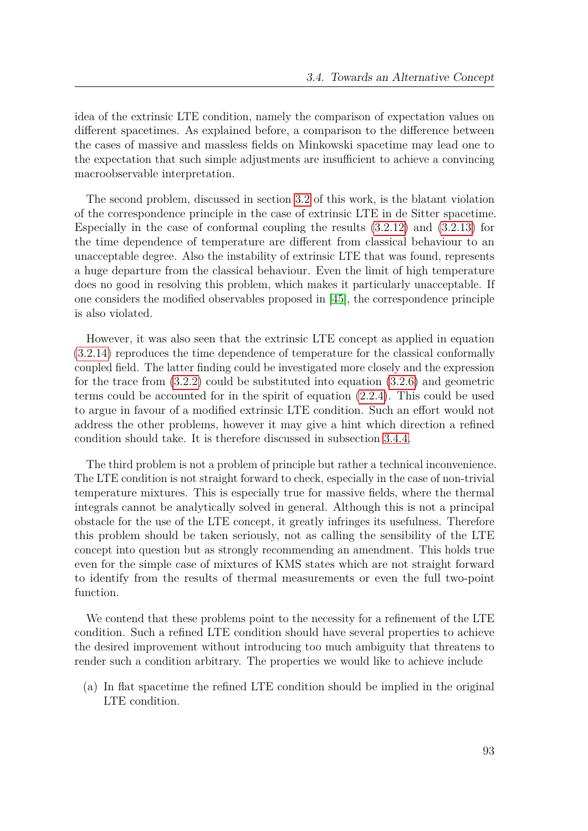idea of the extrinsic LTE condition, namely the comparison of expectation values on different spacetimes. As explained before, a comparison to the difference between the cases of massive and massless fields on Minkowski spacetime may lead one to the expectation that such simple adjustments are insufficient to achieve a convincing macroobservable interpretation.

The second problem, discussed in section [3.2](#page-64-0) of this work, is the blatant violation of the correspondence principle in the case of extrinsic LTE in de Sitter spacetime. Especially in the case of conformal coupling the results [\(3.2.12\)](#page-74-0) and [\(3.2.13\)](#page-74-1) for the time dependence of temperature are different from classical behaviour to an unacceptable degree. Also the instability of extrinsic LTE that was found, represents a huge departure from the classical behaviour. Even the limit of high temperature does no good in resolving this problem, which makes it particularly unacceptable. If one considers the modified observables proposed in [\[45\]](#page-151-2), the correspondence principle is also violated.

However, it was also seen that the extrinsic LTE concept as applied in equation [\(3.2.14\)](#page-75-0) reproduces the time dependence of temperature for the classical conformally coupled field. The latter finding could be investigated more closely and the expression for the trace from [\(3.2.2\)](#page-69-0) could be substituted into equation [\(3.2.6\)](#page-71-3) and geometric terms could be accounted for in the spirit of equation [\(2.2.4\)](#page-26-0). This could be used to argue in favour of a modified extrinsic LTE condition. Such an effort would not address the other problems, however it may give a hint which direction a refined condition should take. It is therefore discussed in subsection [3.4.4.](#page-99-0)

The third problem is not a problem of principle but rather a technical inconvenience. The LTE condition is not straight forward to check, especially in the case of non-trivial temperature mixtures. This is especially true for massive fields, where the thermal integrals cannot be analytically solved in general. Although this is not a principal obstacle for the use of the LTE concept, it greatly infringes its usefulness. Therefore this problem should be taken seriously, not as calling the sensibility of the LTE concept into question but as strongly recommending an amendment. This holds true even for the simple case of mixtures of KMS states which are not straight forward to identify from the results of thermal measurements or even the full two-point function.

We contend that these problems point to the necessity for a refinement of the LTE condition. Such a refined LTE condition should have several properties to achieve the desired improvement without introducing too much ambiguity that threatens to render such a condition arbitrary. The properties we would like to achieve include

(a) In flat spacetime the refined LTE condition should be implied in the original LTE condition.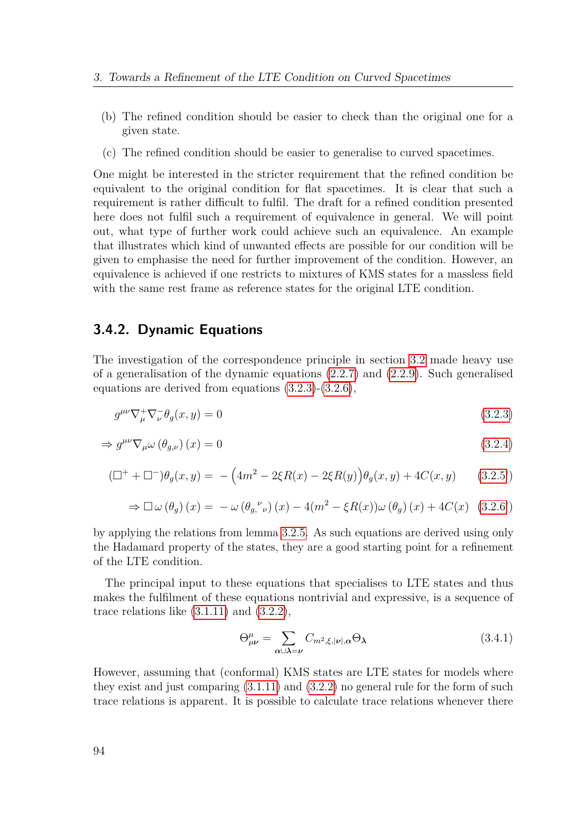- (b) The refined condition should be easier to check than the original one for a given state.
- (c) The refined condition should be easier to generalise to curved spacetimes.

One might be interested in the stricter requirement that the refined condition be equivalent to the original condition for flat spacetimes. It is clear that such a requirement is rather difficult to fulfil. The draft for a refined condition presented here does not fulfil such a requirement of equivalence in general. We will point out, what type of further work could achieve such an equivalence. An example that illustrates which kind of unwanted effects are possible for our condition will be given to emphasise the need for further improvement of the condition. However, an equivalence is achieved if one restricts to mixtures of KMS states for a massless field with the same rest frame as reference states for the original LTE condition.

## **3.4.2. Dynamic Equations**

The investigation of the correspondence principle in section [3.2](#page-64-0) made heavy use of a generalisation of the dynamic equations [\(2.2.7\)](#page-28-0) and [\(2.2.9\)](#page-28-1). Such generalised equations are derived from equations [\(3.2.3\)](#page-71-0)-[\(3.2.6\)](#page-71-3),

$$
g^{\mu\nu}\nabla^+_\mu\nabla^-_\nu\theta_g(x,y) = 0\tag{3.2.3}
$$

$$
\Rightarrow g^{\mu\nu}\nabla_{\mu}\omega\left(\theta_{g,\nu}\right)(x) = 0\tag{3.2.4}
$$

$$
(\Box^{+} + \Box^{-})\theta_{g}(x, y) = -\left(4m^{2} - 2\xi R(x) - 2\xi R(y)\right)\theta_{g}(x, y) + 4C(x, y) \qquad (3.2.5')
$$

$$
\Rightarrow \Box \omega (\theta_g) (x) = -\omega (\theta_g, \nu) (x) - 4(m^2 - \xi R(x)) \omega (\theta_g) (x) + 4C(x) (3.2.6')
$$

by applying the relations from lemma [3.2.5.](#page-72-0) As such equations are derived using only the Hadamard property of the states, they are a good starting point for a refinement of the LTE condition.

The principal input to these equations that specialises to LTE states and thus makes the fulfilment of these equations nontrivial and expressive, is a sequence of trace relations like  $(3.1.11)$  and  $(3.2.2)$ ,

$$
\Theta^{\mu}_{\mu\nu} = \sum_{\alpha \cup \lambda = \nu} C_{m^2, \xi, |\nu|, \alpha} \Theta_{\lambda}
$$
 (3.4.1)

However, assuming that (conformal) KMS states are LTE states for models where they exist and just comparing  $(3.1.11)$  and  $(3.2.2)$  no general rule for the form of such trace relations is apparent. It is possible to calculate trace relations whenever there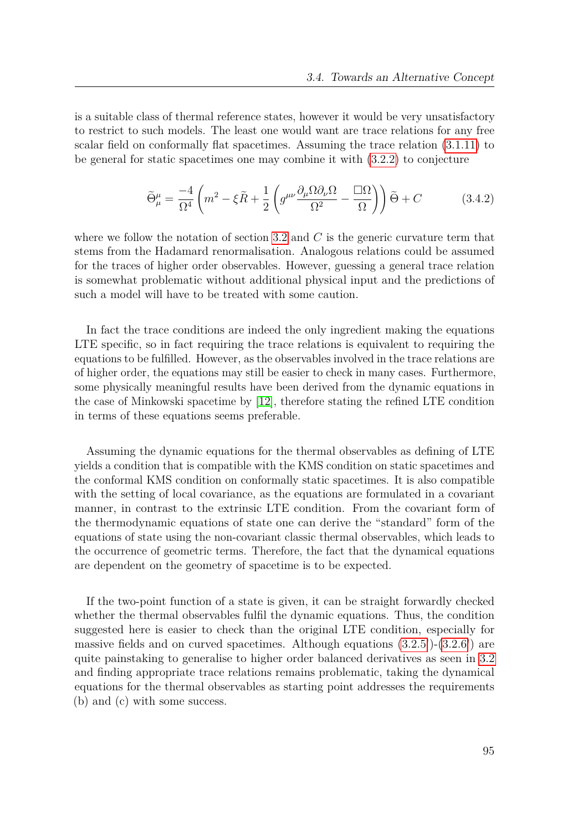is a suitable class of thermal reference states, however it would be very unsatisfactory to restrict to such models. The least one would want are trace relations for any free scalar field on conformally flat spacetimes. Assuming the trace relation [\(3.1.11\)](#page-64-1) to be general for static spacetimes one may combine it with [\(3.2.2\)](#page-69-0) to conjecture

$$
\widetilde{\Theta}^{\mu}_{\mu} = \frac{-4}{\Omega^4} \left( m^2 - \xi \widetilde{R} + \frac{1}{2} \left( g^{\mu\nu} \frac{\partial_{\mu} \Omega \partial_{\nu} \Omega}{\Omega^2} - \frac{\Box \Omega}{\Omega} \right) \right) \widetilde{\Theta} + C \tag{3.4.2}
$$

where we follow the notation of section [3.2](#page-64-0) and C is the generic curvature term that stems from the Hadamard renormalisation. Analogous relations could be assumed for the traces of higher order observables. However, guessing a general trace relation is somewhat problematic without additional physical input and the predictions of such a model will have to be treated with some caution.

In fact the trace conditions are indeed the only ingredient making the equations LTE specific, so in fact requiring the trace relations is equivalent to requiring the equations to be fulfilled. However, as the observables involved in the trace relations are of higher order, the equations may still be easier to check in many cases. Furthermore, some physically meaningful results have been derived from the dynamic equations in the case of Minkowski spacetime by [\[12\]](#page-149-0), therefore stating the refined LTE condition in terms of these equations seems preferable.

Assuming the dynamic equations for the thermal observables as defining of LTE yields a condition that is compatible with the KMS condition on static spacetimes and the conformal KMS condition on conformally static spacetimes. It is also compatible with the setting of local covariance, as the equations are formulated in a covariant manner, in contrast to the extrinsic LTE condition. From the covariant form of the thermodynamic equations of state one can derive the "standard" form of the equations of state using the non-covariant classic thermal observables, which leads to the occurrence of geometric terms. Therefore, the fact that the dynamical equations are dependent on the geometry of spacetime is to be expected.

If the two-point function of a state is given, it can be straight forwardly checked whether the thermal observables fulfil the dynamic equations. Thus, the condition suggested here is easier to check than the original LTE condition, especially for massive fields and on curved spacetimes. Although equations  $(3.2.5')$  $(3.2.5')$ - $(3.2.6')$  $(3.2.6')$  are quite painstaking to generalise to higher order balanced derivatives as seen in [3.2](#page-64-0) and finding appropriate trace relations remains problematic, taking the dynamical equations for the thermal observables as starting point addresses the requirements (b) and (c) with some success.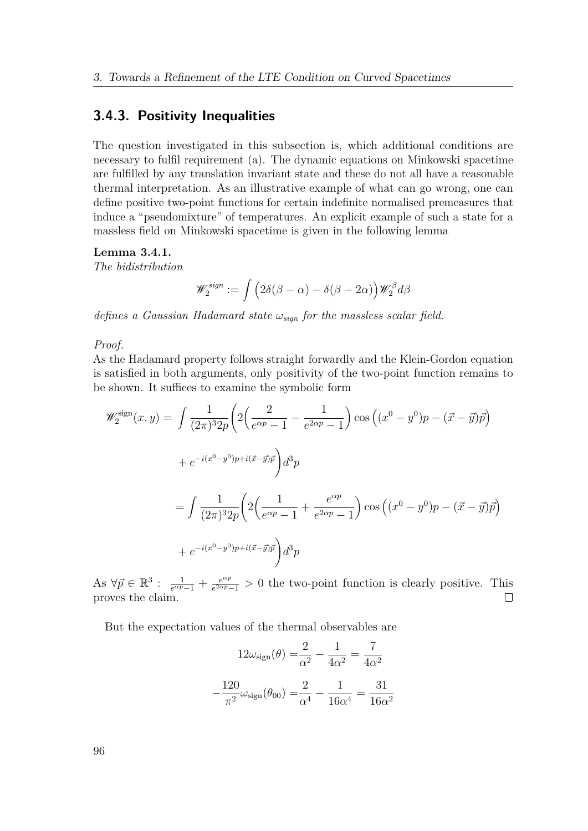### **3.4.3. Positivity Inequalities**

The question investigated in this subsection is, which additional conditions are necessary to fulfil requirement (a). The dynamic equations on Minkowski spacetime are fulfilled by any translation invariant state and these do not all have a reasonable thermal interpretation. As an illustrative example of what can go wrong, one can define positive two-point functions for certain indefinite normalised premeasures that induce a "pseudomixture" of temperatures. An explicit example of such a state for a massless field on Minkowski spacetime is given in the following lemma

#### **Lemma 3.4.1.**

*The bidistribution*

$$
\mathscr{W}^{sign}_2 := \int \left(2\delta(\beta-\alpha)-\delta(\beta-2\alpha)\right) \mathscr{W}^{\beta}_2 d\beta
$$

*defines a Gaussian Hadamard state ωsign for the massless scalar field.*

*Proof.*

As the Hadamard property follows straight forwardly and the Klein-Gordon equation is satisfied in both arguments, only positivity of the two-point function remains to be shown. It suffices to examine the symbolic form

$$
\mathcal{W}_2^{\text{sign}}(x, y) = \int \frac{1}{(2\pi)^3 2p} \left( 2 \left( \frac{2}{e^{\alpha p} - 1} - \frac{1}{e^{2\alpha p} - 1} \right) \cos \left( (x^0 - y^0)p - (\vec{x} - \vec{y})\vec{p} \right) \right)
$$
  
+  $e^{-i(x^0 - y^0)p + i(\vec{x} - \vec{y})\vec{p}} \right) d^3p$   
=  $\int \frac{1}{(2\pi)^3 2p} \left( 2 \left( \frac{1}{e^{\alpha p} - 1} + \frac{e^{\alpha p}}{e^{2\alpha p} - 1} \right) \cos \left( (x^0 - y^0)p - (\vec{x} - \vec{y})\vec{p} \right) \right)$   
+  $e^{-i(x^0 - y^0)p + i(\vec{x} - \vec{y})\vec{p}} \right) d^3p$ 

 $\text{As } \forall \vec{p} \in \mathbb{R}^3 : \frac{1}{e^{\alpha p}-1} + \frac{e^{\alpha p}}{e^{2\alpha p}}$  $\frac{e^{a p}}{e^{2 a p}-1} > 0$  the two-point function is clearly positive. This proves the claim.

But the expectation values of the thermal observables are

$$
12\omega_{\text{sign}}(\theta) = \frac{2}{\alpha^2} - \frac{1}{4\alpha^2} = \frac{7}{4\alpha^2}
$$

$$
-\frac{120}{\pi^2}\omega_{\text{sign}}(\theta_{00}) = \frac{2}{\alpha^4} - \frac{1}{16\alpha^4} = \frac{31}{16\alpha^2}
$$

96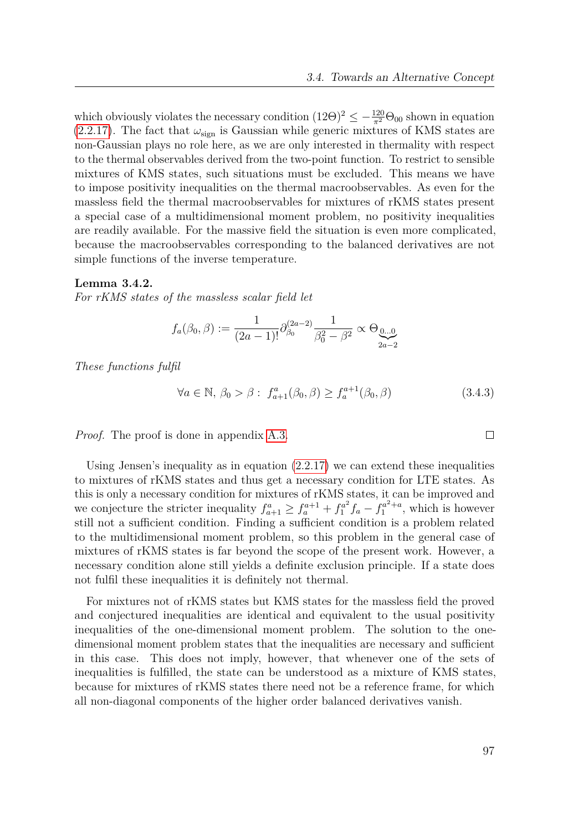which obviously violates the necessary condition  $(12\Theta)^2 \leq -\frac{120}{\pi^2} \Theta_{00}$  shown in equation  $(2.2.17)$ . The fact that  $\omega_{sign}$  is Gaussian while generic mixtures of KMS states are non-Gaussian plays no role here, as we are only interested in thermality with respect to the thermal observables derived from the two-point function. To restrict to sensible mixtures of KMS states, such situations must be excluded. This means we have to impose positivity inequalities on the thermal macroobservables. As even for the massless field the thermal macroobservables for mixtures of rKMS states present a special case of a multidimensional moment problem, no positivity inequalities are readily available. For the massive field the situation is even more complicated, because the macroobservables corresponding to the balanced derivatives are not simple functions of the inverse temperature.

#### **Lemma 3.4.2.**

*For rKMS states of the massless scalar field let*

$$
f_a(\beta_0, \beta) := \frac{1}{(2a-1)!} \partial_{\beta_0}^{(2a-2)} \frac{1}{\beta_0^2 - \beta^2} \propto \Theta_{\underbrace{0...0}}_{2a-2}
$$

*These functions fulfil*

$$
\forall a \in \mathbb{N}, \, \beta_0 > \beta : f_{a+1}^a(\beta_0, \beta) \ge f_a^{a+1}(\beta_0, \beta) \tag{3.4.3}
$$

*Proof.* The proof is done in appendix [A.3.](#page-140-0)

Using Jensen's inequality as in equation [\(2.2.17\)](#page-29-0) we can extend these inequalities to mixtures of rKMS states and thus get a necessary condition for LTE states. As this is only a necessary condition for mixtures of rKMS states, it can be improved and we conjecture the stricter inequality  $f_{a+1}^a \ge f_a^{a+1} + f_1^{a^2}$  $f_1^{a^2}f_a - f_1^{a^2+a}$ , which is however still not a sufficient condition. Finding a sufficient condition is a problem related to the multidimensional moment problem, so this problem in the general case of mixtures of rKMS states is far beyond the scope of the present work. However, a necessary condition alone still yields a definite exclusion principle. If a state does not fulfil these inequalities it is definitely not thermal.

For mixtures not of rKMS states but KMS states for the massless field the proved and conjectured inequalities are identical and equivalent to the usual positivity inequalities of the one-dimensional moment problem. The solution to the onedimensional moment problem states that the inequalities are necessary and sufficient in this case. This does not imply, however, that whenever one of the sets of inequalities is fulfilled, the state can be understood as a mixture of KMS states, because for mixtures of rKMS states there need not be a reference frame, for which all non-diagonal components of the higher order balanced derivatives vanish.

 $\Box$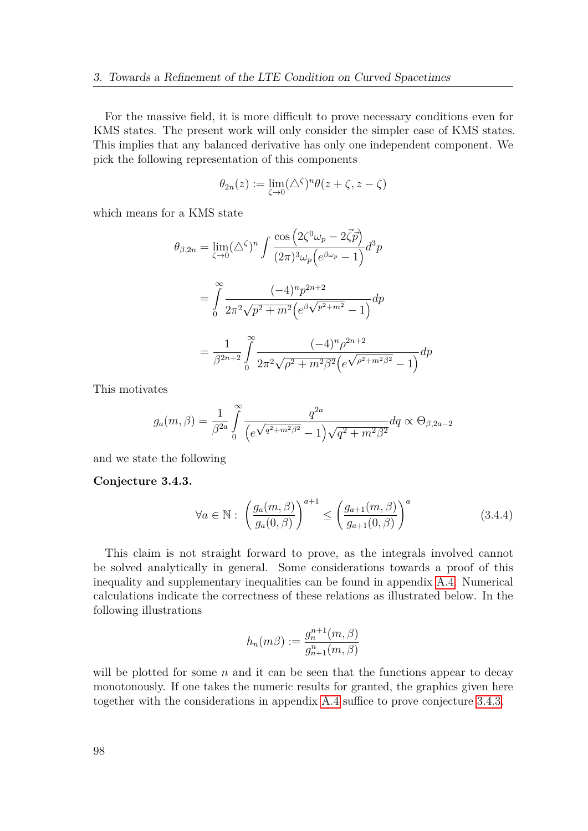For the massive field, it is more difficult to prove necessary conditions even for KMS states. The present work will only consider the simpler case of KMS states. This implies that any balanced derivative has only one independent component. We pick the following representation of this components

$$
\theta_{2n}(z) := \lim_{\zeta \to 0} (\Delta^{\zeta})^n \theta(z + \zeta, z - \zeta)
$$

which means for a KMS state

$$
\theta_{\beta,2n} = \lim_{\zeta \to 0} (\triangle^{\zeta})^n \int \frac{\cos (2\zeta^0 \omega_p - 2\overline{\zeta} \overline{p})}{(2\pi)^3 \omega_p (e^{\beta \omega_p} - 1)} d^3p
$$

$$
= \int_0^\infty \frac{(-4)^n p^{2n+2}}{2\pi^2 \sqrt{p^2 + m^2} (e^{\beta \sqrt{p^2 + m^2}} - 1)} dp
$$

$$
= \frac{1}{\beta^{2n+2}} \int_0^\infty \frac{(-4)^n \rho^{2n+2}}{2\pi^2 \sqrt{\rho^2 + m^2 \beta^2} (e^{\sqrt{\rho^2 + m^2 \beta^2}} - 1)} dp
$$

This motivates

$$
g_a(m,\beta) = \frac{1}{\beta^{2a}} \int_0^{\infty} \frac{q^{2a}}{\left(e^{\sqrt{q^2 + m^2 \beta^2}} - 1\right) \sqrt{q^2 + m^2 \beta^2}} dq \propto \Theta_{\beta,2a-2}
$$

and we state the following

<span id="page-97-0"></span>**Conjecture 3.4.3.**

$$
\forall a \in \mathbb{N}: \left(\frac{g_a(m,\beta)}{g_a(0,\beta)}\right)^{a+1} \le \left(\frac{g_{a+1}(m,\beta)}{g_{a+1}(0,\beta)}\right)^a \tag{3.4.4}
$$

This claim is not straight forward to prove, as the integrals involved cannot be solved analytically in general. Some considerations towards a proof of this inequality and supplementary inequalities can be found in appendix [A.4.](#page-143-0) Numerical calculations indicate the correctness of these relations as illustrated below. In the following illustrations

<span id="page-97-1"></span>
$$
h_n(m\beta) := \frac{g_n^{n+1}(m,\beta)}{g_{n+1}^n(m,\beta)}
$$

will be plotted for some  $n$  and it can be seen that the functions appear to decay monotonously. If one takes the numeric results for granted, the graphics given here together with the considerations in appendix [A.4](#page-143-0) suffice to prove conjecture [3.4.3.](#page-97-0)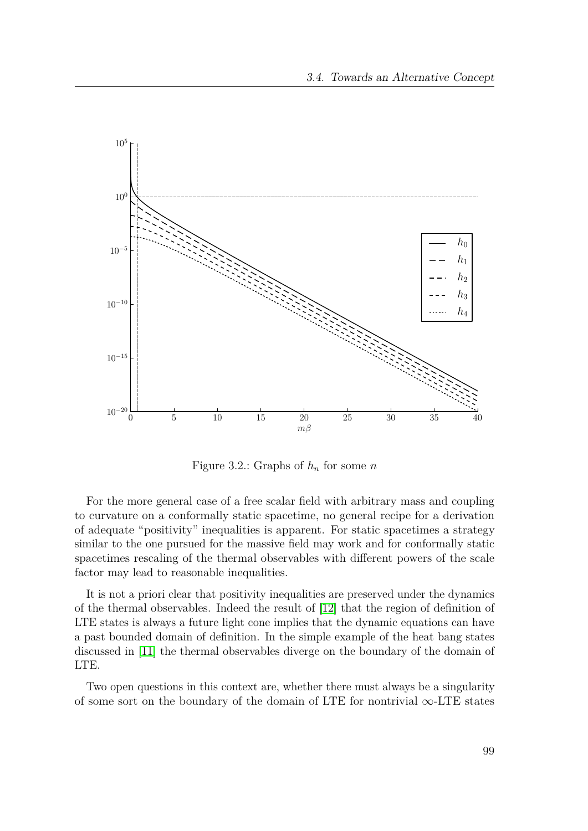

<span id="page-98-0"></span>Figure 3.2.: Graphs of *h<sup>n</sup>* for some *n*

For the more general case of a free scalar field with arbitrary mass and coupling to curvature on a conformally static spacetime, no general recipe for a derivation of adequate "positivity" inequalities is apparent. For static spacetimes a strategy similar to the one pursued for the massive field may work and for conformally static spacetimes rescaling of the thermal observables with different powers of the scale factor may lead to reasonable inequalities.

It is not a priori clear that positivity inequalities are preserved under the dynamics of the thermal observables. Indeed the result of [\[12\]](#page-149-0) that the region of definition of LTE states is always a future light cone implies that the dynamic equations can have a past bounded domain of definition. In the simple example of the heat bang states discussed in [\[11\]](#page-149-2) the thermal observables diverge on the boundary of the domain of LTE.

Two open questions in this context are, whether there must always be a singularity of some sort on the boundary of the domain of LTE for nontrivial  $\infty$ -LTE states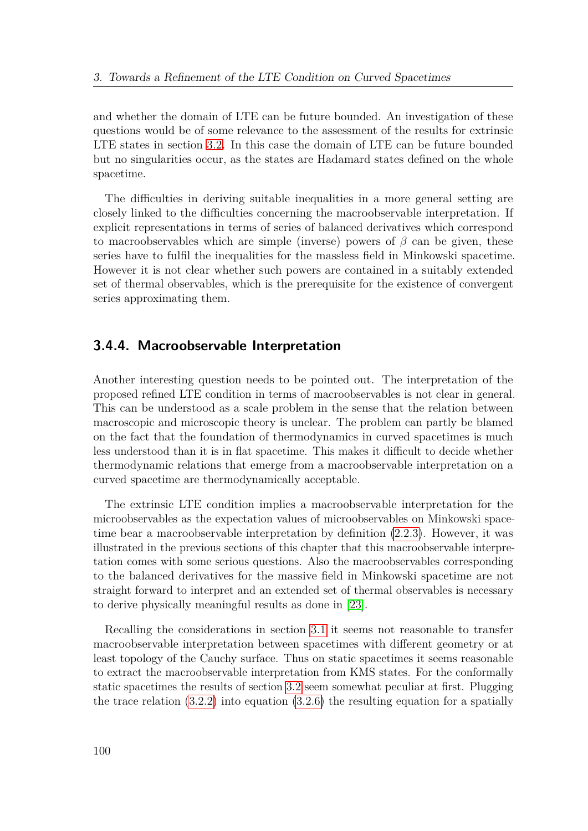and whether the domain of LTE can be future bounded. An investigation of these questions would be of some relevance to the assessment of the results for extrinsic LTE states in section [3.2.](#page-64-0) In this case the domain of LTE can be future bounded but no singularities occur, as the states are Hadamard states defined on the whole spacetime.

The difficulties in deriving suitable inequalities in a more general setting are closely linked to the difficulties concerning the macroobservable interpretation. If explicit representations in terms of series of balanced derivatives which correspond to macroobservables which are simple (inverse) powers of  $\beta$  can be given, these series have to fulfil the inequalities for the massless field in Minkowski spacetime. However it is not clear whether such powers are contained in a suitably extended set of thermal observables, which is the prerequisite for the existence of convergent series approximating them.

# <span id="page-99-0"></span>**3.4.4. Macroobservable Interpretation**

Another interesting question needs to be pointed out. The interpretation of the proposed refined LTE condition in terms of macroobservables is not clear in general. This can be understood as a scale problem in the sense that the relation between macroscopic and microscopic theory is unclear. The problem can partly be blamed on the fact that the foundation of thermodynamics in curved spacetimes is much less understood than it is in flat spacetime. This makes it difficult to decide whether thermodynamic relations that emerge from a macroobservable interpretation on a curved spacetime are thermodynamically acceptable.

The extrinsic LTE condition implies a macroobservable interpretation for the microobservables as the expectation values of microobservables on Minkowski spacetime bear a macroobservable interpretation by definition [\(2.2.3\)](#page-24-0). However, it was illustrated in the previous sections of this chapter that this macroobservable interpretation comes with some serious questions. Also the macroobservables corresponding to the balanced derivatives for the massive field in Minkowski spacetime are not straight forward to interpret and an extended set of thermal observables is necessary to derive physically meaningful results as done in [\[23\]](#page-150-0).

Recalling the considerations in section [3.1](#page-53-0) it seems not reasonable to transfer macroobservable interpretation between spacetimes with different geometry or at least topology of the Cauchy surface. Thus on static spacetimes it seems reasonable to extract the macroobservable interpretation from KMS states. For the conformally static spacetimes the results of section [3.2](#page-64-0) seem somewhat peculiar at first. Plugging the trace relation  $(3.2.2)$  into equation  $(3.2.6)$  the resulting equation for a spatially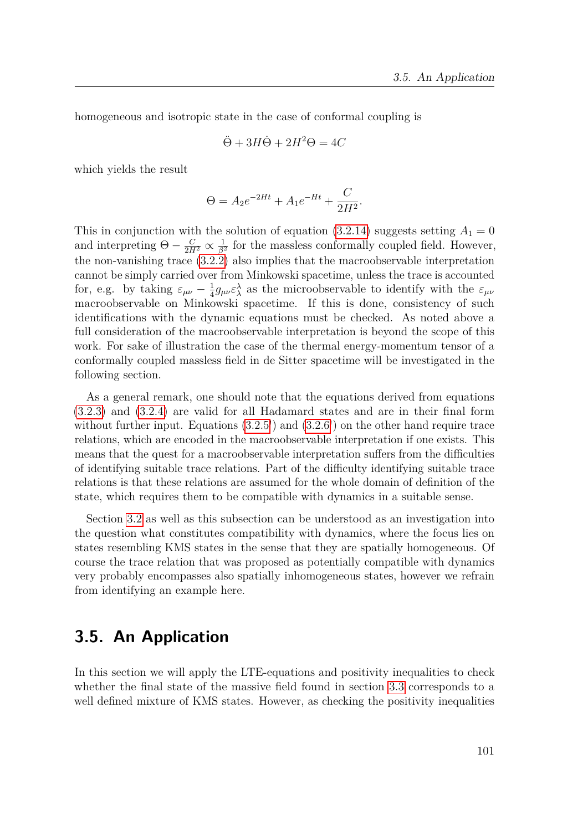homogeneous and isotropic state in the case of conformal coupling is

$$
\ddot{\Theta} + 3H\dot{\Theta} + 2H^2\Theta = 4C
$$

which yields the result

$$
\Theta = A_2 e^{-2Ht} + A_1 e^{-Ht} + \frac{C}{2H^2}.
$$

This in conjunction with the solution of equation  $(3.2.14)$  suggests setting  $A_1 = 0$ and interpreting  $\Theta - \frac{C}{2H^2} \propto \frac{1}{\beta^2}$  $\frac{1}{\beta^2}$  for the massless conformally coupled field. However, the non-vanishing trace [\(3.2.2\)](#page-69-0) also implies that the macroobservable interpretation cannot be simply carried over from Minkowski spacetime, unless the trace is accounted for, e.g. by taking  $\varepsilon_{\mu\nu} - \frac{1}{4}$  $\frac{1}{4}g_{\mu\nu}\varepsilon_\lambda^{\lambda}$  as the microobservable to identify with the  $\varepsilon_{\mu\nu}$ macroobservable on Minkowski spacetime. If this is done, consistency of such identifications with the dynamic equations must be checked. As noted above a full consideration of the macroobservable interpretation is beyond the scope of this work. For sake of illustration the case of the thermal energy-momentum tensor of a conformally coupled massless field in de Sitter spacetime will be investigated in the following section.

As a general remark, one should note that the equations derived from equations [\(3.2.3\)](#page-71-0) and [\(3.2.4\)](#page-71-1) are valid for all Hadamard states and are in their final form without further input. Equations  $(3.2.5')$  $(3.2.5')$  and  $(3.2.6')$  $(3.2.6')$  on the other hand require trace relations, which are encoded in the macroobservable interpretation if one exists. This means that the quest for a macroobservable interpretation suffers from the difficulties of identifying suitable trace relations. Part of the difficulty identifying suitable trace relations is that these relations are assumed for the whole domain of definition of the state, which requires them to be compatible with dynamics in a suitable sense.

Section [3.2](#page-64-0) as well as this subsection can be understood as an investigation into the question what constitutes compatibility with dynamics, where the focus lies on states resembling KMS states in the sense that they are spatially homogeneous. Of course the trace relation that was proposed as potentially compatible with dynamics very probably encompasses also spatially inhomogeneous states, however we refrain from identifying an example here.

# **3.5. An Application**

In this section we will apply the LTE-equations and positivity inequalities to check whether the final state of the massive field found in section [3.3](#page-77-0) corresponds to a well defined mixture of KMS states. However, as checking the positivity inequalities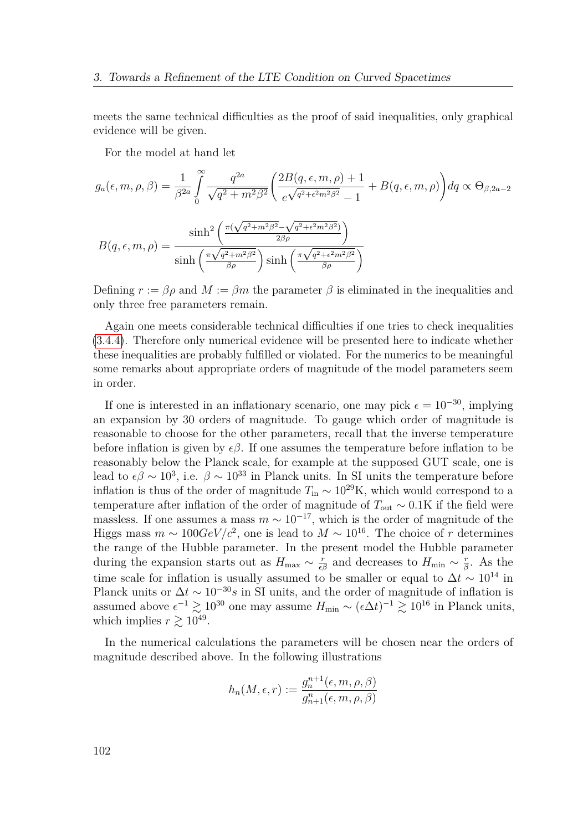meets the same technical difficulties as the proof of said inequalities, only graphical evidence will be given.

For the model at hand let

$$
g_a(\epsilon, m, \rho, \beta) = \frac{1}{\beta^{2a}} \int_0^{\infty} \frac{q^{2a}}{\sqrt{q^2 + m^2 \beta^2}} \left( \frac{2B(q, \epsilon, m, \rho) + 1}{e^{\sqrt{q^2 + \epsilon^2 m^2 \beta^2}} - 1} + B(q, \epsilon, m, \rho) \right) dq \propto \Theta_{\beta, 2a - 2}
$$

$$
B(q, \epsilon, m, \rho) = \frac{\sinh^2 \left( \frac{\pi(\sqrt{q^2 + m^2 \beta^2} - \sqrt{q^2 + \epsilon^2 m^2 \beta^2})}{2\beta \rho} \right)}{\sinh \left( \frac{\pi \sqrt{q^2 + m^2 \beta^2}}{\beta \rho} \right) \sinh \left( \frac{\pi \sqrt{q^2 + \epsilon^2 m^2 \beta^2}}{\beta \rho} \right)}
$$

Defining  $r := \beta \rho$  and  $M := \beta m$  the parameter  $\beta$  is eliminated in the inequalities and only three free parameters remain.

Again one meets considerable technical difficulties if one tries to check inequalities [\(3.4.4\)](#page-97-1). Therefore only numerical evidence will be presented here to indicate whether these inequalities are probably fulfilled or violated. For the numerics to be meaningful some remarks about appropriate orders of magnitude of the model parameters seem in order.

If one is interested in an inflationary scenario, one may pick  $\epsilon = 10^{-30}$ , implying an expansion by 30 orders of magnitude. To gauge which order of magnitude is reasonable to choose for the other parameters, recall that the inverse temperature before inflation is given by  $\epsilon \beta$ . If one assumes the temperature before inflation to be reasonably below the Planck scale, for example at the supposed GUT scale, one is lead to  $\epsilon \beta \sim 10^3$ , i.e.  $\beta \sim 10^{33}$  in Planck units. In SI units the temperature before inflation is thus of the order of magnitude  $T_{\text{in}} \sim 10^{29} \text{K}$ , which would correspond to a temperature after inflation of the order of magnitude of  $T_{\text{out}} \sim 0.1$ K if the field were massless. If one assumes a mass  $m \sim 10^{-17}$ , which is the order of magnitude of the Higgs mass  $m \sim 100 \text{GeV}/c^2$ , one is lead to  $M \sim 10^{16}$ . The choice of *r* determines the range of the Hubble parameter. In the present model the Hubble parameter during the expansion starts out as  $H_{\text{max}} \sim \frac{r}{\epsilon \beta}$  and decreases to  $H_{\text{min}} \sim \frac{r}{\beta}$ *β* . As the time scale for inflation is usually assumed to be smaller or equal to  $\Delta t \sim 10^{14}$  in Planck units or  $\Delta t \sim 10^{-30} s$  in SI units, and the order of magnitude of inflation is assumed above  $\epsilon^{-1} \gtrsim 10^{30}$  one may assume  $H_{\min} \sim (\epsilon \Delta t)^{-1} \gtrsim 10^{16}$  in Planck units, which implies  $r \gtrsim 10^{49}$ .

In the numerical calculations the parameters will be chosen near the orders of magnitude described above. In the following illustrations

$$
h_n(M, \epsilon, r) := \frac{g_n^{n+1}(\epsilon, m, \rho, \beta)}{g_{n+1}^n(\epsilon, m, \rho, \beta)}
$$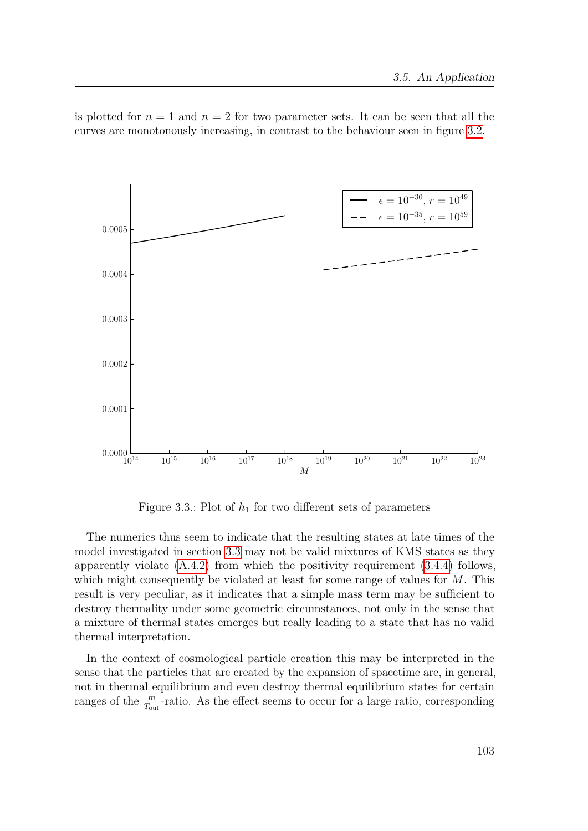is plotted for  $n = 1$  and  $n = 2$  for two parameter sets. It can be seen that all the curves are monotonously increasing, in contrast to the behaviour seen in figure [3.2.](#page-98-0)



Figure 3.3.: Plot of *h*<sup>1</sup> for two different sets of parameters

The numerics thus seem to indicate that the resulting states at late times of the model investigated in section [3.3](#page-77-0) may not be valid mixtures of KMS states as they apparently violate [\(A.4.2\)](#page-144-0) from which the positivity requirement [\(3.4.4\)](#page-97-1) follows, which might consequently be violated at least for some range of values for *M*. This result is very peculiar, as it indicates that a simple mass term may be sufficient to destroy thermality under some geometric circumstances, not only in the sense that a mixture of thermal states emerges but really leading to a state that has no valid thermal interpretation.

In the context of cosmological particle creation this may be interpreted in the sense that the particles that are created by the expansion of spacetime are, in general, not in thermal equilibrium and even destroy thermal equilibrium states for certain ranges of the  $\frac{m}{T_{\text{out}}}$ -ratio. As the effect seems to occur for a large ratio, corresponding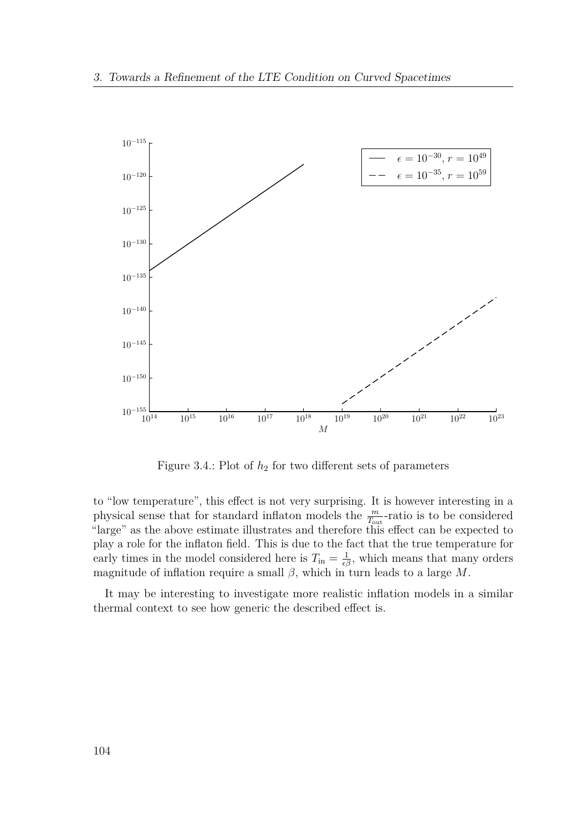

Figure 3.4.: Plot of  $h_2$  for two different sets of parameters

to "low temperature", this effect is not very surprising. It is however interesting in a physical sense that for standard inflaton models the  $\frac{m}{T_{\text{out}}}$ -ratio is to be considered "large" as the above estimate illustrates and therefore this effect can be expected to play a role for the inflaton field. This is due to the fact that the true temperature for early times in the model considered here is  $T_{\text{in}} = \frac{1}{\epsilon \beta}$ , which means that many orders magnitude of inflation require a small  $\beta$ , which in turn leads to a large  $M$ .

It may be interesting to investigate more realistic inflation models in a similar thermal context to see how generic the described effect is.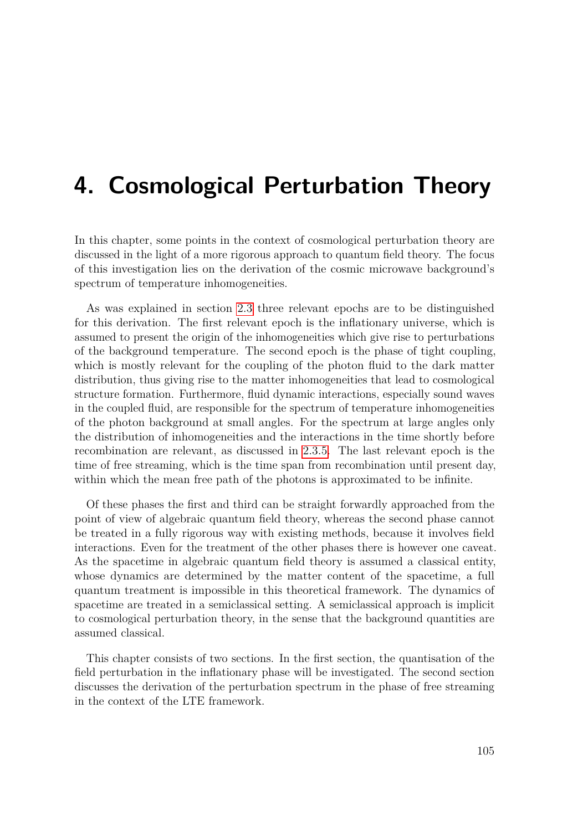# **4. Cosmological Perturbation Theory**

In this chapter, some points in the context of cosmological perturbation theory are discussed in the light of a more rigorous approach to quantum field theory. The focus of this investigation lies on the derivation of the cosmic microwave background's spectrum of temperature inhomogeneities.

As was explained in section [2.3](#page-33-0) three relevant epochs are to be distinguished for this derivation. The first relevant epoch is the inflationary universe, which is assumed to present the origin of the inhomogeneities which give rise to perturbations of the background temperature. The second epoch is the phase of tight coupling, which is mostly relevant for the coupling of the photon fluid to the dark matter distribution, thus giving rise to the matter inhomogeneities that lead to cosmological structure formation. Furthermore, fluid dynamic interactions, especially sound waves in the coupled fluid, are responsible for the spectrum of temperature inhomogeneities of the photon background at small angles. For the spectrum at large angles only the distribution of inhomogeneities and the interactions in the time shortly before recombination are relevant, as discussed in [2.3.5.](#page-48-0) The last relevant epoch is the time of free streaming, which is the time span from recombination until present day, within which the mean free path of the photons is approximated to be infinite.

Of these phases the first and third can be straight forwardly approached from the point of view of algebraic quantum field theory, whereas the second phase cannot be treated in a fully rigorous way with existing methods, because it involves field interactions. Even for the treatment of the other phases there is however one caveat. As the spacetime in algebraic quantum field theory is assumed a classical entity, whose dynamics are determined by the matter content of the spacetime, a full quantum treatment is impossible in this theoretical framework. The dynamics of spacetime are treated in a semiclassical setting. A semiclassical approach is implicit to cosmological perturbation theory, in the sense that the background quantities are assumed classical.

This chapter consists of two sections. In the first section, the quantisation of the field perturbation in the inflationary phase will be investigated. The second section discusses the derivation of the perturbation spectrum in the phase of free streaming in the context of the LTE framework.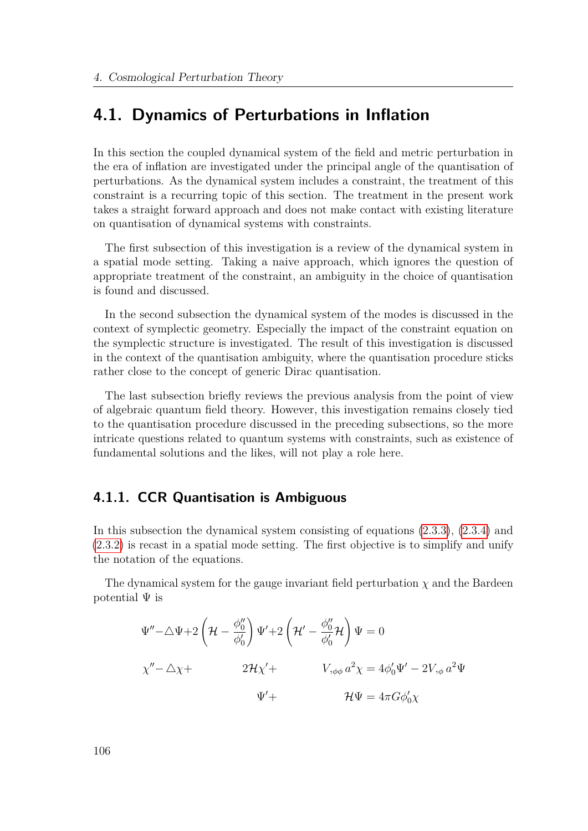# **4.1. Dynamics of Perturbations in Inflation**

In this section the coupled dynamical system of the field and metric perturbation in the era of inflation are investigated under the principal angle of the quantisation of perturbations. As the dynamical system includes a constraint, the treatment of this constraint is a recurring topic of this section. The treatment in the present work takes a straight forward approach and does not make contact with existing literature on quantisation of dynamical systems with constraints.

The first subsection of this investigation is a review of the dynamical system in a spatial mode setting. Taking a naive approach, which ignores the question of appropriate treatment of the constraint, an ambiguity in the choice of quantisation is found and discussed.

In the second subsection the dynamical system of the modes is discussed in the context of symplectic geometry. Especially the impact of the constraint equation on the symplectic structure is investigated. The result of this investigation is discussed in the context of the quantisation ambiguity, where the quantisation procedure sticks rather close to the concept of generic Dirac quantisation.

The last subsection briefly reviews the previous analysis from the point of view of algebraic quantum field theory. However, this investigation remains closely tied to the quantisation procedure discussed in the preceding subsections, so the more intricate questions related to quantum systems with constraints, such as existence of fundamental solutions and the likes, will not play a role here.

# **4.1.1. CCR Quantisation is Ambiguous**

In this subsection the dynamical system consisting of equations [\(2.3.3\)](#page-43-0), [\(2.3.4\)](#page-43-1) and [\(2.3.2\)](#page-42-0) is recast in a spatial mode setting. The first objective is to simplify and unify the notation of the equations.

The dynamical system for the gauge invariant field perturbation  $\chi$  and the Bardeen potential  $\Psi$  is

$$
\Psi'' - \triangle \Psi + 2 \left( \mathcal{H} - \frac{\phi_0''}{\phi_0'} \right) \Psi' + 2 \left( \mathcal{H}' - \frac{\phi_0''}{\phi_0'} \mathcal{H} \right) \Psi = 0
$$
  

$$
\chi'' - \triangle \chi + 2 \mathcal{H} \chi' + V_{,\phi\phi} a^2 \chi = 4\phi_0' \Psi' - 2V_{,\phi} a^2 \Psi
$$
  

$$
\Psi' + \mathcal{H} \Psi = 4\pi G \phi_0' \chi
$$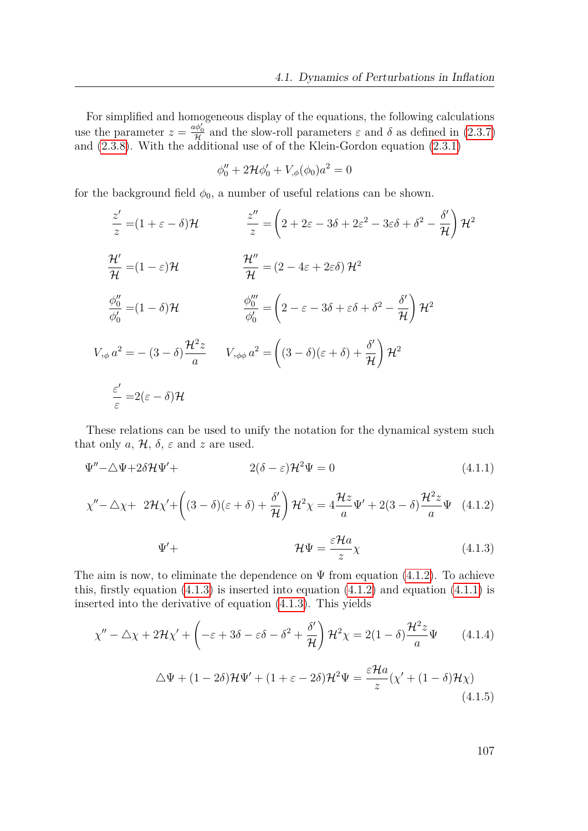For simplified and homogeneous display of the equations, the following calculations use the parameter  $z = \frac{a\phi_0}{\mathcal{H}}$  and the slow-roll parameters  $\varepsilon$  and  $\delta$  as defined in [\(2.3.7\)](#page-44-0) and [\(2.3.8\)](#page-44-1). With the additional use of of the Klein-Gordon equation [\(2.3.1\)](#page-42-1)

$$
\phi_0'' + 2\mathcal{H}\phi_0' + V_{,\phi}(\phi_0)a^2 = 0
$$

for the background field  $\phi_0$ , a number of useful relations can be shown.

$$
\frac{z'}{z} = (1 + \varepsilon - \delta) \mathcal{H}
$$
\n
$$
\frac{z''}{z} = \left(2 + 2\varepsilon - 3\delta + 2\varepsilon^2 - 3\varepsilon\delta + \delta^2 - \frac{\delta'}{\mathcal{H}}\right) \mathcal{H}^2
$$
\n
$$
\frac{\mathcal{H}'}{\mathcal{H}} = (1 - \varepsilon) \mathcal{H}
$$
\n
$$
\frac{\mathcal{H}''}{\mathcal{H}} = (2 - 4\varepsilon + 2\varepsilon\delta) \mathcal{H}^2
$$
\n
$$
\frac{\phi_0''}{\phi_0'} = (1 - \delta) \mathcal{H}
$$
\n
$$
\frac{\phi_0'''}{\phi_0'} = \left(2 - \varepsilon - 3\delta + \varepsilon\delta + \delta^2 - \frac{\delta'}{\mathcal{H}}\right) \mathcal{H}^2
$$
\n
$$
V_{,\phi} a^2 = -(3 - \delta) \frac{\mathcal{H}^2 z}{a} \qquad V_{,\phi\phi} a^2 = \left((3 - \delta)(\varepsilon + \delta) + \frac{\delta'}{\mathcal{H}}\right) \mathcal{H}^2
$$
\n
$$
\frac{\varepsilon'}{\varepsilon} = 2(\varepsilon - \delta) \mathcal{H}
$$

These relations can be used to unify the notation for the dynamical system such that only  $a, \mathcal{H}, \delta, \varepsilon$  and  $z$  are used.

$$
\Psi'' - \triangle \Psi + 2\delta \mathcal{H} \Psi' + 2(\delta - \varepsilon) \mathcal{H}^2 \Psi = 0 \tag{4.1.1}
$$

$$
\chi'' - \triangle \chi + 2\mathcal{H}\chi' + \left( (3-\delta)(\varepsilon+\delta) + \frac{\delta'}{\mathcal{H}} \right) \mathcal{H}^2 \chi = 4\frac{\mathcal{H}z}{a} \Psi' + 2(3-\delta)\frac{\mathcal{H}^2 z}{a} \Psi \quad (4.1.2)
$$

<span id="page-106-4"></span><span id="page-106-2"></span><span id="page-106-1"></span><span id="page-106-0"></span>
$$
\Psi' + \qquad \qquad \mathcal{H}\Psi = \frac{\varepsilon \mathcal{H}a}{z} \chi \tag{4.1.3}
$$

The aim is now, to eliminate the dependence on  $\Psi$  from equation [\(4.1.2\)](#page-106-0). To achieve this, firstly equation  $(4.1.3)$  is inserted into equation  $(4.1.2)$  and equation  $(4.1.1)$  is inserted into the derivative of equation [\(4.1.3\)](#page-106-1). This yields

$$
\chi'' - \Delta \chi + 2\mathcal{H}\chi' + \left(-\varepsilon + 3\delta - \varepsilon\delta - \delta^2 + \frac{\delta'}{\mathcal{H}}\right)\mathcal{H}^2\chi = 2(1-\delta)\frac{\mathcal{H}^2 z}{a}\Psi \qquad (4.1.4)
$$

<span id="page-106-3"></span>
$$
\Delta\Psi + (1 - 2\delta)\mathcal{H}\Psi' + (1 + \varepsilon - 2\delta)\mathcal{H}^2\Psi = \frac{\varepsilon \mathcal{H}a}{z}(\chi' + (1 - \delta)\mathcal{H}\chi)
$$
\n(4.1.5)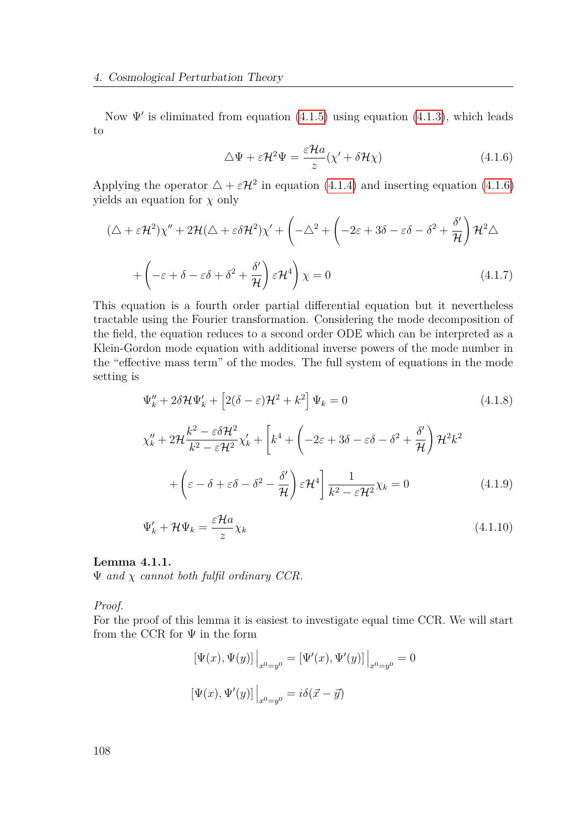Now  $\Psi'$  is eliminated from equation [\(4.1.5\)](#page-106-3) using equation [\(4.1.3\)](#page-106-1), which leads to

<span id="page-107-0"></span>
$$
\Delta \Psi + \varepsilon \mathcal{H}^2 \Psi = \frac{\varepsilon \mathcal{H} a}{z} (\chi' + \delta \mathcal{H} \chi)
$$
 (4.1.6)

Applying the operator  $\Delta + \varepsilon H^2$  in equation [\(4.1.4\)](#page-106-4) and inserting equation [\(4.1.6\)](#page-107-0) yields an equation for *χ* only

$$
(\Delta + \varepsilon \mathcal{H}^2) \chi'' + 2\mathcal{H}(\Delta + \varepsilon \delta \mathcal{H}^2) \chi' + \left( -\Delta^2 + \left( -2\varepsilon + 3\delta - \varepsilon \delta - \delta^2 + \frac{\delta'}{\mathcal{H}} \right) \mathcal{H}^2 \Delta + \left( -\varepsilon + \delta - \varepsilon \delta + \delta^2 + \frac{\delta'}{\mathcal{H}} \right) \varepsilon \mathcal{H}^4 \right) \chi = 0
$$
\n(4.1.7)

This equation is a fourth order partial differential equation but it nevertheless tractable using the Fourier transformation. Considering the mode decomposition of the field, the equation reduces to a second order ODE which can be interpreted as a Klein-Gordon mode equation with additional inverse powers of the mode number in the "effective mass term" of the modes. The full system of equations in the mode setting is

$$
\Psi_k'' + 2\delta \mathcal{H}\Psi_k' + \left[2(\delta - \varepsilon)\mathcal{H}^2 + k^2\right]\Psi_k = 0\tag{4.1.8}
$$

$$
\chi_k'' + 2\mathcal{H} \frac{k^2 - \varepsilon \delta \mathcal{H}^2}{k^2 - \varepsilon \mathcal{H}^2} \chi_k' + \left[ k^4 + \left( -2\varepsilon + 3\delta - \varepsilon \delta - \delta^2 + \frac{\delta'}{\mathcal{H}} \right) \mathcal{H}^2 k^2 + \left( \varepsilon - \delta + \varepsilon \delta - \delta^2 - \frac{\delta'}{\mathcal{H}} \right) \varepsilon \mathcal{H}^4 \right] \frac{1}{k^2 - \varepsilon \mathcal{H}^2} \chi_k = 0 \tag{4.1.9}
$$

$$
\Psi'_k + \mathcal{H}\Psi_k = \frac{\varepsilon \mathcal{H}a}{z} \chi_k \tag{4.1.10}
$$

#### **Lemma 4.1.1.**

Ψ *and χ cannot both fulfil ordinary CCR.*

*Proof.*

For the proof of this lemma it is easiest to investigate equal time CCR. We will start from the CCR for  $\Psi$  in the form

$$
[\Psi(x), \Psi(y)]\Big|_{x^0 = y^0} = [\Psi'(x), \Psi'(y)]\Big|_{x^0 = y^0} = 0
$$
  

$$
[\Psi(x), \Psi'(y)]\Big|_{x^0 = y^0} = i\delta(\vec{x} - \vec{y})
$$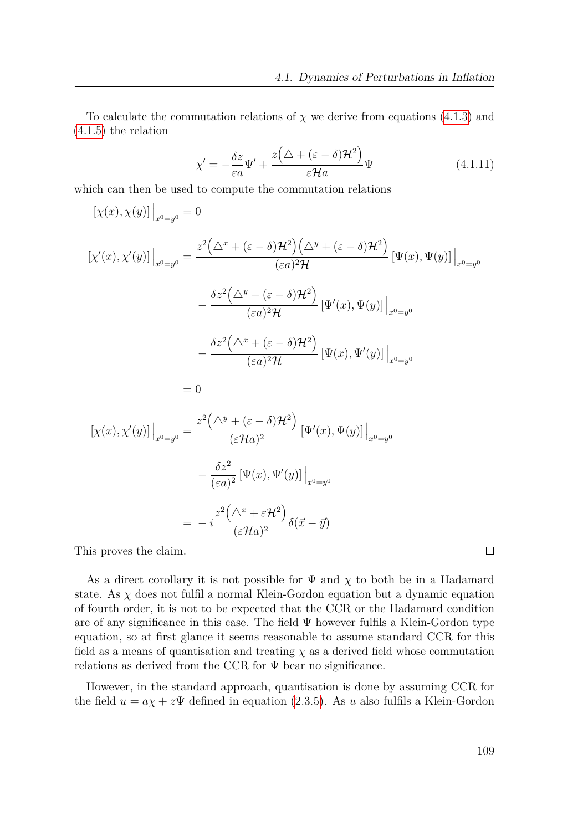To calculate the commutation relations of  $\chi$  we derive from equations [\(4.1.3\)](#page-106-0) and [\(4.1.5\)](#page-106-1) the relation

$$
\chi' = -\frac{\delta z}{\varepsilon a} \Psi' + \frac{z(\Delta + (\varepsilon - \delta) \mathcal{H}^2)}{\varepsilon \mathcal{H} a} \Psi \tag{4.1.11}
$$

which can then be used to compute the commutation relations

$$
\begin{aligned} \left[\chi(x), \chi(y)\right]\Big|_{x^0 = y^0} &= 0\\ \left[\chi'(x), \chi'(y)\right]\Big|_{x^0 = y^0} &= \frac{z^2 \left(\Delta^x + (\varepsilon - \delta) \mathcal{H}^2\right) \left(\Delta^y + (\varepsilon - \delta) \mathcal{H}^2\right)}{(\varepsilon a)^2 \mathcal{H}} \left[\Psi(x), \Psi(y)\right]\Big|_{x^0 = y^0} \\ &\quad - \frac{\delta z^2 \left(\Delta^y + (\varepsilon - \delta) \mathcal{H}^2\right)}{(\varepsilon a)^2 \mathcal{H}} \left[\Psi'(x), \Psi(y)\right]\Big|_{x^0 = y^0} \\ &\quad - \frac{\delta z^2 \left(\Delta^x + (\varepsilon - \delta) \mathcal{H}^2\right)}{(\varepsilon a)^2 \mathcal{H}} \left[\Psi(x), \Psi'(y)\right]\Big|_{x^0 = y^0} \end{aligned}
$$

$$
= 0
$$

$$
\begin{aligned} \left[\chi(x),\chi'(y)\right]\Big|_{x^0=y^0} &= \frac{z^2\left(\Delta^y + (\varepsilon - \delta)\mathcal{H}^2\right)}{(\varepsilon\mathcal{H}a)^2} \left[\Psi'(x),\Psi(y)\right]\Big|_{x^0=y^0} \\ &- \frac{\delta z^2}{(\varepsilon a)^2} \left[\Psi(x),\Psi'(y)\right]\Big|_{x^0=y^0} \\ &= -i \frac{z^2\left(\Delta^x + \varepsilon\mathcal{H}^2\right)}{(\varepsilon\mathcal{H}a)^2} \delta(\vec{x} - \vec{y}) \end{aligned}
$$

This proves the claim.

As a direct corollary it is not possible for  $\Psi$  and  $\chi$  to both be in a Hadamard state. As  $\chi$  does not fulfil a normal Klein-Gordon equation but a dynamic equation of fourth order, it is not to be expected that the CCR or the Hadamard condition are of any significance in this case. The field  $\Psi$  however fulfils a Klein-Gordon type equation, so at first glance it seems reasonable to assume standard CCR for this field as a means of quantisation and treating  $\chi$  as a derived field whose commutation relations as derived from the CCR for  $\Psi$  bear no significance.

However, in the standard approach, quantisation is done by assuming CCR for the field  $u = a\chi + z\Psi$  defined in equation [\(2.3.5\)](#page-43-0). As *u* also fulfils a Klein-Gordon

 $\Box$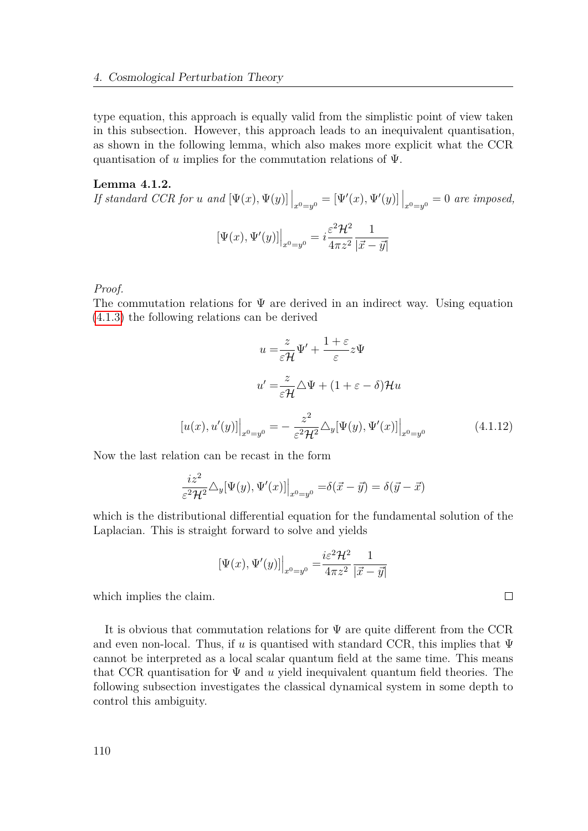type equation, this approach is equally valid from the simplistic point of view taken in this subsection. However, this approach leads to an inequivalent quantisation, as shown in the following lemma, which also makes more explicit what the CCR quantisation of *u* implies for the commutation relations of Ψ.

### **Lemma 4.1.2.**

*If standard CCR for u* and  $[\Psi(x), \Psi(y)]\Big|_{x^0=y^0} = [\Psi'(x), \Psi'(y)]\Big|_{x^0=y^0} = 0$  are imposed,  $[\Psi(x), \Psi'(y)]\Big|_{x^0 = y^0} = i$  $\varepsilon^2\mathcal{H}^2$ 4*πz*<sup>2</sup> 1  $|\vec{x} - \vec{y}|$ 

*Proof.*

The commutation relations for  $\Psi$  are derived in an indirect way. Using equation [\(4.1.3\)](#page-106-0) the following relations can be derived

$$
u = \frac{z}{\varepsilon \mathcal{H}} \Psi' + \frac{1+\varepsilon}{\varepsilon} z \Psi
$$
  

$$
u' = \frac{z}{\varepsilon \mathcal{H}} \Delta \Psi + (1+\varepsilon - \delta) \mathcal{H} u
$$
  

$$
[u(x), u'(y)]\Big|_{x^0 = y^0} = -\frac{z^2}{\varepsilon^2 \mathcal{H}^2} \Delta_y [\Psi(y), \Psi'(x)]\Big|_{x^0 = y^0}
$$
(4.1.12)

<span id="page-109-0"></span> $\Box$ 

Now the last relation can be recast in the form

$$
\frac{iz^2}{\varepsilon^2 \mathcal{H}^2} \triangle_y [\Psi(y), \Psi'(x)] \Big|_{x^0 = y^0} = \delta(\vec{x} - \vec{y}) = \delta(\vec{y} - \vec{x})
$$

which is the distributional differential equation for the fundamental solution of the Laplacian. This is straight forward to solve and yields

$$
[\Psi(x), \Psi'(y)]\Big|_{x^0 = y^0} = \frac{i\varepsilon^2 \mathcal{H}^2}{4\pi z^2} \frac{1}{|\vec{x} - \vec{y}|}
$$

which implies the claim.

It is obvious that commutation relations for Ψ are quite different from the CCR and even non-local. Thus, if  $u$  is quantised with standard CCR, this implies that  $\Psi$ cannot be interpreted as a local scalar quantum field at the same time. This means that CCR quantisation for  $\Psi$  and  $u$  yield inequivalent quantum field theories. The following subsection investigates the classical dynamical system in some depth to control this ambiguity.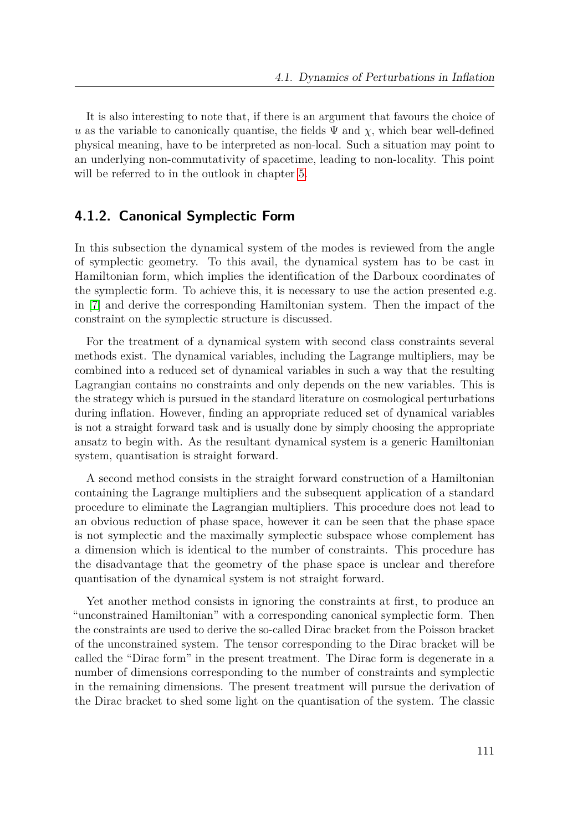It is also interesting to note that, if there is an argument that favours the choice of *u* as the variable to canonically quantise, the fields  $\Psi$  and  $\chi$ , which bear well-defined physical meaning, have to be interpreted as non-local. Such a situation may point to an underlying non-commutativity of spacetime, leading to non-locality. This point will be referred to in the outlook in chapter [5.](#page-130-0)

### **4.1.2. Canonical Symplectic Form**

In this subsection the dynamical system of the modes is reviewed from the angle of symplectic geometry. To this avail, the dynamical system has to be cast in Hamiltonian form, which implies the identification of the Darboux coordinates of the symplectic form. To achieve this, it is necessary to use the action presented e.g. in [\[7\]](#page-149-0) and derive the corresponding Hamiltonian system. Then the impact of the constraint on the symplectic structure is discussed.

For the treatment of a dynamical system with second class constraints several methods exist. The dynamical variables, including the Lagrange multipliers, may be combined into a reduced set of dynamical variables in such a way that the resulting Lagrangian contains no constraints and only depends on the new variables. This is the strategy which is pursued in the standard literature on cosmological perturbations during inflation. However, finding an appropriate reduced set of dynamical variables is not a straight forward task and is usually done by simply choosing the appropriate ansatz to begin with. As the resultant dynamical system is a generic Hamiltonian system, quantisation is straight forward.

A second method consists in the straight forward construction of a Hamiltonian containing the Lagrange multipliers and the subsequent application of a standard procedure to eliminate the Lagrangian multipliers. This procedure does not lead to an obvious reduction of phase space, however it can be seen that the phase space is not symplectic and the maximally symplectic subspace whose complement has a dimension which is identical to the number of constraints. This procedure has the disadvantage that the geometry of the phase space is unclear and therefore quantisation of the dynamical system is not straight forward.

Yet another method consists in ignoring the constraints at first, to produce an "unconstrained Hamiltonian" with a corresponding canonical symplectic form. Then the constraints are used to derive the so-called Dirac bracket from the Poisson bracket of the unconstrained system. The tensor corresponding to the Dirac bracket will be called the "Dirac form" in the present treatment. The Dirac form is degenerate in a number of dimensions corresponding to the number of constraints and symplectic in the remaining dimensions. The present treatment will pursue the derivation of the Dirac bracket to shed some light on the quantisation of the system. The classic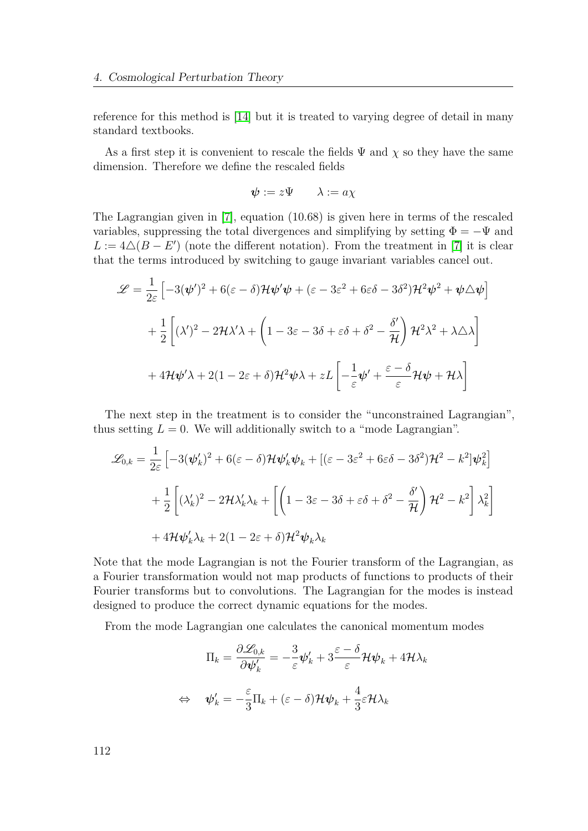reference for this method is [\[14\]](#page-150-0) but it is treated to varying degree of detail in many standard textbooks.

As a first step it is convenient to rescale the fields  $\Psi$  and  $\chi$  so they have the same dimension. Therefore we define the rescaled fields

$$
\boldsymbol{\psi} := z \Psi \qquad \lambda := a \chi
$$

The Lagrangian given in [\[7\]](#page-149-0), equation (10.68) is given here in terms of the rescaled variables, suppressing the total divergences and simplifying by setting  $\Phi = -\Psi$  and  $L := 4 \triangle (B - E')$  (note the different notation). From the treatment in [\[7\]](#page-149-0) it is clear that the terms introduced by switching to gauge invariant variables cancel out.

$$
\mathcal{L} = \frac{1}{2\varepsilon} \left[ -3(\psi')^2 + 6(\varepsilon - \delta) \mathcal{H} \psi' \psi + (\varepsilon - 3\varepsilon^2 + 6\varepsilon\delta - 3\delta^2) \mathcal{H}^2 \psi^2 + \psi \triangle \psi \right]
$$
  
+ 
$$
\frac{1}{2} \left[ (\lambda')^2 - 2\mathcal{H}\lambda'\lambda + \left( 1 - 3\varepsilon - 3\delta + \varepsilon\delta + \delta^2 - \frac{\delta'}{\mathcal{H}} \right) \mathcal{H}^2 \lambda^2 + \lambda \triangle \lambda \right]
$$
  
+ 
$$
4\mathcal{H}\psi'\lambda + 2(1 - 2\varepsilon + \delta)\mathcal{H}^2 \psi \lambda + zL \left[ -\frac{1}{\varepsilon} \psi' + \frac{\varepsilon - \delta}{\varepsilon} \mathcal{H}\psi + \mathcal{H}\lambda \right]
$$

The next step in the treatment is to consider the "unconstrained Lagrangian", thus setting  $L = 0$ . We will additionally switch to a "mode Lagrangian".

$$
\mathcal{L}_{0,k} = \frac{1}{2\varepsilon} \left[ -3(\boldsymbol{\psi}'_k)^2 + 6(\varepsilon - \delta) \mathcal{H} \boldsymbol{\psi}'_k \boldsymbol{\psi}_k + [(\varepsilon - 3\varepsilon^2 + 6\varepsilon\delta - 3\delta^2) \mathcal{H}^2 - k^2] \boldsymbol{\psi}_k^2 \right]
$$
  
+ 
$$
\frac{1}{2} \left[ (\lambda'_k)^2 - 2 \mathcal{H} \lambda'_k \lambda_k + \left[ \left( 1 - 3\varepsilon - 3\delta + \varepsilon\delta + \delta^2 - \frac{\delta'}{\mathcal{H}} \right) \mathcal{H}^2 - k^2 \right] \lambda_k^2 \right]
$$
  
+ 
$$
4 \mathcal{H} \boldsymbol{\psi}'_k \lambda_k + 2(1 - 2\varepsilon + \delta) \mathcal{H}^2 \boldsymbol{\psi}_k \lambda_k
$$

Note that the mode Lagrangian is not the Fourier transform of the Lagrangian, as a Fourier transformation would not map products of functions to products of their Fourier transforms but to convolutions. The Lagrangian for the modes is instead designed to produce the correct dynamic equations for the modes.

From the mode Lagrangian one calculates the canonical momentum modes

$$
\Pi_k = \frac{\partial \mathcal{L}_{0,k}}{\partial \boldsymbol{\psi}_k'} = -\frac{3}{\varepsilon} \boldsymbol{\psi}_k' + 3 \frac{\varepsilon - \delta}{\varepsilon} \mathcal{H} \boldsymbol{\psi}_k + 4 \mathcal{H} \lambda_k
$$
  

$$
\Leftrightarrow \quad \boldsymbol{\psi}_k' = -\frac{\varepsilon}{3} \Pi_k + (\varepsilon - \delta) \mathcal{H} \boldsymbol{\psi}_k + \frac{4}{3} \varepsilon \mathcal{H} \lambda_k
$$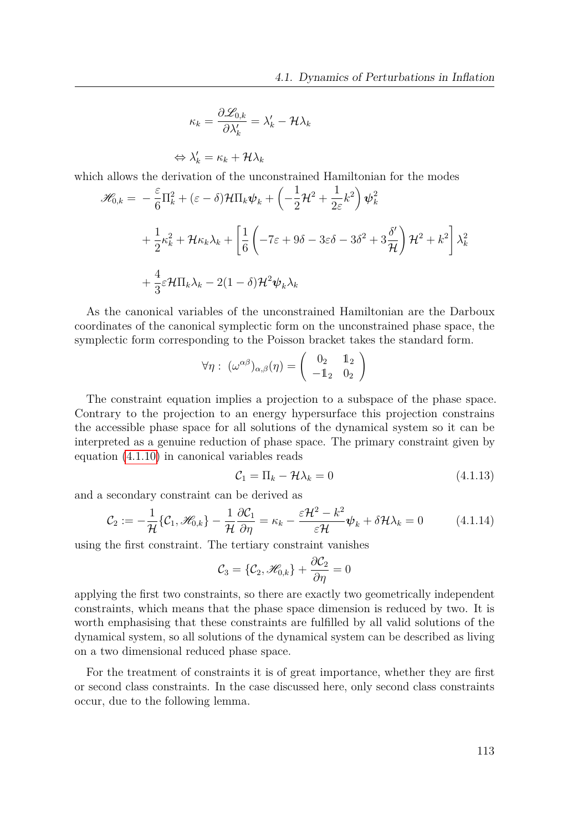$$
\kappa_k = \frac{\partial \mathcal{L}_{0,k}}{\partial \lambda'_k} = \lambda'_k - \mathcal{H} \lambda_k
$$

 $\Leftrightarrow \lambda'_k = \kappa_k + \mathcal{H}\lambda_k$ which allows the derivation of the unconstrained Hamiltonian for the modes

$$
\mathcal{H}_{0,k} = -\frac{\varepsilon}{6} \Pi_k^2 + (\varepsilon - \delta) \mathcal{H} \Pi_k \psi_k + \left( -\frac{1}{2} \mathcal{H}^2 + \frac{1}{2\varepsilon} k^2 \right) \psi_k^2 \n+ \frac{1}{2} \kappa_k^2 + \mathcal{H} \kappa_k \lambda_k + \left[ \frac{1}{6} \left( -7\varepsilon + 9\delta - 3\varepsilon\delta - 3\delta^2 + 3\frac{\delta'}{\mathcal{H}} \right) \mathcal{H}^2 + k^2 \right] \lambda_k^2 \n+ \frac{4}{3} \varepsilon \mathcal{H} \Pi_k \lambda_k - 2(1 - \delta) \mathcal{H}^2 \psi_k \lambda_k
$$

As the canonical variables of the unconstrained Hamiltonian are the Darboux coordinates of the canonical symplectic form on the unconstrained phase space, the symplectic form corresponding to the Poisson bracket takes the standard form.

$$
\forall \eta: \ (\omega^{\alpha \beta})_{\alpha,\beta}(\eta) = \begin{pmatrix} 0_2 & 1_2 \\ -1_2 & 0_2 \end{pmatrix}
$$

The constraint equation implies a projection to a subspace of the phase space. Contrary to the projection to an energy hypersurface this projection constrains the accessible phase space for all solutions of the dynamical system so it can be interpreted as a genuine reduction of phase space. The primary constraint given by equation [\(4.1.10\)](#page-107-0) in canonical variables reads

<span id="page-112-1"></span><span id="page-112-0"></span>
$$
\mathcal{C}_1 = \Pi_k - \mathcal{H}\lambda_k = 0 \tag{4.1.13}
$$

and a secondary constraint can be derived as

$$
\mathcal{C}_2 := -\frac{1}{\mathcal{H}} \{ \mathcal{C}_1, \mathcal{H}_{0,k} \} - \frac{1}{\mathcal{H}} \frac{\partial \mathcal{C}_1}{\partial \eta} = \kappa_k - \frac{\varepsilon \mathcal{H}^2 - k^2}{\varepsilon \mathcal{H}} \psi_k + \delta \mathcal{H} \lambda_k = 0 \tag{4.1.14}
$$

using the first constraint. The tertiary constraint vanishes

$$
\mathcal{C}_3 = \{\mathcal{C}_2, \mathcal{H}_{0,k}\} + \frac{\partial \mathcal{C}_2}{\partial \eta} = 0
$$

applying the first two constraints, so there are exactly two geometrically independent constraints, which means that the phase space dimension is reduced by two. It is worth emphasising that these constraints are fulfilled by all valid solutions of the dynamical system, so all solutions of the dynamical system can be described as living on a two dimensional reduced phase space.

For the treatment of constraints it is of great importance, whether they are first or second class constraints. In the case discussed here, only second class constraints occur, due to the following lemma.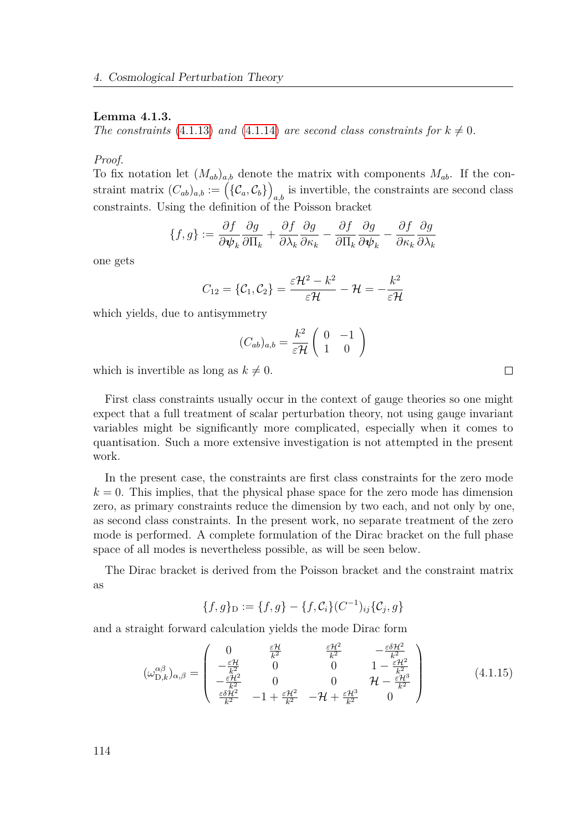#### **Lemma 4.1.3.**

*The constraints* [\(4.1.13\)](#page-112-0) *and* [\(4.1.14\)](#page-112-1) *are second class constraints for*  $k \neq 0$ *.* 

*Proof.*

To fix notation let  $(M_{ab})_{a,b}$  denote the matrix with components  $M_{ab}$ . If the constraint matrix  $(C_{ab})_{a,b} := (\{\mathcal{C}_a, \mathcal{C}_b\})$  $_{a,b}$  is invertible, the constraints are second class constraints. Using the definition of the Poisson bracket

$$
\{f,g\} := \frac{\partial f}{\partial \psi_k} \frac{\partial g}{\partial \Pi_k} + \frac{\partial f}{\partial \lambda_k} \frac{\partial g}{\partial \kappa_k} - \frac{\partial f}{\partial \Pi_k} \frac{\partial g}{\partial \psi_k} - \frac{\partial f}{\partial \kappa_k} \frac{\partial g}{\partial \lambda_k}
$$

one gets

$$
C_{12}=\{\mathcal{C}_1,\mathcal{C}_2\}=\frac{\varepsilon\mathcal{H}^2-k^2}{\varepsilon\mathcal{H}}-\mathcal{H}=-\frac{k^2}{\varepsilon\mathcal{H}}
$$

which yields, due to antisymmetry

$$
(C_{ab})_{a,b} = \frac{k^2}{\varepsilon \mathcal{H}} \left( \begin{array}{cc} 0 & -1 \\ 1 & 0 \end{array} \right)
$$

which is invertible as long as  $k \neq 0$ .

First class constraints usually occur in the context of gauge theories so one might expect that a full treatment of scalar perturbation theory, not using gauge invariant variables might be significantly more complicated, especially when it comes to quantisation. Such a more extensive investigation is not attempted in the present work.

In the present case, the constraints are first class constraints for the zero mode  $k = 0$ . This implies, that the physical phase space for the zero mode has dimension zero, as primary constraints reduce the dimension by two each, and not only by one, as second class constraints. In the present work, no separate treatment of the zero mode is performed. A complete formulation of the Dirac bracket on the full phase space of all modes is nevertheless possible, as will be seen below.

The Dirac bracket is derived from the Poisson bracket and the constraint matrix as

<span id="page-113-0"></span>
$$
\{f, g\}_{\mathcal{D}} := \{f, g\} - \{f, \mathcal{C}_i\}(C^{-1})_{ij}\{\mathcal{C}_j, g\}
$$

and a straight forward calculation yields the mode Dirac form

$$
(\omega_{\mathrm{D},k}^{\alpha\beta})_{\alpha,\beta} = \begin{pmatrix} 0 & \frac{\varepsilon\mathcal{H}}{k^2} & \frac{\varepsilon\mathcal{H}^2}{k^2} & -\frac{\varepsilon\delta\mathcal{H}^2}{k^2} \\ -\frac{\varepsilon\mathcal{H}}{k^2} & 0 & 0 & 1 - \frac{\varepsilon\mathcal{H}^2}{k^2} \\ -\frac{\varepsilon\mathcal{H}^2}{k^2} & 0 & 0 & \mathcal{H} - \frac{\varepsilon\mathcal{H}^3}{k^2} \\ \frac{\varepsilon\delta\mathcal{H}^2}{k^2} & -1 + \frac{\varepsilon\mathcal{H}^2}{k^2} & -\mathcal{H} + \frac{\varepsilon\mathcal{H}^3}{k^2} & 0 \end{pmatrix}
$$
(4.1.15)

 $\Box$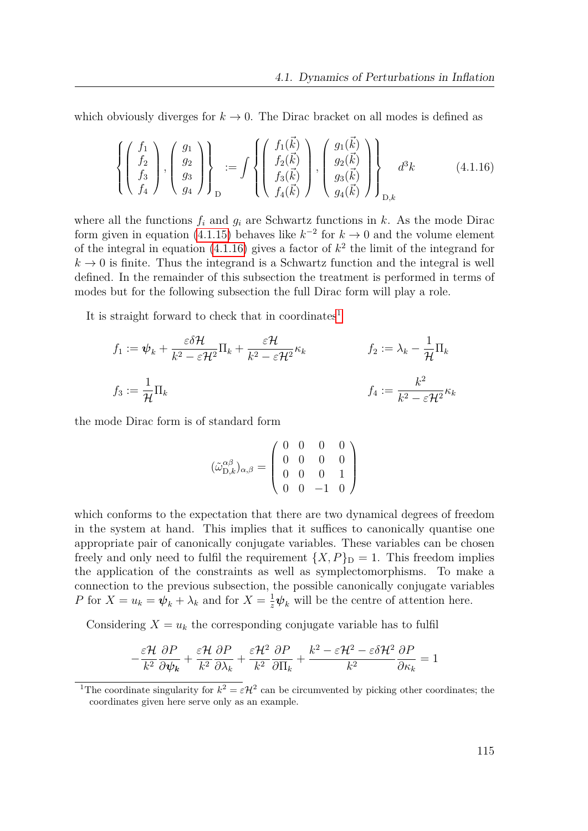which obviously diverges for  $k \to 0$ . The Dirac bracket on all modes is defined as

<span id="page-114-0"></span>
$$
\left\{ \begin{pmatrix} f_1 \\ f_2 \\ f_3 \\ f_4 \end{pmatrix}, \begin{pmatrix} g_1 \\ g_2 \\ g_3 \\ g_4 \end{pmatrix} \right\}_{\mathcal{D}} := \int \left\{ \begin{pmatrix} f_1(\vec{k}) \\ f_2(\vec{k}) \\ f_3(\vec{k}) \\ f_4(\vec{k}) \end{pmatrix}, \begin{pmatrix} g_1(\vec{k}) \\ g_2(\vec{k}) \\ g_3(\vec{k}) \\ g_4(\vec{k}) \end{pmatrix} \right\}_{\mathcal{D},k} d^3k \tag{4.1.16}
$$

where all the functions  $f_i$  and  $g_i$  are Schwartz functions in  $k$ . As the mode Dirac form given in equation [\(4.1.15\)](#page-113-0) behaves like  $k^{-2}$  for  $k \to 0$  and the volume element of the integral in equation  $(4.1.16)$  gives a factor of  $k^2$  the limit of the integrand for  $k \to 0$  is finite. Thus the integrand is a Schwartz function and the integral is well defined. In the remainder of this subsection the treatment is performed in terms of modes but for the following subsection the full Dirac form will play a role.

It is straight forward to check that in coordinates<sup>[1](#page-114-1)</sup>

$$
f_1 := \psi_k + \frac{\varepsilon \delta \mathcal{H}}{k^2 - \varepsilon \mathcal{H}^2} \Pi_k + \frac{\varepsilon \mathcal{H}}{k^2 - \varepsilon \mathcal{H}^2} \kappa_k \qquad f_2 := \lambda_k - \frac{1}{\mathcal{H}} \Pi_k
$$
  

$$
f_3 := \frac{1}{\mathcal{H}} \Pi_k \qquad f_4 := \frac{k^2}{k^2 - \varepsilon \mathcal{H}^2} \kappa_k
$$

the mode Dirac form is of standard form

$$
(\tilde{\omega}_{D,k}^{\alpha\beta})_{\alpha,\beta} = \begin{pmatrix} 0 & 0 & 0 & 0 \\ 0 & 0 & 0 & 0 \\ 0 & 0 & 0 & 1 \\ 0 & 0 & -1 & 0 \end{pmatrix}
$$

which conforms to the expectation that there are two dynamical degrees of freedom in the system at hand. This implies that it suffices to canonically quantise one appropriate pair of canonically conjugate variables. These variables can be chosen freely and only need to fulfil the requirement  ${X, P}_{D} = 1$ . This freedom implies the application of the constraints as well as symplectomorphisms. To make a connection to the previous subsection, the possible canonically conjugate variables *P* for  $X = u_k = \psi_k + \lambda_k$  and for  $X = \frac{1}{z}\psi_k$  will be the centre of attention here.

Considering  $X = u_k$  the corresponding conjugate variable has to fulfil

$$
-\frac{\varepsilon\mathcal{H}}{k^2}\frac{\partial P}{\partial\boldsymbol{\psi_k}} + \frac{\varepsilon\mathcal{H}}{k^2}\frac{\partial P}{\partial\lambda_k} + \frac{\varepsilon\mathcal{H}^2}{k^2}\frac{\partial P}{\partial\Pi_k} + \frac{k^2 - \varepsilon\mathcal{H}^2 - \varepsilon\delta\mathcal{H}^2}{k^2}\frac{\partial P}{\partial\kappa_k} = 1
$$

<span id="page-114-1"></span><sup>&</sup>lt;sup>1</sup>The coordinate singularity for  $k^2 = \varepsilon H^2$  can be circumvented by picking other coordinates; the coordinates given here serve only as an example.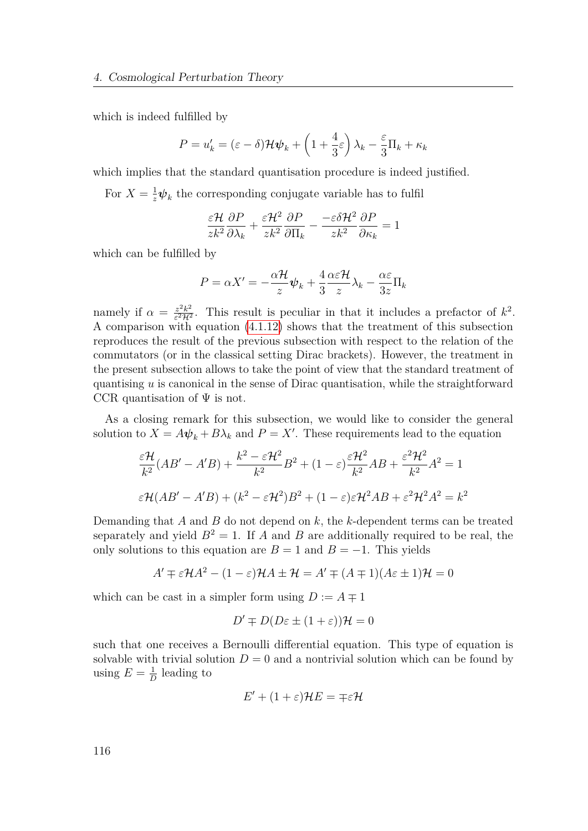which is indeed fulfilled by

$$
P = u'_{k} = (\varepsilon - \delta) \mathcal{H} \psi_{k} + \left( 1 + \frac{4}{3} \varepsilon \right) \lambda_{k} - \frac{\varepsilon}{3} \Pi_{k} + \kappa_{k}
$$

which implies that the standard quantisation procedure is indeed justified.

For  $X = \frac{1}{z}\psi_k$  the corresponding conjugate variable has to fulfil

$$
\frac{\varepsilon \mathcal{H}}{zk^2} \frac{\partial P}{\partial \lambda_k} + \frac{\varepsilon \mathcal{H}^2}{zk^2} \frac{\partial P}{\partial \Pi_k} - \frac{-\varepsilon \delta \mathcal{H}^2}{zk^2} \frac{\partial P}{\partial \kappa_k} = 1
$$

which can be fulfilled by

$$
P = \alpha X' = -\frac{\alpha \mathcal{H}}{z} \boldsymbol{\psi}_k + \frac{4}{3} \frac{\alpha \varepsilon \mathcal{H}}{z} \lambda_k - \frac{\alpha \varepsilon}{3z} \Pi_k
$$

namely if  $\alpha = \frac{z^2 k^2}{\epsilon^2 \mathcal{H}^2}$  $\frac{z^2 k^2}{\epsilon^2 \mathcal{H}^2}$ . This result is peculiar in that it includes a prefactor of  $k^2$ . A comparison with equation [\(4.1.12\)](#page-109-0) shows that the treatment of this subsection reproduces the result of the previous subsection with respect to the relation of the commutators (or in the classical setting Dirac brackets). However, the treatment in the present subsection allows to take the point of view that the standard treatment of quantising *u* is canonical in the sense of Dirac quantisation, while the straightforward CCR quantisation of  $\Psi$  is not.

As a closing remark for this subsection, we would like to consider the general solution to  $X = A\psi_k + B\lambda_k$  and  $P = X'$ . These requirements lead to the equation

$$
\frac{\varepsilon \mathcal{H}}{k^2} (AB' - A'B) + \frac{k^2 - \varepsilon \mathcal{H}^2}{k^2} B^2 + (1 - \varepsilon) \frac{\varepsilon \mathcal{H}^2}{k^2} AB + \frac{\varepsilon^2 \mathcal{H}^2}{k^2} A^2 = 1
$$
  

$$
\varepsilon \mathcal{H}(AB' - A'B) + (k^2 - \varepsilon \mathcal{H}^2) B^2 + (1 - \varepsilon) \varepsilon \mathcal{H}^2 AB + \varepsilon^2 \mathcal{H}^2 A^2 = k^2
$$

Demanding that *A* and *B* do not depend on *k*, the *k*-dependent terms can be treated separately and yield  $B^2 = 1$ . If *A* and *B* are additionally required to be real, the only solutions to this equation are  $B = 1$  and  $B = -1$ . This yields

$$
A' \mp \varepsilon \mathcal{H}A^2 - (1 - \varepsilon)\mathcal{H}A \pm \mathcal{H} = A' \mp (A \mp 1)(A\varepsilon \pm 1)\mathcal{H} = 0
$$

which can be cast in a simpler form using  $D := A \mp 1$ 

$$
D' \mp D(D\varepsilon \pm (1+\varepsilon))\mathcal{H} = 0
$$

such that one receives a Bernoulli differential equation. This type of equation is solvable with trivial solution  $D = 0$  and a nontrivial solution which can be found by using  $E = \frac{1}{L}$  $\frac{1}{D}$  leading to

$$
E' + (1 + \varepsilon)\mathcal{H}E = \mp \varepsilon \mathcal{H}
$$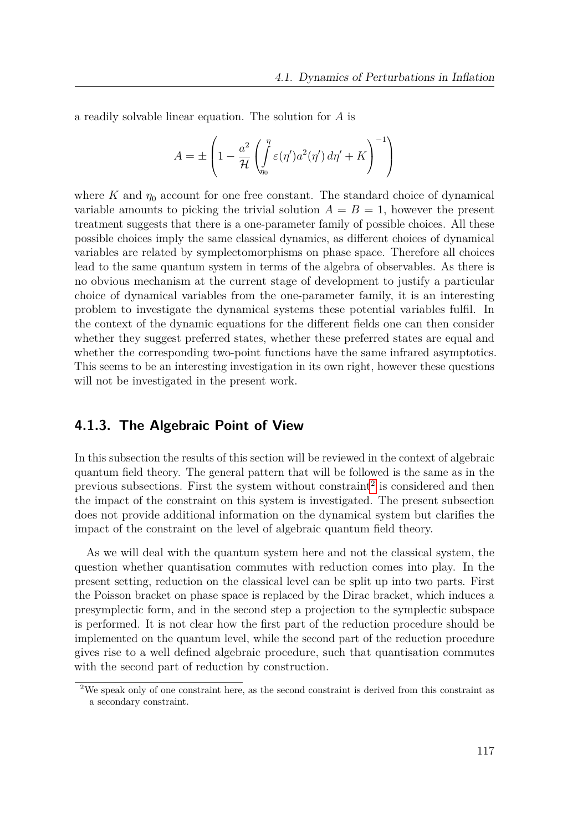a readily solvable linear equation. The solution for *A* is

$$
A = \pm \left( 1 - \frac{a^2}{\mathcal{H}} \left( \int_{\gamma_0}^{\eta} \varepsilon(\eta') a^2(\eta') d\eta' + K \right)^{-1} \right)
$$

where K and  $\eta_0$  account for one free constant. The standard choice of dynamical variable amounts to picking the trivial solution  $A = B = 1$ , however the present treatment suggests that there is a one-parameter family of possible choices. All these possible choices imply the same classical dynamics, as different choices of dynamical variables are related by symplectomorphisms on phase space. Therefore all choices lead to the same quantum system in terms of the algebra of observables. As there is no obvious mechanism at the current stage of development to justify a particular choice of dynamical variables from the one-parameter family, it is an interesting problem to investigate the dynamical systems these potential variables fulfil. In the context of the dynamic equations for the different fields one can then consider whether they suggest preferred states, whether these preferred states are equal and whether the corresponding two-point functions have the same infrared asymptotics. This seems to be an interesting investigation in its own right, however these questions will not be investigated in the present work.

### **4.1.3. The Algebraic Point of View**

In this subsection the results of this section will be reviewed in the context of algebraic quantum field theory. The general pattern that will be followed is the same as in the previous subsections. First the system without constraint<sup>[2](#page-116-0)</sup> is considered and then the impact of the constraint on this system is investigated. The present subsection does not provide additional information on the dynamical system but clarifies the impact of the constraint on the level of algebraic quantum field theory.

As we will deal with the quantum system here and not the classical system, the question whether quantisation commutes with reduction comes into play. In the present setting, reduction on the classical level can be split up into two parts. First the Poisson bracket on phase space is replaced by the Dirac bracket, which induces a presymplectic form, and in the second step a projection to the symplectic subspace is performed. It is not clear how the first part of the reduction procedure should be implemented on the quantum level, while the second part of the reduction procedure gives rise to a well defined algebraic procedure, such that quantisation commutes with the second part of reduction by construction.

<span id="page-116-0"></span><sup>2</sup>We speak only of one constraint here, as the second constraint is derived from this constraint as a secondary constraint.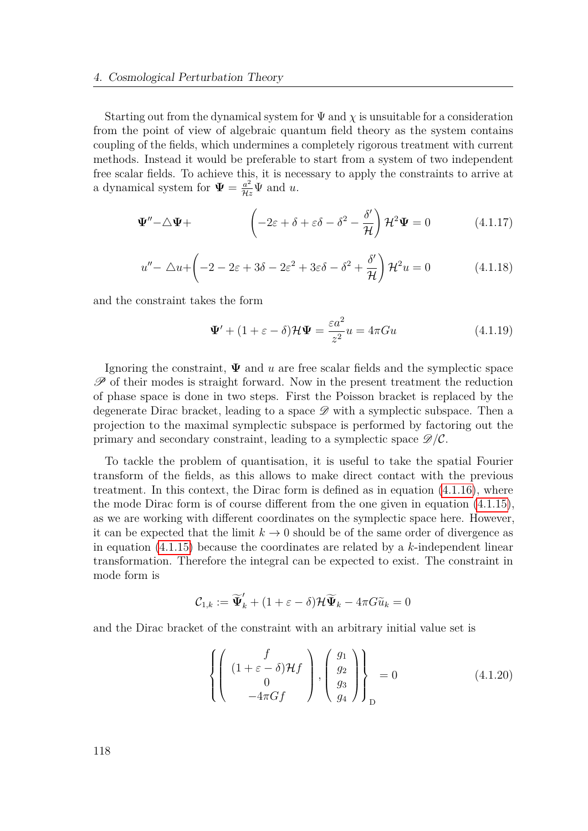Starting out from the dynamical system for  $\Psi$  and  $\chi$  is unsuitable for a consideration from the point of view of algebraic quantum field theory as the system contains coupling of the fields, which undermines a completely rigorous treatment with current methods. Instead it would be preferable to start from a system of two independent free scalar fields. To achieve this, it is necessary to apply the constraints to arrive at a dynamical system for  $\Psi = \frac{a^2}{\mathcal{H}z} \Psi$  and *u*.

$$
\mathbf{\Psi}'' - \triangle \mathbf{\Psi} + \qquad \qquad \left( -2\varepsilon + \delta + \varepsilon \delta - \delta^2 - \frac{\delta'}{\mathcal{H}} \right) \mathcal{H}^2 \mathbf{\Psi} = 0 \tag{4.1.17}
$$

$$
u'' - \triangle u + \left( -2 - 2\varepsilon + 3\delta - 2\varepsilon^2 + 3\varepsilon\delta - \delta^2 + \frac{\delta'}{\mathcal{H}} \right) \mathcal{H}^2 u = 0 \tag{4.1.18}
$$

and the constraint takes the form

$$
\mathbf{\Psi}' + (1 + \varepsilon - \delta)\mathcal{H}\mathbf{\Psi} = \frac{\varepsilon a^2}{z^2}u = 4\pi Gu \tag{4.1.19}
$$

Ignoring the constraint, **Ψ** and *u* are free scalar fields and the symplectic space  $\mathscr P$  of their modes is straight forward. Now in the present treatment the reduction of phase space is done in two steps. First the Poisson bracket is replaced by the degenerate Dirac bracket, leading to a space  $\mathscr{D}$  with a symplectic subspace. Then a projection to the maximal symplectic subspace is performed by factoring out the primary and secondary constraint, leading to a symplectic space  $\mathscr{D}/\mathcal{C}$ .

To tackle the problem of quantisation, it is useful to take the spatial Fourier transform of the fields, as this allows to make direct contact with the previous treatment. In this context, the Dirac form is defined as in equation [\(4.1.16\)](#page-114-0), where the mode Dirac form is of course different from the one given in equation [\(4.1.15\)](#page-113-0), as we are working with different coordinates on the symplectic space here. However, it can be expected that the limit  $k \to 0$  should be of the same order of divergence as in equation [\(4.1.15\)](#page-113-0) because the coordinates are related by a *k*-independent linear transformation. Therefore the integral can be expected to exist. The constraint in mode form is

$$
\mathcal{C}_{1,k} := \widetilde{\Psi}'_k + (1 + \varepsilon - \delta) \mathcal{H} \widetilde{\Psi}_k - 4\pi G \widetilde{u}_k = 0
$$

and the Dirac bracket of the constraint with an arbitrary initial value set is

<span id="page-117-0"></span>
$$
\left\{ \left( \begin{array}{c} f \\ (1+\varepsilon - \delta) \mathcal{H}f \\ 0 \\ -4\pi Gf \end{array} \right), \left( \begin{array}{c} g_1 \\ g_2 \\ g_3 \\ g_4 \end{array} \right) \right\}_D = 0 \tag{4.1.20}
$$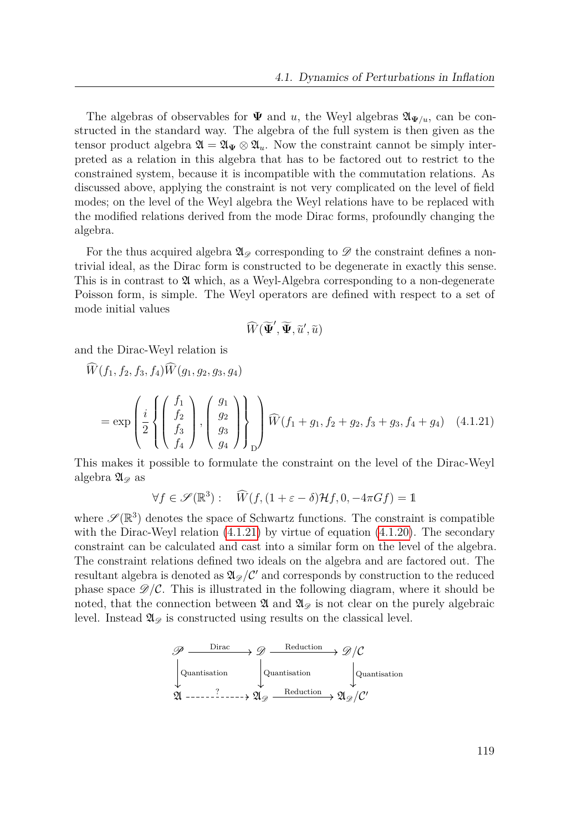The algebras of observables for  $\Psi$  and *u*, the Weyl algebras  $\mathfrak{A}_{\Psi/u}$ , can be constructed in the standard way. The algebra of the full system is then given as the tensor product algebra  $\mathfrak{A} = \mathfrak{A}_{\Psi} \otimes \mathfrak{A}_{u}$ . Now the constraint cannot be simply interpreted as a relation in this algebra that has to be factored out to restrict to the constrained system, because it is incompatible with the commutation relations. As discussed above, applying the constraint is not very complicated on the level of field modes; on the level of the Weyl algebra the Weyl relations have to be replaced with the modified relations derived from the mode Dirac forms, profoundly changing the algebra.

For the thus acquired algebra  $\mathfrak{A}_{\mathscr{D}}$  corresponding to  $\mathscr{D}$  the constraint defines a nontrivial ideal, as the Dirac form is constructed to be degenerate in exactly this sense. This is in contrast to  $\mathfrak A$  which, as a Weyl-Algebra corresponding to a non-degenerate Poisson form, is simple. The Weyl operators are defined with respect to a set of mode initial values

<span id="page-118-0"></span>
$$
\widehat{W}(\widetilde{\boldsymbol{\Psi}}', \widetilde{\boldsymbol{\Psi}}, \widetilde{u}', \widetilde{u})
$$

and the Dirac-Weyl relation is

$$
\widehat{W}(f_1, f_2, f_3, f_4) \widehat{W}(g_1, g_2, g_3, g_4)
$$
\n
$$
= \exp\left(\frac{i}{2} \left\{ \begin{pmatrix} f_1 \\ f_2 \\ f_3 \\ f_4 \end{pmatrix}, \begin{pmatrix} g_1 \\ g_2 \\ g_3 \\ g_4 \end{pmatrix} \right\} \right) \widehat{W}(f_1 + g_1, f_2 + g_2, f_3 + g_3, f_4 + g_4) \quad (4.1.21)
$$

This makes it possible to formulate the constraint on the level of the Dirac-Weyl algebra  $\mathfrak{A}_{\mathscr{D}}$  as

$$
\forall f \in \mathscr{S}(\mathbb{R}^3): \quad \widehat{W}(f, (1+\varepsilon-\delta)\mathcal{H}f, 0, -4\pi Gf) = \mathbb{1}
$$

where  $\mathscr{S}(\mathbb{R}^3)$  denotes the space of Schwartz functions. The constraint is compatible with the Dirac-Weyl relation  $(4.1.21)$  by virtue of equation  $(4.1.20)$ . The secondary constraint can be calculated and cast into a similar form on the level of the algebra. The constraint relations defined two ideals on the algebra and are factored out. The resultant algebra is denoted as  $\mathfrak{A}_{\mathscr{D}}/\mathcal{C}'$  and corresponds by construction to the reduced phase space  $\mathscr{D}/\mathcal{C}$ . This is illustrated in the following diagram, where it should be noted, that the connection between  $\mathfrak A$  and  $\mathfrak A_{\mathscr D}$  is not clear on the purely algebraic level. Instead  $\mathfrak{A}_{\mathscr{D}}$  is constructed using results on the classical level.

$$
\mathscr{P} \xrightarrow{\text{Dirac}} \mathscr{D} \xrightarrow{\text{Reduction}} \mathscr{D}/\mathcal{C}
$$
\n
$$
\downarrow \text{Quantisation} \qquad \qquad \downarrow \text{Quantisation}
$$
\n
$$
\mathfrak{A} \xrightarrow{\text{2}} \mathfrak{A}_{\mathscr{D}} \xrightarrow{\text{Reduction}} \mathfrak{A}_{\mathscr{D}}/\mathcal{C}'
$$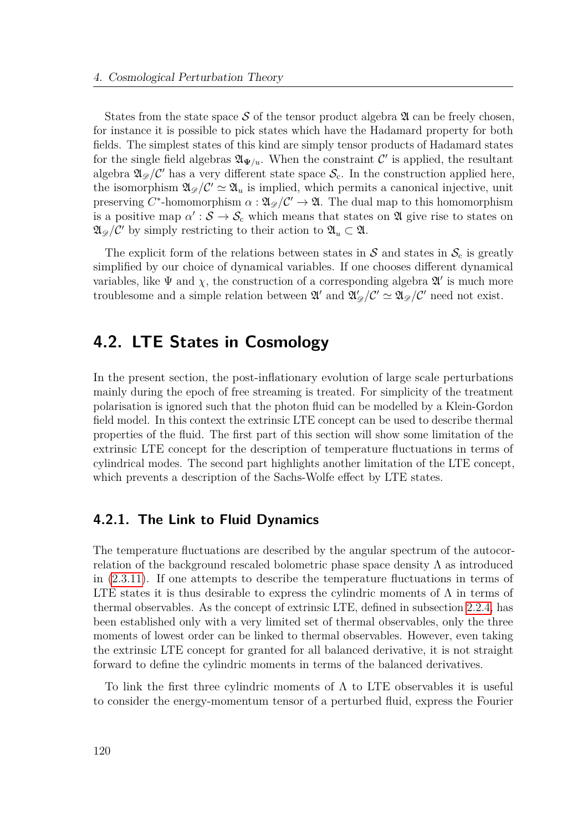States from the state space  $S$  of the tensor product algebra  $\mathfrak A$  can be freely chosen, for instance it is possible to pick states which have the Hadamard property for both fields. The simplest states of this kind are simply tensor products of Hadamard states for the single field algebras  $\mathfrak{A}_{\Psi/\mathfrak{u}}$ . When the constraint  $\mathcal{C}'$  is applied, the resultant algebra  $\mathfrak{A}_{\mathscr{D}}/C'$  has a very different state space  $\mathcal{S}_{c}$ . In the construction applied here, the isomorphism  $\mathfrak{A}_{\mathscr{D}}/C' \simeq \mathfrak{A}_u$  is implied, which permits a canonical injective, unit preserving  $C^*$ -homomorphism  $\alpha: \mathfrak{A}_{\mathscr{D}}/\mathcal{C}' \to \mathfrak{A}$ . The dual map to this homomorphism is a positive map  $\alpha': \mathcal{S} \to \mathcal{S}_c$  which means that states on  $\mathfrak A$  give rise to states on  $\mathfrak{A}_{\mathscr{D}}/\mathcal{C}'$  by simply restricting to their action to  $\mathfrak{A}_u \subset \mathfrak{A}$ .

The explicit form of the relations between states in  $S$  and states in  $S_c$  is greatly simplified by our choice of dynamical variables. If one chooses different dynamical variables, like  $\Psi$  and  $\chi$ , the construction of a corresponding algebra  $\mathfrak{A}'$  is much more troublesome and a simple relation between  $\mathfrak{A}'$  and  $\mathfrak{A}'_{\mathscr{D}}/\mathcal{C}' \simeq \mathfrak{A}_{\mathscr{D}}/\mathcal{C}'$  need not exist.

### <span id="page-119-0"></span>**4.2. LTE States in Cosmology**

In the present section, the post-inflationary evolution of large scale perturbations mainly during the epoch of free streaming is treated. For simplicity of the treatment polarisation is ignored such that the photon fluid can be modelled by a Klein-Gordon field model. In this context the extrinsic LTE concept can be used to describe thermal properties of the fluid. The first part of this section will show some limitation of the extrinsic LTE concept for the description of temperature fluctuations in terms of cylindrical modes. The second part highlights another limitation of the LTE concept, which prevents a description of the Sachs-Wolfe effect by LTE states.

### **4.2.1. The Link to Fluid Dynamics**

The temperature fluctuations are described by the angular spectrum of the autocorrelation of the background rescaled bolometric phase space density  $\Lambda$  as introduced in [\(2.3.11\)](#page-47-0). If one attempts to describe the temperature fluctuations in terms of LTE states it is thus desirable to express the cylindric moments of  $\Lambda$  in terms of thermal observables. As the concept of extrinsic LTE, defined in subsection [2.2.4,](#page-31-0) has been established only with a very limited set of thermal observables, only the three moments of lowest order can be linked to thermal observables. However, even taking the extrinsic LTE concept for granted for all balanced derivative, it is not straight forward to define the cylindric moments in terms of the balanced derivatives.

To link the first three cylindric moments of  $\Lambda$  to LTE observables it is useful to consider the energy-momentum tensor of a perturbed fluid, express the Fourier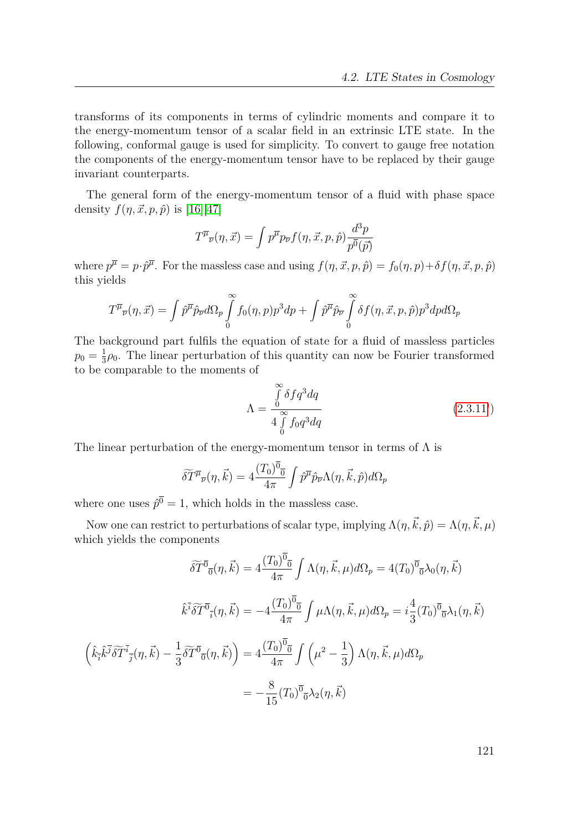transforms of its components in terms of cylindric moments and compare it to the energy-momentum tensor of a scalar field in an extrinsic LTE state. In the following, conformal gauge is used for simplicity. To convert to gauge free notation the components of the energy-momentum tensor have to be replaced by their gauge invariant counterparts.

The general form of the energy-momentum tensor of a fluid with phase space density  $f(\eta, \vec{x}, p, \hat{p})$  is [\[16\]](#page-150-1)[\[47\]](#page-152-0)

$$
T^{\overline{\mu}}_{\ \overline{\nu}}(\eta,\vec{x}) = \int p^{\overline{\mu}} p_{\overline{\nu}} f(\eta,\vec{x},p,\hat{p}) \frac{d^3 p}{p^{\overline{0}}(\vec{p})}
$$

where  $p^{\overline{\mu}} = p \cdot \hat{p}^{\overline{\mu}}$ . For the massless case and using  $f(\eta, \vec{x}, p, \hat{p}) = f_0(\eta, p) + \delta f(\eta, \vec{x}, p, \hat{p})$ this yields

$$
T^{\overline{\mu}}{}_{\overline{\nu}}(\eta,\vec{x})=\int\hat{p}^{\overline{\mu}}\hat{p}_{\overline{\nu}}d\Omega_p\int\limits_0^\infty f_0(\eta,p)p^3dp+\int\hat{p}^{\overline{\mu}}\hat{p}_{\overline{\nu}}\int\limits_0^\infty \delta f(\eta,\vec{x},p,\hat{p})p^3dpd\Omega_p
$$

The background part fulfils the equation of state for a fluid of massless particles  $p_0 = \frac{1}{3}$  $\frac{1}{3}\rho_0$ . The linear perturbation of this quantity can now be Fourier transformed to be comparable to the moments of

$$
\Lambda = \frac{\int_{0}^{\infty} \delta f q^3 dq}{4 \int_{0}^{\infty} f_0 q^3 dq}
$$
\n(2.3.11')

The linear perturbation of the energy-momentum tensor in terms of  $\Lambda$  is

$$
\widetilde{\delta T^{\mu}}_{\overline{\nu}}(\eta,\vec{k}) = 4 \frac{(T_0)^{\overline{0}}}{4\pi} \int \hat{p}^{\overline{\mu}} \hat{p}_{\overline{\nu}} \Lambda(\eta,\vec{k},\hat{p}) d\Omega_p
$$

where one uses  $\hat{p}^0 = 1$ , which holds in the massless case.

Now one can restrict to perturbations of scalar type, implying  $\Lambda(\eta, \vec{k}, \hat{p}) = \Lambda(\eta, \vec{k}, \mu)$ which yields the components

$$
\widetilde{\delta T}^{\overline{0}}(\eta, \vec{k}) = 4 \frac{(T_0)^{\overline{0}}}{4\pi} \int \Lambda(\eta, \vec{k}, \mu) d\Omega_p = 4(T_0)^{\overline{0}} \partial_{\overline{0}} \lambda_0(\eta, \vec{k})
$$

$$
\hat{k}^{\overline{i}} \widetilde{\delta T}^{\overline{0}}(\eta, \vec{k}) = -4 \frac{(T_0)^{\overline{0}}}{4\pi} \int \mu \Lambda(\eta, \vec{k}, \mu) d\Omega_p = i \frac{4}{3} (T_0)^{\overline{0}} \partial_{\overline{0}} \lambda_1(\eta, \vec{k})
$$

$$
(\hat{k}_{\overline{i}} \hat{k}^{\overline{j}} \widetilde{\delta T}^{\overline{i}}_{\overline{j}}(\eta, \vec{k}) - \frac{1}{3} \widetilde{\delta T}^{\overline{0}}(\eta, \vec{k}) = 4 \frac{(T_0)^{\overline{0}}}{4\pi} \int \left(\mu^2 - \frac{1}{3}\right) \Lambda(\eta, \vec{k}, \mu) d\Omega_p
$$

$$
= -\frac{8}{15} (T_0)^{\overline{0}} \partial_{\overline{0}} \lambda_2(\eta, \vec{k})
$$

121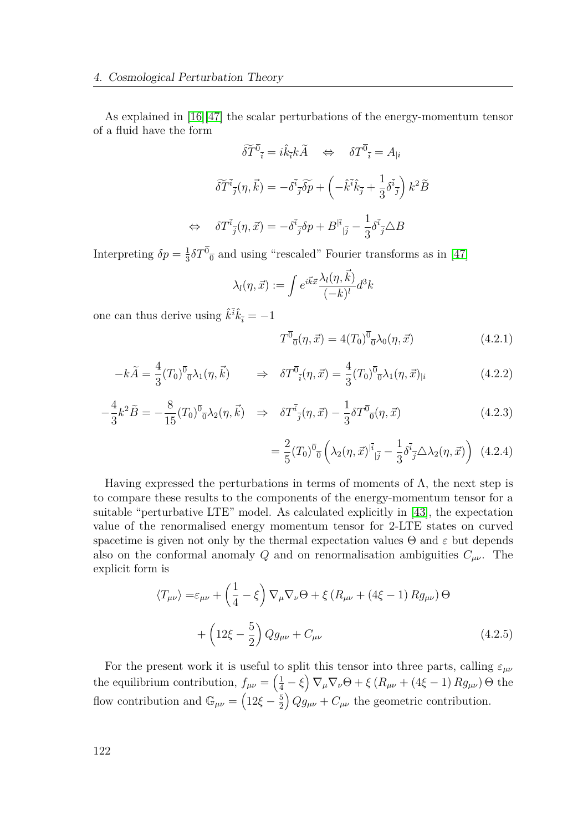As explained in [\[16\]](#page-150-1)[\[47\]](#page-152-0) the scalar perturbations of the energy-momentum tensor of a fluid have the form

$$
\widetilde{\delta T}^{\overline{0}}{}_{\overline{i}} = i\hat{k}_{\overline{i}}k\widetilde{A} \quad \Leftrightarrow \quad \delta T^{\overline{0}}{}_{\overline{i}} = A_{|i}
$$

$$
\widetilde{\delta T}^{\overline{i}}{}_{\overline{j}}(\eta, \vec{k}) = -\delta^{\overline{i}}{}_{\overline{j}}\widetilde{\delta p} + \left(-\hat{k}^{\overline{i}}\hat{k}_{\overline{j}} + \frac{1}{3}\delta^{\overline{i}}{}_{\overline{j}}\right)k^{2}\widetilde{B}
$$

$$
\Leftrightarrow \quad \delta T^{\overline{i}}{}_{\overline{j}}(\eta, \vec{x}) = -\delta^{\overline{i}}{}_{\overline{j}}\delta p + B^{|\overline{i}}{}_{|\overline{j}} - \frac{1}{3}\delta^{\overline{i}}{}_{\overline{j}}\triangle B
$$

Interpreting  $\delta p = \frac{1}{3}$  $\frac{1}{3}\delta T^0$ <sub>0</sub> and using "rescaled" Fourier transforms as in [\[47\]](#page-152-0)

$$
\lambda_l(\eta,\vec{x}):=\int e^{i\vec{k}\vec{x}}\frac{\lambda_l(\eta,\vec{k})}{(-k)^l}d^3k
$$

one can thus derive using  $\hat{k}^{\bar{i}}\hat{k}_{\bar{i}} = -1$ 

<span id="page-121-0"></span>
$$
T^{\overline{0}}_{\ \overline{0}}(\eta,\vec{x}) = 4(T_0)^{\overline{0}}_{\ \overline{0}}\lambda_0(\eta,\vec{x})
$$
\n(4.2.1)

$$
-k\tilde{A} = \frac{4}{3}(T_0)^{\overline{0}}\partial_{1}(\eta, \vec{k}) \qquad \Rightarrow \quad \delta T^{\overline{0}}_{\bar{i}}(\eta, \vec{x}) = \frac{4}{3}(T_0)^{\overline{0}}\partial_{1}(\eta, \vec{x})_{|i} \qquad (4.2.2)
$$

$$
-\frac{4}{3}k^2\tilde{B} = -\frac{8}{15}(T_0)^{\overline{0}}\bar{O}\lambda_2(\eta, \vec{k}) \Rightarrow \delta T^{\bar{i}}_{\bar{j}}(\eta, \vec{x}) - \frac{1}{3}\delta T^{\bar{0}}_{\bar{0}}(\eta, \vec{x})
$$
(4.2.3)

<span id="page-121-1"></span>
$$
= \frac{2}{5} (T_0)^{\overline{0}}{}_{\overline{0}} \left( \lambda_2(\eta, \vec{x})^{|\vec{i}|}_{|\vec{j}} - \frac{1}{3} \delta^{\vec{i}}_{\vec{j}} \Delta \lambda_2(\eta, \vec{x}) \right) (4.2.4)
$$

Having expressed the perturbations in terms of moments of  $\Lambda$ , the next step is to compare these results to the components of the energy-momentum tensor for a suitable "perturbative LTE" model. As calculated explicitly in [\[43\]](#page-151-0), the expectation value of the renormalised energy momentum tensor for 2-LTE states on curved spacetime is given not only by the thermal expectation values  $\Theta$  and  $\varepsilon$  but depends also on the conformal anomaly *Q* and on renormalisation ambiguities  $C_{\mu\nu}$ . The explicit form is

$$
\langle T_{\mu\nu}\rangle = \varepsilon_{\mu\nu} + \left(\frac{1}{4} - \xi\right) \nabla_{\mu} \nabla_{\nu} \Theta + \xi \left(R_{\mu\nu} + (4\xi - 1) R g_{\mu\nu}\right) \Theta
$$

$$
+ \left(12\xi - \frac{5}{2}\right) Q g_{\mu\nu} + C_{\mu\nu} \tag{4.2.5}
$$

For the present work it is useful to split this tensor into three parts, calling  $\varepsilon_{\mu\nu}$ the equilibrium contribution,  $f_{\mu\nu} = \left(\frac{1}{4} - \xi\right) \nabla_{\mu} \nabla_{\nu} \Theta + \xi \left(R_{\mu\nu} + (4\xi - 1) R g_{\mu\nu}\right) \Theta$  the flow contribution and  $\mathbb{G}_{\mu\nu} = \left(12\xi - \frac{5}{2}\right)$ 2  $(Qg_{\mu\nu} + C_{\mu\nu})$  the geometric contribution.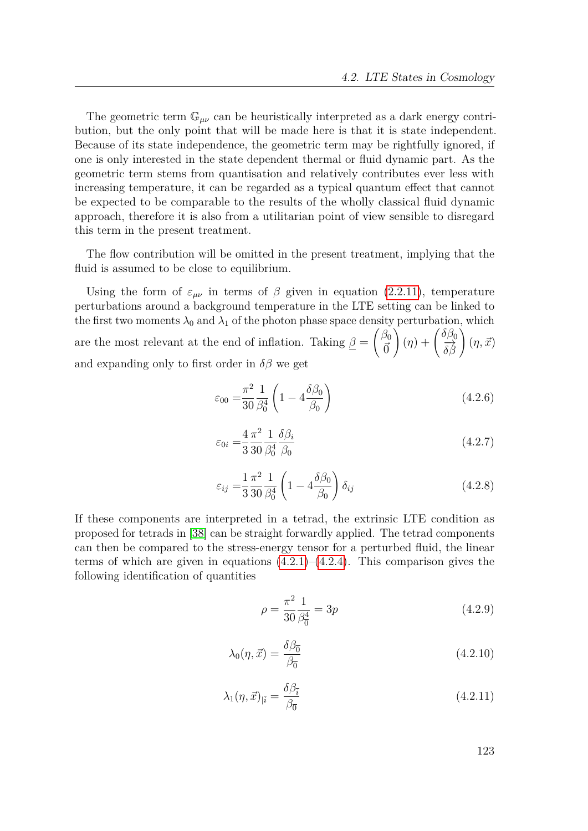The geometric term  $\mathbb{G}_{\mu\nu}$  can be heuristically interpreted as a dark energy contribution, but the only point that will be made here is that it is state independent. Because of its state independence, the geometric term may be rightfully ignored, if one is only interested in the state dependent thermal or fluid dynamic part. As the geometric term stems from quantisation and relatively contributes ever less with increasing temperature, it can be regarded as a typical quantum effect that cannot be expected to be comparable to the results of the wholly classical fluid dynamic approach, therefore it is also from a utilitarian point of view sensible to disregard this term in the present treatment.

The flow contribution will be omitted in the present treatment, implying that the fluid is assumed to be close to equilibrium.

Using the form of  $\varepsilon_{\mu\nu}$  in terms of  $\beta$  given in equation [\(2.2.11\)](#page-29-0), temperature perturbations around a background temperature in the LTE setting can be linked to the first two moments  $\lambda_0$  and  $\lambda_1$  of the photon phase space density perturbation, which are the most relevant at the end of inflation. Taking  $\beta =$  $\beta_0$ *~*0  $\left(\eta\right) + \left(\frac{\delta\beta_0}{\delta\beta}\right)$  $(\eta, \vec{x})$ and expanding only to first order in  $\delta\beta$  we get

$$
\varepsilon_{00} = \frac{\pi^2}{30} \frac{1}{\beta_0^4} \left( 1 - 4 \frac{\delta \beta_0}{\beta_0} \right)
$$
 (4.2.6)

$$
\varepsilon_{0i} = \frac{4\pi^2}{3} \frac{1}{30} \frac{\delta \beta_i}{\beta_0^4} \tag{4.2.7}
$$

$$
\varepsilon_{ij} = \frac{1}{3} \frac{\pi^2}{30} \frac{1}{\beta_0^4} \left( 1 - 4 \frac{\delta \beta_0}{\beta_0} \right) \delta_{ij} \tag{4.2.8}
$$

If these components are interpreted in a tetrad, the extrinsic LTE condition as proposed for tetrads in [\[38\]](#page-151-1) can be straight forwardly applied. The tetrad components can then be compared to the stress-energy tensor for a perturbed fluid, the linear terms of which are given in equations  $(4.2.1)$ – $(4.2.4)$ . This comparison gives the following identification of quantities

$$
\rho = \frac{\pi^2}{30} \frac{1}{\beta_0^4} = 3p \tag{4.2.9}
$$

$$
\lambda_0(\eta, \vec{x}) = \frac{\delta \beta_{\overline{0}}}{\beta_{\overline{0}}}
$$
\n(4.2.10)

$$
\lambda_1(\eta, \vec{x})_{|\vec{i}} = \frac{\delta \beta_{\vec{i}}}{\beta_{\overline{0}}} \tag{4.2.11}
$$

123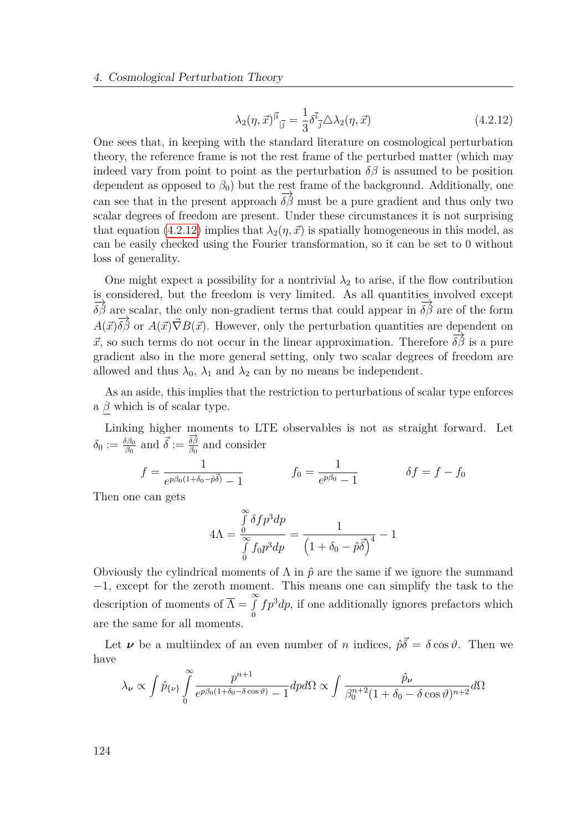<span id="page-123-0"></span>
$$
\lambda_2(\eta, \vec{x})^{|\vec{i}}_{|\vec{j}} = \frac{1}{3} \delta^{\vec{i}}_{\vec{j}} \triangle \lambda_2(\eta, \vec{x}) \tag{4.2.12}
$$

One sees that, in keeping with the standard literature on cosmological perturbation theory, the reference frame is not the rest frame of the perturbed matter (which may indeed vary from point to point as the perturbation  $\delta\beta$  is assumed to be position dependent as opposed to  $\beta_0$ ) but the rest frame of the background. Additionally, one can see that in the present approach  $\overrightarrow{\delta\beta}$  must be a pure gradient and thus only two scalar degrees of freedom are present. Under these circumstances it is not surprising that equation [\(4.2.12\)](#page-123-0) implies that  $\lambda_2(\eta, \vec{x})$  is spatially homogeneous in this model, as can be easily checked using the Fourier transformation, so it can be set to 0 without loss of generality.

One might expect a possibility for a nontrivial  $\lambda_2$  to arise, if the flow contribution is considered, but the freedom is very limited. As all quantities involved except  $\frac{\partial}{\partial \beta}$  are scalar, the only non-gradient terms that could appear in  $\frac{\partial}{\partial \beta}$  are of the form  $A(\vec{x})\overrightarrow{\delta\beta}$  or  $A(\vec{x})\overrightarrow{\nabla}B(\vec{x})$ . However, only the perturbation quantities are dependent on  $\vec{x}$ , so such terms do not occur in the linear approximation. Therefore  $\vec{\delta\beta}$  is a pure gradient also in the more general setting, only two scalar degrees of freedom are allowed and thus  $\lambda_0$ ,  $\lambda_1$  and  $\lambda_2$  can by no means be independent.

As an aside, this implies that the restriction to perturbations of scalar type enforces a *β* which is of scalar type.

Linking higher moments to LTE observables is not as straight forward. Let  $\delta_0 := \frac{\delta \beta_0}{\beta_0}$  and  $\vec{\delta} := \frac{\vec{\delta} \vec{\beta}}{\beta_0}$  $\frac{\delta \beta}{\beta_0}$  and consider

$$
f = \frac{1}{e^{p\beta_0(1+\delta_0-\hat{p}\vec{\delta})} - 1} \qquad f_0 = \frac{1}{e^{p\beta_0} - 1} \qquad \delta f = f - f_0
$$

Then one can gets

$$
4\Lambda = \frac{\int_{0}^{\infty} \delta f p^3 dp}{\int_{0}^{\infty} f_0 p^3 dp} = \frac{1}{\left(1 + \delta_0 - \hat{p}\vec{\delta}\right)^4} - 1
$$

Obviously the cylindrical moments of  $\Lambda$  in  $\hat{p}$  are the same if we ignore the summand −1, except for the zeroth moment. This means one can simplify the task to the description of moments of  $\overline{\Lambda} = \int_{0}^{\infty}$ 0  $fp<sup>3</sup>dp$ , if one additionally ignores prefactors which are the same for all moments.

Let  $\nu$  be a multiindex of an even number of *n* indices,  $\hat{p}\vec{\delta} = \delta \cos \vartheta$ . Then we have

$$
\lambda_{\nu} \propto \int \hat{p}_{\{\nu\}} \int_{0}^{\infty} \frac{p^{n+1}}{e^{p\beta_0(1+\delta_0-\delta\cos\vartheta)}-1} dp d\Omega \propto \int \frac{\hat{p}_{\nu}}{\beta_0^{n+2}(1+\delta_0-\delta\cos\vartheta)^{n+2}} d\Omega
$$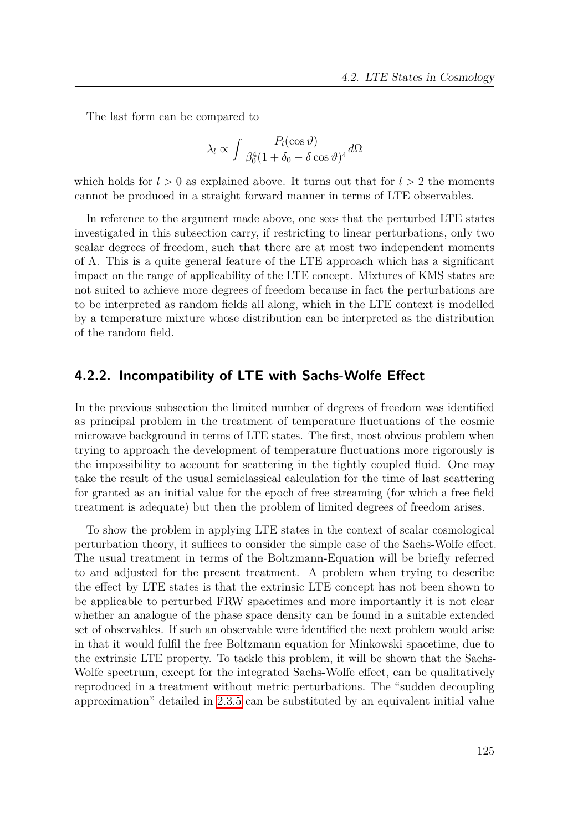The last form can be compared to

$$
\lambda_l \propto \int \frac{P_l(\cos \vartheta)}{\beta_0^4 (1 + \delta_0 - \delta \cos \vartheta)^4} d\Omega
$$

which holds for  $l > 0$  as explained above. It turns out that for  $l > 2$  the moments cannot be produced in a straight forward manner in terms of LTE observables.

In reference to the argument made above, one sees that the perturbed LTE states investigated in this subsection carry, if restricting to linear perturbations, only two scalar degrees of freedom, such that there are at most two independent moments of Λ. This is a quite general feature of the LTE approach which has a significant impact on the range of applicability of the LTE concept. Mixtures of KMS states are not suited to achieve more degrees of freedom because in fact the perturbations are to be interpreted as random fields all along, which in the LTE context is modelled by a temperature mixture whose distribution can be interpreted as the distribution of the random field.

### **4.2.2. Incompatibility of LTE with Sachs-Wolfe Effect**

In the previous subsection the limited number of degrees of freedom was identified as principal problem in the treatment of temperature fluctuations of the cosmic microwave background in terms of LTE states. The first, most obvious problem when trying to approach the development of temperature fluctuations more rigorously is the impossibility to account for scattering in the tightly coupled fluid. One may take the result of the usual semiclassical calculation for the time of last scattering for granted as an initial value for the epoch of free streaming (for which a free field treatment is adequate) but then the problem of limited degrees of freedom arises.

To show the problem in applying LTE states in the context of scalar cosmological perturbation theory, it suffices to consider the simple case of the Sachs-Wolfe effect. The usual treatment in terms of the Boltzmann-Equation will be briefly referred to and adjusted for the present treatment. A problem when trying to describe the effect by LTE states is that the extrinsic LTE concept has not been shown to be applicable to perturbed FRW spacetimes and more importantly it is not clear whether an analogue of the phase space density can be found in a suitable extended set of observables. If such an observable were identified the next problem would arise in that it would fulfil the free Boltzmann equation for Minkowski spacetime, due to the extrinsic LTE property. To tackle this problem, it will be shown that the Sachs-Wolfe spectrum, except for the integrated Sachs-Wolfe effect, can be qualitatively reproduced in a treatment without metric perturbations. The "sudden decoupling approximation" detailed in [2.3.5](#page-48-0) can be substituted by an equivalent initial value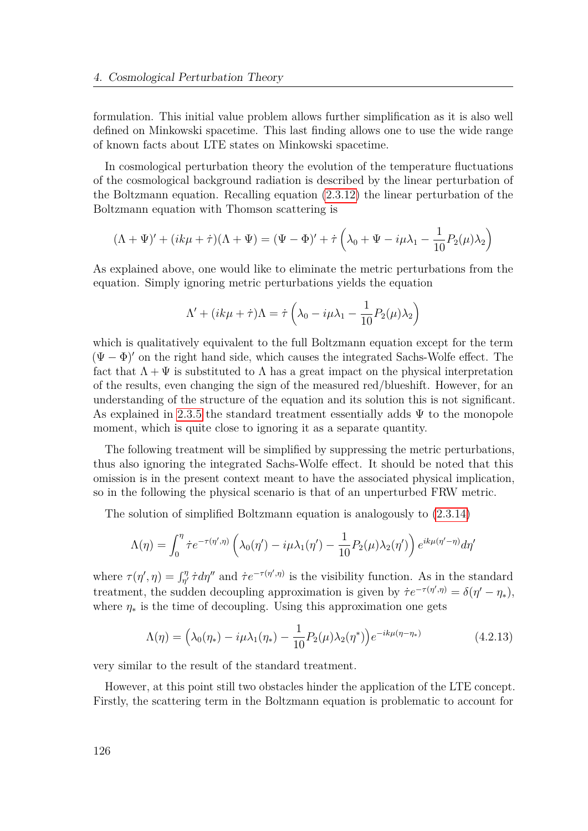formulation. This initial value problem allows further simplification as it is also well defined on Minkowski spacetime. This last finding allows one to use the wide range of known facts about LTE states on Minkowski spacetime.

In cosmological perturbation theory the evolution of the temperature fluctuations of the cosmological background radiation is described by the linear perturbation of the Boltzmann equation. Recalling equation [\(2.3.12\)](#page-47-1) the linear perturbation of the Boltzmann equation with Thomson scattering is

$$
(\Lambda + \Psi)' + (ik\mu + \dot{\tau})(\Lambda + \Psi) = (\Psi - \Phi)' + \dot{\tau} \left(\lambda_0 + \Psi - i\mu\lambda_1 - \frac{1}{10}P_2(\mu)\lambda_2\right)
$$

As explained above, one would like to eliminate the metric perturbations from the equation. Simply ignoring metric perturbations yields the equation

$$
\Lambda' + (ik\mu + \dot{\tau})\Lambda = \dot{\tau} \left( \lambda_0 - i\mu \lambda_1 - \frac{1}{10} P_2(\mu) \lambda_2 \right)
$$

which is qualitatively equivalent to the full Boltzmann equation except for the term  $(\Psi - \Phi)'$  on the right hand side, which causes the integrated Sachs-Wolfe effect. The fact that  $\Lambda + \Psi$  is substituted to  $\Lambda$  has a great impact on the physical interpretation of the results, even changing the sign of the measured red/blueshift. However, for an understanding of the structure of the equation and its solution this is not significant. As explained in [2.3.5](#page-48-0) the standard treatment essentially adds  $\Psi$  to the monopole moment, which is quite close to ignoring it as a separate quantity.

The following treatment will be simplified by suppressing the metric perturbations, thus also ignoring the integrated Sachs-Wolfe effect. It should be noted that this omission is in the present context meant to have the associated physical implication, so in the following the physical scenario is that of an unperturbed FRW metric.

The solution of simplified Boltzmann equation is analogously to [\(2.3.14\)](#page-49-0)

$$
\Lambda(\eta) = \int_0^{\eta} \dot{\tau} e^{-\tau(\eta',\eta)} \left( \lambda_0(\eta') - i\mu \lambda_1(\eta') - \frac{1}{10} P_2(\mu) \lambda_2(\eta') \right) e^{ik\mu(\eta'-\eta)} d\eta'
$$

where  $\tau(\eta', \eta) = \int_{\eta'}^{\eta} \dot{\tau} d\eta''$  and  $\dot{\tau} e^{-\tau(\eta', \eta)}$  is the visibility function. As in the standard treatment, the sudden decoupling approximation is given by  $\dot{\tau}e^{-\tau(\eta',\eta)} = \delta(\eta' - \eta_*)$ , where  $\eta_*$  is the time of decoupling. Using this approximation one gets

<span id="page-125-0"></span>
$$
\Lambda(\eta) = \left(\lambda_0(\eta_*) - i\mu\lambda_1(\eta_*) - \frac{1}{10}P_2(\mu)\lambda_2(\eta^*)\right)e^{-ik\mu(\eta - \eta_*)}
$$
\n(4.2.13)

very similar to the result of the standard treatment.

However, at this point still two obstacles hinder the application of the LTE concept. Firstly, the scattering term in the Boltzmann equation is problematic to account for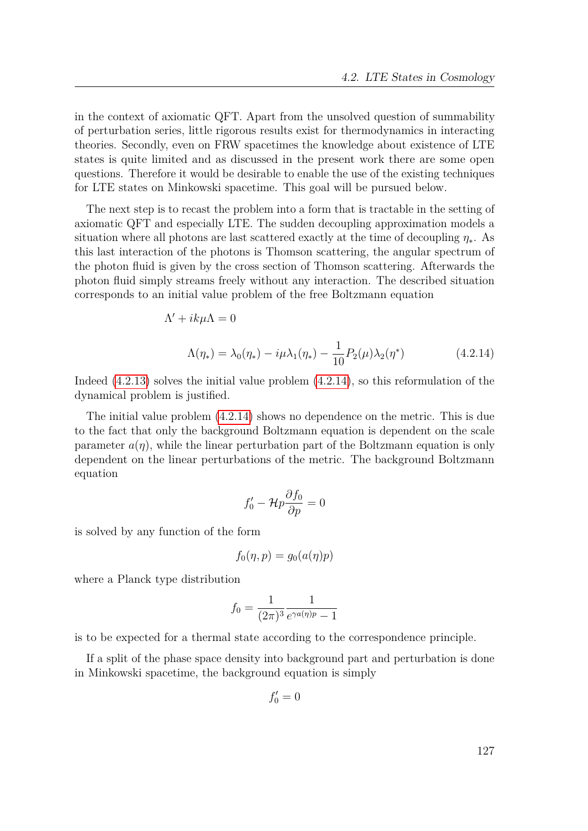in the context of axiomatic QFT. Apart from the unsolved question of summability of perturbation series, little rigorous results exist for thermodynamics in interacting theories. Secondly, even on FRW spacetimes the knowledge about existence of LTE states is quite limited and as discussed in the present work there are some open questions. Therefore it would be desirable to enable the use of the existing techniques for LTE states on Minkowski spacetime. This goal will be pursued below.

The next step is to recast the problem into a form that is tractable in the setting of axiomatic QFT and especially LTE. The sudden decoupling approximation models a situation where all photons are last scattered exactly at the time of decoupling  $\eta_*$ . As this last interaction of the photons is Thomson scattering, the angular spectrum of the photon fluid is given by the cross section of Thomson scattering. Afterwards the photon fluid simply streams freely without any interaction. The described situation corresponds to an initial value problem of the free Boltzmann equation

$$
\Lambda' + ik\mu\Lambda = 0
$$
  

$$
\Lambda(\eta_*) = \lambda_0(\eta_*) - i\mu\lambda_1(\eta_*) - \frac{1}{10}P_2(\mu)\lambda_2(\eta^*)
$$
 (4.2.14)

Indeed [\(4.2.13\)](#page-125-0) solves the initial value problem [\(4.2.14\)](#page-126-0), so this reformulation of the dynamical problem is justified.

The initial value problem [\(4.2.14\)](#page-126-0) shows no dependence on the metric. This is due to the fact that only the background Boltzmann equation is dependent on the scale parameter  $a(\eta)$ , while the linear perturbation part of the Boltzmann equation is only dependent on the linear perturbations of the metric. The background Boltzmann equation

<span id="page-126-0"></span>
$$
f_0' - \mathcal{H}p\frac{\partial f_0}{\partial p} = 0
$$

is solved by any function of the form

$$
f_0(\eta, p) = g_0(a(\eta)p)
$$

where a Planck type distribution

$$
f_0 = \frac{1}{(2\pi)^3} \frac{1}{e^{\gamma a(\eta)p} - 1}
$$

is to be expected for a thermal state according to the correspondence principle.

If a split of the phase space density into background part and perturbation is done in Minkowski spacetime, the background equation is simply

$$
f_0'=0
$$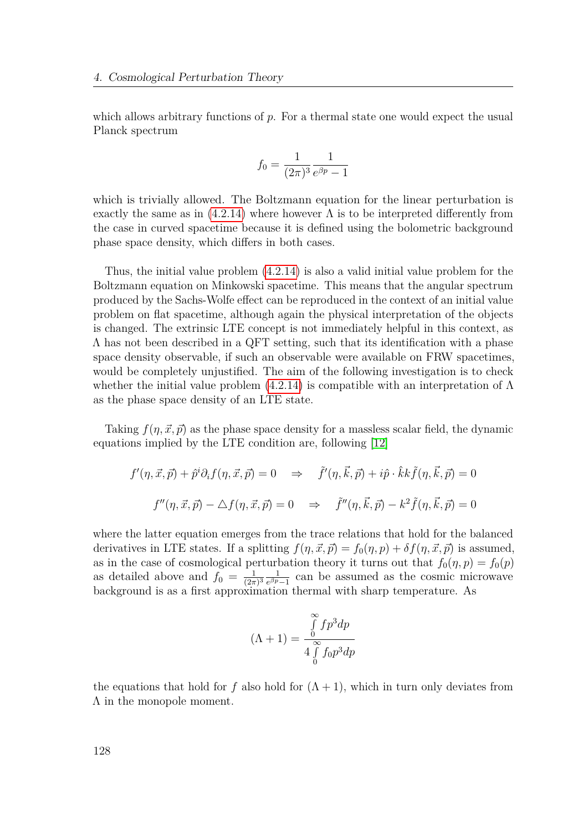which allows arbitrary functions of p. For a thermal state one would expect the usual Planck spectrum

$$
f_0 = \frac{1}{(2\pi)^3} \frac{1}{e^{\beta p} - 1}
$$

which is trivially allowed. The Boltzmann equation for the linear perturbation is exactly the same as in  $(4.2.14)$  where however  $\Lambda$  is to be interpreted differently from the case in curved spacetime because it is defined using the bolometric background phase space density, which differs in both cases.

Thus, the initial value problem [\(4.2.14\)](#page-126-0) is also a valid initial value problem for the Boltzmann equation on Minkowski spacetime. This means that the angular spectrum produced by the Sachs-Wolfe effect can be reproduced in the context of an initial value problem on flat spacetime, although again the physical interpretation of the objects is changed. The extrinsic LTE concept is not immediately helpful in this context, as  $\Lambda$  has not been described in a QFT setting, such that its identification with a phase space density observable, if such an observable were available on FRW spacetimes, would be completely unjustified. The aim of the following investigation is to check whether the initial value problem  $(4.2.14)$  is compatible with an interpretation of  $\Lambda$ as the phase space density of an LTE state.

Taking  $f(\eta, \vec{x}, \vec{p})$  as the phase space density for a massless scalar field, the dynamic equations implied by the LTE condition are, following [\[12\]](#page-149-1)

$$
f'(\eta, \vec{x}, \vec{p}) + \hat{p}^i \partial_i f(\eta, \vec{x}, \vec{p}) = 0 \Rightarrow \tilde{f}'(\eta, \vec{k}, \vec{p}) + i\hat{p} \cdot \hat{k} k \tilde{f}(\eta, \vec{k}, \vec{p}) = 0
$$
  

$$
f''(\eta, \vec{x}, \vec{p}) - \triangle f(\eta, \vec{x}, \vec{p}) = 0 \Rightarrow \tilde{f}''(\eta, \vec{k}, \vec{p}) - k^2 \tilde{f}(\eta, \vec{k}, \vec{p}) = 0
$$

where the latter equation emerges from the trace relations that hold for the balanced derivatives in LTE states. If a splitting  $f(\eta, \vec{x}, \vec{p}) = f_0(\eta, p) + \delta f(\eta, \vec{x}, \vec{p})$  is assumed, as in the case of cosmological perturbation theory it turns out that  $f_0(\eta, p) = f_0(p)$ as detailed above and  $f_0 = \frac{1}{(2\pi)}$  $\frac{1}{(2\pi)^3} \frac{1}{e^{\beta p}}$  $\frac{1}{e^{\beta p}-1}$  can be assumed as the cosmic microwave background is as a first approximation thermal with sharp temperature. As

$$
(\Lambda + 1) = \frac{\int_{0}^{\infty} f p^3 dp}{4 \int_{0}^{\infty} f_0 p^3 dp}
$$

the equations that hold for *f* also hold for  $(A + 1)$ , which in turn only deviates from Λ in the monopole moment.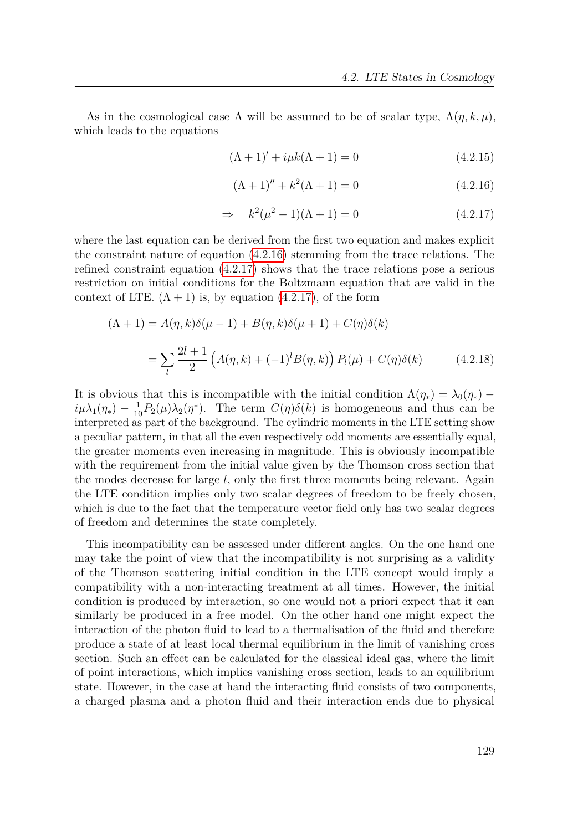As in the cosmological case  $\Lambda$  will be assumed to be of scalar type,  $\Lambda(\eta, k, \mu)$ , which leads to the equations

$$
(\Lambda + 1)' + i\mu k(\Lambda + 1) = 0 \tag{4.2.15}
$$

<span id="page-128-1"></span><span id="page-128-0"></span>
$$
(\Lambda + 1)'' + k^2(\Lambda + 1) = 0 \tag{4.2.16}
$$

<span id="page-128-2"></span>
$$
\Rightarrow k^2(\mu^2 - 1)(\Lambda + 1) = 0 \tag{4.2.17}
$$

where the last equation can be derived from the first two equation and makes explicit the constraint nature of equation [\(4.2.16\)](#page-128-0) stemming from the trace relations. The refined constraint equation [\(4.2.17\)](#page-128-1) shows that the trace relations pose a serious restriction on initial conditions for the Boltzmann equation that are valid in the context of LTE.  $(\Lambda + 1)$  is, by equation [\(4.2.17\)](#page-128-1), of the form

$$
(\Lambda + 1) = A(\eta, k)\delta(\mu - 1) + B(\eta, k)\delta(\mu + 1) + C(\eta)\delta(k)
$$
  
= 
$$
\sum_{l} \frac{2l+1}{2} \left( A(\eta, k) + (-1)^{l} B(\eta, k) \right) P_{l}(\mu) + C(\eta)\delta(k)
$$
(4.2.18)

It is obvious that this is incompatible with the initial condition  $\Lambda(\eta_*) = \lambda_0(\eta_*)$  –  $i\mu\lambda_1(\eta_*) - \frac{1}{10}P_2(\mu)\lambda_2(\eta^*)$ . The term  $C(\eta)\delta(k)$  is homogeneous and thus can be interpreted as part of the background. The cylindric moments in the LTE setting show a peculiar pattern, in that all the even respectively odd moments are essentially equal, the greater moments even increasing in magnitude. This is obviously incompatible with the requirement from the initial value given by the Thomson cross section that the modes decrease for large *l*, only the first three moments being relevant. Again the LTE condition implies only two scalar degrees of freedom to be freely chosen, which is due to the fact that the temperature vector field only has two scalar degrees of freedom and determines the state completely.

This incompatibility can be assessed under different angles. On the one hand one may take the point of view that the incompatibility is not surprising as a validity of the Thomson scattering initial condition in the LTE concept would imply a compatibility with a non-interacting treatment at all times. However, the initial condition is produced by interaction, so one would not a priori expect that it can similarly be produced in a free model. On the other hand one might expect the interaction of the photon fluid to lead to a thermalisation of the fluid and therefore produce a state of at least local thermal equilibrium in the limit of vanishing cross section. Such an effect can be calculated for the classical ideal gas, where the limit of point interactions, which implies vanishing cross section, leads to an equilibrium state. However, in the case at hand the interacting fluid consists of two components, a charged plasma and a photon fluid and their interaction ends due to physical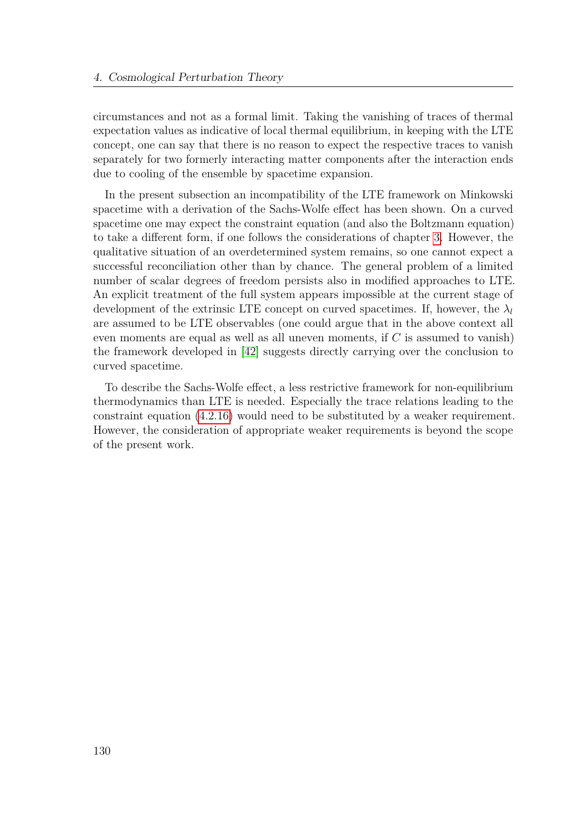circumstances and not as a formal limit. Taking the vanishing of traces of thermal expectation values as indicative of local thermal equilibrium, in keeping with the LTE concept, one can say that there is no reason to expect the respective traces to vanish separately for two formerly interacting matter components after the interaction ends due to cooling of the ensemble by spacetime expansion.

In the present subsection an incompatibility of the LTE framework on Minkowski spacetime with a derivation of the Sachs-Wolfe effect has been shown. On a curved spacetime one may expect the constraint equation (and also the Boltzmann equation) to take a different form, if one follows the considerations of chapter [3.](#page-53-0) However, the qualitative situation of an overdetermined system remains, so one cannot expect a successful reconciliation other than by chance. The general problem of a limited number of scalar degrees of freedom persists also in modified approaches to LTE. An explicit treatment of the full system appears impossible at the current stage of development of the extrinsic LTE concept on curved spacetimes. If, however, the  $\lambda_l$ are assumed to be LTE observables (one could argue that in the above context all even moments are equal as well as all uneven moments, if *C* is assumed to vanish) the framework developed in [\[42\]](#page-151-2) suggests directly carrying over the conclusion to curved spacetime.

To describe the Sachs-Wolfe effect, a less restrictive framework for non-equilibrium thermodynamics than LTE is needed. Especially the trace relations leading to the constraint equation [\(4.2.16\)](#page-128-0) would need to be substituted by a weaker requirement. However, the consideration of appropriate weaker requirements is beyond the scope of the present work.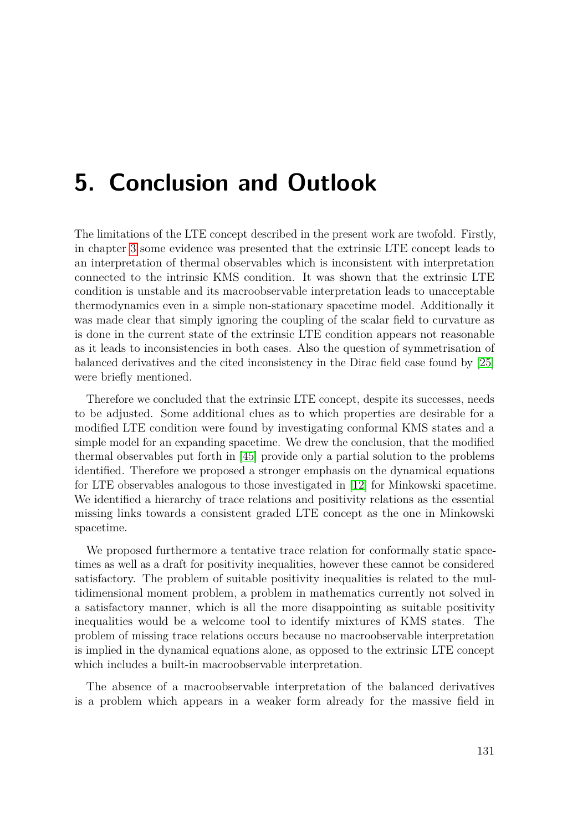# <span id="page-130-0"></span>**5. Conclusion and Outlook**

The limitations of the LTE concept described in the present work are twofold. Firstly, in chapter [3](#page-53-0) some evidence was presented that the extrinsic LTE concept leads to an interpretation of thermal observables which is inconsistent with interpretation connected to the intrinsic KMS condition. It was shown that the extrinsic LTE condition is unstable and its macroobservable interpretation leads to unacceptable thermodynamics even in a simple non-stationary spacetime model. Additionally it was made clear that simply ignoring the coupling of the scalar field to curvature as is done in the current state of the extrinsic LTE condition appears not reasonable as it leads to inconsistencies in both cases. Also the question of symmetrisation of balanced derivatives and the cited inconsistency in the Dirac field case found by [\[25\]](#page-150-2) were briefly mentioned.

Therefore we concluded that the extrinsic LTE concept, despite its successes, needs to be adjusted. Some additional clues as to which properties are desirable for a modified LTE condition were found by investigating conformal KMS states and a simple model for an expanding spacetime. We drew the conclusion, that the modified thermal observables put forth in [\[45\]](#page-151-3) provide only a partial solution to the problems identified. Therefore we proposed a stronger emphasis on the dynamical equations for LTE observables analogous to those investigated in [\[12\]](#page-149-1) for Minkowski spacetime. We identified a hierarchy of trace relations and positivity relations as the essential missing links towards a consistent graded LTE concept as the one in Minkowski spacetime.

We proposed furthermore a tentative trace relation for conformally static spacetimes as well as a draft for positivity inequalities, however these cannot be considered satisfactory. The problem of suitable positivity inequalities is related to the multidimensional moment problem, a problem in mathematics currently not solved in a satisfactory manner, which is all the more disappointing as suitable positivity inequalities would be a welcome tool to identify mixtures of KMS states. The problem of missing trace relations occurs because no macroobservable interpretation is implied in the dynamical equations alone, as opposed to the extrinsic LTE concept which includes a built-in macroobservable interpretation.

The absence of a macroobservable interpretation of the balanced derivatives is a problem which appears in a weaker form already for the massive field in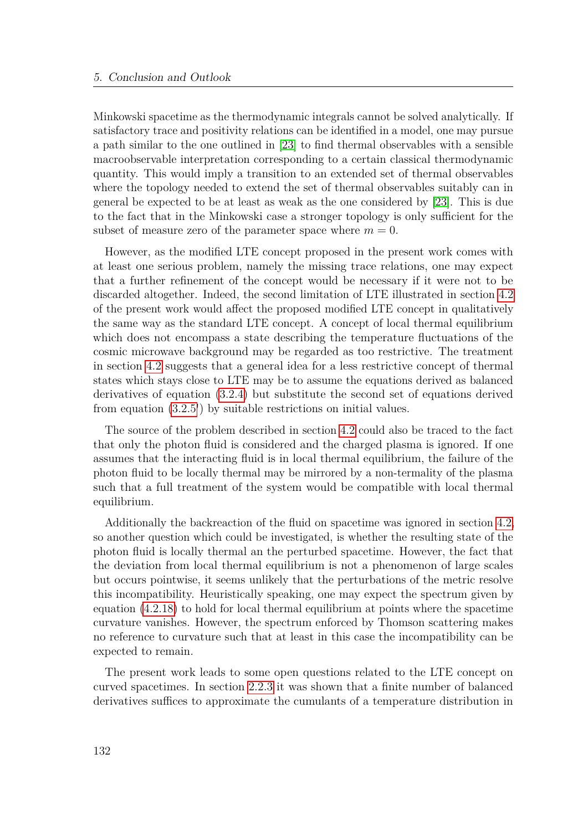Minkowski spacetime as the thermodynamic integrals cannot be solved analytically. If satisfactory trace and positivity relations can be identified in a model, one may pursue a path similar to the one outlined in [\[23\]](#page-150-3) to find thermal observables with a sensible macroobservable interpretation corresponding to a certain classical thermodynamic quantity. This would imply a transition to an extended set of thermal observables where the topology needed to extend the set of thermal observables suitably can in general be expected to be at least as weak as the one considered by [\[23\]](#page-150-3). This is due to the fact that in the Minkowski case a stronger topology is only sufficient for the subset of measure zero of the parameter space where  $m = 0$ .

However, as the modified LTE concept proposed in the present work comes with at least one serious problem, namely the missing trace relations, one may expect that a further refinement of the concept would be necessary if it were not to be discarded altogether. Indeed, the second limitation of LTE illustrated in section [4.2](#page-119-0) of the present work would affect the proposed modified LTE concept in qualitatively the same way as the standard LTE concept. A concept of local thermal equilibrium which does not encompass a state describing the temperature fluctuations of the cosmic microwave background may be regarded as too restrictive. The treatment in section [4.2](#page-119-0) suggests that a general idea for a less restrictive concept of thermal states which stays close to LTE may be to assume the equations derived as balanced derivatives of equation [\(3.2.4\)](#page-71-0) but substitute the second set of equations derived from equation [\(3.2.5'](#page-71-1)) by suitable restrictions on initial values.

The source of the problem described in section [4.2](#page-119-0) could also be traced to the fact that only the photon fluid is considered and the charged plasma is ignored. If one assumes that the interacting fluid is in local thermal equilibrium, the failure of the photon fluid to be locally thermal may be mirrored by a non-termality of the plasma such that a full treatment of the system would be compatible with local thermal equilibrium.

Additionally the backreaction of the fluid on spacetime was ignored in section [4.2,](#page-119-0) so another question which could be investigated, is whether the resulting state of the photon fluid is locally thermal an the perturbed spacetime. However, the fact that the deviation from local thermal equilibrium is not a phenomenon of large scales but occurs pointwise, it seems unlikely that the perturbations of the metric resolve this incompatibility. Heuristically speaking, one may expect the spectrum given by equation [\(4.2.18\)](#page-128-2) to hold for local thermal equilibrium at points where the spacetime curvature vanishes. However, the spectrum enforced by Thomson scattering makes no reference to curvature such that at least in this case the incompatibility can be expected to remain.

The present work leads to some open questions related to the LTE concept on curved spacetimes. In section [2.2.3](#page-28-0) it was shown that a finite number of balanced derivatives suffices to approximate the cumulants of a temperature distribution in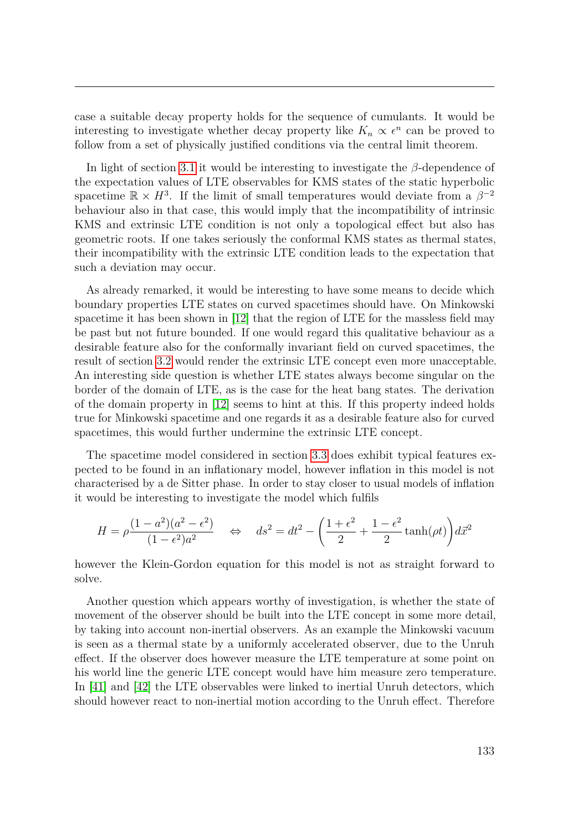case a suitable decay property holds for the sequence of cumulants. It would be interesting to investigate whether decay property like  $K_n \propto \epsilon^n$  can be proved to follow from a set of physically justified conditions via the central limit theorem.

In light of section [3.1](#page-53-1) it would be interesting to investigate the *β*-dependence of the expectation values of LTE observables for KMS states of the static hyperbolic spacetime  $\mathbb{R} \times H^3$ . If the limit of small temperatures would deviate from a  $\beta^{-2}$ behaviour also in that case, this would imply that the incompatibility of intrinsic KMS and extrinsic LTE condition is not only a topological effect but also has geometric roots. If one takes seriously the conformal KMS states as thermal states, their incompatibility with the extrinsic LTE condition leads to the expectation that such a deviation may occur.

As already remarked, it would be interesting to have some means to decide which boundary properties LTE states on curved spacetimes should have. On Minkowski spacetime it has been shown in [\[12\]](#page-149-1) that the region of LTE for the massless field may be past but not future bounded. If one would regard this qualitative behaviour as a desirable feature also for the conformally invariant field on curved spacetimes, the result of section [3.2](#page-64-0) would render the extrinsic LTE concept even more unacceptable. An interesting side question is whether LTE states always become singular on the border of the domain of LTE, as is the case for the heat bang states. The derivation of the domain property in [\[12\]](#page-149-1) seems to hint at this. If this property indeed holds true for Minkowski spacetime and one regards it as a desirable feature also for curved spacetimes, this would further undermine the extrinsic LTE concept.

The spacetime model considered in section [3.3](#page-77-0) does exhibit typical features expected to be found in an inflationary model, however inflation in this model is not characterised by a de Sitter phase. In order to stay closer to usual models of inflation it would be interesting to investigate the model which fulfils

$$
H = \rho \frac{(1 - a^2)(a^2 - \epsilon^2)}{(1 - \epsilon^2)a^2} \quad \Leftrightarrow \quad ds^2 = dt^2 - \left(\frac{1 + \epsilon^2}{2} + \frac{1 - \epsilon^2}{2}\tanh(\rho t)\right) d\vec{x}^2
$$

however the Klein-Gordon equation for this model is not as straight forward to solve.

Another question which appears worthy of investigation, is whether the state of movement of the observer should be built into the LTE concept in some more detail, by taking into account non-inertial observers. As an example the Minkowski vacuum is seen as a thermal state by a uniformly accelerated observer, due to the Unruh effect. If the observer does however measure the LTE temperature at some point on his world line the generic LTE concept would have him measure zero temperature. In [\[41\]](#page-151-4) and [\[42\]](#page-151-2) the LTE observables were linked to inertial Unruh detectors, which should however react to non-inertial motion according to the Unruh effect. Therefore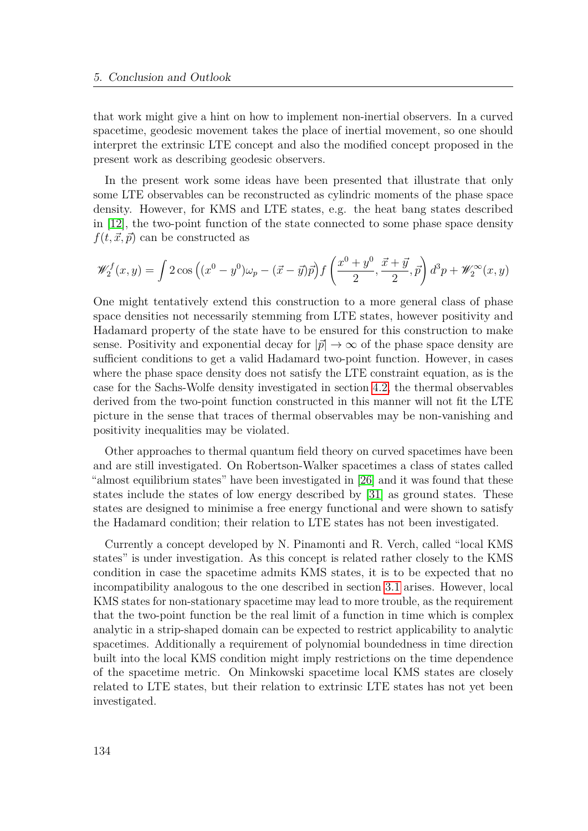that work might give a hint on how to implement non-inertial observers. In a curved spacetime, geodesic movement takes the place of inertial movement, so one should interpret the extrinsic LTE concept and also the modified concept proposed in the present work as describing geodesic observers.

In the present work some ideas have been presented that illustrate that only some LTE observables can be reconstructed as cylindric moments of the phase space density. However, for KMS and LTE states, e.g. the heat bang states described in [\[12\]](#page-149-1), the two-point function of the state connected to some phase space density  $f(t, \vec{x}, \vec{p})$  can be constructed as

$$
\mathscr{W}_2^f(x,y) = \int 2\cos\left((x^0 - y^0)\omega_p - (\vec{x} - \vec{y})\vec{p}\right) f\left(\frac{x^0 + y^0}{2}, \frac{\vec{x} + \vec{y}}{2}, \vec{p}\right) d^3p + \mathscr{W}_2^{\infty}(x,y)
$$

One might tentatively extend this construction to a more general class of phase space densities not necessarily stemming from LTE states, however positivity and Hadamard property of the state have to be ensured for this construction to make sense. Positivity and exponential decay for  $|\vec{p}| \to \infty$  of the phase space density are sufficient conditions to get a valid Hadamard two-point function. However, in cases where the phase space density does not satisfy the LTE constraint equation, as is the case for the Sachs-Wolfe density investigated in section [4.2,](#page-119-0) the thermal observables derived from the two-point function constructed in this manner will not fit the LTE picture in the sense that traces of thermal observables may be non-vanishing and positivity inequalities may be violated.

Other approaches to thermal quantum field theory on curved spacetimes have been and are still investigated. On Robertson-Walker spacetimes a class of states called "almost equilibrium states" have been investigated in [\[26\]](#page-150-4) and it was found that these states include the states of low energy described by [\[31\]](#page-151-5) as ground states. These states are designed to minimise a free energy functional and were shown to satisfy the Hadamard condition; their relation to LTE states has not been investigated.

Currently a concept developed by N. Pinamonti and R. Verch, called "local KMS states" is under investigation. As this concept is related rather closely to the KMS condition in case the spacetime admits KMS states, it is to be expected that no incompatibility analogous to the one described in section [3.1](#page-53-1) arises. However, local KMS states for non-stationary spacetime may lead to more trouble, as the requirement that the two-point function be the real limit of a function in time which is complex analytic in a strip-shaped domain can be expected to restrict applicability to analytic spacetimes. Additionally a requirement of polynomial boundedness in time direction built into the local KMS condition might imply restrictions on the time dependence of the spacetime metric. On Minkowski spacetime local KMS states are closely related to LTE states, but their relation to extrinsic LTE states has not yet been investigated.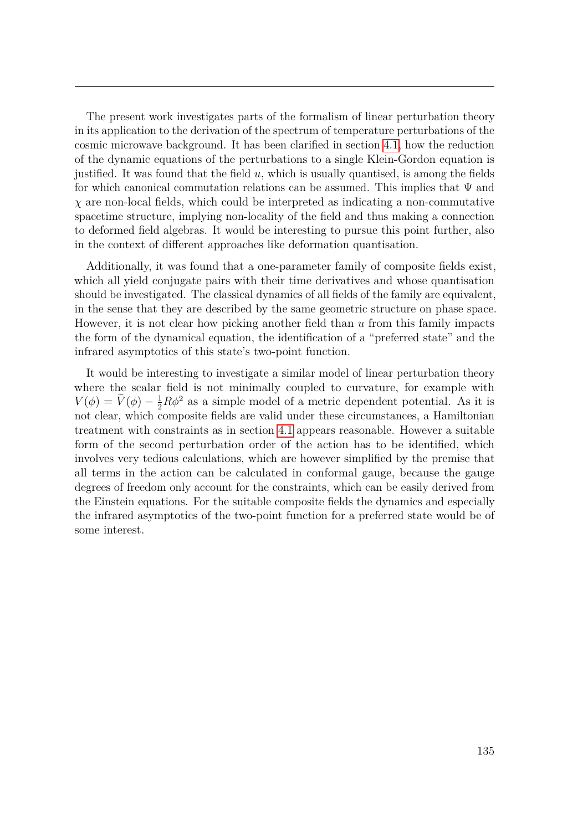The present work investigates parts of the formalism of linear perturbation theory in its application to the derivation of the spectrum of temperature perturbations of the cosmic microwave background. It has been clarified in section [4.1,](#page-105-0) how the reduction of the dynamic equations of the perturbations to a single Klein-Gordon equation is justified. It was found that the field *u*, which is usually quantised, is among the fields for which canonical commutation relations can be assumed. This implies that  $\Psi$  and *χ* are non-local fields, which could be interpreted as indicating a non-commutative spacetime structure, implying non-locality of the field and thus making a connection to deformed field algebras. It would be interesting to pursue this point further, also in the context of different approaches like deformation quantisation.

Additionally, it was found that a one-parameter family of composite fields exist, which all yield conjugate pairs with their time derivatives and whose quantisation should be investigated. The classical dynamics of all fields of the family are equivalent, in the sense that they are described by the same geometric structure on phase space. However, it is not clear how picking another field than *u* from this family impacts the form of the dynamical equation, the identification of a "preferred state" and the infrared asymptotics of this state's two-point function.

It would be interesting to investigate a similar model of linear perturbation theory where the scalar field is not minimally coupled to curvature, for example with  $V(\phi) = \tilde{V}(\phi) - \frac{1}{2}R\phi^2$  as a simple model of a metric dependent potential. As it is not clear, which composite fields are valid under these circumstances, a Hamiltonian treatment with constraints as in section [4.1](#page-105-0) appears reasonable. However a suitable form of the second perturbation order of the action has to be identified, which involves very tedious calculations, which are however simplified by the premise that all terms in the action can be calculated in conformal gauge, because the gauge degrees of freedom only account for the constraints, which can be easily derived from the Einstein equations. For the suitable composite fields the dynamics and especially the infrared asymptotics of the two-point function for a preferred state would be of some interest.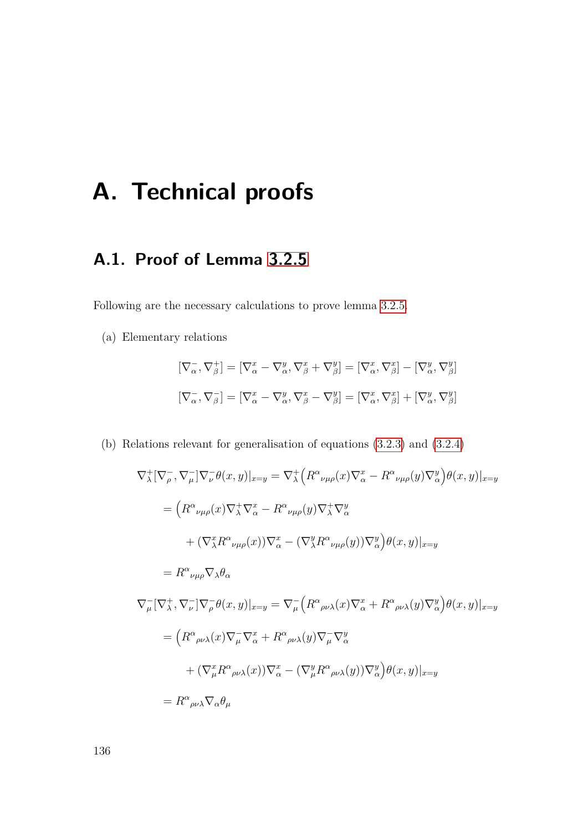# **A. Technical proofs**

# **A.1. Proof of Lemma [3.2.5](#page-72-0)**

Following are the necessary calculations to prove lemma [3.2.5.](#page-72-0)

(a) Elementary relations

$$
\begin{aligned} \n\left[\nabla_{\alpha}^{-}, \nabla_{\beta}^{+}\right] &= \left[\nabla_{\alpha}^{x} - \nabla_{\alpha}^{y}, \nabla_{\beta}^{x} + \nabla_{\beta}^{y}\right] = \left[\nabla_{\alpha}^{x}, \nabla_{\beta}^{x}\right] - \left[\nabla_{\alpha}^{y}, \nabla_{\beta}^{y}\right] \\ \n\left[\nabla_{\alpha}^{-}, \nabla_{\beta}^{-}\right] &= \left[\nabla_{\alpha}^{x} - \nabla_{\alpha}^{y}, \nabla_{\beta}^{x} - \nabla_{\beta}^{y}\right] = \left[\nabla_{\alpha}^{x}, \nabla_{\beta}^{x}\right] + \left[\nabla_{\alpha}^{y}, \nabla_{\beta}^{y}\right] \n\end{aligned}
$$

(b) Relations relevant for generalisation of equations [\(3.2.3\)](#page-71-2) and [\(3.2.4\)](#page-71-0)

$$
\nabla_{\lambda}^{+} [\nabla_{\rho}^{-}, \nabla_{\mu}^{-}] \nabla_{\nu}^{-} \theta(x, y)|_{x=y} = \nabla_{\lambda}^{+} (R^{\alpha}{}_{\nu\mu\rho}(x) \nabla_{\alpha}^{x} - R^{\alpha}{}_{\nu\mu\rho}(y) \nabla_{\alpha}^{y}) \theta(x, y)|_{x=y}
$$
\n
$$
= (R^{\alpha}{}_{\nu\mu\rho}(x) \nabla_{\lambda}^{+} \nabla_{\alpha}^{x} - R^{\alpha}{}_{\nu\mu\rho}(y) \nabla_{\lambda}^{+} \nabla_{\alpha}^{y}
$$
\n
$$
+ (\nabla_{\lambda}^{x} R^{\alpha}{}_{\nu\mu\rho}(x)) \nabla_{\alpha}^{x} - (\nabla_{\lambda}^{y} R^{\alpha}{}_{\nu\mu\rho}(y)) \nabla_{\alpha}^{y}) \theta(x, y)|_{x=y}
$$
\n
$$
= R^{\alpha}{}_{\nu\mu\rho} \nabla_{\lambda} \theta_{\alpha}
$$
\n
$$
\nabla_{\mu}^{-} [\nabla_{\lambda}^{+}, \nabla_{\nu}^{-}] \nabla_{\rho}^{-} \theta(x, y)|_{x=y} = \nabla_{\mu}^{-} (R^{\alpha}{}_{\rho\nu\lambda}(x) \nabla_{\alpha}^{x} + R^{\alpha}{}_{\rho\nu\lambda}(y) \nabla_{\alpha}^{y}) \theta(x, y)|_{x=y}
$$
\n
$$
= (R^{\alpha}{}_{\rho\nu\lambda}(x) \nabla_{\mu}^{-} \nabla_{\alpha}^{x} + R^{\alpha}{}_{\rho\nu\lambda}(y) \nabla_{\mu}^{-} \nabla_{\alpha}^{y}
$$
\n
$$
+ (\nabla_{\mu}^{x} R^{\alpha}{}_{\rho\nu\lambda}(x)) \nabla_{\alpha}^{x} - (\nabla_{\mu}^{y} R^{\alpha}{}_{\rho\nu\lambda}(y)) \nabla_{\alpha}^{y}) \theta(x, y)|_{x=y}
$$
\n
$$
= R^{\alpha}{}_{\rho\nu\lambda} \nabla_{\alpha} \theta_{\mu}
$$

136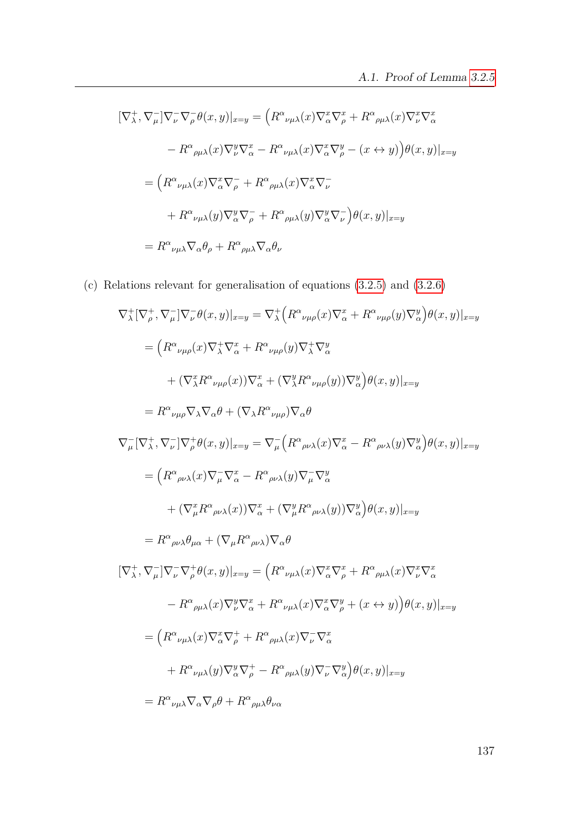$$
[\nabla_{\lambda}^{+}, \nabla_{\mu}^{-}]\nabla_{\nu}^{-} \nabla_{\rho}^{-} \theta(x, y)|_{x=y} = \left( R^{\alpha}{}_{\nu\mu\lambda}(x) \nabla_{\alpha}^{x} \nabla_{\rho}^{x} + R^{\alpha}{}_{\rho\mu\lambda}(x) \nabla_{\nu}^{x} \nabla_{\alpha}^{x}\right)
$$

$$
- R^{\alpha}{}_{\rho\mu\lambda}(x) \nabla_{\nu}^{y} \nabla_{\alpha}^{x} - R^{\alpha}{}_{\nu\mu\lambda}(x) \nabla_{\alpha}^{x} \nabla_{\rho}^{y} - (x \leftrightarrow y) \right) \theta(x, y)|_{x=y}
$$

$$
= \left( R^{\alpha}{}_{\nu\mu\lambda}(x) \nabla_{\alpha}^{x} \nabla_{\rho}^{-} + R^{\alpha}{}_{\rho\mu\lambda}(x) \nabla_{\alpha}^{x} \nabla_{\nu}^{-} + R^{\alpha}{}_{\rho\mu\lambda}(y) \nabla_{\alpha}^{y} \nabla_{\nu}^{-} \right) \theta(x, y)|_{x=y}
$$

$$
= R^{\alpha}{}_{\nu\mu\lambda} \nabla_{\alpha} \theta_{\rho} + R^{\alpha}{}_{\rho\mu\lambda} \nabla_{\alpha} \theta_{\nu}
$$

(c) Relations relevant for generalisation of equations [\(3.2.5\)](#page-71-1) and [\(3.2.6\)](#page-71-3)

$$
\nabla_{\lambda}^{+} [\nabla_{\rho}^{+}, \nabla_{\mu}^{-}] \nabla_{\nu}^{-} \theta(x, y)|_{x=y} = \nabla_{\lambda}^{+} (R^{\alpha}{}_{\nu\mu\rho}(x) \nabla_{\alpha}^{x} + R^{\alpha}{}_{\nu\mu\rho}(y) \nabla_{\alpha}^{y}) \theta(x, y)|_{x=y}
$$
\n
$$
= (R^{\alpha}{}_{\nu\mu\rho}(x) \nabla_{\lambda}^{+} \nabla_{\alpha}^{x} + R^{\alpha}{}_{\nu\mu\rho}(y) \nabla_{\lambda}^{+} \nabla_{\alpha}^{y}
$$
\n
$$
+ (\nabla_{\lambda}^{x} R^{\alpha}{}_{\nu\mu\rho}(x)) \nabla_{\alpha}^{x} + (\nabla_{\lambda}^{y} R^{\alpha}{}_{\nu\mu\rho}(y)) \nabla_{\alpha}^{y}) \theta(x, y)|_{x=y}
$$
\n
$$
= R^{\alpha}{}_{\nu\mu\rho} \nabla_{\lambda} \nabla_{\alpha} \theta + (\nabla_{\lambda} R^{\alpha}{}_{\nu\mu\rho}) \nabla_{\alpha} \theta
$$
\n
$$
\nabla_{\mu}^{-} [\nabla_{\lambda}^{+}, \nabla_{\nu}^{-}] \nabla_{\rho}^{+} \theta(x, y)|_{x=y} = \nabla_{\mu}^{-} (R^{\alpha}{}_{\rho\nu\lambda}(x) \nabla_{\alpha}^{x} - R^{\alpha}{}_{\rho\nu\lambda}(y) \nabla_{\alpha}^{y}) \theta(x, y)|_{x=y}
$$
\n
$$
= (R^{\alpha}{}_{\rho\nu\lambda}(x) \nabla_{\mu}^{-} \nabla_{\alpha}^{x} - R^{\alpha}{}_{\rho\nu\lambda}(y) \nabla_{\mu}^{-} \nabla_{\alpha}^{y}
$$
\n
$$
+ (\nabla_{\mu}^{x} R^{\alpha}{}_{\rho\nu\lambda}(x)) \nabla_{\alpha}^{x} + (\nabla_{\mu}^{y} R^{\alpha}{}_{\rho\nu\lambda}(y)) \nabla_{\alpha}^{y}) \theta(x, y)|_{x=y}
$$
\n
$$
= R^{\alpha}{}_{\rho\nu\lambda} \theta_{\mu\alpha} + (\nabla_{\mu} R^{\alpha}{}_{\
$$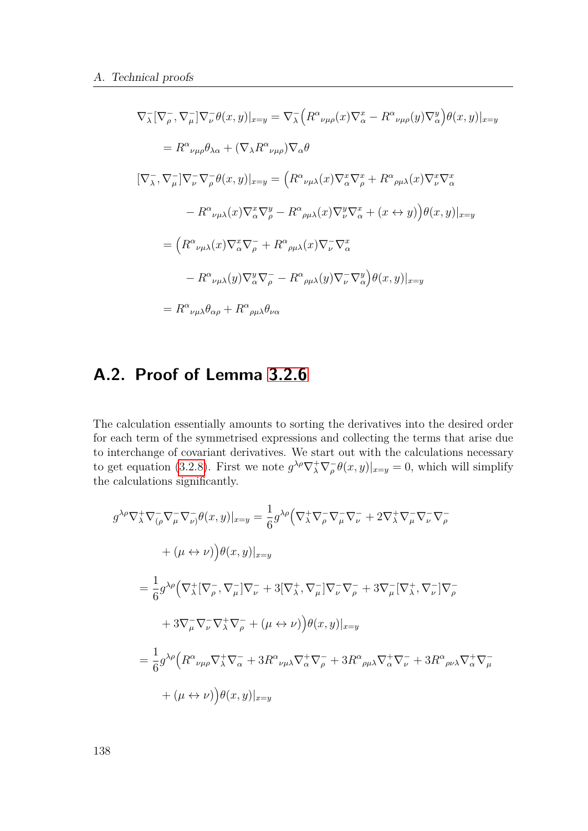$$
\nabla_{\lambda} [\nabla_{\rho}^{-}, \nabla_{\mu}^{-}] \nabla_{\nu}^{-} \theta(x, y)|_{x=y} = \nabla_{\lambda}^{-} \Big( R^{\alpha}{}_{\nu\mu\rho}(x) \nabla_{\alpha}^{x} - R^{\alpha}{}_{\nu\mu\rho}(y) \nabla_{\alpha}^{y} \Big) \theta(x, y)|_{x=y}
$$
\n
$$
= R^{\alpha}{}_{\nu\mu\rho} \theta_{\lambda\alpha} + (\nabla_{\lambda} R^{\alpha}{}_{\nu\mu\rho}) \nabla_{\alpha} \theta
$$
\n
$$
[\nabla_{\lambda}^{-}, \nabla_{\mu}^{-}] \nabla_{\nu}^{-} \nabla_{\rho}^{-} \theta(x, y)|_{x=y} = \Big( R^{\alpha}{}_{\nu\mu\lambda}(x) \nabla_{\alpha}^{x} \nabla_{\rho}^{x} + R^{\alpha}{}_{\rho\mu\lambda}(x) \nabla_{\nu}^{x} \nabla_{\alpha}^{x}
$$
\n
$$
- R^{\alpha}{}_{\nu\mu\lambda}(x) \nabla_{\alpha}^{x} \nabla_{\rho}^{y} - R^{\alpha}{}_{\rho\mu\lambda}(x) \nabla_{\nu}^{y} \nabla_{\alpha}^{x} + (x \leftrightarrow y) \Big) \theta(x, y)|_{x=y}
$$
\n
$$
= \Big( R^{\alpha}{}_{\nu\mu\lambda}(x) \nabla_{\alpha}^{x} \nabla_{\rho}^{-} + R^{\alpha}{}_{\rho\mu\lambda}(x) \nabla_{\nu}^{-} \nabla_{\alpha}^{x}
$$
\n
$$
- R^{\alpha}{}_{\nu\mu\lambda}(y) \nabla_{\alpha}^{y} \nabla_{\rho}^{-} - R^{\alpha}{}_{\rho\mu\lambda}(y) \nabla_{\nu}^{-} \nabla_{\alpha}^{y} \Big) \theta(x, y)|_{x=y}
$$
\n
$$
= R^{\alpha}{}_{\nu\mu\lambda} \theta_{\alpha\rho} + R^{\alpha}{}_{\rho\mu\lambda} \theta_{\nu\alpha}
$$

# **A.2. Proof of Lemma [3.2.6](#page-72-1)**

The calculation essentially amounts to sorting the derivatives into the desired order for each term of the symmetrised expressions and collecting the terms that arise due to interchange of covariant derivatives. We start out with the calculations necessary to get equation [\(3.2.8\)](#page-72-2). First we note  $g^{\lambda \rho} \nabla^+_\lambda \nabla^-_\rho \theta(x, y)|_{x=y} = 0$ , which will simplify the calculations significantly.

$$
g^{\lambda\rho}\nabla_{\lambda}^{+}\nabla_{(\rho}^{-}\nabla_{\mu}^{-}\nabla_{\nu})\theta(x,y)|_{x=y} = \frac{1}{6}g^{\lambda\rho}\left(\nabla_{\lambda}^{+}\nabla_{\rho}^{-}\nabla_{\mu}^{-}\nabla_{\nu}^{-} + 2\nabla_{\lambda}^{+}\nabla_{\mu}^{-}\nabla_{\nu}^{-}\nabla_{\rho}^{-}\n+ (\mu \leftrightarrow \nu)\right)\theta(x,y)|_{x=y}
$$
  
\n
$$
= \frac{1}{6}g^{\lambda\rho}\left(\nabla_{\lambda}^{+}[\nabla_{\rho}^{-},\nabla_{\mu}^{-}]\nabla_{\nu}^{-} + 3[\nabla_{\lambda}^{+},\nabla_{\mu}^{-}]\nabla_{\nu}^{-}\nabla_{\rho}^{-} + 3\nabla_{\mu}^{-}[\nabla_{\lambda}^{+},\nabla_{\nu}^{-}]\nabla_{\rho}^{-}\n+ 3\nabla_{\mu}^{-}\nabla_{\nu}^{-}\nabla_{\lambda}^{+}\nabla_{\rho}^{-} + (\mu \leftrightarrow \nu)\right)\theta(x,y)|_{x=y}
$$
  
\n
$$
= \frac{1}{6}g^{\lambda\rho}\left(R^{\alpha}{}_{\nu\mu\rho}\nabla_{\lambda}^{+}\nabla_{\alpha}^{-} + 3R^{\alpha}{}_{\nu\mu\lambda}\nabla_{\alpha}^{+}\nabla_{\rho}^{-} + 3R^{\alpha}{}_{\rho\mu\lambda}\nabla_{\alpha}^{+}\nabla_{\nu}^{-} + 3R^{\alpha}{}_{\rho\nu\lambda}\nabla_{\alpha}^{+}\nabla_{\mu}^{-} + (\mu \leftrightarrow \nu)\right)\theta(x,y)|_{x=y}
$$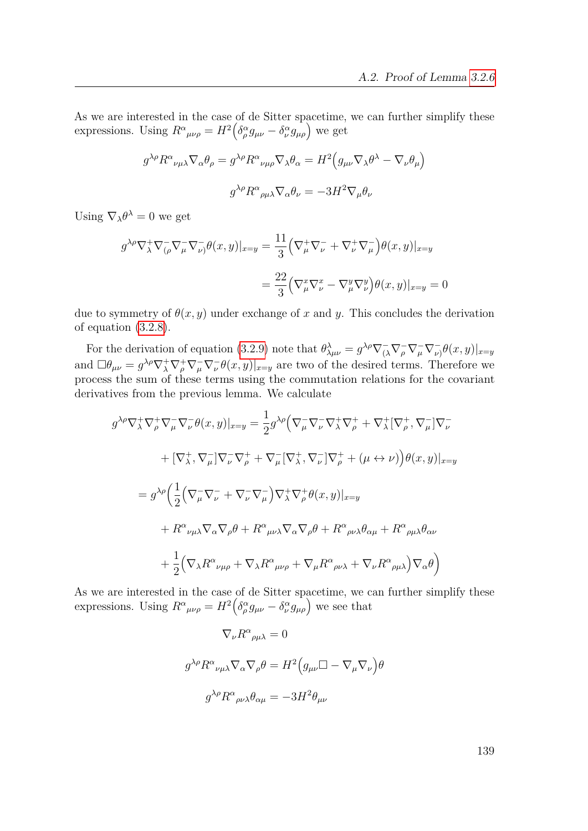As we are interested in the case of de Sitter spacetime, we can further simplify these expressions. Using  $R^{\alpha}{}_{\mu\nu\rho} = H^2 \left( \delta^{\alpha}_{\rho} g_{\mu\nu} - \delta^{\alpha}_{\nu} g_{\mu\rho} \right)$  we get

$$
g^{\lambda \rho} R^{\alpha}{}_{\nu \mu \lambda} \nabla_{\alpha} \theta_{\rho} = g^{\lambda \rho} R^{\alpha}{}_{\nu \mu \rho} \nabla_{\lambda} \theta_{\alpha} = H^{2} \Big( g_{\mu \nu} \nabla_{\lambda} \theta^{\lambda} - \nabla_{\nu} \theta_{\mu} \Big)
$$

$$
g^{\lambda \rho} R^{\alpha}{}_{\rho \mu \lambda} \nabla_{\alpha} \theta_{\nu} = -3H^{2} \nabla_{\mu} \theta_{\nu}
$$

Using  $\nabla_{\lambda} \theta^{\lambda} = 0$  we get

$$
g^{\lambda \rho} \nabla_{\lambda}^{+} \nabla_{(\rho}^{-} \nabla_{\mu}^{-} \nabla_{\nu}) \theta(x, y)|_{x=y} = \frac{11}{3} \left( \nabla_{\mu}^{+} \nabla_{\nu}^{-} + \nabla_{\nu}^{+} \nabla_{\mu}^{-} \right) \theta(x, y)|_{x=y}
$$

$$
= \frac{22}{3} \left( \nabla_{\mu}^{x} \nabla_{\nu}^{x} - \nabla_{\mu}^{y} \nabla_{\nu}^{y} \right) \theta(x, y)|_{x=y} = 0
$$

due to symmetry of  $\theta(x, y)$  under exchange of x and y. This concludes the derivation of equation [\(3.2.8\)](#page-72-2).

For the derivation of equation [\(3.2.9\)](#page-72-3) note that  $\theta_{\lambda\mu\nu}^{\lambda} = g^{\lambda\rho}\nabla_{(\lambda}^{-}\nabla_{\rho}^{-}\nabla_{\mu}^{-}\nabla_{\nu}^{-}\theta(x,y)|_{x=y}$ and  $\Box \theta_{\mu\nu} = g^{\lambda\rho} \nabla^+_\lambda \nabla^-_\rho \nabla^-_\nu \theta(x, y)|_{x=y}$  are two of the desired terms. Therefore we process the sum of these terms using the commutation relations for the covariant derivatives from the previous lemma. We calculate

$$
g^{\lambda\rho}\nabla_{\lambda}^{+}\nabla_{\rho}^{+}\nabla_{\mu}^{-}\nabla_{\nu}^{-}\theta(x,y)|_{x=y} = \frac{1}{2}g^{\lambda\rho}\Big(\nabla_{\mu}^{-}\nabla_{\nu}^{-}\nabla_{\lambda}^{+}\nabla_{\rho}^{+} + \nabla_{\lambda}^{+}[\nabla_{\rho}^{+},\nabla_{\mu}^{-}]\nabla_{\nu}^{-} + [\nabla_{\lambda}^{+},\nabla_{\mu}^{-}]\nabla_{\nu}^{-}\nabla_{\rho}^{+} + \nabla_{\mu}^{-}[\nabla_{\lambda}^{+},\nabla_{\nu}^{-}]\nabla_{\rho}^{+} + (\mu \leftrightarrow \nu)\Big)\theta(x,y)|_{x=y}
$$
  
\n
$$
= g^{\lambda\rho}\Big(\frac{1}{2}\Big(\nabla_{\mu}^{-}\nabla_{\nu}^{-} + \nabla_{\nu}^{-}\nabla_{\mu}^{-}\Big)\nabla_{\lambda}^{+}\nabla_{\rho}^{+}\theta(x,y)|_{x=y}
$$
  
\n
$$
+ R^{\alpha}{}_{\nu\mu\lambda}\nabla_{\alpha}\nabla_{\rho}\theta + R^{\alpha}{}_{\mu\nu\lambda}\nabla_{\alpha}\nabla_{\rho}\theta + R^{\alpha}{}_{\rho\nu\lambda}\theta_{\alpha\mu} + R^{\alpha}{}_{\rho\mu\lambda}\theta_{\alpha\nu}
$$
  
\n
$$
+ \frac{1}{2}\Big(\nabla_{\lambda}R^{\alpha}{}_{\nu\mu\rho} + \nabla_{\lambda}R^{\alpha}{}_{\mu\nu\rho} + \nabla_{\mu}R^{\alpha}{}_{\rho\nu\lambda} + \nabla_{\nu}R^{\alpha}{}_{\rho\mu\lambda}\Big)\nabla_{\alpha}\theta\Big)
$$

As we are interested in the case of de Sitter spacetime, we can further simplify these expressions. Using  $R^{\alpha}{}_{\mu\nu\rho} = H^2 \left( \delta^{\alpha}_{\rho} g_{\mu\nu} - \delta^{\alpha}_{\nu} g_{\mu\rho} \right)$  we see that

$$
\nabla_{\nu} R^{\alpha}{}_{\rho\mu\lambda} = 0
$$
  

$$
g^{\lambda\rho} R^{\alpha}{}_{\nu\mu\lambda} \nabla_{\alpha} \nabla_{\rho} \theta = H^2 \Big( g_{\mu\nu} \Box - \nabla_{\mu} \nabla_{\nu} \Big) \theta
$$
  

$$
g^{\lambda\rho} R^{\alpha}{}_{\rho\nu\lambda} \theta_{\alpha\mu} = -3H^2 \theta_{\mu\nu}
$$

139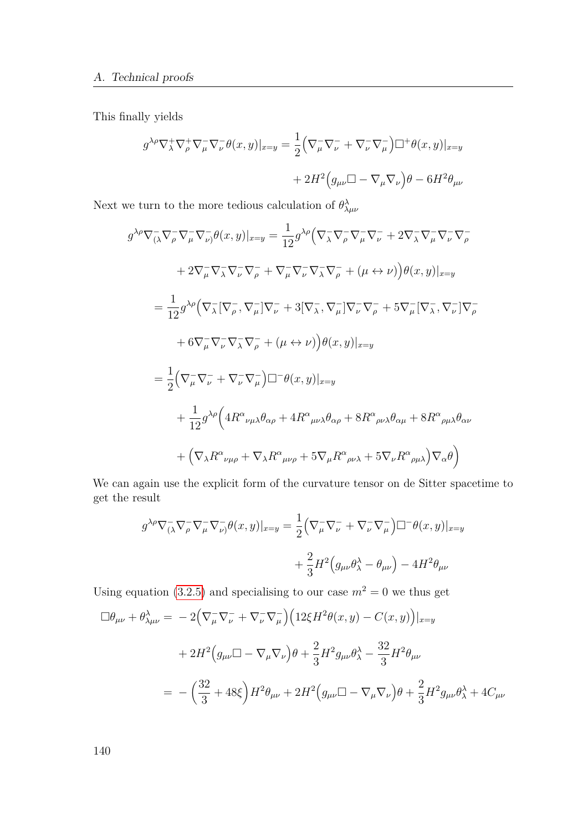This finally yields

$$
g^{\lambda \rho} \nabla_{\lambda}^{+} \nabla_{\rho}^{+} \nabla_{\mu}^{-} \nabla_{\nu}^{-} \theta(x, y)|_{x=y} = \frac{1}{2} \Big( \nabla_{\mu}^{-} \nabla_{\nu}^{-} + \nabla_{\nu}^{-} \nabla_{\mu}^{-} \Big) \Box^{+} \theta(x, y)|_{x=y} + 2H^{2} \Big( g_{\mu \nu} \Box - \nabla_{\mu} \nabla_{\nu} \Big) \theta - 6H^{2} \theta_{\mu \nu}
$$

Next we turn to the more tedious calculation of  $\theta^{\lambda}_{\lambda\mu\nu}$ 

$$
g^{\lambda\rho}\nabla_{(\lambda}^{-}\nabla_{\rho}^{-}\nabla_{\mu}^{-}\nabla_{\nu)}\theta(x,y)|_{x=y} = \frac{1}{12}g^{\lambda\rho}\left(\nabla_{\lambda}^{-}\nabla_{\rho}^{-}\nabla_{\mu}^{-}\nabla_{\nu}^{-} + 2\nabla_{\lambda}^{-}\nabla_{\mu}^{-}\nabla_{\nu}^{-}\nabla_{\rho}^{-}
$$
  
\n
$$
+ 2\nabla_{\mu}^{-}\nabla_{\lambda}^{-}\nabla_{\nu}^{-}\nabla_{\rho}^{-} + \nabla_{\mu}^{-}\nabla_{\nu}^{-}\nabla_{\lambda}^{-}\nabla_{\rho}^{-} + (\mu \leftrightarrow \nu)\right)\theta(x,y)|_{x=y}
$$
  
\n
$$
= \frac{1}{12}g^{\lambda\rho}\left(\nabla_{\lambda}^{-}[\nabla_{\rho}^{-},\nabla_{\mu}^{-}]\nabla_{\nu}^{-} + 3[\nabla_{\lambda}^{-},\nabla_{\mu}^{-}]\nabla_{\nu}^{-}\nabla_{\rho}^{-} + 5\nabla_{\mu}^{-}[\nabla_{\lambda}^{-},\nabla_{\nu}^{-}]\nabla_{\rho}^{-}
$$
  
\n
$$
+ 6\nabla_{\mu}^{-}\nabla_{\nu}^{-}\nabla_{\lambda}^{-}\nabla_{\rho}^{-} + (\mu \leftrightarrow \nu)\right)\theta(x,y)|_{x=y}
$$
  
\n
$$
= \frac{1}{2}\left(\nabla_{\mu}^{-}\nabla_{\nu}^{-} + \nabla_{\nu}^{-}\nabla_{\mu}^{-}\right)\Box^{-}\theta(x,y)|_{x=y}
$$
  
\n
$$
+ \frac{1}{12}g^{\lambda\rho}\left(4R^{\alpha}{}_{\nu\mu\lambda}\theta_{\alpha\rho} + 4R^{\alpha}{}_{\mu\nu\lambda}\theta_{\alpha\rho} + 8R^{\alpha}{}_{\rho\nu\lambda}\theta_{\alpha\mu} + 8R^{\alpha}{}_{\rho\mu\lambda}\theta_{\alpha\nu}
$$
  
\n
$$
+ (\nabla_{\lambda}R^{\alpha}{}_{\nu\mu\rho} + \nabla_{\lambda}R^{\alpha}{}_{\mu\nu\rho} + 5\nabla_{\mu}R^{\alpha}{}_{\rho\nu\lambda} + 5\nabla_{\nu}R^{\alpha
$$

We can again use the explicit form of the curvature tensor on de Sitter spacetime to get the result

$$
g^{\lambda \rho} \nabla_{(\lambda}^{-} \nabla_{\rho}^{-} \nabla_{\mu}^{-} \partial(x, y)|_{x=y} = \frac{1}{2} \Big( \nabla_{\mu}^{-} \nabla_{\nu}^{-} + \nabla_{\nu}^{-} \nabla_{\mu}^{-} \Big) \Box^{-} \theta(x, y)|_{x=y} + \frac{2}{3} H^{2} \Big( g_{\mu\nu} \theta_{\lambda}^{\lambda} - \theta_{\mu\nu} \Big) - 4H^{2} \theta_{\mu\nu}
$$

Using equation [\(3.2.5\)](#page-71-1) and specialising to our case  $m^2 = 0$  we thus get

$$
\Box \theta_{\mu\nu} + \theta^{\lambda}_{\lambda\mu\nu} = -2(\nabla_{\mu}^{\top} \nabla_{\nu}^{\top} + \nabla_{\nu}^{\top} \nabla_{\mu}^{\top}) \Big( 12 \xi H^2 \theta(x, y) - C(x, y) \Big)|_{x=y}
$$
  
+ 
$$
2H^2 \Big( g_{\mu\nu} \Box - \nabla_{\mu} \nabla_{\nu} \Big) \theta + \frac{2}{3} H^2 g_{\mu\nu} \theta^{\lambda}_{\lambda} - \frac{32}{3} H^2 \theta_{\mu\nu}
$$
  
= 
$$
- \Big( \frac{32}{3} + 48 \xi \Big) H^2 \theta_{\mu\nu} + 2H^2 \Big( g_{\mu\nu} \Box - \nabla_{\mu} \nabla_{\nu} \Big) \theta + \frac{2}{3} H^2 g_{\mu\nu} \theta^{\lambda}_{\lambda} + 4C_{\mu\nu}
$$

140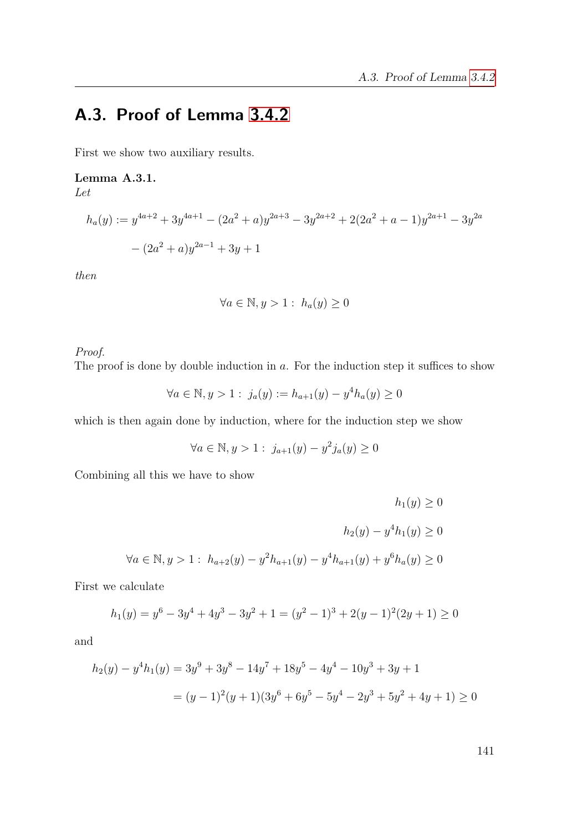# **A.3. Proof of Lemma [3.4.2](#page-96-0)**

First we show two auxiliary results.

### <span id="page-140-0"></span>**Lemma A.3.1.**

*Let*

$$
h_a(y) := y^{4a+2} + 3y^{4a+1} - (2a^2 + a)y^{2a+3} - 3y^{2a+2} + 2(2a^2 + a - 1)y^{2a+1} - 3y^{2a}
$$

$$
- (2a^2 + a)y^{2a-1} + 3y + 1
$$

*then*

$$
\forall a \in \mathbb{N}, y > 1: h_a(y) \ge 0
$$

### *Proof.*

The proof is done by double induction in *a*. For the induction step it suffices to show

$$
\forall a \in \mathbb{N}, y > 1: j_a(y) := h_{a+1}(y) - y^4 h_a(y) \ge 0
$$

which is then again done by induction, where for the induction step we show

$$
\forall a \in \mathbb{N}, y > 1: j_{a+1}(y) - y^2 j_a(y) \ge 0
$$

Combining all this we have to show

$$
h_1(y) \ge 0
$$
  

$$
h_2(y) - y^4 h_1(y) \ge 0
$$
  

$$
\forall a \in \mathbb{N}, y > 1: h_{a+2}(y) - y^2 h_{a+1}(y) - y^4 h_{a+1}(y) + y^6 h_a(y) \ge 0
$$

First we calculate

$$
h_1(y) = y^6 - 3y^4 + 4y^3 - 3y^2 + 1 = (y^2 - 1)^3 + 2(y - 1)^2(2y + 1) \ge 0
$$

and

$$
h_2(y) - y^4 h_1(y) = 3y^9 + 3y^8 - 14y^7 + 18y^5 - 4y^4 - 10y^3 + 3y + 1
$$
  
=  $(y - 1)^2(y + 1)(3y^6 + 6y^5 - 5y^4 - 2y^3 + 5y^2 + 4y + 1) \ge 0$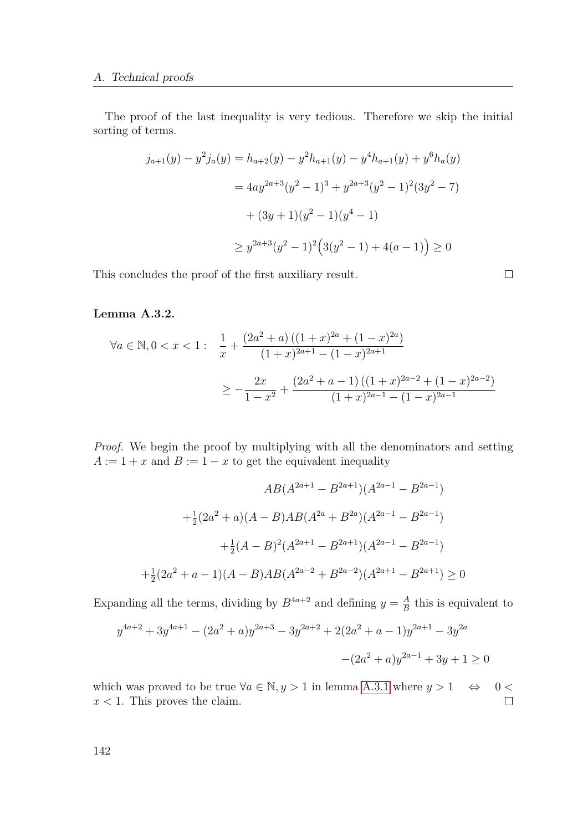### A. Technical proofs

The proof of the last inequality is very tedious. Therefore we skip the initial sorting of terms.

$$
j_{a+1}(y) - y^2 j_a(y) = h_{a+2}(y) - y^2 h_{a+1}(y) - y^4 h_{a+1}(y) + y^6 h_a(y)
$$
  
=  $4ay^{2a+3}(y^2 - 1)^3 + y^{2a+3}(y^2 - 1)^2(3y^2 - 7)$   
+  $(3y+1)(y^2 - 1)(y^4 - 1)$   
 $\ge y^{2a+3}(y^2 - 1)^2(3(y^2 - 1) + 4(a - 1)) \ge 0$ 

 $\Box$ 

This concludes the proof of the first auxiliary result.

### <span id="page-141-0"></span>**Lemma A.3.2.**

$$
\forall a \in \mathbb{N}, 0 < x < 1: \frac{1}{x} + \frac{(2a^2 + a) ((1 + x)^{2a} + (1 - x)^{2a})}{(1 + x)^{2a + 1} - (1 - x)^{2a + 1}}
$$

$$
\ge -\frac{2x}{1 - x^2} + \frac{(2a^2 + a - 1)((1 + x)^{2a - 2} + (1 - x)^{2a - 2})}{(1 + x)^{2a - 1} - (1 - x)^{2a - 1}}
$$

*Proof.* We begin the proof by multiplying with all the denominators and setting  $A := 1 + x$  and  $B := 1 - x$  to get the equivalent inequality

$$
AB(A^{2a+1} - B^{2a+1})(A^{2a-1} - B^{2a-1})
$$

$$
+ \frac{1}{2}(2a^2 + a)(A - B)AB(A^{2a} + B^{2a})(A^{2a-1} - B^{2a-1})
$$

$$
+ \frac{1}{2}(A - B)^2(A^{2a+1} - B^{2a+1})(A^{2a-1} - B^{2a-1})
$$

$$
+ \frac{1}{2}(2a^2 + a - 1)(A - B)AB(A^{2a-2} + B^{2a-2})(A^{2a+1} - B^{2a+1}) \ge 0
$$

Expanding all the terms, dividing by  $B^{4a+2}$  and defining  $y = \frac{A}{B}$  $\frac{A}{B}$  this is equivalent to

$$
y^{4a+2} + 3y^{4a+1} - (2a^2 + a)y^{2a+3} - 3y^{2a+2} + 2(2a^2 + a - 1)y^{2a+1} - 3y^{2a} - (2a^2 + a)y^{2a-1} + 3y + 1 \ge 0
$$

which was proved to be true  $\forall a \in \mathbb{N}, y > 1$  in lemma [A.3.1](#page-140-0) where  $y > 1 \Leftrightarrow 0 <$  $x < 1$ . This proves the claim.  $\Box$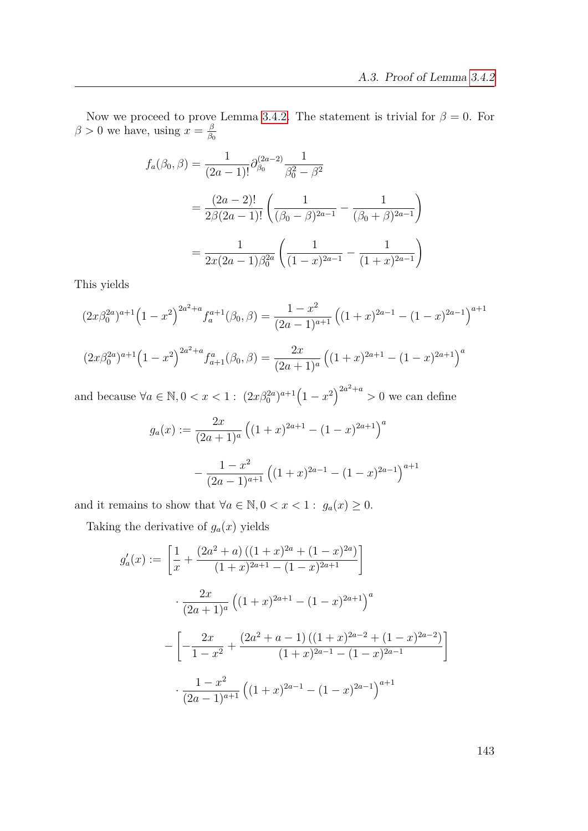Now we proceed to prove Lemma [3.4.2.](#page-96-0) The statement is trivial for  $\beta = 0$ . For  $\beta > 0$  we have, using  $x = \frac{\beta}{\beta}$ *β*0

$$
f_a(\beta_0, \beta) = \frac{1}{(2a-1)!} \partial_{\beta_0}^{(2a-2)} \frac{1}{\beta_0^2 - \beta^2}
$$
  
= 
$$
\frac{(2a-2)!}{2\beta(2a-1)!} \left( \frac{1}{(\beta_0 - \beta)^{2a-1}} - \frac{1}{(\beta_0 + \beta)^{2a-1}} \right)
$$
  
= 
$$
\frac{1}{2x(2a-1)\beta_0^{2a}} \left( \frac{1}{(1-x)^{2a-1}} - \frac{1}{(1+x)^{2a-1}} \right)
$$

This yields

$$
(2x\beta_0^{2a})^{a+1} (1-x^2)^{2a^2+a} f_a^{a+1}(\beta_0, \beta) = \frac{1-x^2}{(2a-1)^{a+1}} ((1+x)^{2a-1} - (1-x)^{2a-1})^{a+1}
$$

$$
(2x\beta_0^{2a})^{a+1} (1-x^2)^{2a^2+a} f_{a+1}^a(\beta_0, \beta) = \frac{2x}{(2a+1)^a} ((1+x)^{2a+1} - (1-x)^{2a+1})^a
$$

and because  $\forall a \in \mathbb{N}, 0 < x < 1$ :  $(2x\beta_0^{2a})^{a+1}(1-x^2)^{2a^2+a} > 0$  we can define

$$
g_a(x) := \frac{2x}{(2a+1)^a} \left( (1+x)^{2a+1} - (1-x)^{2a+1} \right)^a
$$

$$
- \frac{1-x^2}{(2a-1)^{a+1}} \left( (1+x)^{2a-1} - (1-x)^{2a-1} \right)^{a+1}
$$

and it remains to show that  $\forall a \in \mathbb{N}, 0 < x < 1$ :  $g_a(x) \geq 0$ .

Taking the derivative of  $g_a(x)$  yields

$$
g'_a(x) := \left[\frac{1}{x} + \frac{(2a^2 + a) ((1 + x)^{2a} + (1 - x)^{2a})}{(1 + x)^{2a+1} - (1 - x)^{2a+1}}\right]
$$

$$
\cdot \frac{2x}{(2a+1)^a} \left((1+x)^{2a+1} - (1-x)^{2a+1}\right)^a
$$

$$
- \left[-\frac{2x}{1-x^2} + \frac{(2a^2 + a - 1)((1+x)^{2a-2} + (1-x)^{2a-2})}{(1+x)^{2a-1} - (1-x)^{2a-1}}\right]
$$

$$
\cdot \frac{1-x^2}{(2a-1)^{a+1}} \left((1+x)^{2a-1} - (1-x)^{2a-1}\right)^{a+1}
$$

1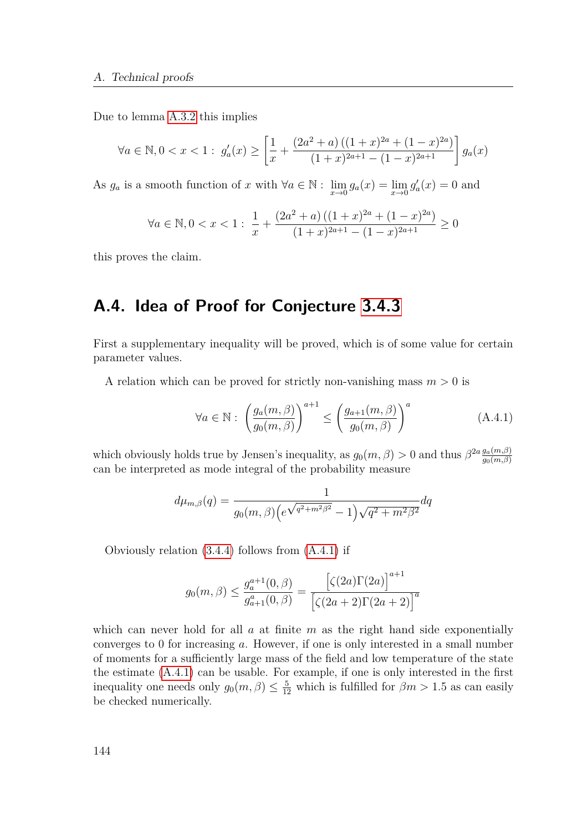Due to lemma [A.3.2](#page-141-0) this implies

$$
\forall a \in \mathbb{N}, 0 < x < 1: \ g'_a(x) \ge \left[ \frac{1}{x} + \frac{(2a^2 + a) \left( (1+x)^{2a} + (1-x)^{2a} \right)}{(1+x)^{2a+1} - (1-x)^{2a+1}} \right] g_a(x)
$$

As  $g_a$  is a smooth function of *x* with  $\forall a \in \mathbb{N} : \lim_{x \to 0} g_a(x) = \lim_{x \to 0} g'_a(x) = 0$  and

$$
\forall a \in \mathbb{N}, 0 < x < 1: \ \frac{1}{x} + \frac{\left(2a^2 + a\right)\left((1+x)^{2a} + (1-x)^{2a}\right)}{(1+x)^{2a+1} - (1-x)^{2a+1}} \ge 0
$$

this proves the claim.

## **A.4. Idea of Proof for Conjecture [3.4.3](#page-97-0)**

First a supplementary inequality will be proved, which is of some value for certain parameter values.

A relation which can be proved for strictly non-vanishing mass  $m > 0$  is

<span id="page-143-0"></span>
$$
\forall a \in \mathbb{N}: \left(\frac{g_a(m,\beta)}{g_0(m,\beta)}\right)^{a+1} \le \left(\frac{g_{a+1}(m,\beta)}{g_0(m,\beta)}\right)^a \tag{A.4.1}
$$

which obviously holds true by Jensen's inequality, as  $g_0(m, \beta) > 0$  and thus  $\beta^{2a} \frac{g_a(m, \beta)}{g_0(m, \beta)}$ *g*0(*m,β*) can be interpreted as mode integral of the probability measure

$$
d\mu_{m,\beta}(q) = \frac{1}{g_0(m,\beta)\left(e^{\sqrt{q^2 + m^2 \beta^2}} - 1\right)\sqrt{q^2 + m^2 \beta^2}}dq
$$

Obviously relation [\(3.4.4\)](#page-97-1) follows from [\(A.4.1\)](#page-143-0) if

$$
g_0(m,\beta) \le \frac{g_a^{a+1}(0,\beta)}{g_{a+1}^a(0,\beta)} = \frac{[\zeta(2a)\Gamma(2a)]^{a+1}}{[\zeta(2a+2)\Gamma(2a+2)]^a}
$$

which can never hold for all *a* at finite *m* as the right hand side exponentially converges to 0 for increasing *a*. However, if one is only interested in a small number of moments for a sufficiently large mass of the field and low temperature of the state the estimate [\(A.4.1\)](#page-143-0) can be usable. For example, if one is only interested in the first inequality one needs only  $g_0(m, \beta) \leq \frac{5}{12}$  which is fulfilled for  $\beta m > 1.5$  as can easily be checked numerically.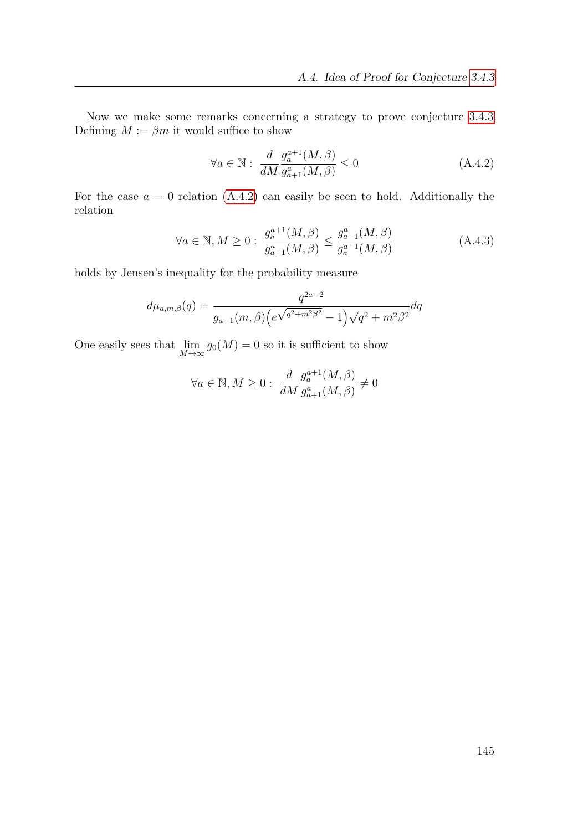Now we make some remarks concerning a strategy to prove conjecture [3.4.3.](#page-97-0) Defining  $M := \beta m$  it would suffice to show

<span id="page-144-0"></span>
$$
\forall a \in \mathbb{N}: \frac{d}{dM} \frac{g_a^{a+1}(M,\beta)}{g_{a+1}^a(M,\beta)} \le 0 \tag{A.4.2}
$$

For the case  $a = 0$  relation  $(A.4.2)$  can easily be seen to hold. Additionally the relation

$$
\forall a \in \mathbb{N}, M \ge 0: \ \frac{g_a^{a+1}(M,\beta)}{g_{a+1}^a(M,\beta)} \le \frac{g_{a-1}^a(M,\beta)}{g_a^{a-1}(M,\beta)} \tag{A.4.3}
$$

holds by Jensen's inequality for the probability measure

$$
d\mu_{a,m,\beta}(q) = \frac{q^{2a-2}}{g_{a-1}(m,\beta)\left(e^{\sqrt{q^2 + m^2 \beta^2}} - 1\right)\sqrt{q^2 + m^2 \beta^2}}dq
$$

One easily sees that  $\lim_{M \to \infty} g_0(M) = 0$  so it is sufficient to show

$$
\forall a \in \mathbb{N}, M \geq 0: \; \frac{d}{dM} \frac{g_a^{a+1}(M, \beta)}{g_{a+1}^a(M, \beta)} \neq 0
$$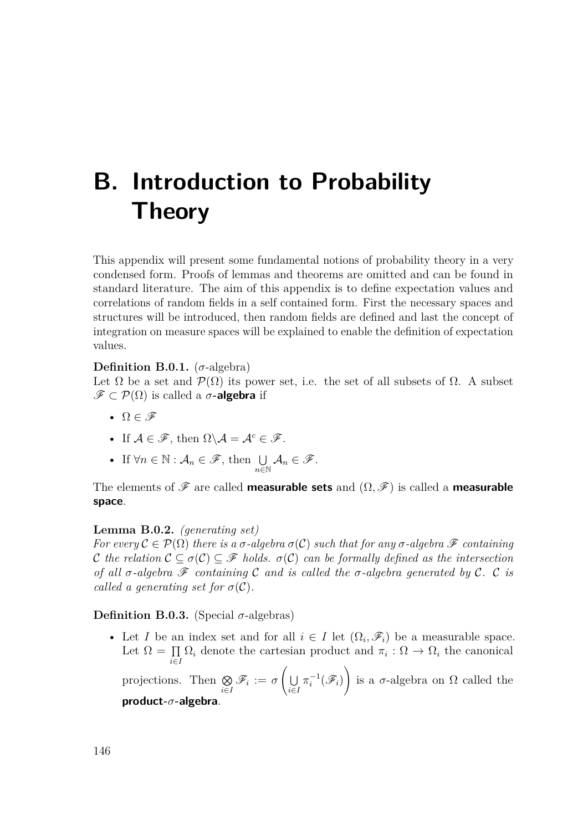# **B. Introduction to Probability Theory**

This appendix will present some fundamental notions of probability theory in a very condensed form. Proofs of lemmas and theorems are omitted and can be found in standard literature. The aim of this appendix is to define expectation values and correlations of random fields in a self contained form. First the necessary spaces and structures will be introduced, then random fields are defined and last the concept of integration on measure spaces will be explained to enable the definition of expectation values.

**Definition B.0.1.** ( $\sigma$ -algebra)

Let  $\Omega$  be a set and  $\mathcal{P}(\Omega)$  its power set, i.e. the set of all subsets of  $\Omega$ . A subset  $\mathscr{F} \subset \mathcal{P}(\Omega)$  is called a  $\sigma$ **-algebra** if

- $\Omega \in \mathscr{F}$
- If  $A \in \mathscr{F}$ , then  $\Omega \backslash A = A^c \in \mathscr{F}$ .
- If  $\forall n \in \mathbb{N} : A_n \in \mathscr{F}$ , then  $\bigcup_{n \in \mathbb{N}} A_n \in \mathscr{F}$ .

The elements of  $\mathscr F$  are called **measurable sets** and  $(\Omega, \mathscr F)$  is called a **measurable space**.

#### **Lemma B.0.2.** *(generating set)*

*For every*  $\mathcal{C} \in \mathcal{P}(\Omega)$  *there is a*  $\sigma$ -algebra  $\sigma(\mathcal{C})$  *such that for any*  $\sigma$ -algebra  $\mathcal F$  *containing* C the relation  $\mathcal{C} \subset \sigma(\mathcal{C}) \subset \mathcal{F}$  holds.  $\sigma(\mathcal{C})$  can be formally defined as the intersection *of all*  $\sigma$ -*algebra*  $\mathscr F$  *containing*  $\mathscr C$  *and is called the*  $\sigma$ -*algebra generated by*  $\mathscr C$ *.*  $\mathscr C$  *is called a generating set for*  $\sigma(\mathcal{C})$ *.* 

**Definition B.0.3.** (Special  $\sigma$ -algebras)

• Let *I* be an index set and for all  $i \in I$  let  $(\Omega_i, \mathscr{F}_i)$  be a measurable space. Let  $\Omega = \Pi$  $\prod_{i \in I} \Omega_i$  denote the cartesian product and  $\pi_i : \Omega \to \Omega_i$  the canonical

projections. Then  $\otimes$  $\bigotimes\limits_{i\in I} \mathscr{F}_i := \sigma$  $\sqrt{2}$ U *i*∈*I*  $\pi_i^{-1}(\mathscr{F}_i)$  $\setminus$ is a  $\sigma$ -algebra on  $\Omega$  called the **product-***σ***-algebra**.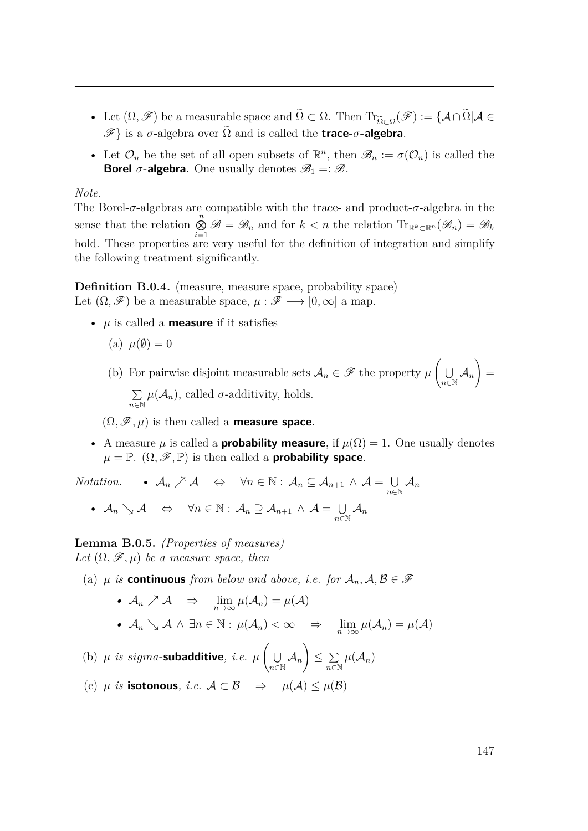- Let  $(\Omega, \mathscr{F})$  be a measurable space and  $\Omega \subset \Omega$ . Then  $\text{Tr}_{\widetilde{\Omega} \subset \Omega}(\mathscr{F}) := \{A \cap \Omega | A \in \mathscr{F}\}$  $\mathscr{F}$ } is a  $\sigma$ -algebra over  $\tilde{\Omega}$  and is called the **trace-** $\sigma$ -algebra.
- Let  $\mathcal{O}_n$  be the set of all open subsets of  $\mathbb{R}^n$ , then  $\mathscr{B}_n := \sigma(\mathcal{O}_n)$  is called the **Borel**  $\sigma$ -algebra. One usually denotes  $\mathscr{B}_1 = \mathscr{B}$ .

#### *Note.*

The Borel-*σ*-algebras are compatible with the trace- and product-*σ*-algebra in the sense that the relation  $\bigotimes_{i=1}^n \mathscr{B} = \mathscr{B}_n$  and for  $k < n$  the relation  $\text{Tr}_{\mathbb{R}^k \subset \mathbb{R}^n}(\mathscr{B}_n) = \mathscr{B}_k$ hold. These properties are very useful for the definition of integration and simplify the following treatment significantly.

**Definition B.0.4.** (measure, measure space, probability space) Let  $(\Omega, \mathscr{F})$  be a measurable space,  $\mu : \mathscr{F} \longrightarrow [0, \infty]$  a map.

- $\mu$  is called a **measure** if it satisfies
	- (a)  $\mu(\emptyset) = 0$

(b) For pairwise disjoint measurable sets  $A_n \in \mathscr{F}$  the property  $\mu$  $\sqrt{ }$  $\cup$  $\bigcup_{n\in\mathbb{N}}\mathcal{A}_n$  $\setminus$ = P  $\sum_{n \in \mathbb{N}} \mu(A_n)$ , called *σ*-additivity, holds.

 $(\Omega, \mathscr{F}, \mu)$  is then called a **measure space**.

• A measure  $\mu$  is called a **probability measure**, if  $\mu(\Omega) = 1$ . One usually denotes  $\mu = \mathbb{P}$ .  $(\Omega, \mathscr{F}, \mathbb{P})$  is then called a **probability space**.

*Notation.* •  $\mathcal{A}_n \nearrow \mathcal{A} \Leftrightarrow \forall n \in \mathbb{N} : \mathcal{A}_n \subseteq \mathcal{A}_{n+1} \wedge \mathcal{A} = \bigcup$  $\bigcup\limits_{n\in \mathbb{N}}\mathcal{A}_n$ •  $\mathcal{A}_n \searrow \mathcal{A} \Leftrightarrow \forall n \in \mathbb{N} : \mathcal{A}_n \supseteq \mathcal{A}_{n+1} \wedge \mathcal{A} = \bigcup$  $\bigcup\limits_{n\in\mathbb{N}}\mathcal{A}_n$ 

**Lemma B.0.5.** *(Properties of measures) Let*  $(\Omega, \mathcal{F}, \mu)$  *be a measure space, then* 

(a)  $\mu$  *is* **continuous** *from below and above, i.e. for*  $A_n$ ,  $A, B \in \mathcal{F}$ 

•  $A_n \nearrow A \Rightarrow \lim_{n \to \infty} \mu(A_n) = \mu(A)$ *•*  $\mathcal{A}_n$   $\searrow$   $\mathcal{A}$   $\wedge$   $\exists n \in \mathbb{N} : \mu(\mathcal{A}_n) < \infty$   $\Rightarrow$   $\lim_{n \to \infty} \mu(\mathcal{A}_n) = \mu(\mathcal{A})$  $\sqrt{ }$  $\setminus$ 

(b)  $\mu$  *is sigma*-subadditive, *i.e.*  $\mu$ U  $\bigcup\limits_{n\in \mathbb{N}}\mathcal{A}_n$  $\leq \sum$  $\sum_{n\in\mathbb{N}}\mu(\mathcal{A}_n)$ (c)  $\mu$  *is* **isotonous***, i.e.*  $\mathcal{A} \subset \mathcal{B}$  ⇒  $\mu(\mathcal{A}) \leq \mu(\mathcal{B})$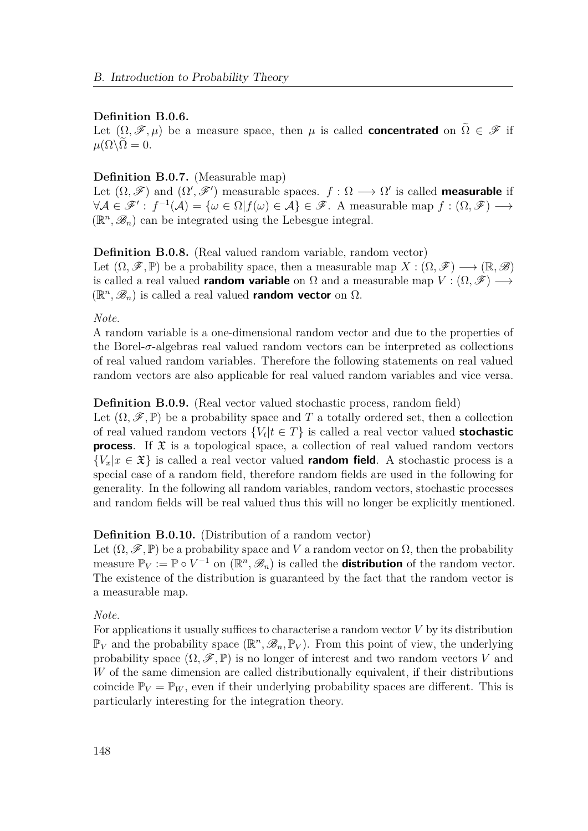#### **Definition B.0.6.**

Let  $(\Omega, \mathscr{F}, \mu)$  be a measure space, then  $\mu$  is called **concentrated** on  $\tilde{\Omega} \in \mathscr{F}$  if  $\mu(\Omega)\Omega = 0.$ 

#### **Definition B.0.7.** (Measurable map)

Let  $(\Omega, \mathscr{F})$  and  $(\Omega', \mathscr{F}')$  measurable spaces.  $f : \Omega \longrightarrow \Omega'$  is called **measurable** if  $\forall A \in \mathscr{F}' : f^{-1}(A) = {\omega \in \Omega | f(\omega) \in A} \in \mathscr{F}$ . A measurable map  $f : (\Omega, \mathscr{F}) \longrightarrow$  $(\mathbb{R}^n, \mathscr{B}_n)$  can be integrated using the Lebesgue integral.

## **Definition B.0.8.** (Real valued random variable, random vector)

Let  $(\Omega, \mathscr{F}, \mathbb{P})$  be a probability space, then a measurable map  $X : (\Omega, \mathscr{F}) \longrightarrow (\mathbb{R}, \mathscr{B})$ is called a real valued **random variable** on  $\Omega$  and a measurable map  $V : (\Omega, \mathscr{F}) \longrightarrow$  $(\mathbb{R}^n, \mathscr{B}_n)$  is called a real valued **random vector** on  $\Omega$ .

*Note.*

A random variable is a one-dimensional random vector and due to the properties of the Borel-*σ*-algebras real valued random vectors can be interpreted as collections of real valued random variables. Therefore the following statements on real valued random vectors are also applicable for real valued random variables and vice versa.

#### **Definition B.0.9.** (Real vector valued stochastic process, random field)

Let  $(\Omega, \mathscr{F}, \mathbb{P})$  be a probability space and T a totally ordered set, then a collection of real valued random vectors  ${V_t | t \in T}$  is called a real vector valued **stochastic process**. If  $\mathfrak{X}$  is a topological space, a collection of real valued random vectors  $\{V_x | x \in \mathfrak{X}\}\$ is called a real vector valued **random field**. A stochastic process is a special case of a random field, therefore random fields are used in the following for generality. In the following all random variables, random vectors, stochastic processes and random fields will be real valued thus this will no longer be explicitly mentioned.

#### **Definition B.0.10.** (Distribution of a random vector)

Let  $(\Omega, \mathscr{F}, \mathbb{P})$  be a probability space and *V* a random vector on  $\Omega$ , then the probability measure  $\mathbb{P}_V := \mathbb{P} \circ V^{-1}$  on  $(\mathbb{R}^n, \mathscr{B}_n)$  is called the **distribution** of the random vector. The existence of the distribution is guaranteed by the fact that the random vector is a measurable map.

#### *Note.*

For applications it usually suffices to characterise a random vector  $V$  by its distribution  $\mathbb{P}_V$  and the probability space  $(\mathbb{R}^n, \mathscr{B}_n, \mathbb{P}_V)$ . From this point of view, the underlying probability space  $(\Omega, \mathscr{F}, \mathbb{P})$  is no longer of interest and two random vectors *V* and *W* of the same dimension are called distributionally equivalent, if their distributions coincide  $\mathbb{P}_V = \mathbb{P}_W$ , even if their underlying probability spaces are different. This is particularly interesting for the integration theory.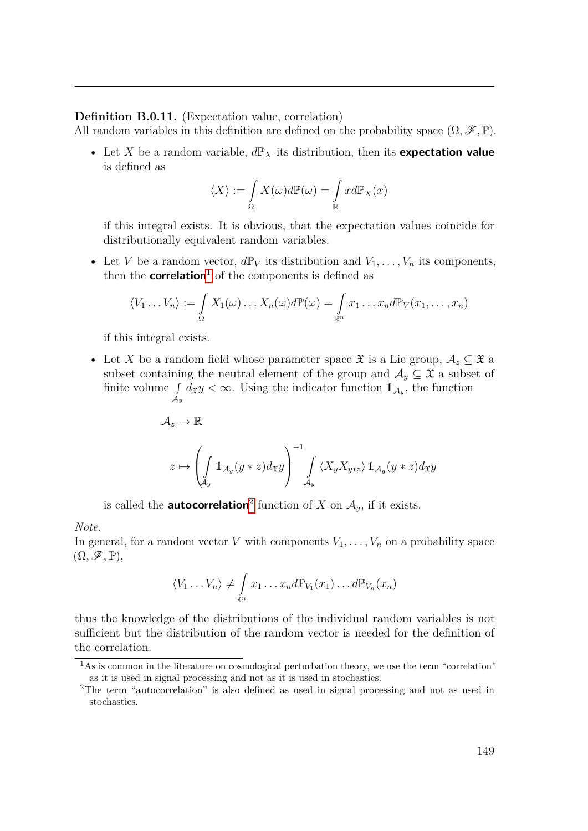#### **Definition B.0.11.** (Expectation value, correlation)

All random variables in this definition are defined on the probability space  $(\Omega, \mathscr{F}, \mathbb{P})$ .

• Let *X* be a random variable,  $d\mathbb{P}_X$  its distribution, then its **expectation value** is defined as

$$
\langle X \rangle := \int\limits_{\Omega} X(\omega) d\mathbb{P}(\omega) = \int\limits_{\mathbb{R}} x d\mathbb{P}_X(x)
$$

if this integral exists. It is obvious, that the expectation values coincide for distributionally equivalent random variables.

• Let *V* be a random vector,  $d\mathbb{P}_V$  its distribution and  $V_1, \ldots, V_n$  its components, then the **correlation**<sup>[1](#page-148-0)</sup> of the components is defined as

$$
\langle V_1 \dots V_n \rangle := \int_{\Omega} X_1(\omega) \dots X_n(\omega) d\mathbb{P}(\omega) = \int_{\mathbb{R}^n} x_1 \dots x_n d\mathbb{P}_V(x_1, \dots, x_n)
$$

if this integral exists.

• Let *X* be a random field whose parameter space  $\mathfrak X$  is a Lie group,  $\mathcal A_z \subseteq \mathfrak X$  a subset containing the neutral element of the group and  $A_y \subseteq \mathfrak{X}$  a subset of finite volume  $\int$  $\int_{\mathcal{A}_y} d_{\mathfrak{X}} y < \infty$ . Using the indicator function  $\mathbb{1}_{\mathcal{A}_y}$ , the function

$$
\mathcal{A}_z\to\mathbb{R}
$$

$$
z\mapsto \left(\int\limits_{\mathcal{A}_y}1\!\!1_{\mathcal{A}_y}(y*z) d_\mathfrak{X} y\right)^{-1}\int\limits_{\mathcal{A}_y}\left\langle X_y X_{y*z}\right\rangle 1\!\!1_{\mathcal{A}_y}(y*z) d_\mathfrak{X} y
$$

is called the **autocorrelation**<sup>[2](#page-148-1)</sup> function of *X* on  $A_y$ , if it exists.

*Note.*

In general, for a random vector *V* with components  $V_1, \ldots, V_n$  on a probability space  $(\Omega, \mathscr{F}, \mathbb{P}),$ 

$$
\langle V_1 \dots V_n \rangle \neq \int_{\mathbb{R}^n} x_1 \dots x_n d\mathbb{P}_{V_1}(x_1) \dots d\mathbb{P}_{V_n}(x_n)
$$

thus the knowledge of the distributions of the individual random variables is not sufficient but the distribution of the random vector is needed for the definition of the correlation.

<span id="page-148-0"></span><sup>&</sup>lt;sup>1</sup>As is common in the literature on cosmological perturbation theory, we use the term "correlation" as it is used in signal processing and not as it is used in stochastics.

<span id="page-148-1"></span><sup>2</sup>The term "autocorrelation" is also defined as used in signal processing and not as used in stochastics.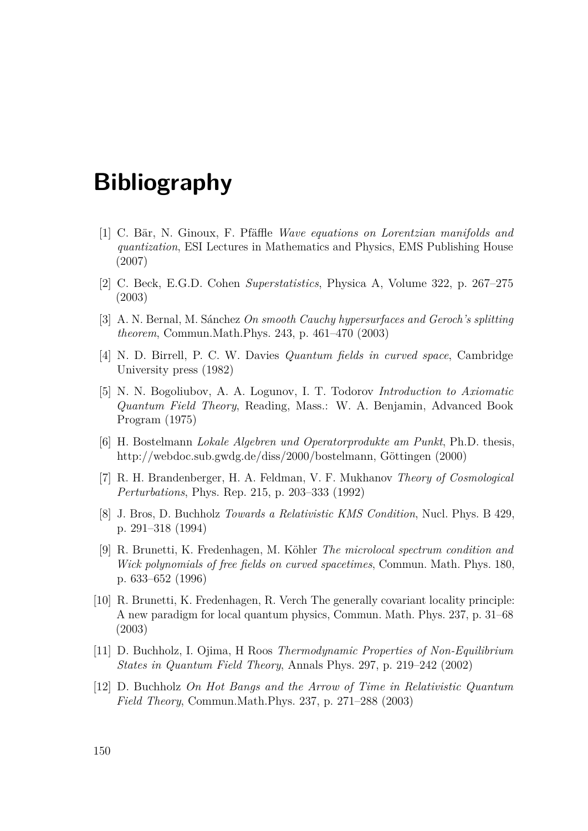## **Bibliography**

- [1] C. Bär, N. Ginoux, F. Pfäffle *Wave equations on Lorentzian manifolds and quantization*, ESI Lectures in Mathematics and Physics, EMS Publishing House (2007)
- [2] C. Beck, E.G.D. Cohen *Superstatistics*, Physica A, Volume 322, p. 267–275 (2003)
- [3] A. N. Bernal, M. Sánchez *On smooth Cauchy hypersurfaces and Geroch's splitting theorem*, Commun.Math.Phys. 243, p. 461–470 (2003)
- [4] N. D. Birrell, P. C. W. Davies *Quantum fields in curved space*, Cambridge University press (1982)
- [5] N. N. Bogoliubov, A. A. Logunov, I. T. Todorov *Introduction to Axiomatic Quantum Field Theory*, Reading, Mass.: W. A. Benjamin, Advanced Book Program (1975)
- [6] H. Bostelmann *Lokale Algebren und Operatorprodukte am Punkt*, Ph.D. thesis, http://webdoc.sub.gwdg.de/diss/2000/bostelmann, Göttingen (2000)
- [7] R. H. Brandenberger, H. A. Feldman, V. F. Mukhanov *Theory of Cosmological Perturbations*, Phys. Rep. 215, p. 203–333 (1992)
- [8] J. Bros, D. Buchholz *Towards a Relativistic KMS Condition*, Nucl. Phys. B 429, p. 291–318 (1994)
- [9] R. Brunetti, K. Fredenhagen, M. Köhler *The microlocal spectrum condition and Wick polynomials of free fields on curved spacetimes*, Commun. Math. Phys. 180, p. 633–652 (1996)
- [10] R. Brunetti, K. Fredenhagen, R. Verch The generally covariant locality principle: A new paradigm for local quantum physics, Commun. Math. Phys. 237, p. 31–68 (2003)
- [11] D. Buchholz, I. Ojima, H Roos *Thermodynamic Properties of Non-Equilibrium States in Quantum Field Theory*, Annals Phys. 297, p. 219–242 (2002)
- [12] D. Buchholz *On Hot Bangs and the Arrow of Time in Relativistic Quantum Field Theory*, Commun.Math.Phys. 237, p. 271–288 (2003)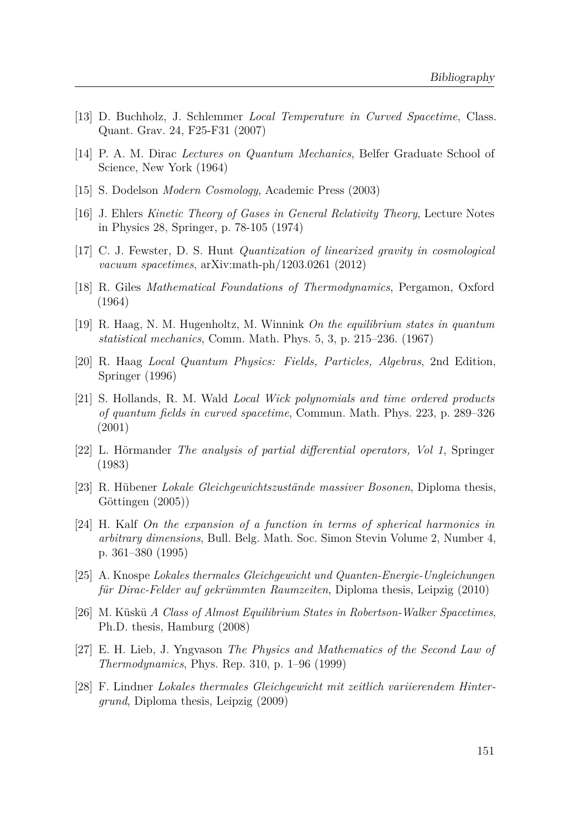- [13] D. Buchholz, J. Schlemmer *Local Temperature in Curved Spacetime*, Class. Quant. Grav. 24, F25-F31 (2007)
- [14] P. A. M. Dirac *Lectures on Quantum Mechanics*, Belfer Graduate School of Science, New York (1964)
- [15] S. Dodelson *Modern Cosmology*, Academic Press (2003)
- [16] J. Ehlers *Kinetic Theory of Gases in General Relativity Theory*, Lecture Notes in Physics 28, Springer, p. 78-105 (1974)
- [17] C. J. Fewster, D. S. Hunt *Quantization of linearized gravity in cosmological vacuum spacetimes*, arXiv:math-ph/1203.0261 (2012)
- [18] R. Giles *Mathematical Foundations of Thermodynamics*, Pergamon, Oxford (1964)
- [19] R. Haag, N. M. Hugenholtz, M. Winnink *On the equilibrium states in quantum statistical mechanics*, Comm. Math. Phys. 5, 3, p. 215–236. (1967)
- [20] R. Haag *Local Quantum Physics: Fields, Particles, Algebras*, 2nd Edition, Springer (1996)
- [21] S. Hollands, R. M. Wald *Local Wick polynomials and time ordered products of quantum fields in curved spacetime*, Commun. Math. Phys. 223, p. 289–326 (2001)
- [22] L. Hörmander *The analysis of partial differential operators, Vol 1*, Springer (1983)
- [23] R. Hübener *Lokale Gleichgewichtszustände massiver Bosonen*, Diploma thesis, Göttingen (2005))
- [24] H. Kalf *On the expansion of a function in terms of spherical harmonics in arbitrary dimensions*, Bull. Belg. Math. Soc. Simon Stevin Volume 2, Number 4, p. 361–380 (1995)
- [25] A. Knospe *Lokales thermales Gleichgewicht und Quanten-Energie-Ungleichungen für Dirac-Felder auf gekrümmten Raumzeiten*, Diploma thesis, Leipzig (2010)
- [26] M. Küskü *A Class of Almost Equilibrium States in Robertson-Walker Spacetimes*, Ph.D. thesis, Hamburg (2008)
- [27] E. H. Lieb, J. Yngvason *The Physics and Mathematics of the Second Law of Thermodynamics*, Phys. Rep. 310, p. 1–96 (1999)
- [28] F. Lindner *Lokales thermales Gleichgewicht mit zeitlich variierendem Hintergrund*, Diploma thesis, Leipzig (2009)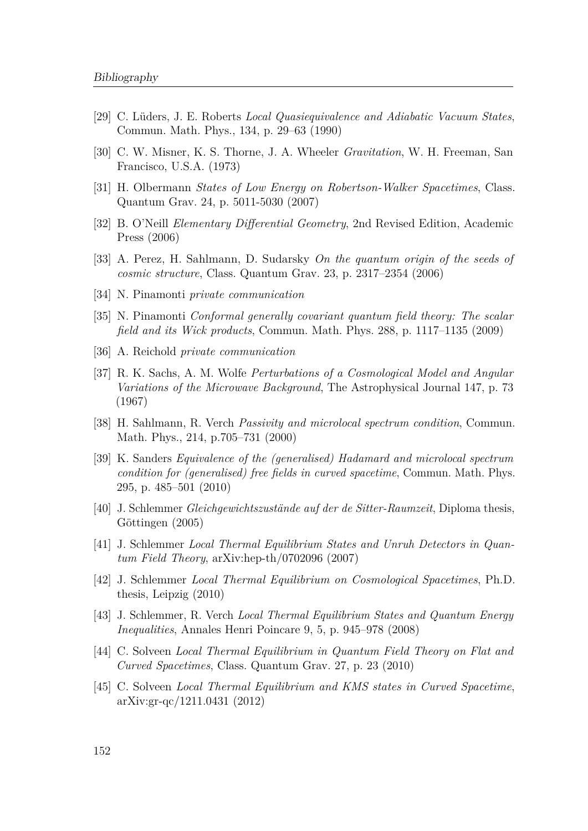- [29] C. Lüders, J. E. Roberts *Local Quasiequivalence and Adiabatic Vacuum States*, Commun. Math. Phys., 134, p. 29–63 (1990)
- [30] C. W. Misner, K. S. Thorne, J. A. Wheeler *Gravitation*, W. H. Freeman, San Francisco, U.S.A. (1973)
- [31] H. Olbermann *States of Low Energy on Robertson-Walker Spacetimes*, Class. Quantum Grav. 24, p. 5011-5030 (2007)
- [32] B. O'Neill *Elementary Differential Geometry*, 2nd Revised Edition, Academic Press (2006)
- [33] A. Perez, H. Sahlmann, D. Sudarsky *On the quantum origin of the seeds of cosmic structure*, Class. Quantum Grav. 23, p. 2317–2354 (2006)
- [34] N. Pinamonti *private communication*
- [35] N. Pinamonti *Conformal generally covariant quantum field theory: The scalar field and its Wick products*, Commun. Math. Phys. 288, p. 1117–1135 (2009)
- [36] A. Reichold *private communication*
- [37] R. K. Sachs, A. M. Wolfe *Perturbations of a Cosmological Model and Angular Variations of the Microwave Background*, The Astrophysical Journal 147, p. 73 (1967)
- [38] H. Sahlmann, R. Verch *Passivity and microlocal spectrum condition*, Commun. Math. Phys., 214, p.705–731 (2000)
- [39] K. Sanders *Equivalence of the (generalised) Hadamard and microlocal spectrum condition for (generalised) free fields in curved spacetime*, Commun. Math. Phys. 295, p. 485–501 (2010)
- [40] J. Schlemmer *Gleichgewichtszustände auf der de Sitter-Raumzeit*, Diploma thesis, Göttingen (2005)
- [41] J. Schlemmer *Local Thermal Equilibrium States and Unruh Detectors in Quantum Field Theory*, arXiv:hep-th/0702096 (2007)
- [42] J. Schlemmer *Local Thermal Equilibrium on Cosmological Spacetimes*, Ph.D. thesis, Leipzig (2010)
- [43] J. Schlemmer, R. Verch *Local Thermal Equilibrium States and Quantum Energy Inequalities*, Annales Henri Poincare 9, 5, p. 945–978 (2008)
- [44] C. Solveen *Local Thermal Equilibrium in Quantum Field Theory on Flat and Curved Spacetimes*, Class. Quantum Grav. 27, p. 23 (2010)
- [45] C. Solveen *Local Thermal Equilibrium and KMS states in Curved Spacetime*, arXiv:gr-qc/1211.0431 (2012)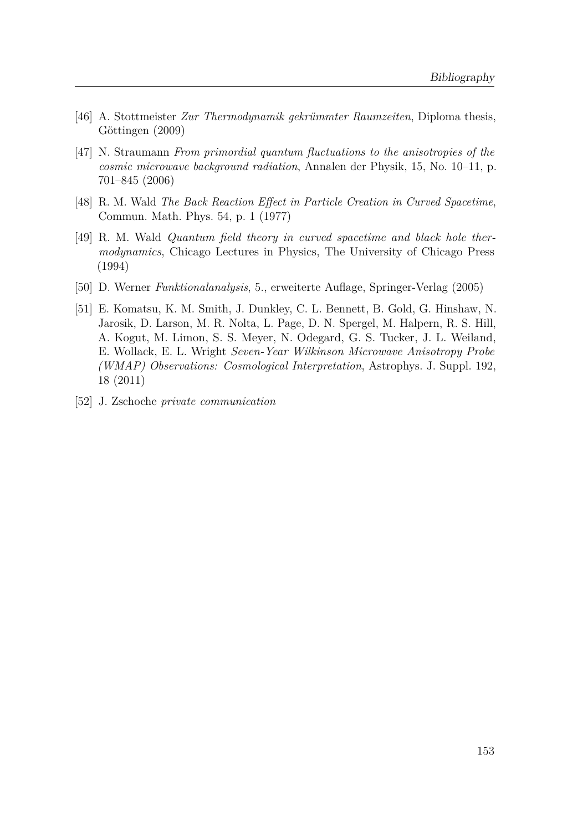- [46] A. Stottmeister *Zur Thermodynamik gekrümmter Raumzeiten*, Diploma thesis, Göttingen (2009)
- [47] N. Straumann *From primordial quantum fluctuations to the anisotropies of the cosmic microwave background radiation*, Annalen der Physik, 15, No. 10–11, p. 701–845 (2006)
- [48] R. M. Wald *The Back Reaction Effect in Particle Creation in Curved Spacetime*, Commun. Math. Phys. 54, p. 1 (1977)
- [49] R. M. Wald *Quantum field theory in curved spacetime and black hole thermodynamics*, Chicago Lectures in Physics, The University of Chicago Press (1994)
- [50] D. Werner *Funktionalanalysis*, 5., erweiterte Auflage, Springer-Verlag (2005)
- [51] E. Komatsu, K. M. Smith, J. Dunkley, C. L. Bennett, B. Gold, G. Hinshaw, N. Jarosik, D. Larson, M. R. Nolta, L. Page, D. N. Spergel, M. Halpern, R. S. Hill, A. Kogut, M. Limon, S. S. Meyer, N. Odegard, G. S. Tucker, J. L. Weiland, E. Wollack, E. L. Wright *Seven-Year Wilkinson Microwave Anisotropy Probe (WMAP) Observations: Cosmological Interpretation*, Astrophys. J. Suppl. 192, 18 (2011)
- [52] J. Zschoche *private communication*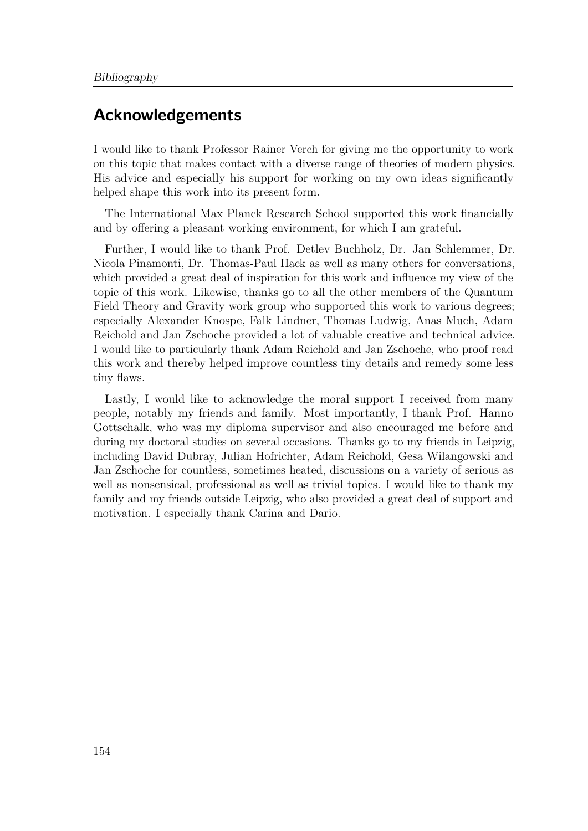## **Acknowledgements**

I would like to thank Professor Rainer Verch for giving me the opportunity to work on this topic that makes contact with a diverse range of theories of modern physics. His advice and especially his support for working on my own ideas significantly helped shape this work into its present form.

The International Max Planck Research School supported this work financially and by offering a pleasant working environment, for which I am grateful.

Further, I would like to thank Prof. Detlev Buchholz, Dr. Jan Schlemmer, Dr. Nicola Pinamonti, Dr. Thomas-Paul Hack as well as many others for conversations, which provided a great deal of inspiration for this work and influence my view of the topic of this work. Likewise, thanks go to all the other members of the Quantum Field Theory and Gravity work group who supported this work to various degrees; especially Alexander Knospe, Falk Lindner, Thomas Ludwig, Anas Much, Adam Reichold and Jan Zschoche provided a lot of valuable creative and technical advice. I would like to particularly thank Adam Reichold and Jan Zschoche, who proof read this work and thereby helped improve countless tiny details and remedy some less tiny flaws.

Lastly, I would like to acknowledge the moral support I received from many people, notably my friends and family. Most importantly, I thank Prof. Hanno Gottschalk, who was my diploma supervisor and also encouraged me before and during my doctoral studies on several occasions. Thanks go to my friends in Leipzig, including David Dubray, Julian Hofrichter, Adam Reichold, Gesa Wilangowski and Jan Zschoche for countless, sometimes heated, discussions on a variety of serious as well as nonsensical, professional as well as trivial topics. I would like to thank my family and my friends outside Leipzig, who also provided a great deal of support and motivation. I especially thank Carina and Dario.